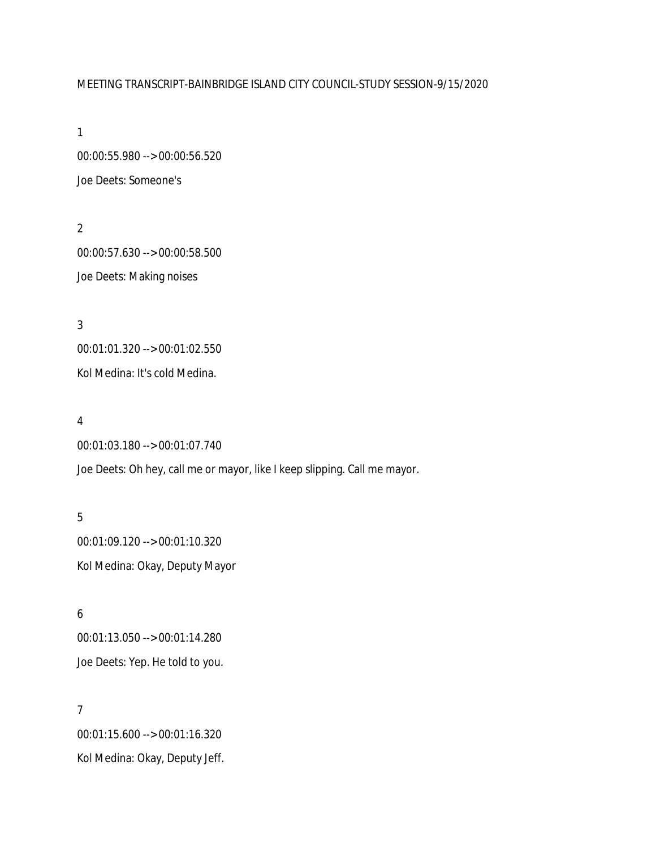# MEETING TRANSCRIPT-BAINBRIDGE ISLAND CITY COUNCIL-STUDY SESSION-9/15/2020

1

00:00:55.980 --> 00:00:56.520 Joe Deets: Someone's

2 00:00:57.630 --> 00:00:58.500 Joe Deets: Making noises

3 00:01:01.320 --> 00:01:02.550 Kol Medina: It's cold Medina.

4

00:01:03.180 --> 00:01:07.740 Joe Deets: Oh hey, call me or mayor, like I keep slipping. Call me mayor.

5 00:01:09.120 --> 00:01:10.320 Kol Medina: Okay, Deputy Mayor

6 00:01:13.050 --> 00:01:14.280 Joe Deets: Yep. He told to you.

7 00:01:15.600 --> 00:01:16.320 Kol Medina: Okay, Deputy Jeff.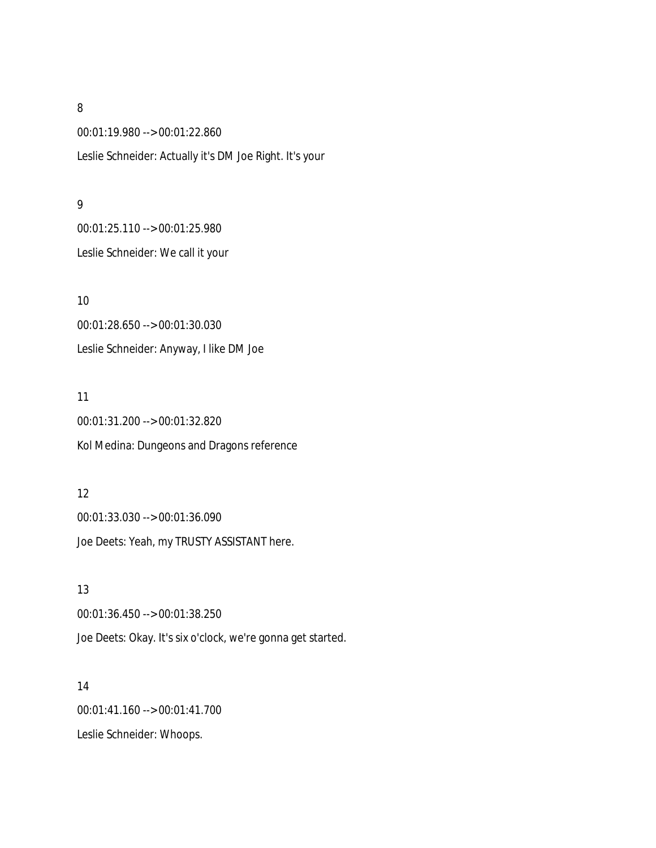00:01:19.980 --> 00:01:22.860 Leslie Schneider: Actually it's DM Joe Right. It's your

### 9

00:01:25.110 --> 00:01:25.980 Leslie Schneider: We call it your

10 00:01:28.650 --> 00:01:30.030 Leslie Schneider: Anyway, I like DM Joe

11 00:01:31.200 --> 00:01:32.820 Kol Medina: Dungeons and Dragons reference

# 12 00:01:33.030 --> 00:01:36.090 Joe Deets: Yeah, my TRUSTY ASSISTANT here.

13 00:01:36.450 --> 00:01:38.250 Joe Deets: Okay. It's six o'clock, we're gonna get started.

14 00:01:41.160 --> 00:01:41.700 Leslie Schneider: Whoops.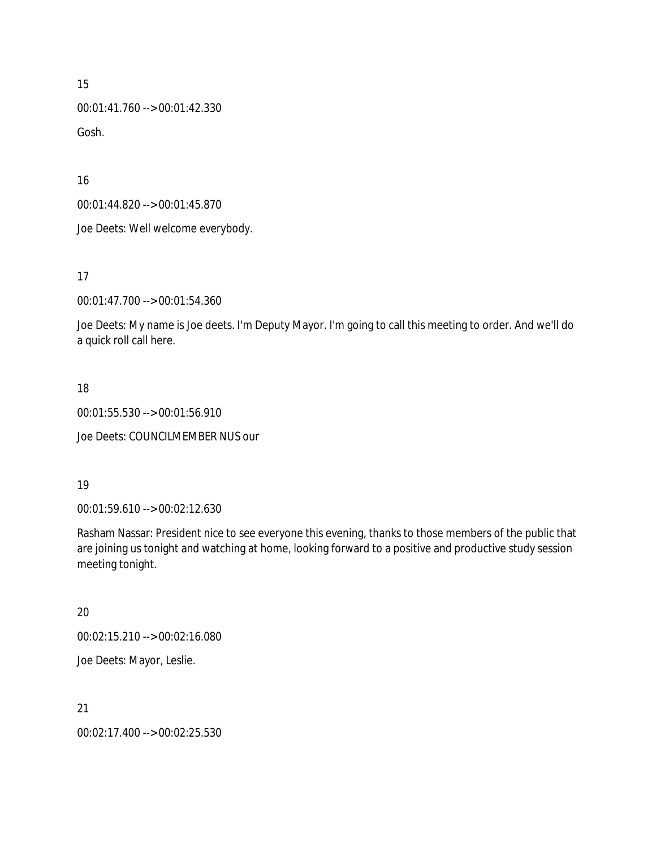00:01:41.760 --> 00:01:42.330 Gosh.

16

00:01:44.820 --> 00:01:45.870

Joe Deets: Well welcome everybody.

17

00:01:47.700 --> 00:01:54.360

Joe Deets: My name is Joe deets. I'm Deputy Mayor. I'm going to call this meeting to order. And we'll do a quick roll call here.

### 18

00:01:55.530 --> 00:01:56.910

Joe Deets: COUNCILMEMBER NUS our

### 19

00:01:59.610 --> 00:02:12.630

Rasham Nassar: President nice to see everyone this evening, thanks to those members of the public that are joining us tonight and watching at home, looking forward to a positive and productive study session meeting tonight.

### 20

00:02:15.210 --> 00:02:16.080

Joe Deets: Mayor, Leslie.

# 21

00:02:17.400 --> 00:02:25.530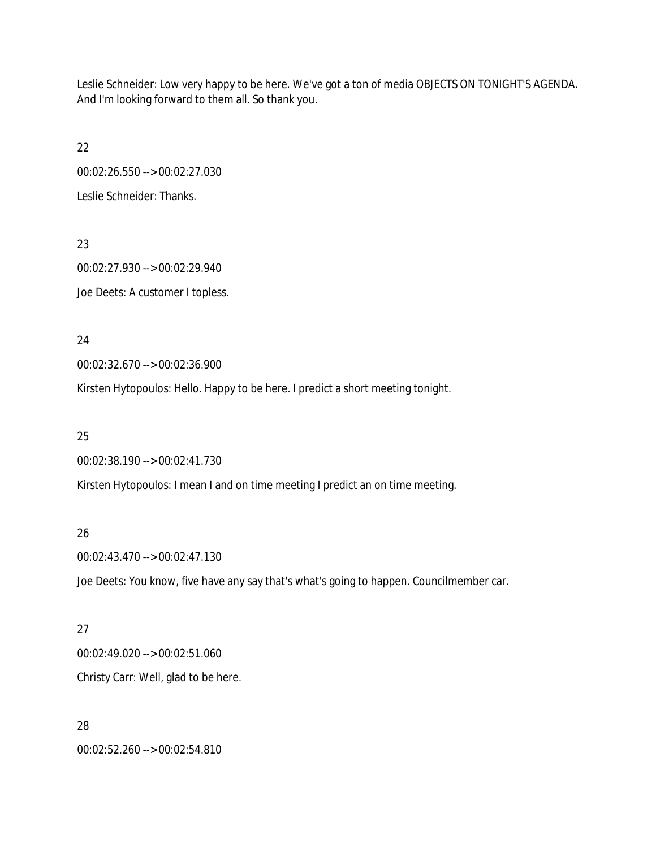Leslie Schneider: Low very happy to be here. We've got a ton of media OBJECTS ON TONIGHT'S AGENDA. And I'm looking forward to them all. So thank you.

22 00:02:26.550 --> 00:02:27.030 Leslie Schneider: Thanks.

23 00:02:27.930 --> 00:02:29.940 Joe Deets: A customer I topless.

24

00:02:32.670 --> 00:02:36.900

Kirsten Hytopoulos: Hello. Happy to be here. I predict a short meeting tonight.

25

00:02:38.190 --> 00:02:41.730

Kirsten Hytopoulos: I mean I and on time meeting I predict an on time meeting.

### 26

00:02:43.470 --> 00:02:47.130

Joe Deets: You know, five have any say that's what's going to happen. Councilmember car.

### 27

00:02:49.020 --> 00:02:51.060 Christy Carr: Well, glad to be here.

# 28

00:02:52.260 --> 00:02:54.810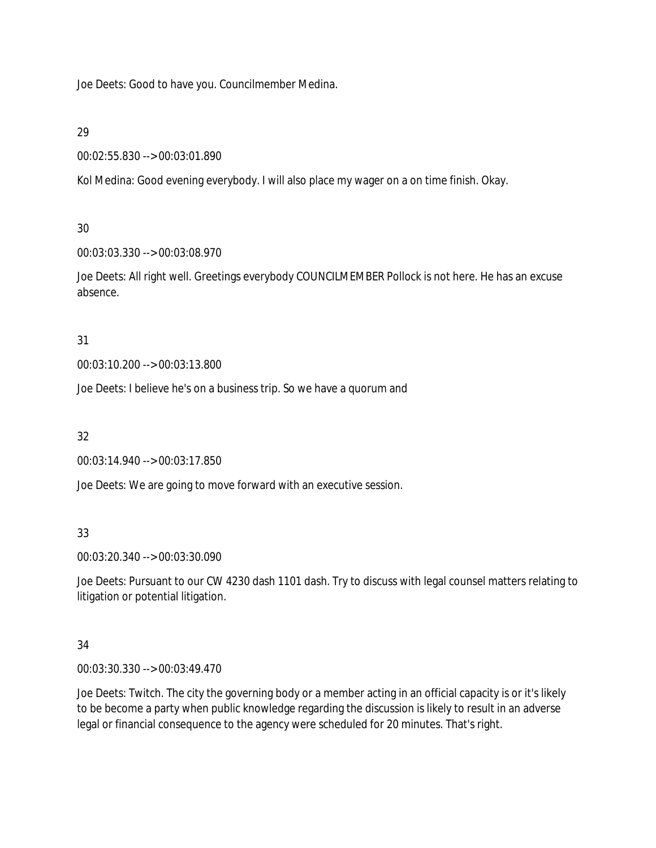Joe Deets: Good to have you. Councilmember Medina.

## 29

```
00:02:55.830 --> 00:03:01.890
```
Kol Medina: Good evening everybody. I will also place my wager on a on time finish. Okay.

# 30

00:03:03.330 --> 00:03:08.970

Joe Deets: All right well. Greetings everybody COUNCILMEMBER Pollock is not here. He has an excuse absence.

# 31

00:03:10.200 --> 00:03:13.800

Joe Deets: I believe he's on a business trip. So we have a quorum and

# 32

00:03:14.940 --> 00:03:17.850

Joe Deets: We are going to move forward with an executive session.

# 33

00:03:20.340 --> 00:03:30.090

Joe Deets: Pursuant to our CW 4230 dash 1101 dash. Try to discuss with legal counsel matters relating to litigation or potential litigation.

# 34

00:03:30.330 --> 00:03:49.470

Joe Deets: Twitch. The city the governing body or a member acting in an official capacity is or it's likely to be become a party when public knowledge regarding the discussion is likely to result in an adverse legal or financial consequence to the agency were scheduled for 20 minutes. That's right.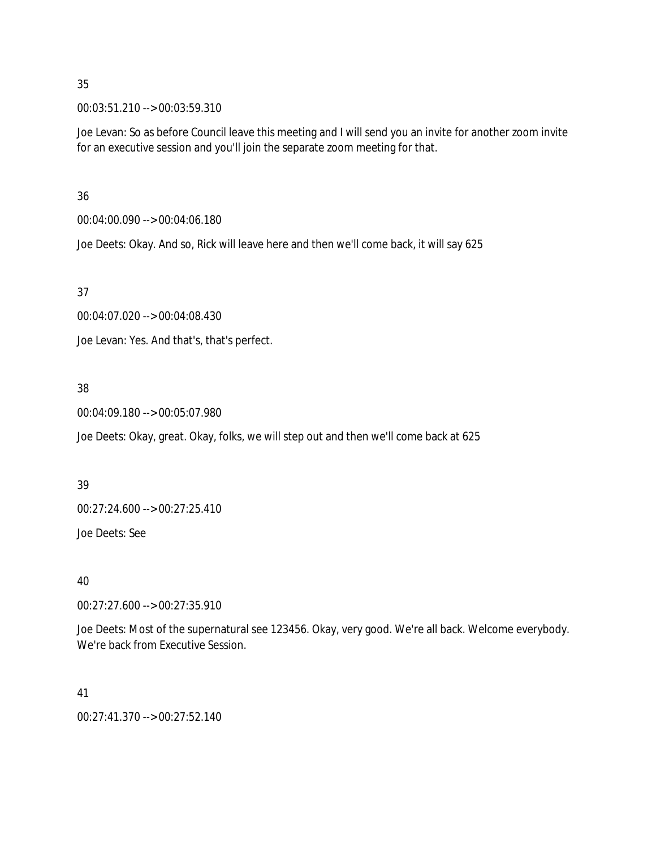00:03:51.210 --> 00:03:59.310

Joe Levan: So as before Council leave this meeting and I will send you an invite for another zoom invite for an executive session and you'll join the separate zoom meeting for that.

36

00:04:00.090 --> 00:04:06.180

Joe Deets: Okay. And so, Rick will leave here and then we'll come back, it will say 625

### 37

00:04:07.020 --> 00:04:08.430

Joe Levan: Yes. And that's, that's perfect.

# 38

00:04:09.180 --> 00:05:07.980

Joe Deets: Okay, great. Okay, folks, we will step out and then we'll come back at 625

### 39

00:27:24.600 --> 00:27:25.410

Joe Deets: See

### 40

00:27:27.600 --> 00:27:35.910

Joe Deets: Most of the supernatural see 123456. Okay, very good. We're all back. Welcome everybody. We're back from Executive Session.

### 41

00:27:41.370 --> 00:27:52.140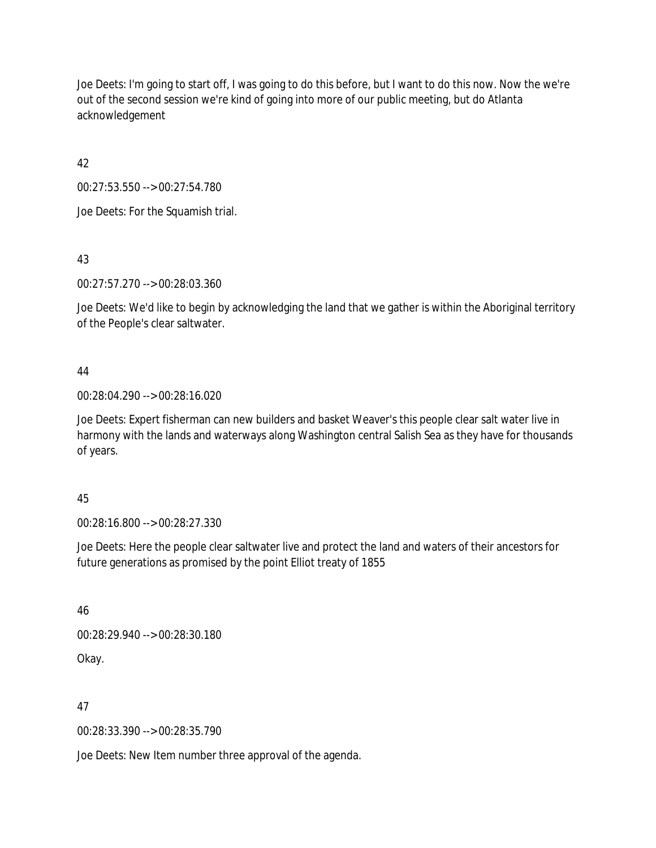Joe Deets: I'm going to start off, I was going to do this before, but I want to do this now. Now the we're out of the second session we're kind of going into more of our public meeting, but do Atlanta acknowledgement

42

00:27:53.550 --> 00:27:54.780

Joe Deets: For the Squamish trial.

43

00:27:57.270 --> 00:28:03.360

Joe Deets: We'd like to begin by acknowledging the land that we gather is within the Aboriginal territory of the People's clear saltwater.

# 44

00:28:04.290 --> 00:28:16.020

Joe Deets: Expert fisherman can new builders and basket Weaver's this people clear salt water live in harmony with the lands and waterways along Washington central Salish Sea as they have for thousands of years.

# 45

00:28:16.800 --> 00:28:27.330

Joe Deets: Here the people clear saltwater live and protect the land and waters of their ancestors for future generations as promised by the point Elliot treaty of 1855

46

00:28:29.940 --> 00:28:30.180

Okay.

47

00:28:33.390 --> 00:28:35.790

Joe Deets: New Item number three approval of the agenda.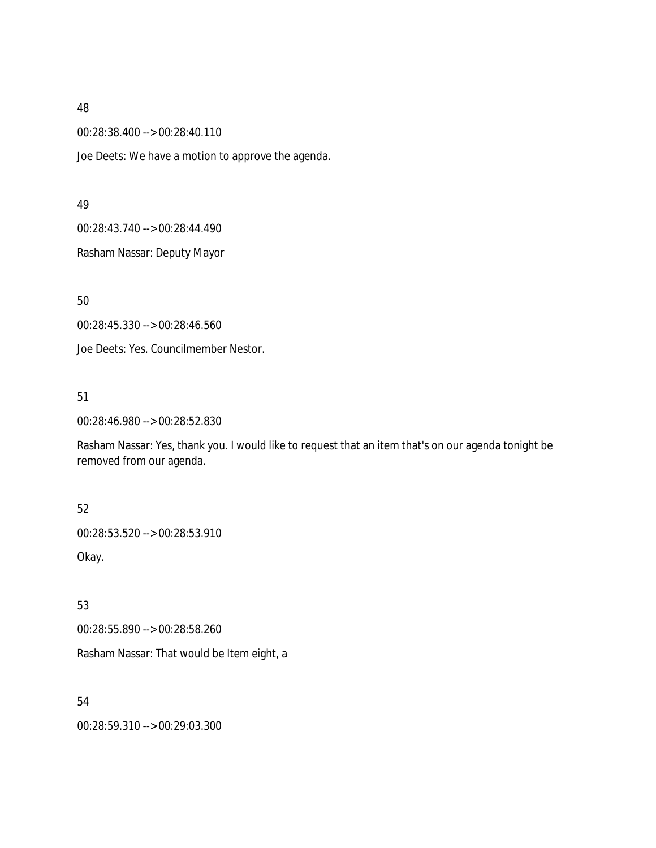00:28:38.400 --> 00:28:40.110

Joe Deets: We have a motion to approve the agenda.

#### 49

00:28:43.740 --> 00:28:44.490

Rasham Nassar: Deputy Mayor

50

00:28:45.330 --> 00:28:46.560

Joe Deets: Yes. Councilmember Nestor.

### 51

00:28:46.980 --> 00:28:52.830

Rasham Nassar: Yes, thank you. I would like to request that an item that's on our agenda tonight be removed from our agenda.

### 52

00:28:53.520 --> 00:28:53.910

Okay.

# 53

00:28:55.890 --> 00:28:58.260

Rasham Nassar: That would be Item eight, a

# 54

00:28:59.310 --> 00:29:03.300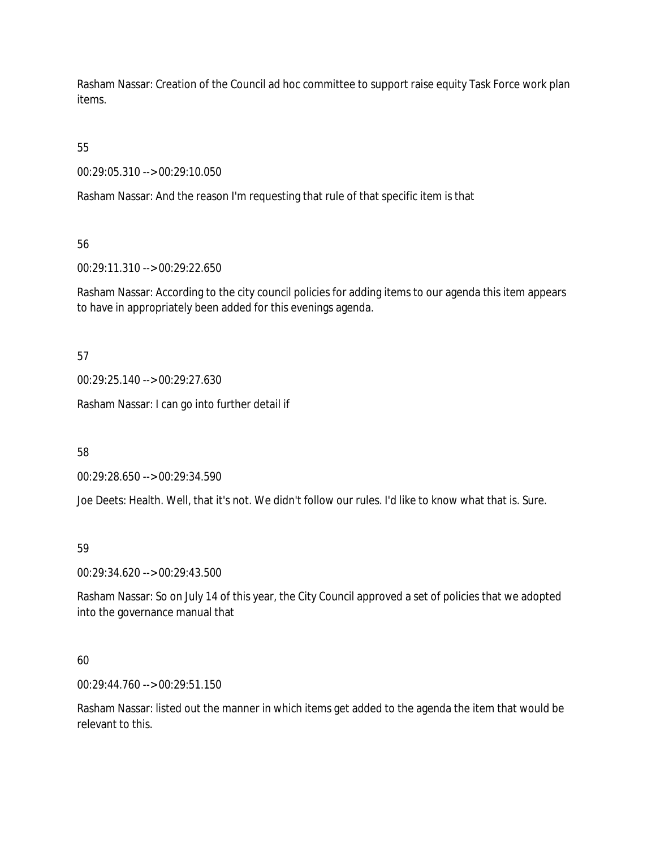Rasham Nassar: Creation of the Council ad hoc committee to support raise equity Task Force work plan items.

55

00:29:05.310 --> 00:29:10.050

Rasham Nassar: And the reason I'm requesting that rule of that specific item is that

56

00:29:11.310 --> 00:29:22.650

Rasham Nassar: According to the city council policies for adding items to our agenda this item appears to have in appropriately been added for this evenings agenda.

57

00:29:25.140 --> 00:29:27.630

Rasham Nassar: I can go into further detail if

58

00:29:28.650 --> 00:29:34.590

Joe Deets: Health. Well, that it's not. We didn't follow our rules. I'd like to know what that is. Sure.

# 59

00:29:34.620 --> 00:29:43.500

Rasham Nassar: So on July 14 of this year, the City Council approved a set of policies that we adopted into the governance manual that

# 60

00:29:44.760 --> 00:29:51.150

Rasham Nassar: listed out the manner in which items get added to the agenda the item that would be relevant to this.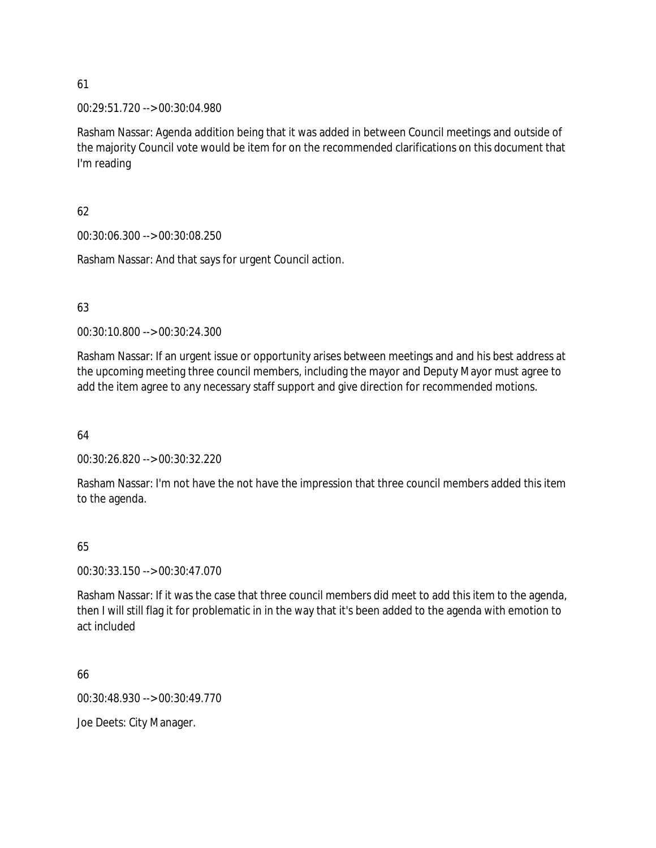00:29:51.720 --> 00:30:04.980

Rasham Nassar: Agenda addition being that it was added in between Council meetings and outside of the majority Council vote would be item for on the recommended clarifications on this document that I'm reading

# 62

00:30:06.300 --> 00:30:08.250

Rasham Nassar: And that says for urgent Council action.

# 63

00:30:10.800 --> 00:30:24.300

Rasham Nassar: If an urgent issue or opportunity arises between meetings and and his best address at the upcoming meeting three council members, including the mayor and Deputy Mayor must agree to add the item agree to any necessary staff support and give direction for recommended motions.

64

00:30:26.820 --> 00:30:32.220

Rasham Nassar: I'm not have the not have the impression that three council members added this item to the agenda.

# 65

00:30:33.150 --> 00:30:47.070

Rasham Nassar: If it was the case that three council members did meet to add this item to the agenda, then I will still flag it for problematic in in the way that it's been added to the agenda with emotion to act included

66

00:30:48.930 --> 00:30:49.770

Joe Deets: City Manager.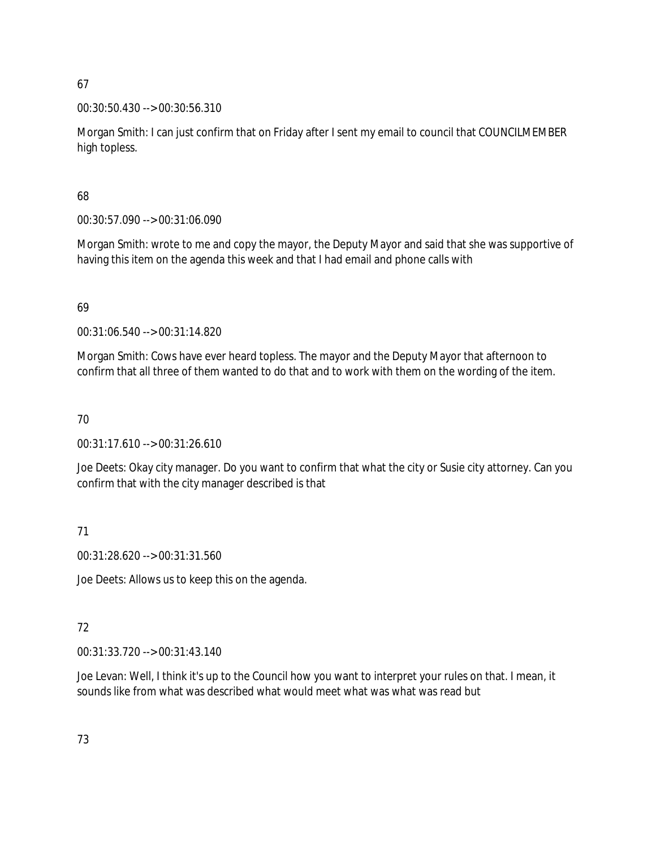## 00:30:50.430 --> 00:30:56.310

Morgan Smith: I can just confirm that on Friday after I sent my email to council that COUNCILMEMBER high topless.

# 68

00:30:57.090 --> 00:31:06.090

Morgan Smith: wrote to me and copy the mayor, the Deputy Mayor and said that she was supportive of having this item on the agenda this week and that I had email and phone calls with

# 69

00:31:06.540 --> 00:31:14.820

Morgan Smith: Cows have ever heard topless. The mayor and the Deputy Mayor that afternoon to confirm that all three of them wanted to do that and to work with them on the wording of the item.

# 70

00:31:17.610 --> 00:31:26.610

Joe Deets: Okay city manager. Do you want to confirm that what the city or Susie city attorney. Can you confirm that with the city manager described is that

# 71

00:31:28.620 --> 00:31:31.560

Joe Deets: Allows us to keep this on the agenda.

# 72

00:31:33.720 --> 00:31:43.140

Joe Levan: Well, I think it's up to the Council how you want to interpret your rules on that. I mean, it sounds like from what was described what would meet what was what was read but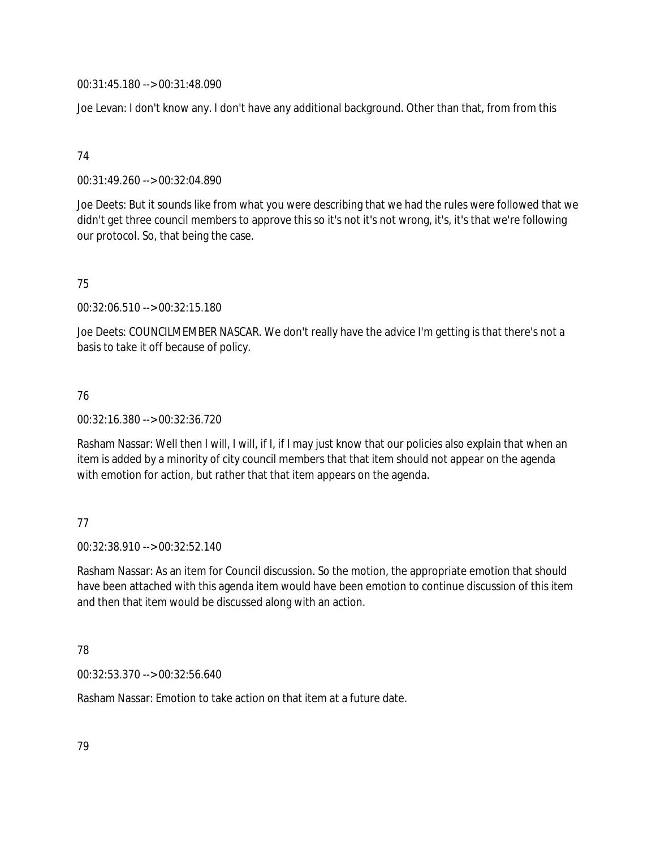00:31:45.180 --> 00:31:48.090

Joe Levan: I don't know any. I don't have any additional background. Other than that, from from this

## 74

00:31:49.260 --> 00:32:04.890

Joe Deets: But it sounds like from what you were describing that we had the rules were followed that we didn't get three council members to approve this so it's not it's not wrong, it's, it's that we're following our protocol. So, that being the case.

# 75

00:32:06.510 --> 00:32:15.180

Joe Deets: COUNCILMEMBER NASCAR. We don't really have the advice I'm getting is that there's not a basis to take it off because of policy.

# 76

00:32:16.380 --> 00:32:36.720

Rasham Nassar: Well then I will, I will, if I, if I may just know that our policies also explain that when an item is added by a minority of city council members that that item should not appear on the agenda with emotion for action, but rather that that item appears on the agenda.

# 77

00:32:38.910 --> 00:32:52.140

Rasham Nassar: As an item for Council discussion. So the motion, the appropriate emotion that should have been attached with this agenda item would have been emotion to continue discussion of this item and then that item would be discussed along with an action.

# 78

00:32:53.370 --> 00:32:56.640

Rasham Nassar: Emotion to take action on that item at a future date.

79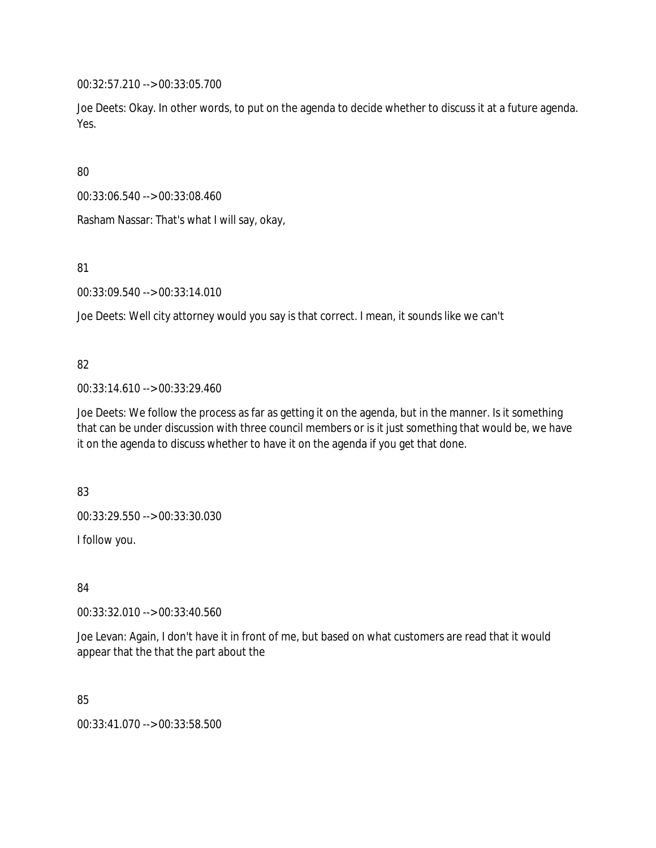00:32:57.210 --> 00:33:05.700

Joe Deets: Okay. In other words, to put on the agenda to decide whether to discuss it at a future agenda. Yes.

80

00:33:06.540 --> 00:33:08.460

Rasham Nassar: That's what I will say, okay,

81

00:33:09.540 --> 00:33:14.010

Joe Deets: Well city attorney would you say is that correct. I mean, it sounds like we can't

### 82

00:33:14.610 --> 00:33:29.460

Joe Deets: We follow the process as far as getting it on the agenda, but in the manner. Is it something that can be under discussion with three council members or is it just something that would be, we have it on the agenda to discuss whether to have it on the agenda if you get that done.

83

00:33:29.550 --> 00:33:30.030

I follow you.

84

00:33:32.010 --> 00:33:40.560

Joe Levan: Again, I don't have it in front of me, but based on what customers are read that it would appear that the that the part about the

85

00:33:41.070 --> 00:33:58.500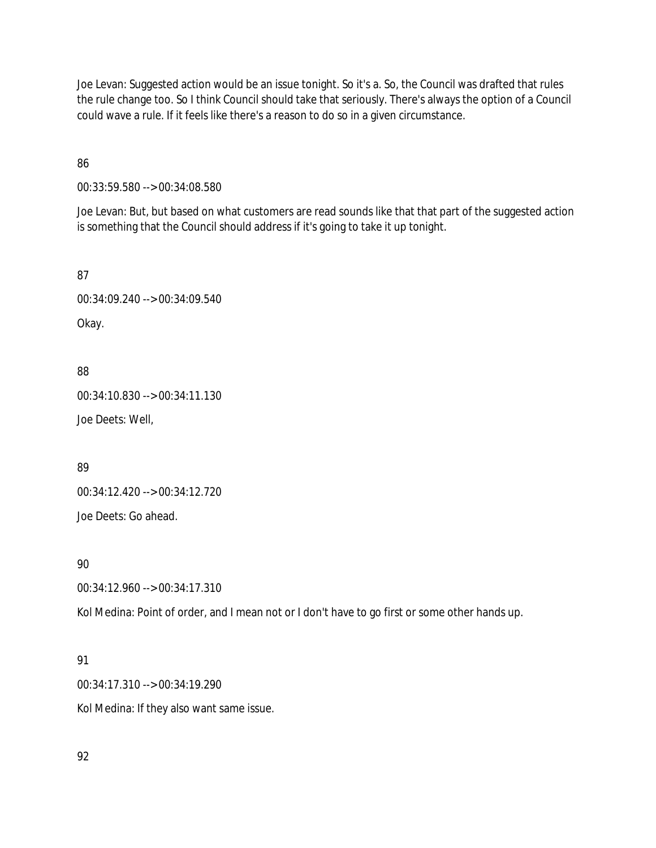Joe Levan: Suggested action would be an issue tonight. So it's a. So, the Council was drafted that rules the rule change too. So I think Council should take that seriously. There's always the option of a Council could wave a rule. If it feels like there's a reason to do so in a given circumstance.

86

00:33:59.580 --> 00:34:08.580

Joe Levan: But, but based on what customers are read sounds like that that part of the suggested action is something that the Council should address if it's going to take it up tonight.

87

00:34:09.240 --> 00:34:09.540 Okay.

88

00:34:10.830 --> 00:34:11.130 Joe Deets: Well,

89

00:34:12.420 --> 00:34:12.720

Joe Deets: Go ahead.

90

00:34:12.960 --> 00:34:17.310

Kol Medina: Point of order, and I mean not or I don't have to go first or some other hands up.

# 91

00:34:17.310 --> 00:34:19.290

Kol Medina: If they also want same issue.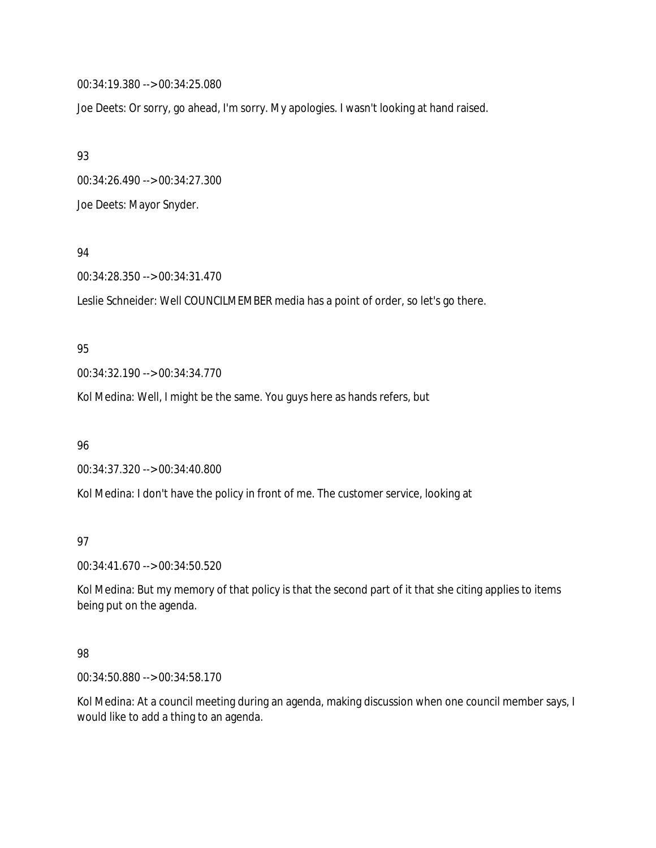00:34:19.380 --> 00:34:25.080

Joe Deets: Or sorry, go ahead, I'm sorry. My apologies. I wasn't looking at hand raised.

93

00:34:26.490 --> 00:34:27.300

Joe Deets: Mayor Snyder.

94

00:34:28.350 --> 00:34:31.470

Leslie Schneider: Well COUNCILMEMBER media has a point of order, so let's go there.

### 95

00:34:32.190 --> 00:34:34.770

Kol Medina: Well, I might be the same. You guys here as hands refers, but

96

00:34:37.320 --> 00:34:40.800

Kol Medina: I don't have the policy in front of me. The customer service, looking at

# 97

00:34:41.670 --> 00:34:50.520

Kol Medina: But my memory of that policy is that the second part of it that she citing applies to items being put on the agenda.

# 98

00:34:50.880 --> 00:34:58.170

Kol Medina: At a council meeting during an agenda, making discussion when one council member says, I would like to add a thing to an agenda.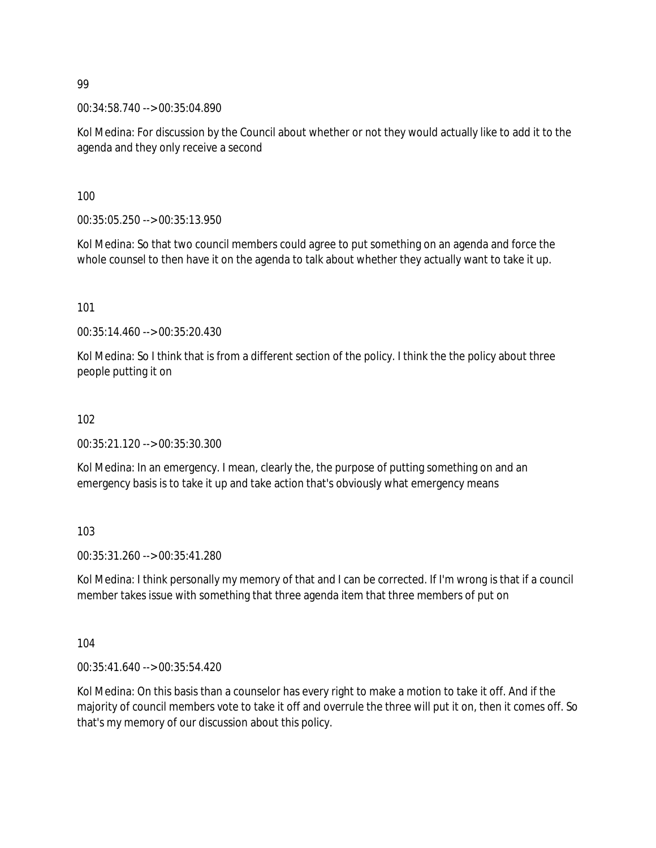00:34:58.740 --> 00:35:04.890

Kol Medina: For discussion by the Council about whether or not they would actually like to add it to the agenda and they only receive a second

100

00:35:05.250 --> 00:35:13.950

Kol Medina: So that two council members could agree to put something on an agenda and force the whole counsel to then have it on the agenda to talk about whether they actually want to take it up.

101

00:35:14.460 --> 00:35:20.430

Kol Medina: So I think that is from a different section of the policy. I think the the policy about three people putting it on

### 102

00:35:21.120 --> 00:35:30.300

Kol Medina: In an emergency. I mean, clearly the, the purpose of putting something on and an emergency basis is to take it up and take action that's obviously what emergency means

103

00:35:31.260 --> 00:35:41.280

Kol Medina: I think personally my memory of that and I can be corrected. If I'm wrong is that if a council member takes issue with something that three agenda item that three members of put on

104

00:35:41.640 --> 00:35:54.420

Kol Medina: On this basis than a counselor has every right to make a motion to take it off. And if the majority of council members vote to take it off and overrule the three will put it on, then it comes off. So that's my memory of our discussion about this policy.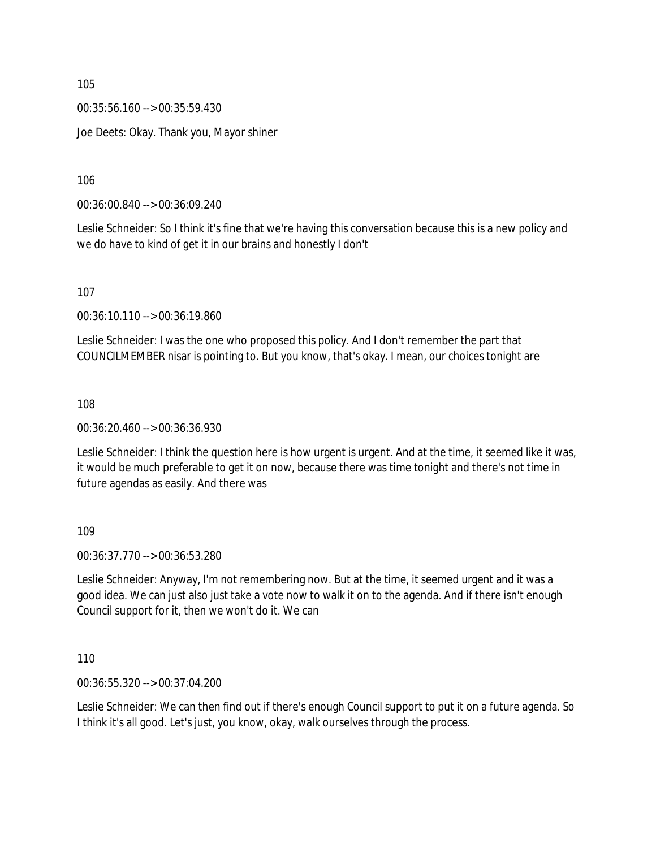00:35:56.160 --> 00:35:59.430 Joe Deets: Okay. Thank you, Mayor shiner

106

00:36:00.840 --> 00:36:09.240

Leslie Schneider: So I think it's fine that we're having this conversation because this is a new policy and we do have to kind of get it in our brains and honestly I don't

107

00:36:10.110 --> 00:36:19.860

Leslie Schneider: I was the one who proposed this policy. And I don't remember the part that COUNCILMEMBER nisar is pointing to. But you know, that's okay. I mean, our choices tonight are

108

00:36:20.460 --> 00:36:36.930

Leslie Schneider: I think the question here is how urgent is urgent. And at the time, it seemed like it was, it would be much preferable to get it on now, because there was time tonight and there's not time in future agendas as easily. And there was

109

00:36:37.770 --> 00:36:53.280

Leslie Schneider: Anyway, I'm not remembering now. But at the time, it seemed urgent and it was a good idea. We can just also just take a vote now to walk it on to the agenda. And if there isn't enough Council support for it, then we won't do it. We can

110

00:36:55.320 --> 00:37:04.200

Leslie Schneider: We can then find out if there's enough Council support to put it on a future agenda. So I think it's all good. Let's just, you know, okay, walk ourselves through the process.

105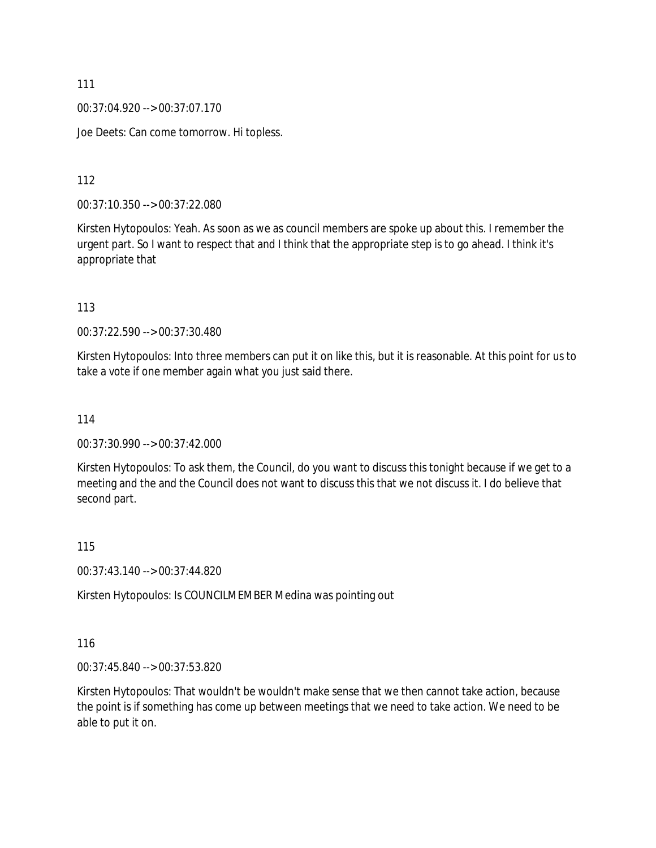00:37:04.920 --> 00:37:07.170

Joe Deets: Can come tomorrow. Hi topless.

112

00:37:10.350 --> 00:37:22.080

Kirsten Hytopoulos: Yeah. As soon as we as council members are spoke up about this. I remember the urgent part. So I want to respect that and I think that the appropriate step is to go ahead. I think it's appropriate that

113

00:37:22.590 --> 00:37:30.480

Kirsten Hytopoulos: Into three members can put it on like this, but it is reasonable. At this point for us to take a vote if one member again what you just said there.

114

00:37:30.990 --> 00:37:42.000

Kirsten Hytopoulos: To ask them, the Council, do you want to discuss this tonight because if we get to a meeting and the and the Council does not want to discuss this that we not discuss it. I do believe that second part.

115

00:37:43.140 --> 00:37:44.820

Kirsten Hytopoulos: Is COUNCILMEMBER Medina was pointing out

116

00:37:45.840 --> 00:37:53.820

Kirsten Hytopoulos: That wouldn't be wouldn't make sense that we then cannot take action, because the point is if something has come up between meetings that we need to take action. We need to be able to put it on.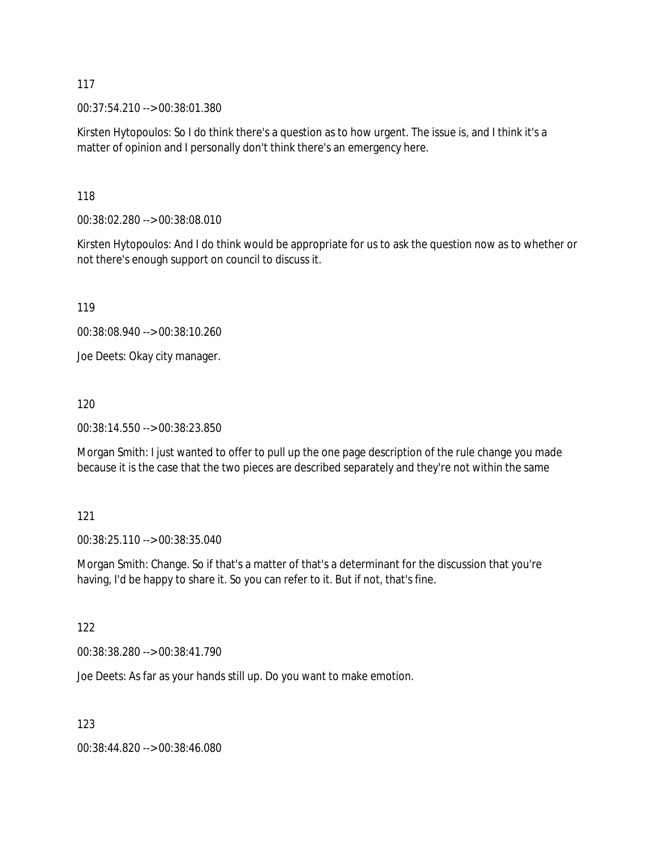00:37:54.210 --> 00:38:01.380

Kirsten Hytopoulos: So I do think there's a question as to how urgent. The issue is, and I think it's a matter of opinion and I personally don't think there's an emergency here.

118

00:38:02.280 --> 00:38:08.010

Kirsten Hytopoulos: And I do think would be appropriate for us to ask the question now as to whether or not there's enough support on council to discuss it.

119

00:38:08.940 --> 00:38:10.260

Joe Deets: Okay city manager.

120

00:38:14.550 --> 00:38:23.850

Morgan Smith: I just wanted to offer to pull up the one page description of the rule change you made because it is the case that the two pieces are described separately and they're not within the same

#### 121

00:38:25.110 --> 00:38:35.040

Morgan Smith: Change. So if that's a matter of that's a determinant for the discussion that you're having, I'd be happy to share it. So you can refer to it. But if not, that's fine.

### 122

00:38:38.280 --> 00:38:41.790

Joe Deets: As far as your hands still up. Do you want to make emotion.

123

00:38:44.820 --> 00:38:46.080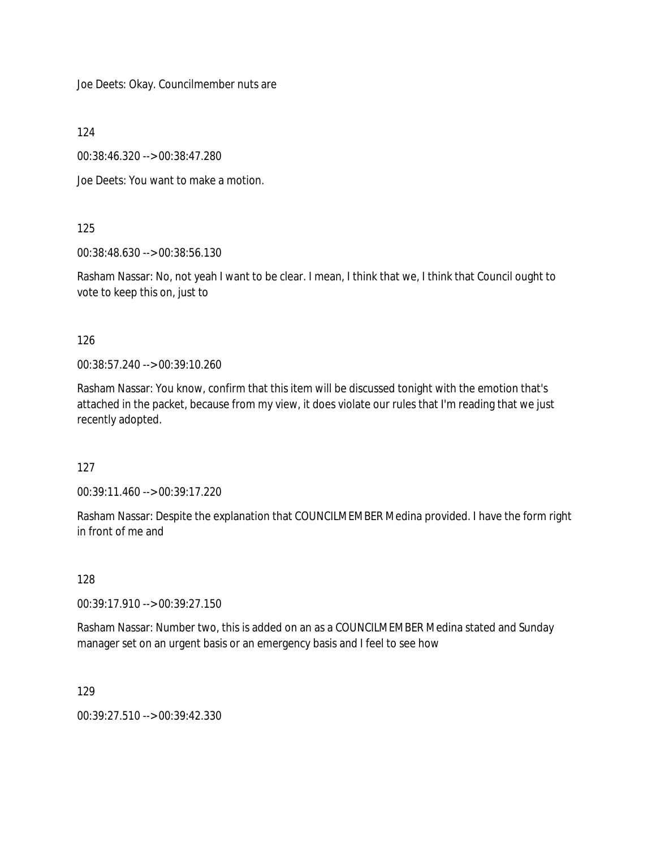Joe Deets: Okay. Councilmember nuts are

124

00:38:46.320 --> 00:38:47.280

Joe Deets: You want to make a motion.

125

00:38:48.630 --> 00:38:56.130

Rasham Nassar: No, not yeah I want to be clear. I mean, I think that we, I think that Council ought to vote to keep this on, just to

126

00:38:57.240 --> 00:39:10.260

Rasham Nassar: You know, confirm that this item will be discussed tonight with the emotion that's attached in the packet, because from my view, it does violate our rules that I'm reading that we just recently adopted.

127

00:39:11.460 --> 00:39:17.220

Rasham Nassar: Despite the explanation that COUNCILMEMBER Medina provided. I have the form right in front of me and

128

00:39:17.910 --> 00:39:27.150

Rasham Nassar: Number two, this is added on an as a COUNCILMEMBER Medina stated and Sunday manager set on an urgent basis or an emergency basis and I feel to see how

129

00:39:27.510 --> 00:39:42.330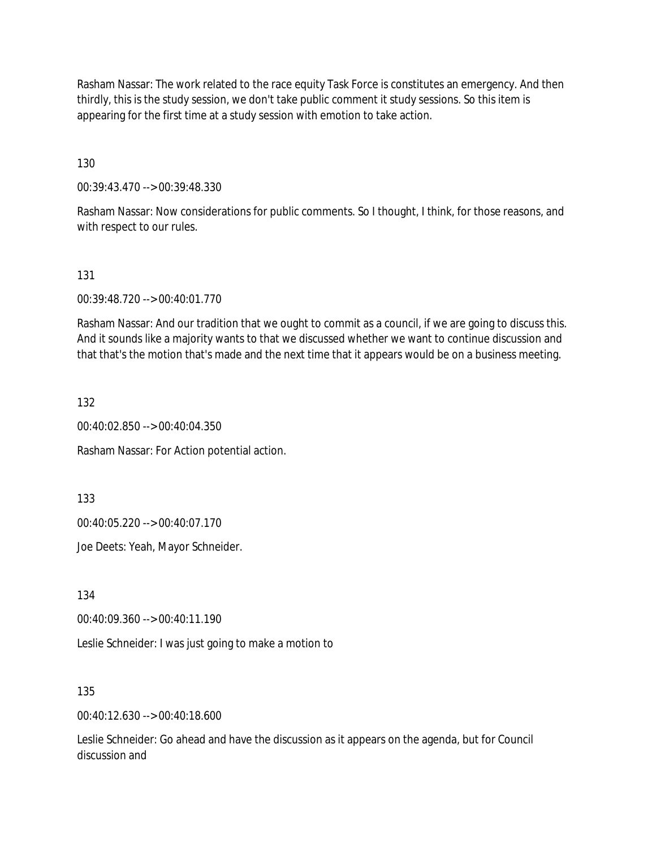Rasham Nassar: The work related to the race equity Task Force is constitutes an emergency. And then thirdly, this is the study session, we don't take public comment it study sessions. So this item is appearing for the first time at a study session with emotion to take action.

130

00:39:43.470 --> 00:39:48.330

Rasham Nassar: Now considerations for public comments. So I thought, I think, for those reasons, and with respect to our rules.

131

00:39:48.720 --> 00:40:01.770

Rasham Nassar: And our tradition that we ought to commit as a council, if we are going to discuss this. And it sounds like a majority wants to that we discussed whether we want to continue discussion and that that's the motion that's made and the next time that it appears would be on a business meeting.

132

00:40:02.850 --> 00:40:04.350

Rasham Nassar: For Action potential action.

133

00:40:05.220 --> 00:40:07.170

Joe Deets: Yeah, Mayor Schneider.

134

00:40:09.360 --> 00:40:11.190

Leslie Schneider: I was just going to make a motion to

135

00:40:12.630 --> 00:40:18.600

Leslie Schneider: Go ahead and have the discussion as it appears on the agenda, but for Council discussion and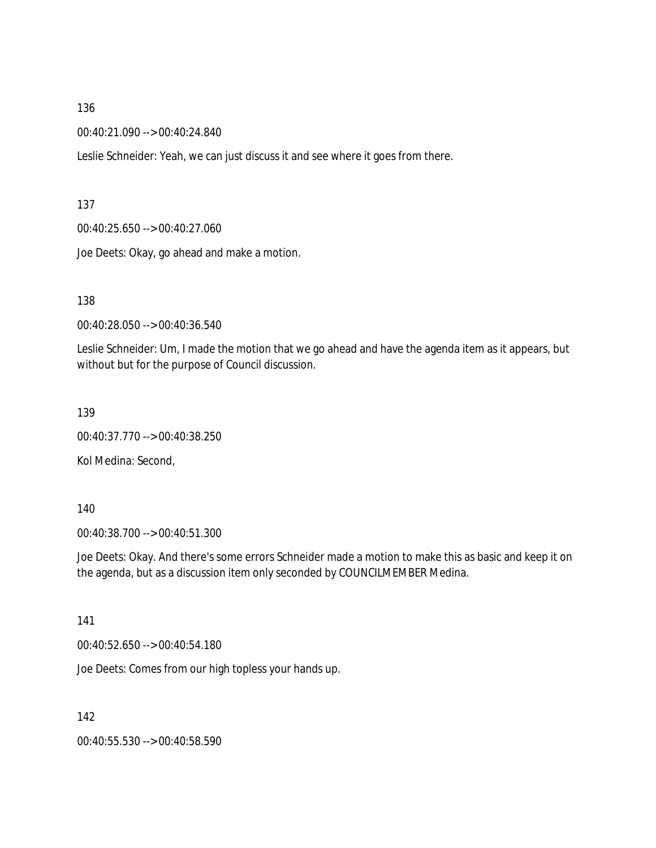00:40:21.090 --> 00:40:24.840

Leslie Schneider: Yeah, we can just discuss it and see where it goes from there.

137

00:40:25.650 --> 00:40:27.060

Joe Deets: Okay, go ahead and make a motion.

138

00:40:28.050 --> 00:40:36.540

Leslie Schneider: Um, I made the motion that we go ahead and have the agenda item as it appears, but without but for the purpose of Council discussion.

139

00:40:37.770 --> 00:40:38.250

Kol Medina: Second,

140

00:40:38.700 --> 00:40:51.300

Joe Deets: Okay. And there's some errors Schneider made a motion to make this as basic and keep it on the agenda, but as a discussion item only seconded by COUNCILMEMBER Medina.

141

00:40:52.650 --> 00:40:54.180

Joe Deets: Comes from our high topless your hands up.

142

00:40:55.530 --> 00:40:58.590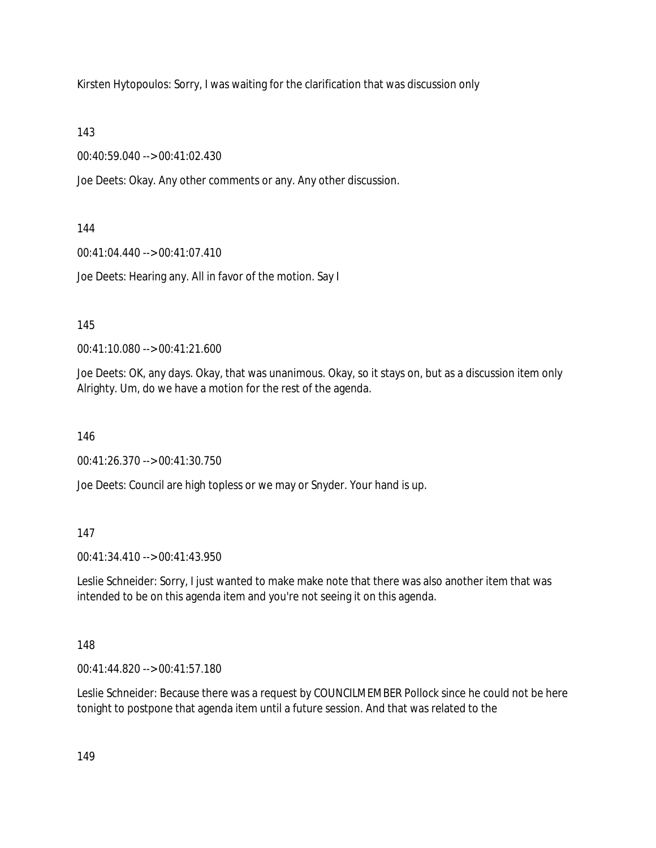Kirsten Hytopoulos: Sorry, I was waiting for the clarification that was discussion only

143

00:40:59.040 --> 00:41:02.430

Joe Deets: Okay. Any other comments or any. Any other discussion.

144

00:41:04.440 --> 00:41:07.410

Joe Deets: Hearing any. All in favor of the motion. Say I

145

00:41:10.080 --> 00:41:21.600

Joe Deets: OK, any days. Okay, that was unanimous. Okay, so it stays on, but as a discussion item only Alrighty. Um, do we have a motion for the rest of the agenda.

146

00:41:26.370 --> 00:41:30.750

Joe Deets: Council are high topless or we may or Snyder. Your hand is up.

147

00:41:34.410 --> 00:41:43.950

Leslie Schneider: Sorry, I just wanted to make make note that there was also another item that was intended to be on this agenda item and you're not seeing it on this agenda.

148

00:41:44.820 --> 00:41:57.180

Leslie Schneider: Because there was a request by COUNCILMEMBER Pollock since he could not be here tonight to postpone that agenda item until a future session. And that was related to the

149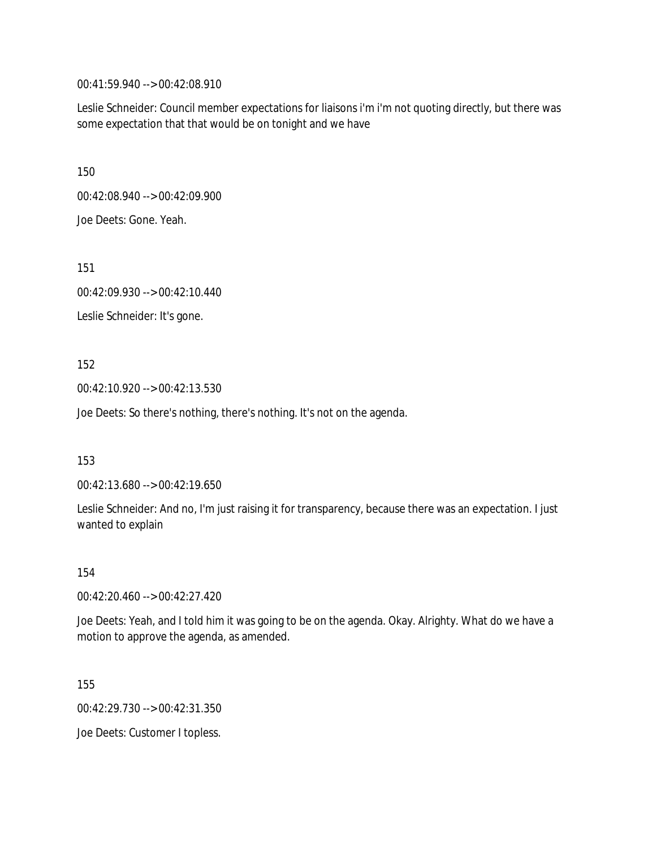00:41:59.940 --> 00:42:08.910

Leslie Schneider: Council member expectations for liaisons i'm i'm not quoting directly, but there was some expectation that that would be on tonight and we have

150

00:42:08.940 --> 00:42:09.900 Joe Deets: Gone. Yeah.

151

00:42:09.930 --> 00:42:10.440

Leslie Schneider: It's gone.

152

00:42:10.920 --> 00:42:13.530

Joe Deets: So there's nothing, there's nothing. It's not on the agenda.

153

00:42:13.680 --> 00:42:19.650

Leslie Schneider: And no, I'm just raising it for transparency, because there was an expectation. I just wanted to explain

154

00:42:20.460 --> 00:42:27.420

Joe Deets: Yeah, and I told him it was going to be on the agenda. Okay. Alrighty. What do we have a motion to approve the agenda, as amended.

155

00:42:29.730 --> 00:42:31.350

Joe Deets: Customer I topless.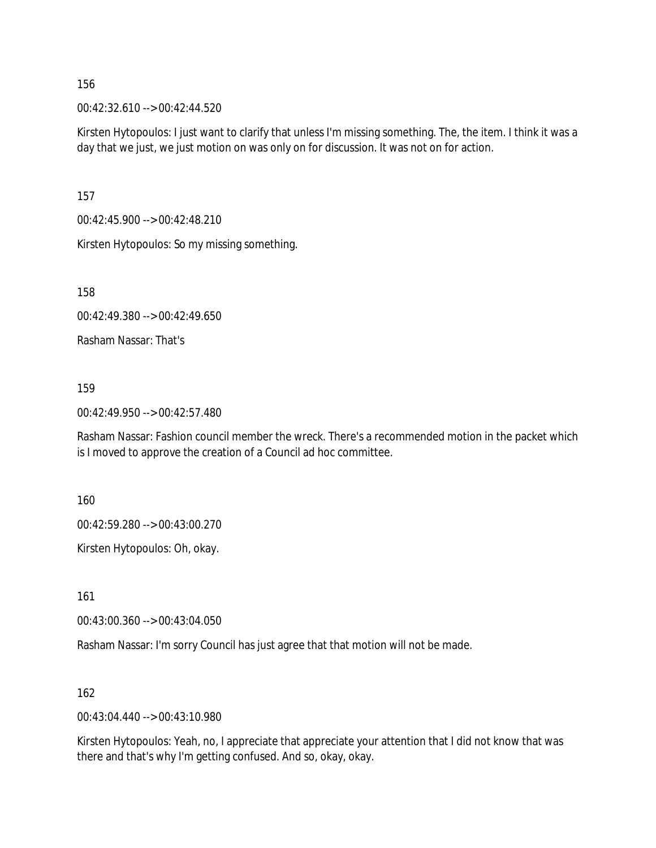00:42:32.610 --> 00:42:44.520

Kirsten Hytopoulos: I just want to clarify that unless I'm missing something. The, the item. I think it was a day that we just, we just motion on was only on for discussion. It was not on for action.

157

00:42:45.900 --> 00:42:48.210

Kirsten Hytopoulos: So my missing something.

158

00:42:49.380 --> 00:42:49.650

Rasham Nassar: That's

### 159

00:42:49.950 --> 00:42:57.480

Rasham Nassar: Fashion council member the wreck. There's a recommended motion in the packet which is I moved to approve the creation of a Council ad hoc committee.

160

00:42:59.280 --> 00:43:00.270

Kirsten Hytopoulos: Oh, okay.

161

00:43:00.360 --> 00:43:04.050

Rasham Nassar: I'm sorry Council has just agree that that motion will not be made.

162

00:43:04.440 --> 00:43:10.980

Kirsten Hytopoulos: Yeah, no, I appreciate that appreciate your attention that I did not know that was there and that's why I'm getting confused. And so, okay, okay.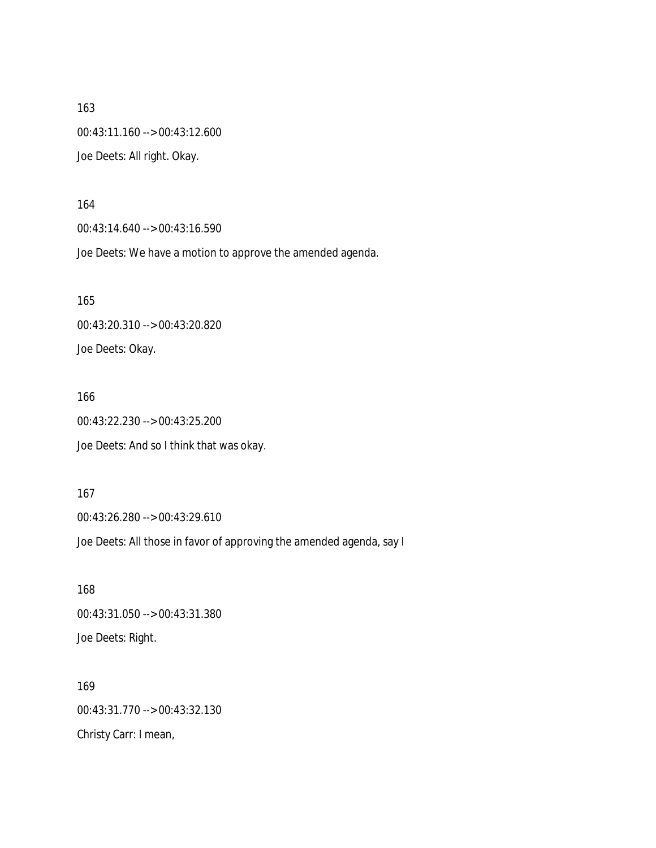163 00:43:11.160 --> 00:43:12.600 Joe Deets: All right. Okay.

164

00:43:14.640 --> 00:43:16.590

Joe Deets: We have a motion to approve the amended agenda.

165 00:43:20.310 --> 00:43:20.820 Joe Deets: Okay.

166 00:43:22.230 --> 00:43:25.200 Joe Deets: And so I think that was okay.

167 00:43:26.280 --> 00:43:29.610 Joe Deets: All those in favor of approving the amended agenda, say I

168 00:43:31.050 --> 00:43:31.380 Joe Deets: Right.

169 00:43:31.770 --> 00:43:32.130 Christy Carr: I mean,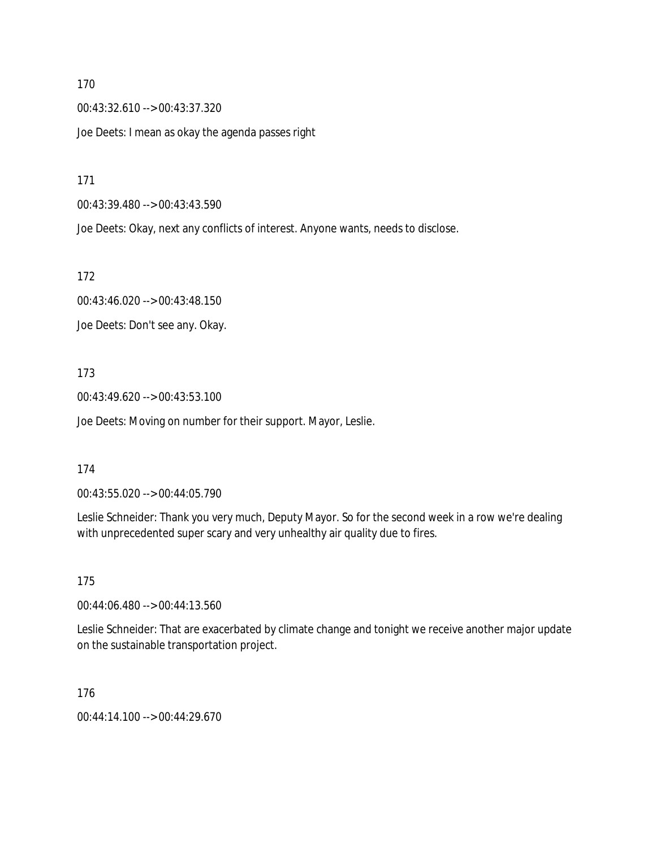00:43:32.610 --> 00:43:37.320 Joe Deets: I mean as okay the agenda passes right

171

00:43:39.480 --> 00:43:43.590

Joe Deets: Okay, next any conflicts of interest. Anyone wants, needs to disclose.

172

00:43:46.020 --> 00:43:48.150

Joe Deets: Don't see any. Okay.

173

00:43:49.620 --> 00:43:53.100

Joe Deets: Moving on number for their support. Mayor, Leslie.

174

00:43:55.020 --> 00:44:05.790

Leslie Schneider: Thank you very much, Deputy Mayor. So for the second week in a row we're dealing with unprecedented super scary and very unhealthy air quality due to fires.

175

00:44:06.480 --> 00:44:13.560

Leslie Schneider: That are exacerbated by climate change and tonight we receive another major update on the sustainable transportation project.

176

00:44:14.100 --> 00:44:29.670

170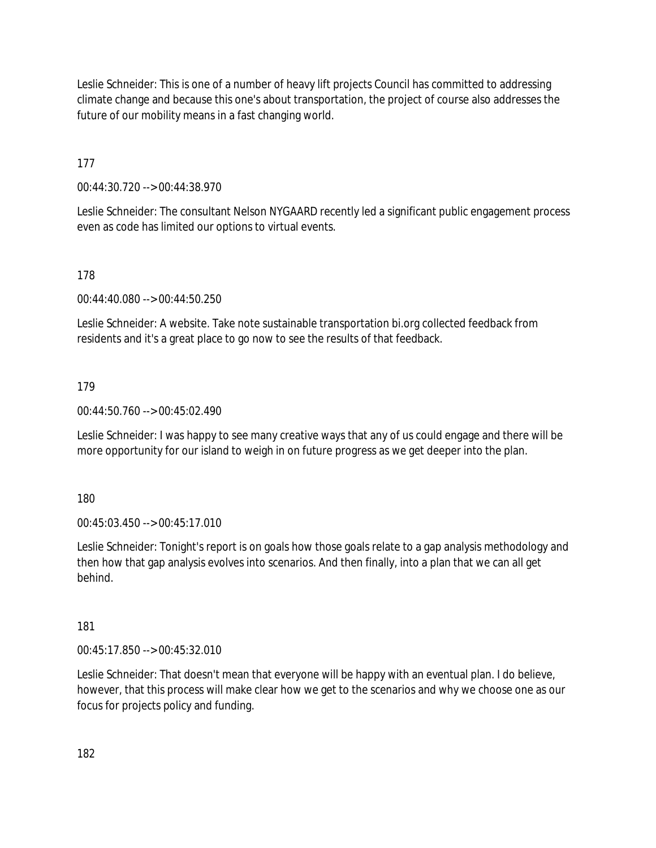Leslie Schneider: This is one of a number of heavy lift projects Council has committed to addressing climate change and because this one's about transportation, the project of course also addresses the future of our mobility means in a fast changing world.

177

00:44:30.720 --> 00:44:38.970

Leslie Schneider: The consultant Nelson NYGAARD recently led a significant public engagement process even as code has limited our options to virtual events.

178

00:44:40.080 --> 00:44:50.250

Leslie Schneider: A website. Take note sustainable transportation bi.org collected feedback from residents and it's a great place to go now to see the results of that feedback.

### 179

00:44:50.760 --> 00:45:02.490

Leslie Schneider: I was happy to see many creative ways that any of us could engage and there will be more opportunity for our island to weigh in on future progress as we get deeper into the plan.

180

00:45:03.450 --> 00:45:17.010

Leslie Schneider: Tonight's report is on goals how those goals relate to a gap analysis methodology and then how that gap analysis evolves into scenarios. And then finally, into a plan that we can all get behind.

181

00:45:17.850 --> 00:45:32.010

Leslie Schneider: That doesn't mean that everyone will be happy with an eventual plan. I do believe, however, that this process will make clear how we get to the scenarios and why we choose one as our focus for projects policy and funding.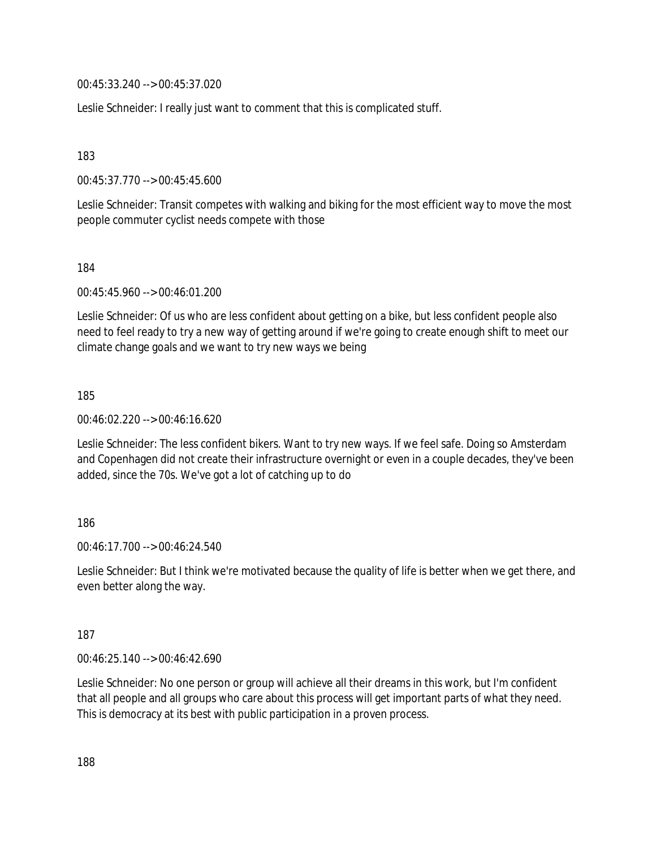00:45:33.240 --> 00:45:37.020

Leslie Schneider: I really just want to comment that this is complicated stuff.

183

00:45:37.770 --> 00:45:45.600

Leslie Schneider: Transit competes with walking and biking for the most efficient way to move the most people commuter cyclist needs compete with those

184

00:45:45.960 --> 00:46:01.200

Leslie Schneider: Of us who are less confident about getting on a bike, but less confident people also need to feel ready to try a new way of getting around if we're going to create enough shift to meet our climate change goals and we want to try new ways we being

185

00:46:02.220 --> 00:46:16.620

Leslie Schneider: The less confident bikers. Want to try new ways. If we feel safe. Doing so Amsterdam and Copenhagen did not create their infrastructure overnight or even in a couple decades, they've been added, since the 70s. We've got a lot of catching up to do

### 186

 $00.46.17.700 -> 00.46.24.540$ 

Leslie Schneider: But I think we're motivated because the quality of life is better when we get there, and even better along the way.

### 187

00:46:25.140 --> 00:46:42.690

Leslie Schneider: No one person or group will achieve all their dreams in this work, but I'm confident that all people and all groups who care about this process will get important parts of what they need. This is democracy at its best with public participation in a proven process.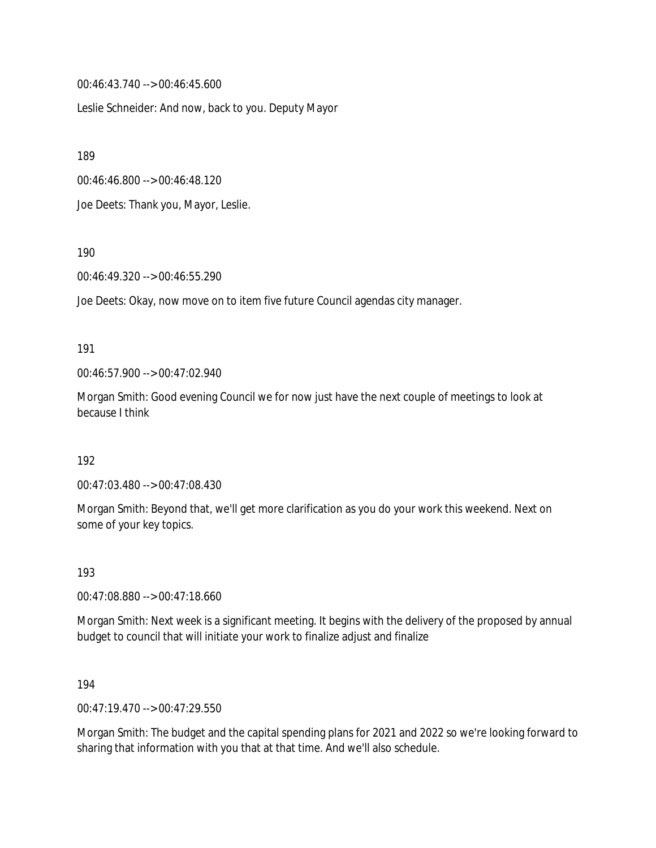00:46:43.740 --> 00:46:45.600

Leslie Schneider: And now, back to you. Deputy Mayor

189

00:46:46.800 --> 00:46:48.120

Joe Deets: Thank you, Mayor, Leslie.

190

00:46:49.320 --> 00:46:55.290

Joe Deets: Okay, now move on to item five future Council agendas city manager.

#### 191

00:46:57.900 --> 00:47:02.940

Morgan Smith: Good evening Council we for now just have the next couple of meetings to look at because I think

192

00:47:03.480 --> 00:47:08.430

Morgan Smith: Beyond that, we'll get more clarification as you do your work this weekend. Next on some of your key topics.

193

00:47:08.880 --> 00:47:18.660

Morgan Smith: Next week is a significant meeting. It begins with the delivery of the proposed by annual budget to council that will initiate your work to finalize adjust and finalize

194

00:47:19.470 --> 00:47:29.550

Morgan Smith: The budget and the capital spending plans for 2021 and 2022 so we're looking forward to sharing that information with you that at that time. And we'll also schedule.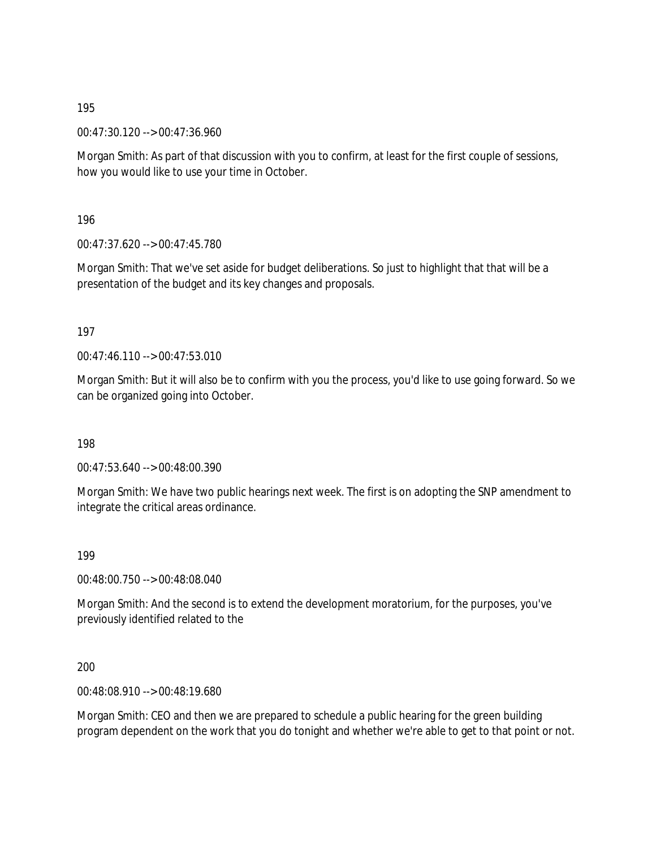00:47:30.120 --> 00:47:36.960

Morgan Smith: As part of that discussion with you to confirm, at least for the first couple of sessions, how you would like to use your time in October.

196

00:47:37.620 --> 00:47:45.780

Morgan Smith: That we've set aside for budget deliberations. So just to highlight that that will be a presentation of the budget and its key changes and proposals.

197

00:47:46.110 --> 00:47:53.010

Morgan Smith: But it will also be to confirm with you the process, you'd like to use going forward. So we can be organized going into October.

198

00:47:53.640 --> 00:48:00.390

Morgan Smith: We have two public hearings next week. The first is on adopting the SNP amendment to integrate the critical areas ordinance.

199

00:48:00.750 --> 00:48:08.040

Morgan Smith: And the second is to extend the development moratorium, for the purposes, you've previously identified related to the

200

00:48:08.910 --> 00:48:19.680

Morgan Smith: CEO and then we are prepared to schedule a public hearing for the green building program dependent on the work that you do tonight and whether we're able to get to that point or not.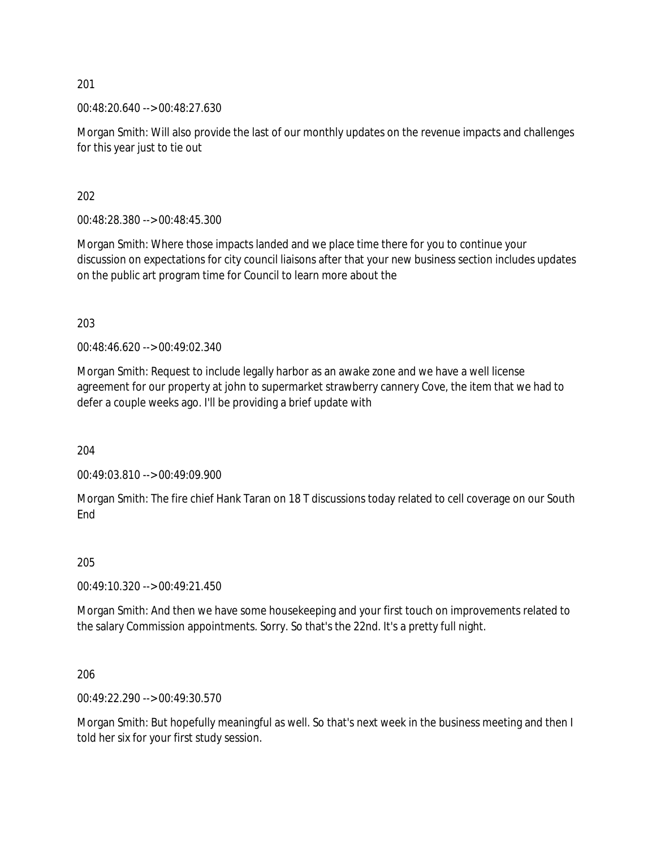00:48:20.640 --> 00:48:27.630

Morgan Smith: Will also provide the last of our monthly updates on the revenue impacts and challenges for this year just to tie out

202

00:48:28.380 --> 00:48:45.300

Morgan Smith: Where those impacts landed and we place time there for you to continue your discussion on expectations for city council liaisons after that your new business section includes updates on the public art program time for Council to learn more about the

203

00:48:46.620 --> 00:49:02.340

Morgan Smith: Request to include legally harbor as an awake zone and we have a well license agreement for our property at john to supermarket strawberry cannery Cove, the item that we had to defer a couple weeks ago. I'll be providing a brief update with

204

00:49:03.810 --> 00:49:09.900

Morgan Smith: The fire chief Hank Taran on 18 T discussions today related to cell coverage on our South End

205

00:49:10.320 --> 00:49:21.450

Morgan Smith: And then we have some housekeeping and your first touch on improvements related to the salary Commission appointments. Sorry. So that's the 22nd. It's a pretty full night.

206

00:49:22.290 --> 00:49:30.570

Morgan Smith: But hopefully meaningful as well. So that's next week in the business meeting and then I told her six for your first study session.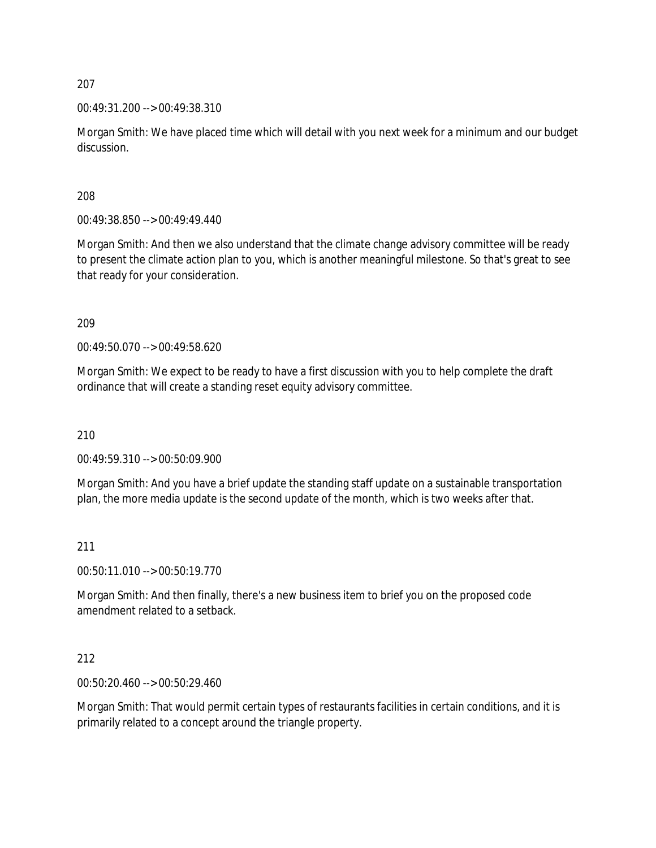00:49:31.200 --> 00:49:38.310

Morgan Smith: We have placed time which will detail with you next week for a minimum and our budget discussion.

208

00:49:38.850 --> 00:49:49.440

Morgan Smith: And then we also understand that the climate change advisory committee will be ready to present the climate action plan to you, which is another meaningful milestone. So that's great to see that ready for your consideration.

209

00:49:50.070 --> 00:49:58.620

Morgan Smith: We expect to be ready to have a first discussion with you to help complete the draft ordinance that will create a standing reset equity advisory committee.

210

00:49:59.310 --> 00:50:09.900

Morgan Smith: And you have a brief update the standing staff update on a sustainable transportation plan, the more media update is the second update of the month, which is two weeks after that.

### 211

00:50:11.010 --> 00:50:19.770

Morgan Smith: And then finally, there's a new business item to brief you on the proposed code amendment related to a setback.

### 212

00:50:20.460 --> 00:50:29.460

Morgan Smith: That would permit certain types of restaurants facilities in certain conditions, and it is primarily related to a concept around the triangle property.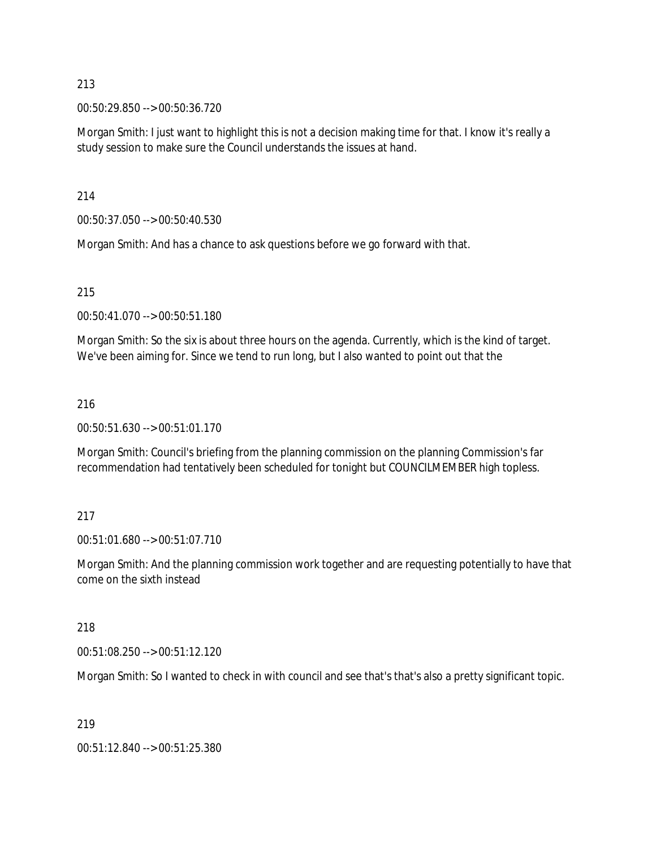00:50:29.850 --> 00:50:36.720

Morgan Smith: I just want to highlight this is not a decision making time for that. I know it's really a study session to make sure the Council understands the issues at hand.

214

00:50:37.050 --> 00:50:40.530

Morgan Smith: And has a chance to ask questions before we go forward with that.

215

00:50:41.070 --> 00:50:51.180

Morgan Smith: So the six is about three hours on the agenda. Currently, which is the kind of target. We've been aiming for. Since we tend to run long, but I also wanted to point out that the

### 216

00:50:51.630 --> 00:51:01.170

Morgan Smith: Council's briefing from the planning commission on the planning Commission's far recommendation had tentatively been scheduled for tonight but COUNCILMEMBER high topless.

### 217

00:51:01.680 --> 00:51:07.710

Morgan Smith: And the planning commission work together and are requesting potentially to have that come on the sixth instead

#### 218

00:51:08.250 --> 00:51:12.120

Morgan Smith: So I wanted to check in with council and see that's that's also a pretty significant topic.

### 219

00:51:12.840 --> 00:51:25.380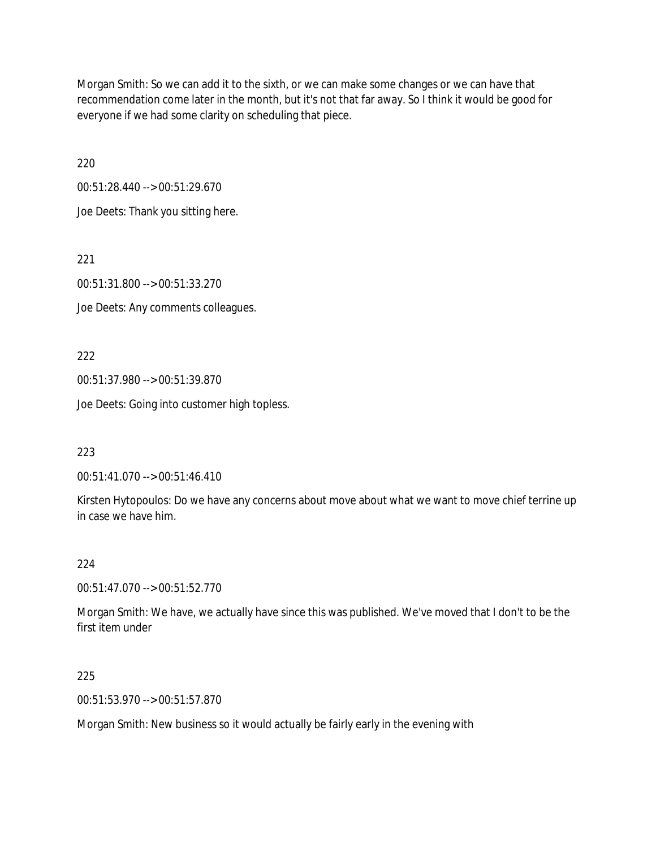Morgan Smith: So we can add it to the sixth, or we can make some changes or we can have that recommendation come later in the month, but it's not that far away. So I think it would be good for everyone if we had some clarity on scheduling that piece.

220

00:51:28.440 --> 00:51:29.670

Joe Deets: Thank you sitting here.

221

00:51:31.800 --> 00:51:33.270

Joe Deets: Any comments colleagues.

222

00:51:37.980 --> 00:51:39.870

Joe Deets: Going into customer high topless.

223

00:51:41.070 --> 00:51:46.410

Kirsten Hytopoulos: Do we have any concerns about move about what we want to move chief terrine up in case we have him.

# 224

00:51:47.070 --> 00:51:52.770

Morgan Smith: We have, we actually have since this was published. We've moved that I don't to be the first item under

225

00:51:53.970 --> 00:51:57.870

Morgan Smith: New business so it would actually be fairly early in the evening with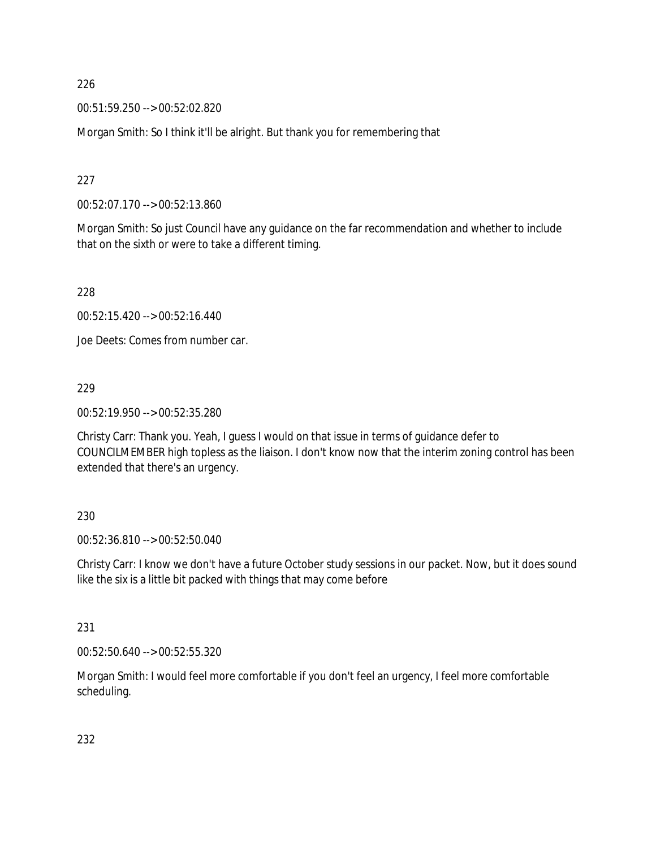00:51:59.250 --> 00:52:02.820

Morgan Smith: So I think it'll be alright. But thank you for remembering that

227

00:52:07.170 --> 00:52:13.860

Morgan Smith: So just Council have any guidance on the far recommendation and whether to include that on the sixth or were to take a different timing.

228

00:52:15.420 --> 00:52:16.440

Joe Deets: Comes from number car.

### 229

00:52:19.950 --> 00:52:35.280

Christy Carr: Thank you. Yeah, I guess I would on that issue in terms of guidance defer to COUNCILMEMBER high topless as the liaison. I don't know now that the interim zoning control has been extended that there's an urgency.

### 230

00:52:36.810 --> 00:52:50.040

Christy Carr: I know we don't have a future October study sessions in our packet. Now, but it does sound like the six is a little bit packed with things that may come before

### 231

00:52:50.640 --> 00:52:55.320

Morgan Smith: I would feel more comfortable if you don't feel an urgency, I feel more comfortable scheduling.

232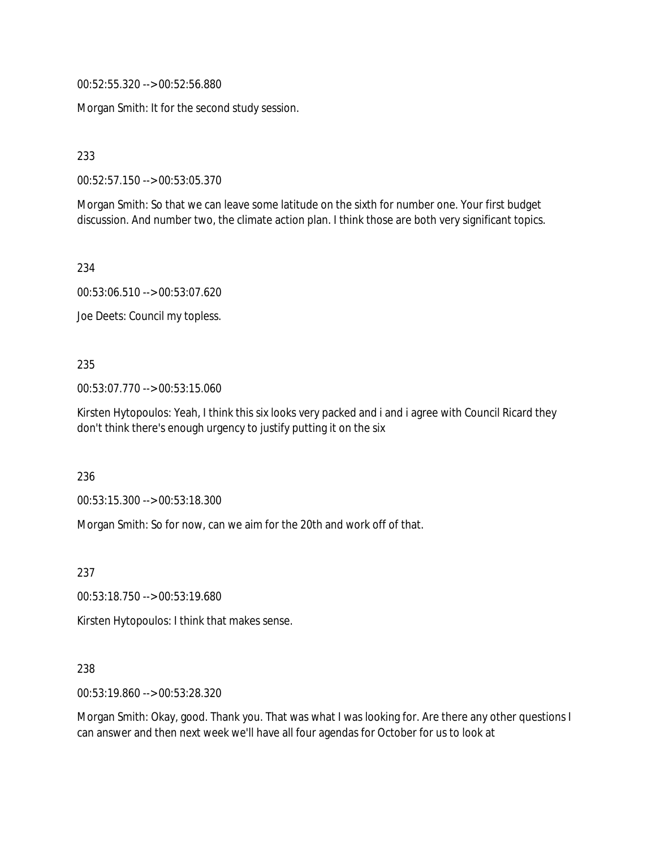00:52:55.320 --> 00:52:56.880

Morgan Smith: It for the second study session.

233

00:52:57.150 --> 00:53:05.370

Morgan Smith: So that we can leave some latitude on the sixth for number one. Your first budget discussion. And number two, the climate action plan. I think those are both very significant topics.

234

00:53:06.510 --> 00:53:07.620

Joe Deets: Council my topless.

235

00:53:07.770 --> 00:53:15.060

Kirsten Hytopoulos: Yeah, I think this six looks very packed and i and i agree with Council Ricard they don't think there's enough urgency to justify putting it on the six

236

00:53:15.300 --> 00:53:18.300

Morgan Smith: So for now, can we aim for the 20th and work off of that.

237

00:53:18.750 --> 00:53:19.680

Kirsten Hytopoulos: I think that makes sense.

238

00:53:19.860 --> 00:53:28.320

Morgan Smith: Okay, good. Thank you. That was what I was looking for. Are there any other questions I can answer and then next week we'll have all four agendas for October for us to look at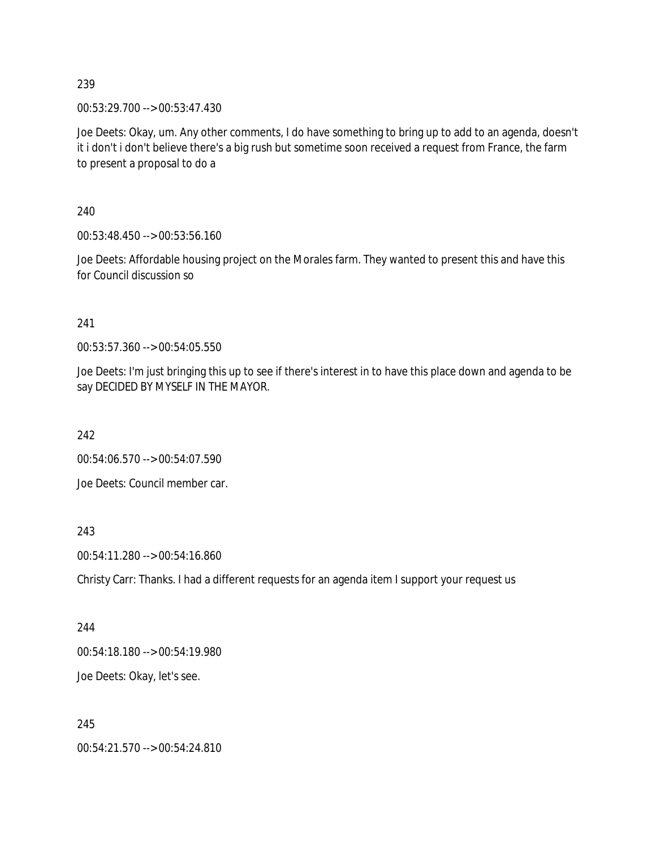00:53:29.700 --> 00:53:47.430

Joe Deets: Okay, um. Any other comments, I do have something to bring up to add to an agenda, doesn't it i don't i don't believe there's a big rush but sometime soon received a request from France, the farm to present a proposal to do a

240

00:53:48.450 --> 00:53:56.160

Joe Deets: Affordable housing project on the Morales farm. They wanted to present this and have this for Council discussion so

241

00:53:57.360 --> 00:54:05.550

Joe Deets: I'm just bringing this up to see if there's interest in to have this place down and agenda to be say DECIDED BY MYSELF IN THE MAYOR.

242

00:54:06.570 --> 00:54:07.590

Joe Deets: Council member car.

243

00:54:11.280 --> 00:54:16.860

Christy Carr: Thanks. I had a different requests for an agenda item I support your request us

244

00:54:18.180 --> 00:54:19.980

Joe Deets: Okay, let's see.

245

00:54:21.570 --> 00:54:24.810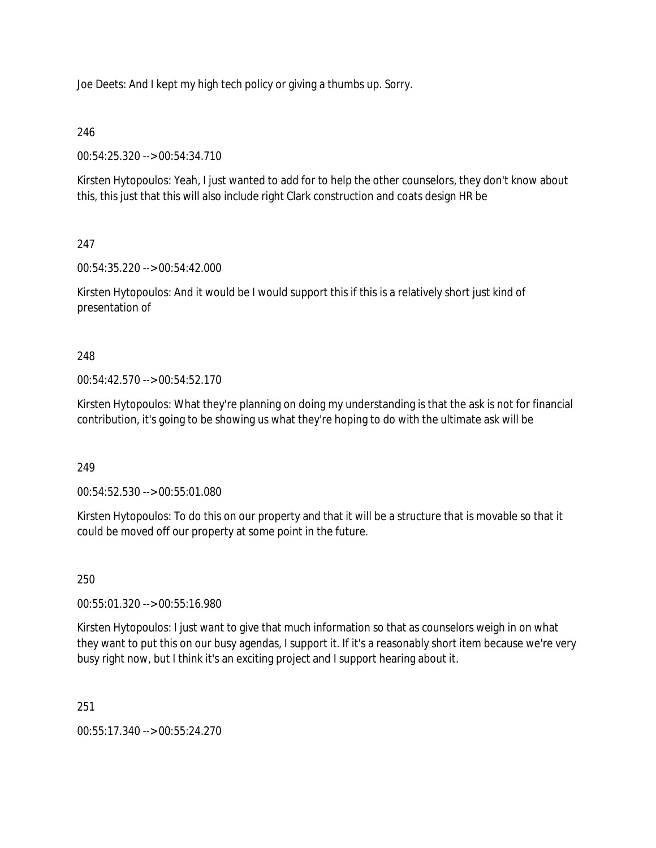Joe Deets: And I kept my high tech policy or giving a thumbs up. Sorry.

# 246

00:54:25.320 --> 00:54:34.710

Kirsten Hytopoulos: Yeah, I just wanted to add for to help the other counselors, they don't know about this, this just that this will also include right Clark construction and coats design HR be

# 247

00:54:35.220 --> 00:54:42.000

Kirsten Hytopoulos: And it would be I would support this if this is a relatively short just kind of presentation of

# 248

00:54:42.570 --> 00:54:52.170

Kirsten Hytopoulos: What they're planning on doing my understanding is that the ask is not for financial contribution, it's going to be showing us what they're hoping to do with the ultimate ask will be

# 249

00:54:52.530 --> 00:55:01.080

Kirsten Hytopoulos: To do this on our property and that it will be a structure that is movable so that it could be moved off our property at some point in the future.

# 250

00:55:01.320 --> 00:55:16.980

Kirsten Hytopoulos: I just want to give that much information so that as counselors weigh in on what they want to put this on our busy agendas, I support it. If it's a reasonably short item because we're very busy right now, but I think it's an exciting project and I support hearing about it.

251

00:55:17.340 --> 00:55:24.270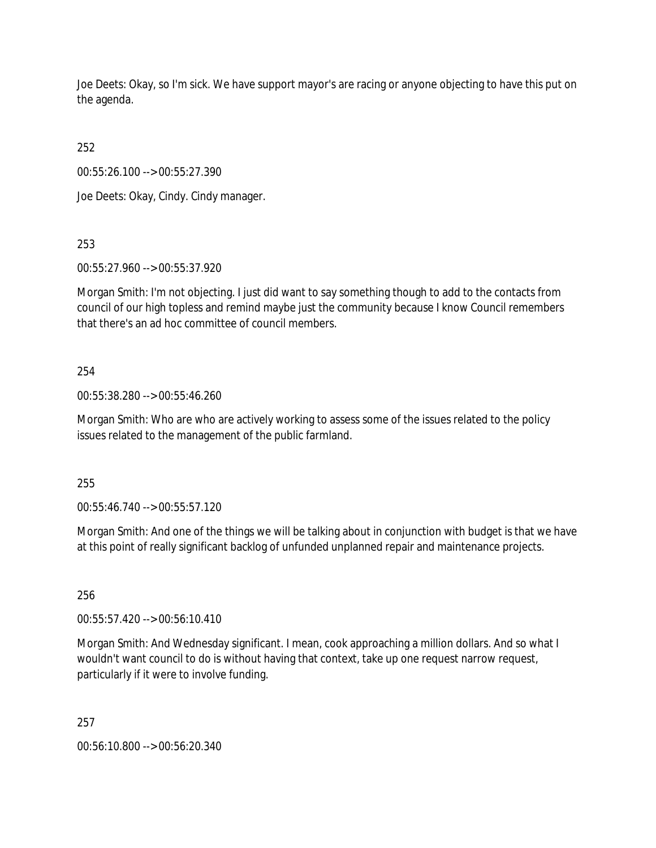Joe Deets: Okay, so I'm sick. We have support mayor's are racing or anyone objecting to have this put on the agenda.

252

00:55:26.100 --> 00:55:27.390

Joe Deets: Okay, Cindy. Cindy manager.

253

00:55:27.960 --> 00:55:37.920

Morgan Smith: I'm not objecting. I just did want to say something though to add to the contacts from council of our high topless and remind maybe just the community because I know Council remembers that there's an ad hoc committee of council members.

# 254

00:55:38.280 --> 00:55:46.260

Morgan Smith: Who are who are actively working to assess some of the issues related to the policy issues related to the management of the public farmland.

255

00:55:46.740 --> 00:55:57.120

Morgan Smith: And one of the things we will be talking about in conjunction with budget is that we have at this point of really significant backlog of unfunded unplanned repair and maintenance projects.

256

00:55:57.420 --> 00:56:10.410

Morgan Smith: And Wednesday significant. I mean, cook approaching a million dollars. And so what I wouldn't want council to do is without having that context, take up one request narrow request, particularly if it were to involve funding.

257

00:56:10.800 --> 00:56:20.340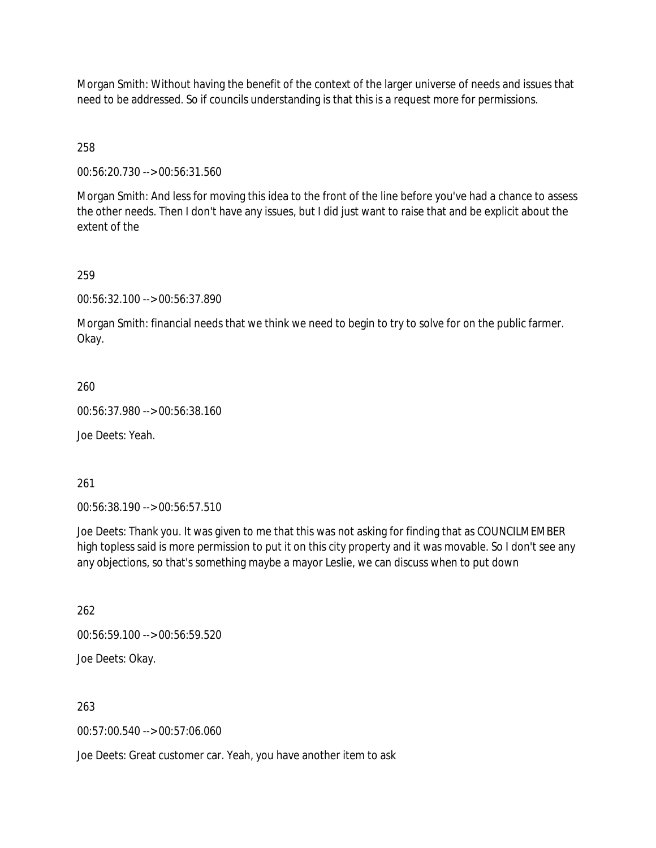Morgan Smith: Without having the benefit of the context of the larger universe of needs and issues that need to be addressed. So if councils understanding is that this is a request more for permissions.

258

00:56:20.730 --> 00:56:31.560

Morgan Smith: And less for moving this idea to the front of the line before you've had a chance to assess the other needs. Then I don't have any issues, but I did just want to raise that and be explicit about the extent of the

259

00:56:32.100 --> 00:56:37.890

Morgan Smith: financial needs that we think we need to begin to try to solve for on the public farmer. Okay.

260

00:56:37.980 --> 00:56:38.160

Joe Deets: Yeah.

261

00:56:38.190 --> 00:56:57.510

Joe Deets: Thank you. It was given to me that this was not asking for finding that as COUNCILMEMBER high topless said is more permission to put it on this city property and it was movable. So I don't see any any objections, so that's something maybe a mayor Leslie, we can discuss when to put down

262

00:56:59.100 --> 00:56:59.520

Joe Deets: Okay.

263

00:57:00.540 --> 00:57:06.060

Joe Deets: Great customer car. Yeah, you have another item to ask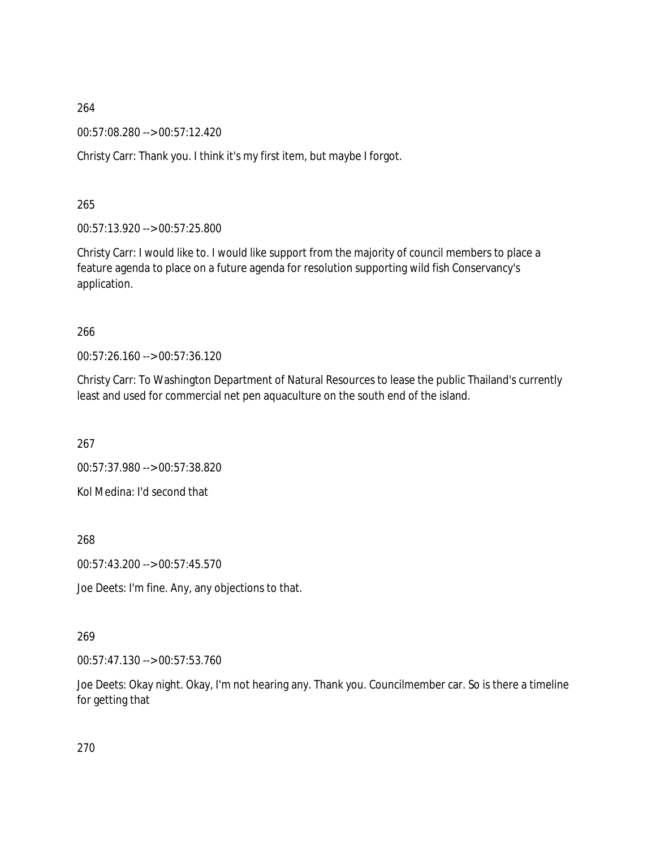00:57:08.280 --> 00:57:12.420

Christy Carr: Thank you. I think it's my first item, but maybe I forgot.

265

00:57:13.920 --> 00:57:25.800

Christy Carr: I would like to. I would like support from the majority of council members to place a feature agenda to place on a future agenda for resolution supporting wild fish Conservancy's application.

## 266

00:57:26.160 --> 00:57:36.120

Christy Carr: To Washington Department of Natural Resources to lease the public Thailand's currently least and used for commercial net pen aquaculture on the south end of the island.

267

00:57:37.980 --> 00:57:38.820

Kol Medina: I'd second that

268

00:57:43.200 --> 00:57:45.570

Joe Deets: I'm fine. Any, any objections to that.

# 269

00:57:47.130 --> 00:57:53.760

Joe Deets: Okay night. Okay, I'm not hearing any. Thank you. Councilmember car. So is there a timeline for getting that

270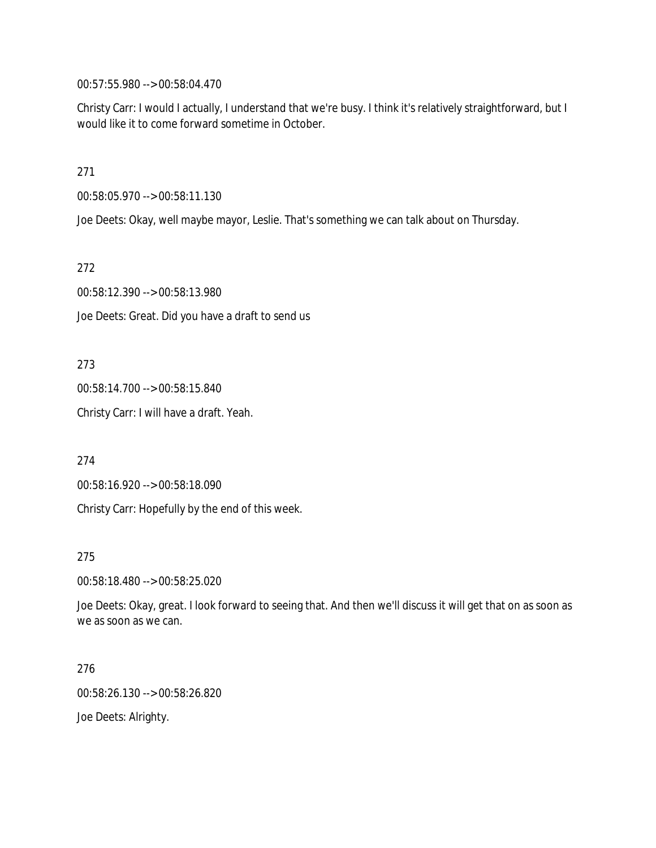00:57:55.980 --> 00:58:04.470

Christy Carr: I would I actually, I understand that we're busy. I think it's relatively straightforward, but I would like it to come forward sometime in October.

271

00:58:05.970 --> 00:58:11.130

Joe Deets: Okay, well maybe mayor, Leslie. That's something we can talk about on Thursday.

272

00:58:12.390 --> 00:58:13.980

Joe Deets: Great. Did you have a draft to send us

273

00:58:14.700 --> 00:58:15.840

Christy Carr: I will have a draft. Yeah.

274

00:58:16.920 --> 00:58:18.090

Christy Carr: Hopefully by the end of this week.

275

00:58:18.480 --> 00:58:25.020

Joe Deets: Okay, great. I look forward to seeing that. And then we'll discuss it will get that on as soon as we as soon as we can.

276

00:58:26.130 --> 00:58:26.820

Joe Deets: Alrighty.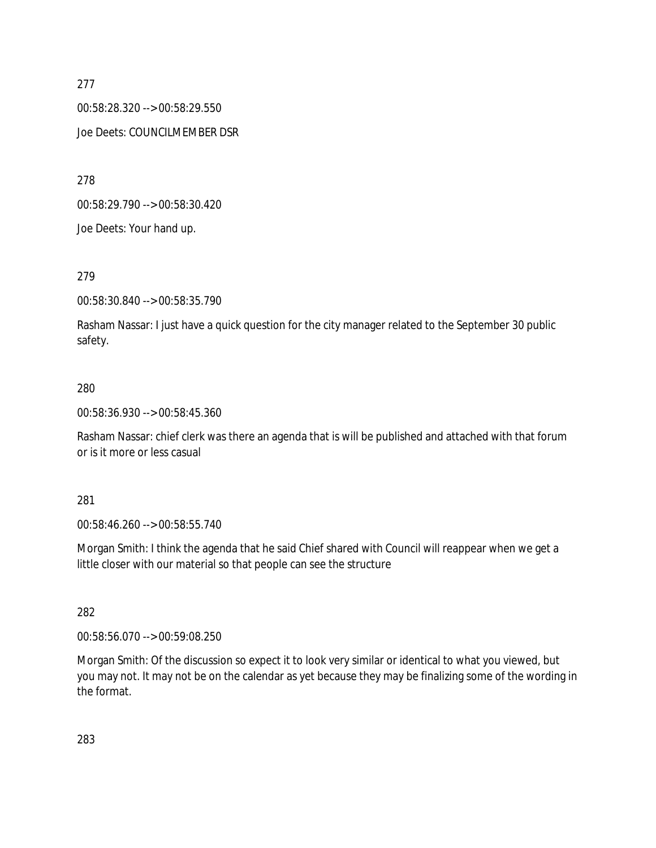00:58:28.320 --> 00:58:29.550 Joe Deets: COUNCILMEMBER DSR

278

00:58:29.790 --> 00:58:30.420

Joe Deets: Your hand up.

## 279

00:58:30.840 --> 00:58:35.790

Rasham Nassar: I just have a quick question for the city manager related to the September 30 public safety.

## 280

00:58:36.930 --> 00:58:45.360

Rasham Nassar: chief clerk was there an agenda that is will be published and attached with that forum or is it more or less casual

### 281

00:58:46.260 --> 00:58:55.740

Morgan Smith: I think the agenda that he said Chief shared with Council will reappear when we get a little closer with our material so that people can see the structure

### 282

00:58:56.070 --> 00:59:08.250

Morgan Smith: Of the discussion so expect it to look very similar or identical to what you viewed, but you may not. It may not be on the calendar as yet because they may be finalizing some of the wording in the format.

283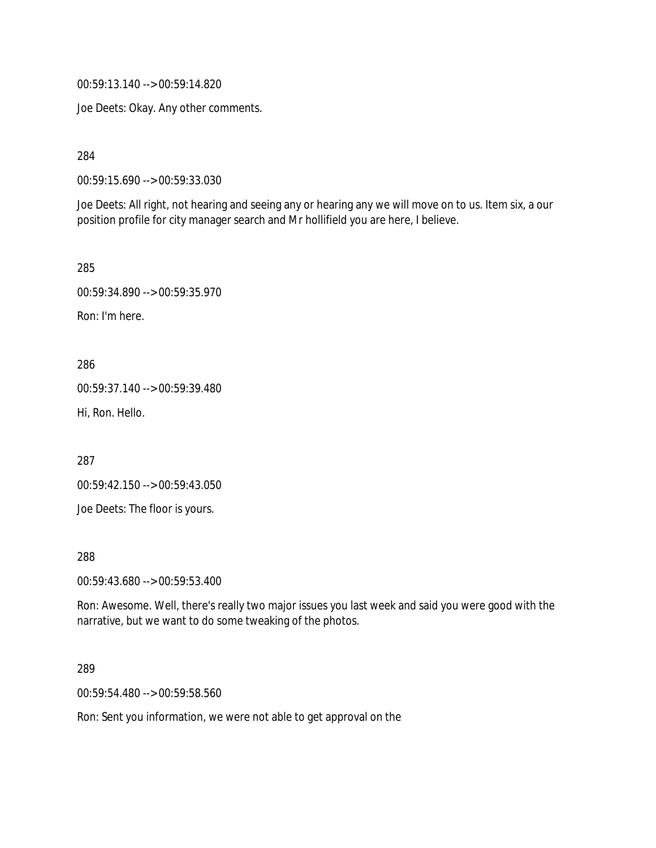00:59:13.140 --> 00:59:14.820

Joe Deets: Okay. Any other comments.

284

00:59:15.690 --> 00:59:33.030

Joe Deets: All right, not hearing and seeing any or hearing any we will move on to us. Item six, a our position profile for city manager search and Mr hollifield you are here, I believe.

285

00:59:34.890 --> 00:59:35.970

Ron: I'm here.

286

00:59:37.140 --> 00:59:39.480

Hi, Ron. Hello.

287

00:59:42.150 --> 00:59:43.050

Joe Deets: The floor is yours.

288

00:59:43.680 --> 00:59:53.400

Ron: Awesome. Well, there's really two major issues you last week and said you were good with the narrative, but we want to do some tweaking of the photos.

289

00:59:54.480 --> 00:59:58.560

Ron: Sent you information, we were not able to get approval on the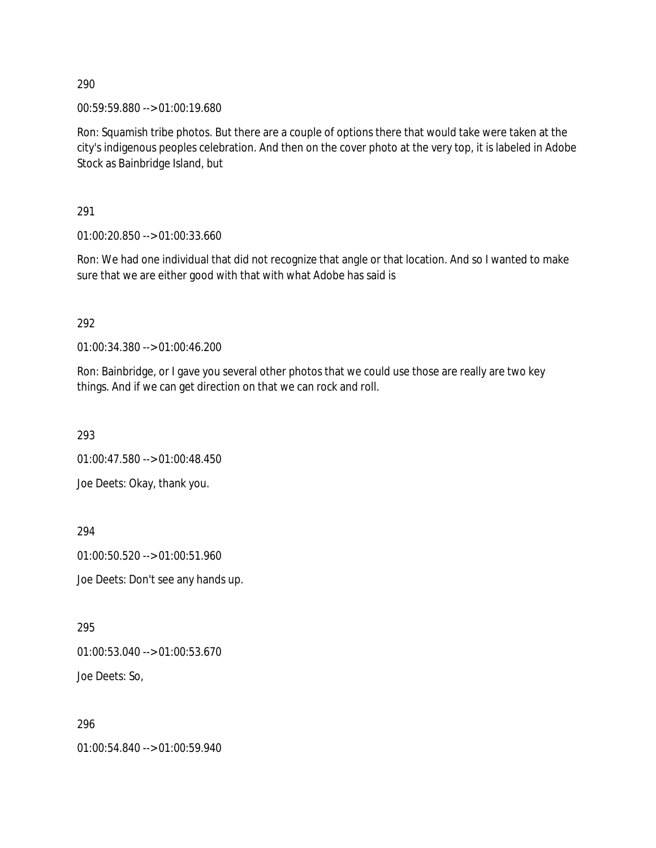00:59:59.880 --> 01:00:19.680

Ron: Squamish tribe photos. But there are a couple of options there that would take were taken at the city's indigenous peoples celebration. And then on the cover photo at the very top, it is labeled in Adobe Stock as Bainbridge Island, but

291

01:00:20.850 --> 01:00:33.660

Ron: We had one individual that did not recognize that angle or that location. And so I wanted to make sure that we are either good with that with what Adobe has said is

292

01:00:34.380 --> 01:00:46.200

Ron: Bainbridge, or I gave you several other photos that we could use those are really are two key things. And if we can get direction on that we can rock and roll.

293

01:00:47.580 --> 01:00:48.450

Joe Deets: Okay, thank you.

294

01:00:50.520 --> 01:00:51.960

Joe Deets: Don't see any hands up.

295

01:00:53.040 --> 01:00:53.670

Joe Deets: So,

296

01:00:54.840 --> 01:00:59.940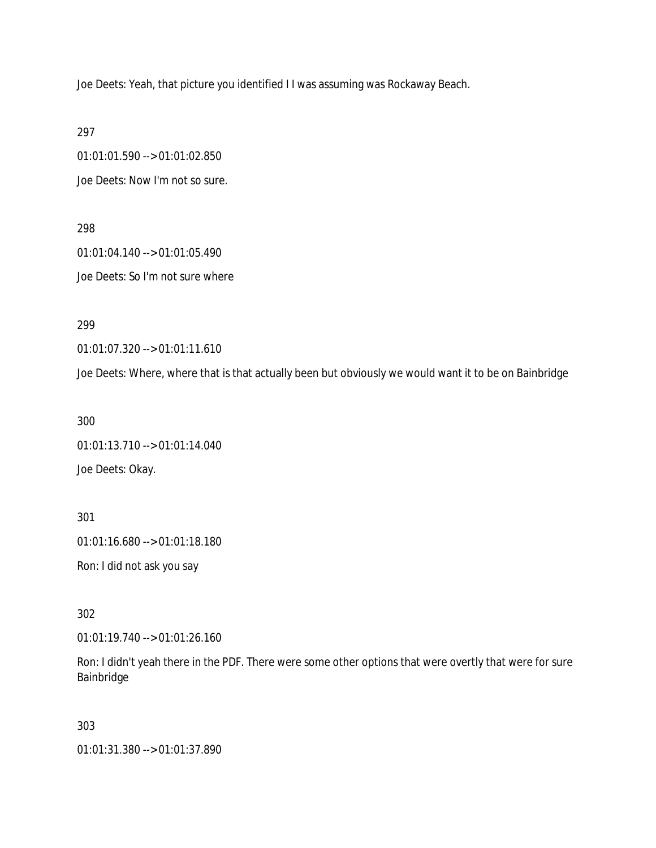Joe Deets: Yeah, that picture you identified I I was assuming was Rockaway Beach.

297

01:01:01.590 --> 01:01:02.850 Joe Deets: Now I'm not so sure.

298 01:01:04.140 --> 01:01:05.490 Joe Deets: So I'm not sure where

299

01:01:07.320 --> 01:01:11.610

Joe Deets: Where, where that is that actually been but obviously we would want it to be on Bainbridge

300

01:01:13.710 --> 01:01:14.040 Joe Deets: Okay.

301 01:01:16.680 --> 01:01:18.180 Ron: I did not ask you say

302

01:01:19.740 --> 01:01:26.160

Ron: I didn't yeah there in the PDF. There were some other options that were overtly that were for sure Bainbridge

303

01:01:31.380 --> 01:01:37.890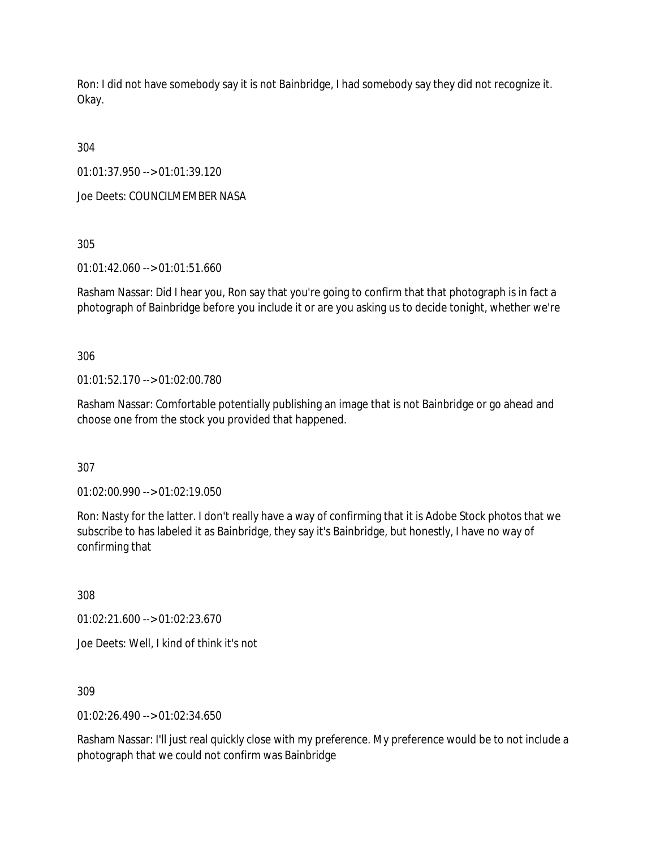Ron: I did not have somebody say it is not Bainbridge, I had somebody say they did not recognize it. Okay.

304

01:01:37.950 --> 01:01:39.120

Joe Deets: COUNCILMEMBER NASA

305

01:01:42.060 --> 01:01:51.660

Rasham Nassar: Did I hear you, Ron say that you're going to confirm that that photograph is in fact a photograph of Bainbridge before you include it or are you asking us to decide tonight, whether we're

306

01:01:52.170 --> 01:02:00.780

Rasham Nassar: Comfortable potentially publishing an image that is not Bainbridge or go ahead and choose one from the stock you provided that happened.

307

01:02:00.990 --> 01:02:19.050

Ron: Nasty for the latter. I don't really have a way of confirming that it is Adobe Stock photos that we subscribe to has labeled it as Bainbridge, they say it's Bainbridge, but honestly, I have no way of confirming that

308

01:02:21.600 --> 01:02:23.670

Joe Deets: Well, I kind of think it's not

309

01:02:26.490 --> 01:02:34.650

Rasham Nassar: I'll just real quickly close with my preference. My preference would be to not include a photograph that we could not confirm was Bainbridge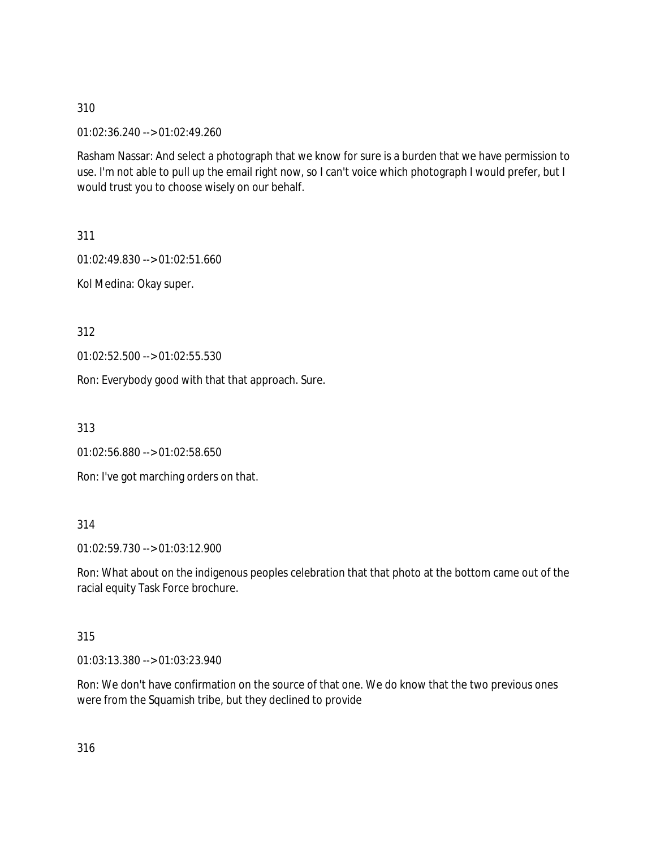01:02:36.240 --> 01:02:49.260

Rasham Nassar: And select a photograph that we know for sure is a burden that we have permission to use. I'm not able to pull up the email right now, so I can't voice which photograph I would prefer, but I would trust you to choose wisely on our behalf.

311

01:02:49.830 --> 01:02:51.660

Kol Medina: Okay super.

312

01:02:52.500 --> 01:02:55.530

Ron: Everybody good with that that approach. Sure.

313

01:02:56.880 --> 01:02:58.650

Ron: I've got marching orders on that.

### 314

01:02:59.730 --> 01:03:12.900

Ron: What about on the indigenous peoples celebration that that photo at the bottom came out of the racial equity Task Force brochure.

### 315

01:03:13.380 --> 01:03:23.940

Ron: We don't have confirmation on the source of that one. We do know that the two previous ones were from the Squamish tribe, but they declined to provide

316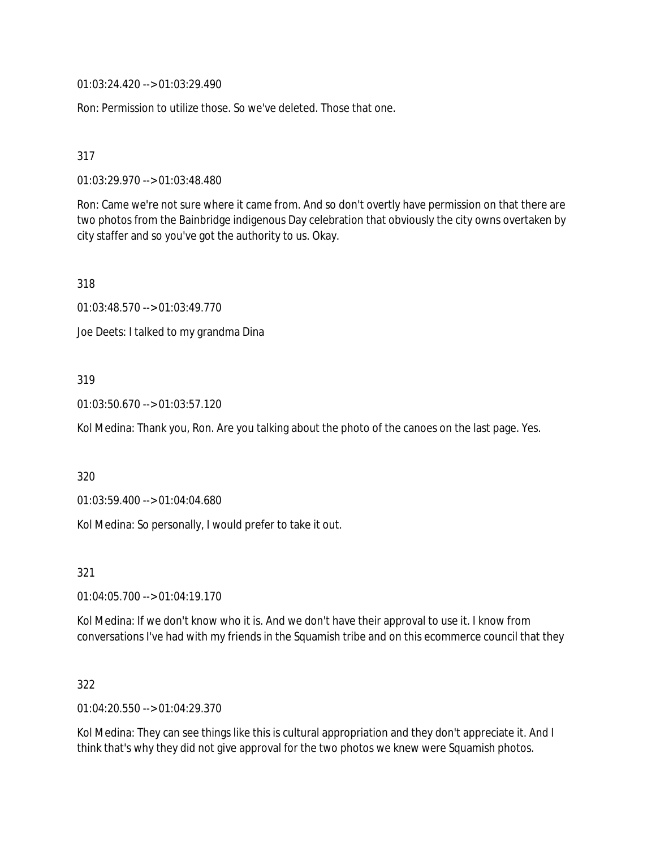01:03:24.420 --> 01:03:29.490

Ron: Permission to utilize those. So we've deleted. Those that one.

317

01:03:29.970 --> 01:03:48.480

Ron: Came we're not sure where it came from. And so don't overtly have permission on that there are two photos from the Bainbridge indigenous Day celebration that obviously the city owns overtaken by city staffer and so you've got the authority to us. Okay.

318

01:03:48.570 --> 01:03:49.770

Joe Deets: I talked to my grandma Dina

## 319

01:03:50.670 --> 01:03:57.120

Kol Medina: Thank you, Ron. Are you talking about the photo of the canoes on the last page. Yes.

320

01:03:59.400 --> 01:04:04.680

Kol Medina: So personally, I would prefer to take it out.

321

01:04:05.700 --> 01:04:19.170

Kol Medina: If we don't know who it is. And we don't have their approval to use it. I know from conversations I've had with my friends in the Squamish tribe and on this ecommerce council that they

### 322

01:04:20.550 --> 01:04:29.370

Kol Medina: They can see things like this is cultural appropriation and they don't appreciate it. And I think that's why they did not give approval for the two photos we knew were Squamish photos.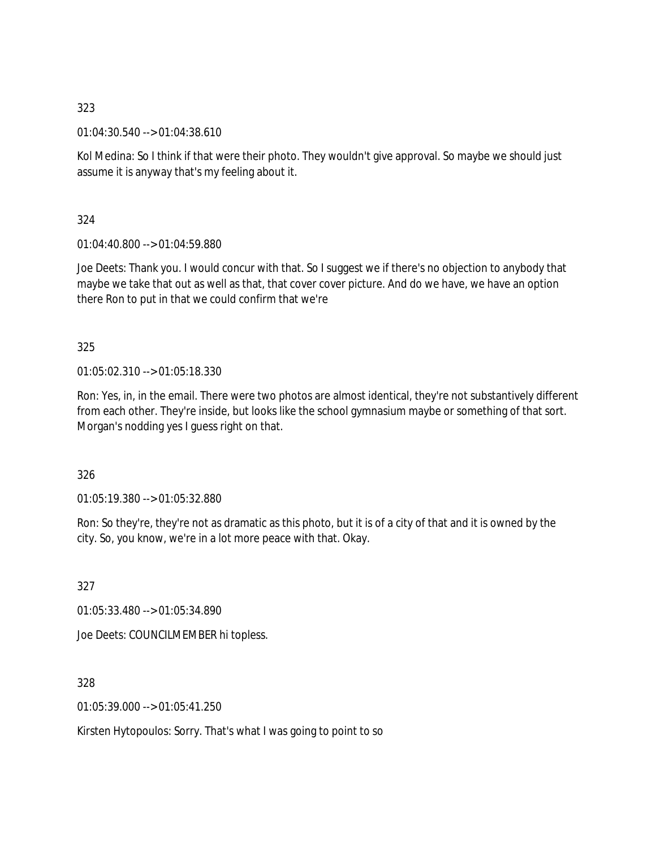01:04:30.540 --> 01:04:38.610

Kol Medina: So I think if that were their photo. They wouldn't give approval. So maybe we should just assume it is anyway that's my feeling about it.

324

01:04:40.800 --> 01:04:59.880

Joe Deets: Thank you. I would concur with that. So I suggest we if there's no objection to anybody that maybe we take that out as well as that, that cover cover picture. And do we have, we have an option there Ron to put in that we could confirm that we're

325

01:05:02.310 --> 01:05:18.330

Ron: Yes, in, in the email. There were two photos are almost identical, they're not substantively different from each other. They're inside, but looks like the school gymnasium maybe or something of that sort. Morgan's nodding yes I guess right on that.

326

01:05:19.380 --> 01:05:32.880

Ron: So they're, they're not as dramatic as this photo, but it is of a city of that and it is owned by the city. So, you know, we're in a lot more peace with that. Okay.

327

01:05:33.480 --> 01:05:34.890

Joe Deets: COUNCILMEMBER hi topless.

328

01:05:39.000 --> 01:05:41.250

Kirsten Hytopoulos: Sorry. That's what I was going to point to so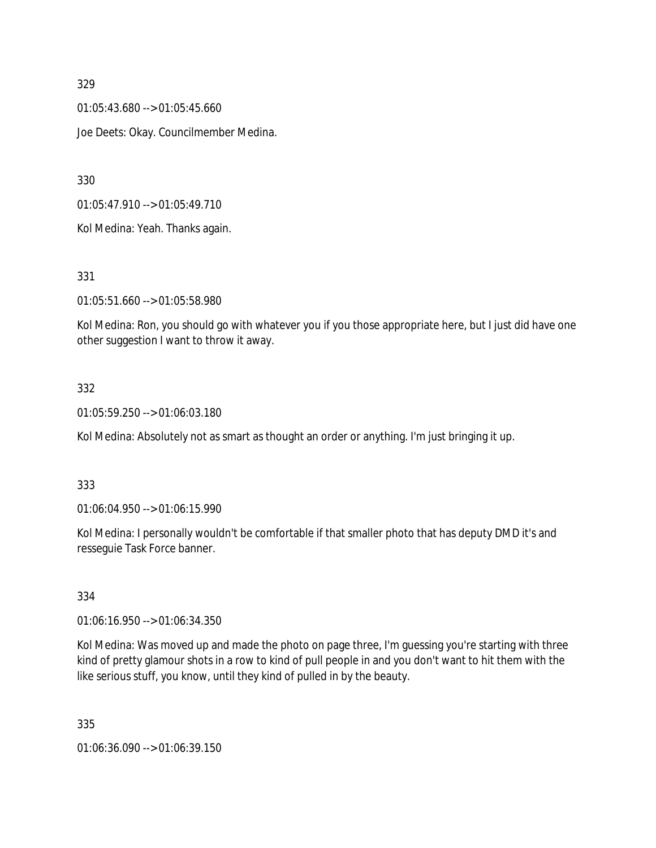01:05:43.680 --> 01:05:45.660 Joe Deets: Okay. Councilmember Medina.

330

01:05:47.910 --> 01:05:49.710

Kol Medina: Yeah. Thanks again.

331

01:05:51.660 --> 01:05:58.980

Kol Medina: Ron, you should go with whatever you if you those appropriate here, but I just did have one other suggestion I want to throw it away.

# 332

01:05:59.250 --> 01:06:03.180

Kol Medina: Absolutely not as smart as thought an order or anything. I'm just bringing it up.

# 333

01:06:04.950 --> 01:06:15.990

Kol Medina: I personally wouldn't be comfortable if that smaller photo that has deputy DMD it's and resseguie Task Force banner.

# 334

01:06:16.950 --> 01:06:34.350

Kol Medina: Was moved up and made the photo on page three, I'm guessing you're starting with three kind of pretty glamour shots in a row to kind of pull people in and you don't want to hit them with the like serious stuff, you know, until they kind of pulled in by the beauty.

335

01:06:36.090 --> 01:06:39.150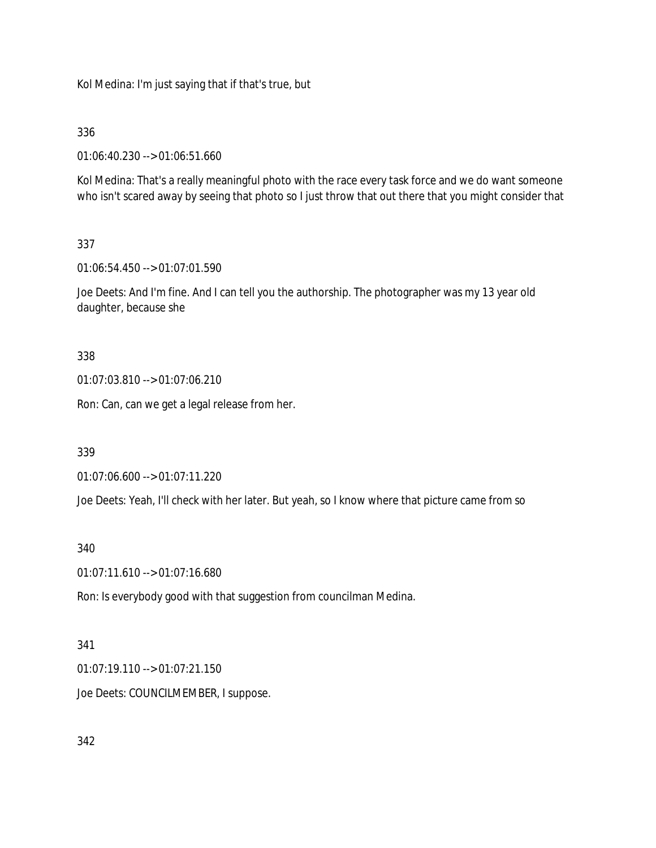Kol Medina: I'm just saying that if that's true, but

## 336

01:06:40.230 --> 01:06:51.660

Kol Medina: That's a really meaningful photo with the race every task force and we do want someone who isn't scared away by seeing that photo so I just throw that out there that you might consider that

# 337

01:06:54.450 --> 01:07:01.590

Joe Deets: And I'm fine. And I can tell you the authorship. The photographer was my 13 year old daughter, because she

### 338

01:07:03.810 --> 01:07:06.210

Ron: Can, can we get a legal release from her.

### 339

01:07:06.600 --> 01:07:11.220

Joe Deets: Yeah, I'll check with her later. But yeah, so I know where that picture came from so

### 340

01:07:11.610 --> 01:07:16.680

Ron: Is everybody good with that suggestion from councilman Medina.

### 341

01:07:19.110 --> 01:07:21.150

Joe Deets: COUNCILMEMBER, I suppose.

# 342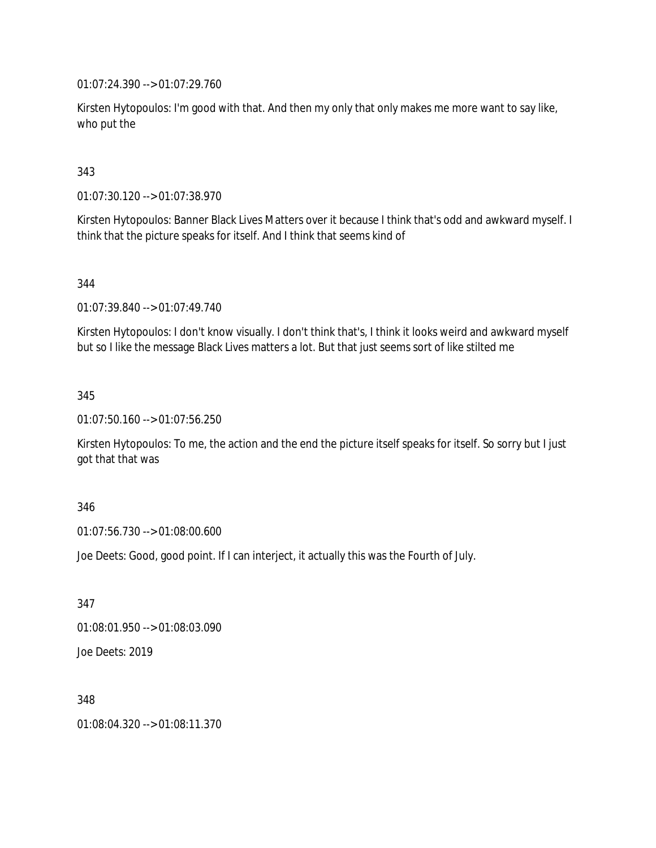01:07:24.390 --> 01:07:29.760

Kirsten Hytopoulos: I'm good with that. And then my only that only makes me more want to say like, who put the

## 343

01:07:30.120 --> 01:07:38.970

Kirsten Hytopoulos: Banner Black Lives Matters over it because I think that's odd and awkward myself. I think that the picture speaks for itself. And I think that seems kind of

### 344

01:07:39.840 --> 01:07:49.740

Kirsten Hytopoulos: I don't know visually. I don't think that's, I think it looks weird and awkward myself but so I like the message Black Lives matters a lot. But that just seems sort of like stilted me

### 345

01:07:50.160 --> 01:07:56.250

Kirsten Hytopoulos: To me, the action and the end the picture itself speaks for itself. So sorry but I just got that that was

### 346

01:07:56.730 --> 01:08:00.600

Joe Deets: Good, good point. If I can interject, it actually this was the Fourth of July.

347

01:08:01.950 --> 01:08:03.090

Joe Deets: 2019

348

01:08:04.320 --> 01:08:11.370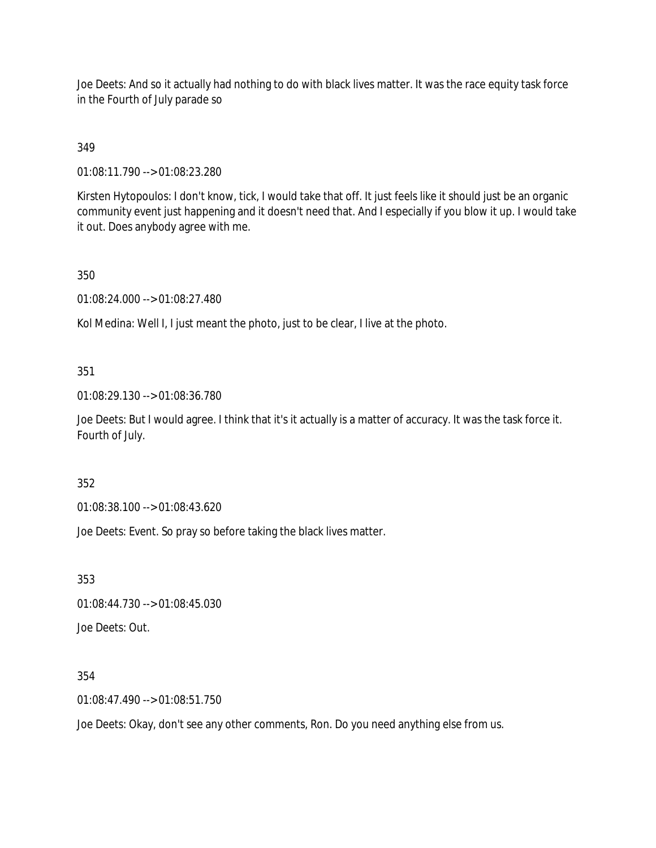Joe Deets: And so it actually had nothing to do with black lives matter. It was the race equity task force in the Fourth of July parade so

# 349

01:08:11.790 --> 01:08:23.280

Kirsten Hytopoulos: I don't know, tick, I would take that off. It just feels like it should just be an organic community event just happening and it doesn't need that. And I especially if you blow it up. I would take it out. Does anybody agree with me.

## 350

01:08:24.000 --> 01:08:27.480

Kol Medina: Well I, I just meant the photo, just to be clear, I live at the photo.

## 351

01:08:29.130 --> 01:08:36.780

Joe Deets: But I would agree. I think that it's it actually is a matter of accuracy. It was the task force it. Fourth of July.

### 352

01:08:38.100 --> 01:08:43.620

Joe Deets: Event. So pray so before taking the black lives matter.

353

01:08:44.730 --> 01:08:45.030

Joe Deets: Out.

### 354

01:08:47.490 --> 01:08:51.750

Joe Deets: Okay, don't see any other comments, Ron. Do you need anything else from us.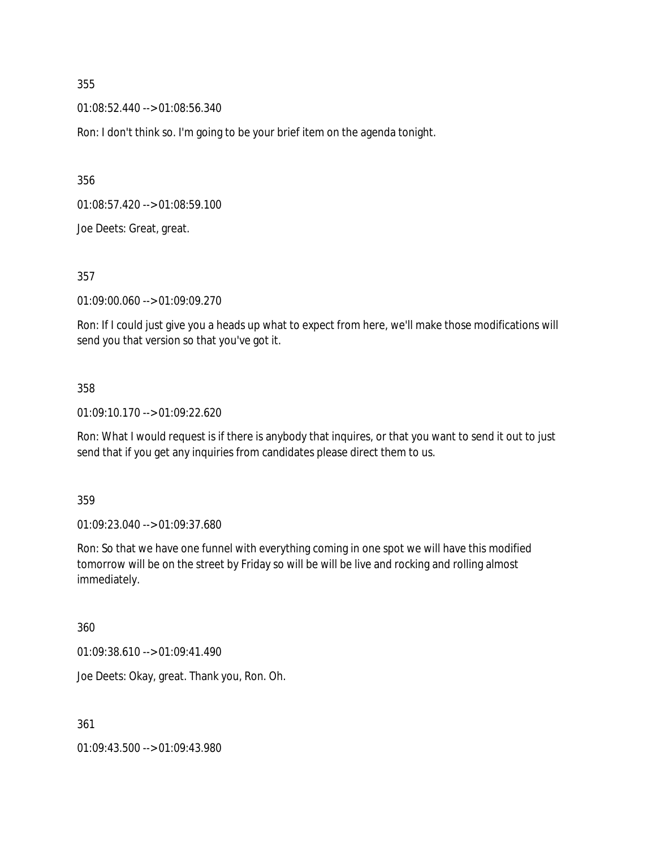01:08:52.440 --> 01:08:56.340

Ron: I don't think so. I'm going to be your brief item on the agenda tonight.

356

01:08:57.420 --> 01:08:59.100

Joe Deets: Great, great.

357

01:09:00.060 --> 01:09:09.270

Ron: If I could just give you a heads up what to expect from here, we'll make those modifications will send you that version so that you've got it.

#### 358

01:09:10.170 --> 01:09:22.620

Ron: What I would request is if there is anybody that inquires, or that you want to send it out to just send that if you get any inquiries from candidates please direct them to us.

359

01:09:23.040 --> 01:09:37.680

Ron: So that we have one funnel with everything coming in one spot we will have this modified tomorrow will be on the street by Friday so will be will be live and rocking and rolling almost immediately.

360

01:09:38.610 --> 01:09:41.490

Joe Deets: Okay, great. Thank you, Ron. Oh.

361

01:09:43.500 --> 01:09:43.980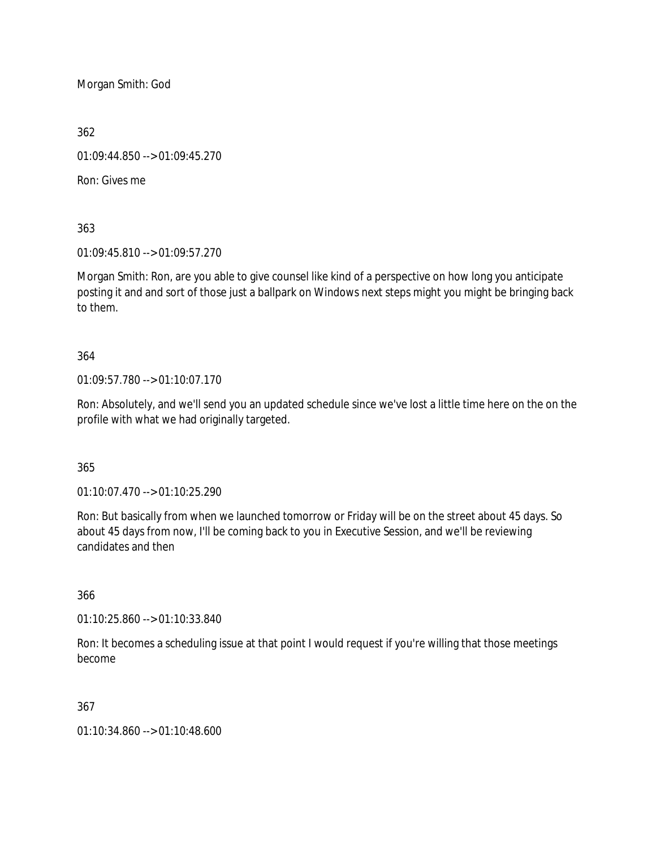Morgan Smith: God

362

01:09:44.850 --> 01:09:45.270

Ron: Gives me

363

01:09:45.810 --> 01:09:57.270

Morgan Smith: Ron, are you able to give counsel like kind of a perspective on how long you anticipate posting it and and sort of those just a ballpark on Windows next steps might you might be bringing back to them.

364

01:09:57.780 --> 01:10:07.170

Ron: Absolutely, and we'll send you an updated schedule since we've lost a little time here on the on the profile with what we had originally targeted.

365

01:10:07.470 --> 01:10:25.290

Ron: But basically from when we launched tomorrow or Friday will be on the street about 45 days. So about 45 days from now, I'll be coming back to you in Executive Session, and we'll be reviewing candidates and then

366

01:10:25.860 --> 01:10:33.840

Ron: It becomes a scheduling issue at that point I would request if you're willing that those meetings become

367

01:10:34.860 --> 01:10:48.600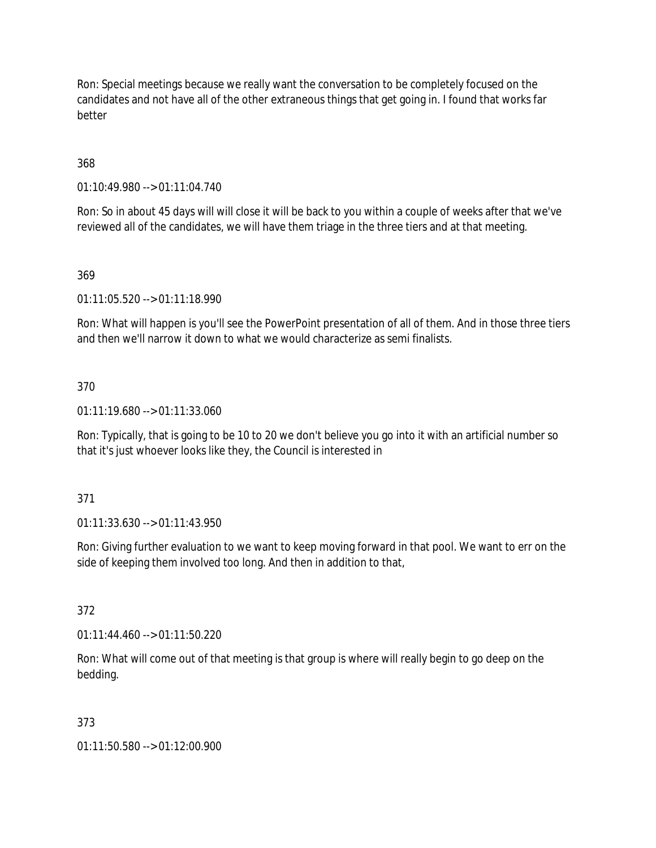Ron: Special meetings because we really want the conversation to be completely focused on the candidates and not have all of the other extraneous things that get going in. I found that works far better

368

01:10:49.980 --> 01:11:04.740

Ron: So in about 45 days will will close it will be back to you within a couple of weeks after that we've reviewed all of the candidates, we will have them triage in the three tiers and at that meeting.

369

01:11:05.520 --> 01:11:18.990

Ron: What will happen is you'll see the PowerPoint presentation of all of them. And in those three tiers and then we'll narrow it down to what we would characterize as semi finalists.

370

01:11:19.680 --> 01:11:33.060

Ron: Typically, that is going to be 10 to 20 we don't believe you go into it with an artificial number so that it's just whoever looks like they, the Council is interested in

371

01:11:33.630 --> 01:11:43.950

Ron: Giving further evaluation to we want to keep moving forward in that pool. We want to err on the side of keeping them involved too long. And then in addition to that,

372

01:11:44.460 --> 01:11:50.220

Ron: What will come out of that meeting is that group is where will really begin to go deep on the bedding.

373

01:11:50.580 --> 01:12:00.900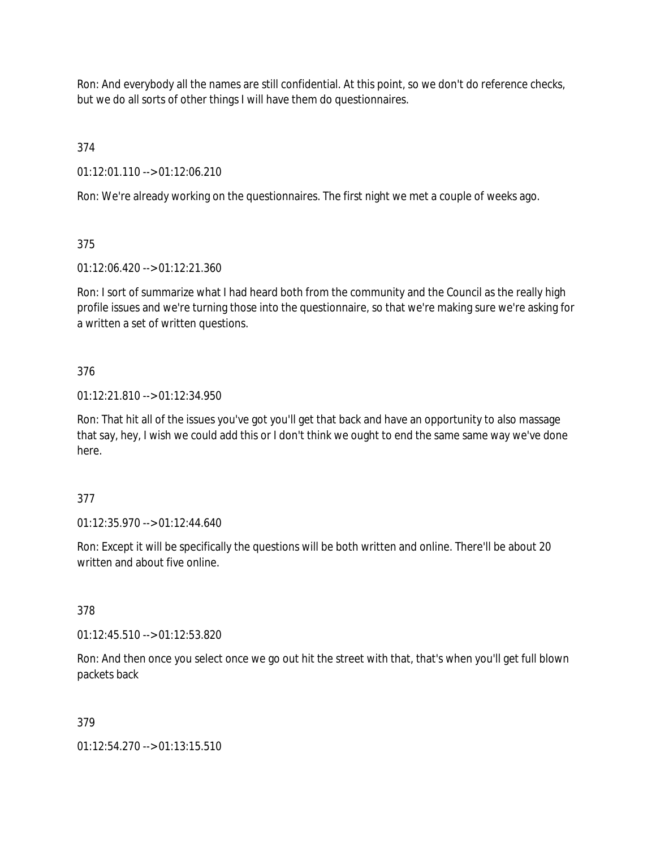Ron: And everybody all the names are still confidential. At this point, so we don't do reference checks, but we do all sorts of other things I will have them do questionnaires.

374

01:12:01.110 --> 01:12:06.210

Ron: We're already working on the questionnaires. The first night we met a couple of weeks ago.

375

01:12:06.420 --> 01:12:21.360

Ron: I sort of summarize what I had heard both from the community and the Council as the really high profile issues and we're turning those into the questionnaire, so that we're making sure we're asking for a written a set of written questions.

376

01:12:21.810 --> 01:12:34.950

Ron: That hit all of the issues you've got you'll get that back and have an opportunity to also massage that say, hey, I wish we could add this or I don't think we ought to end the same same way we've done here.

377

01:12:35.970 --> 01:12:44.640

Ron: Except it will be specifically the questions will be both written and online. There'll be about 20 written and about five online.

378

01:12:45.510 --> 01:12:53.820

Ron: And then once you select once we go out hit the street with that, that's when you'll get full blown packets back

379

01:12:54.270 --> 01:13:15.510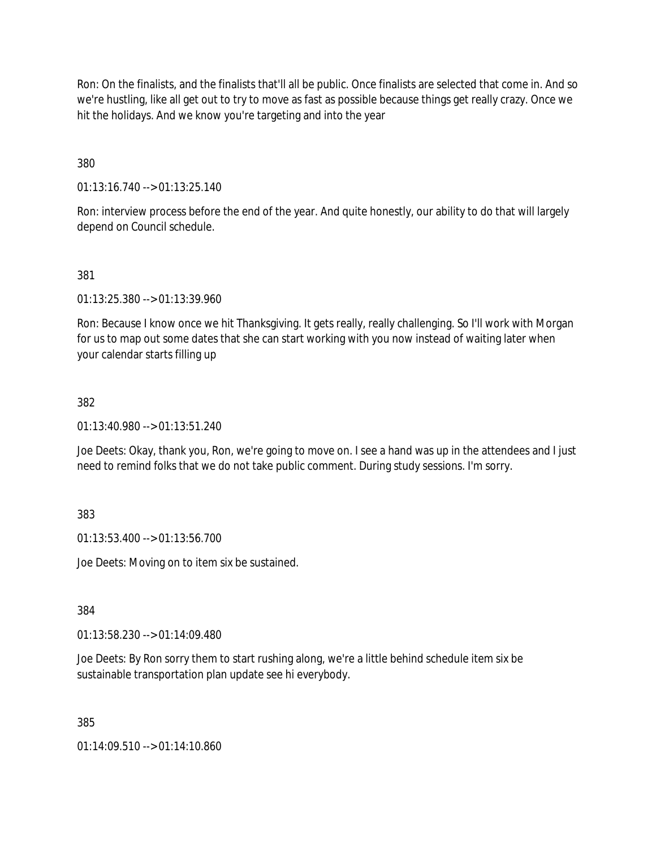Ron: On the finalists, and the finalists that'll all be public. Once finalists are selected that come in. And so we're hustling, like all get out to try to move as fast as possible because things get really crazy. Once we hit the holidays. And we know you're targeting and into the year

380

01:13:16.740 --> 01:13:25.140

Ron: interview process before the end of the year. And quite honestly, our ability to do that will largely depend on Council schedule.

381

01:13:25.380 --> 01:13:39.960

Ron: Because I know once we hit Thanksgiving. It gets really, really challenging. So I'll work with Morgan for us to map out some dates that she can start working with you now instead of waiting later when your calendar starts filling up

## 382

01:13:40.980 --> 01:13:51.240

Joe Deets: Okay, thank you, Ron, we're going to move on. I see a hand was up in the attendees and I just need to remind folks that we do not take public comment. During study sessions. I'm sorry.

383

01:13:53.400 --> 01:13:56.700

Joe Deets: Moving on to item six be sustained.

384

01:13:58.230 --> 01:14:09.480

Joe Deets: By Ron sorry them to start rushing along, we're a little behind schedule item six be sustainable transportation plan update see hi everybody.

385

01:14:09.510 --> 01:14:10.860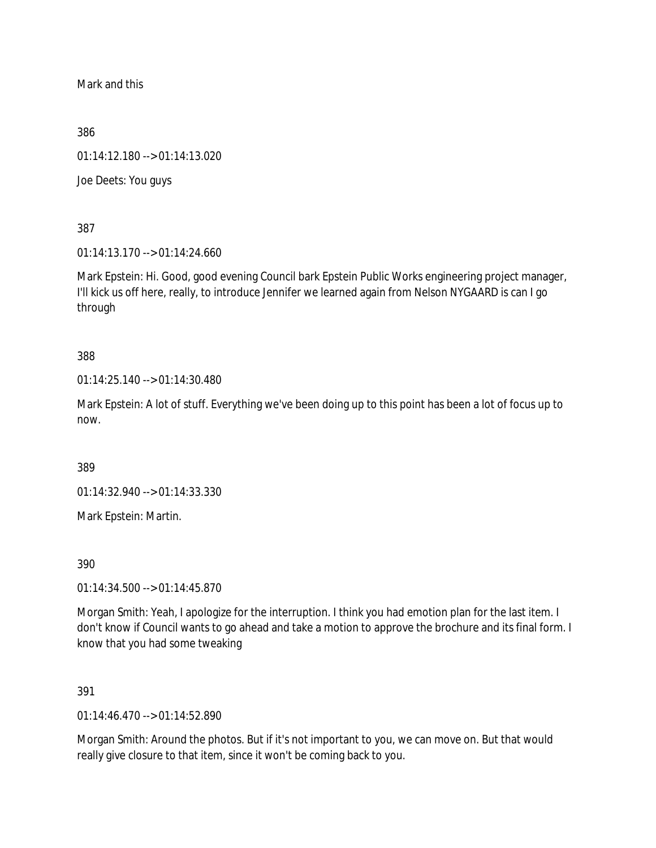Mark and this

386

01:14:12.180 --> 01:14:13.020

Joe Deets: You guys

387

01:14:13.170 --> 01:14:24.660

Mark Epstein: Hi. Good, good evening Council bark Epstein Public Works engineering project manager, I'll kick us off here, really, to introduce Jennifer we learned again from Nelson NYGAARD is can I go through

388

01:14:25.140 --> 01:14:30.480

Mark Epstein: A lot of stuff. Everything we've been doing up to this point has been a lot of focus up to now.

389

01:14:32.940 --> 01:14:33.330

Mark Epstein: Martin.

390

01:14:34.500 --> 01:14:45.870

Morgan Smith: Yeah, I apologize for the interruption. I think you had emotion plan for the last item. I don't know if Council wants to go ahead and take a motion to approve the brochure and its final form. I know that you had some tweaking

391

01:14:46.470 --> 01:14:52.890

Morgan Smith: Around the photos. But if it's not important to you, we can move on. But that would really give closure to that item, since it won't be coming back to you.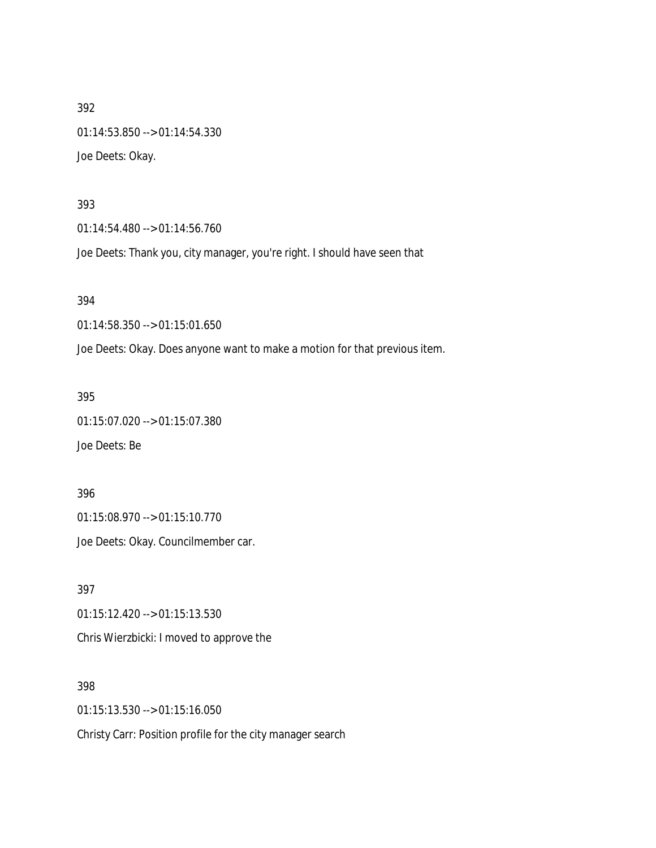01:14:53.850 --> 01:14:54.330 Joe Deets: Okay.

#### 393

01:14:54.480 --> 01:14:56.760

Joe Deets: Thank you, city manager, you're right. I should have seen that

#### 394

01:14:58.350 --> 01:15:01.650

Joe Deets: Okay. Does anyone want to make a motion for that previous item.

### 395

01:15:07.020 --> 01:15:07.380

Joe Deets: Be

396

01:15:08.970 --> 01:15:10.770

Joe Deets: Okay. Councilmember car.

397 01:15:12.420 --> 01:15:13.530 Chris Wierzbicki: I moved to approve the

398 01:15:13.530 --> 01:15:16.050

Christy Carr: Position profile for the city manager search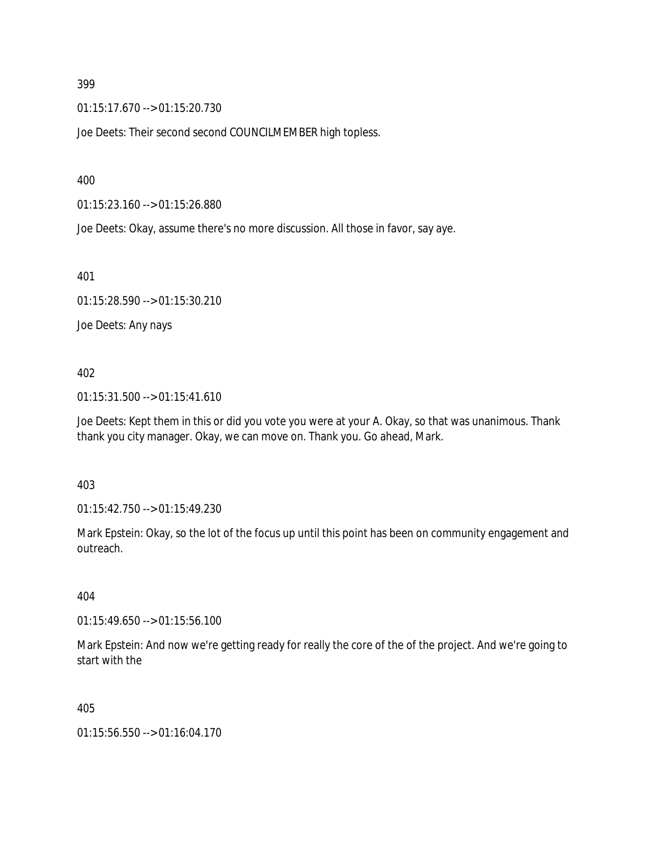01:15:17.670 --> 01:15:20.730

Joe Deets: Their second second COUNCILMEMBER high topless.

400

01:15:23.160 --> 01:15:26.880

Joe Deets: Okay, assume there's no more discussion. All those in favor, say aye.

401

01:15:28.590 --> 01:15:30.210

Joe Deets: Any nays

402

01:15:31.500 --> 01:15:41.610

Joe Deets: Kept them in this or did you vote you were at your A. Okay, so that was unanimous. Thank thank you city manager. Okay, we can move on. Thank you. Go ahead, Mark.

403

01:15:42.750 --> 01:15:49.230

Mark Epstein: Okay, so the lot of the focus up until this point has been on community engagement and outreach.

404

01:15:49.650 --> 01:15:56.100

Mark Epstein: And now we're getting ready for really the core of the of the project. And we're going to start with the

405

01:15:56.550 --> 01:16:04.170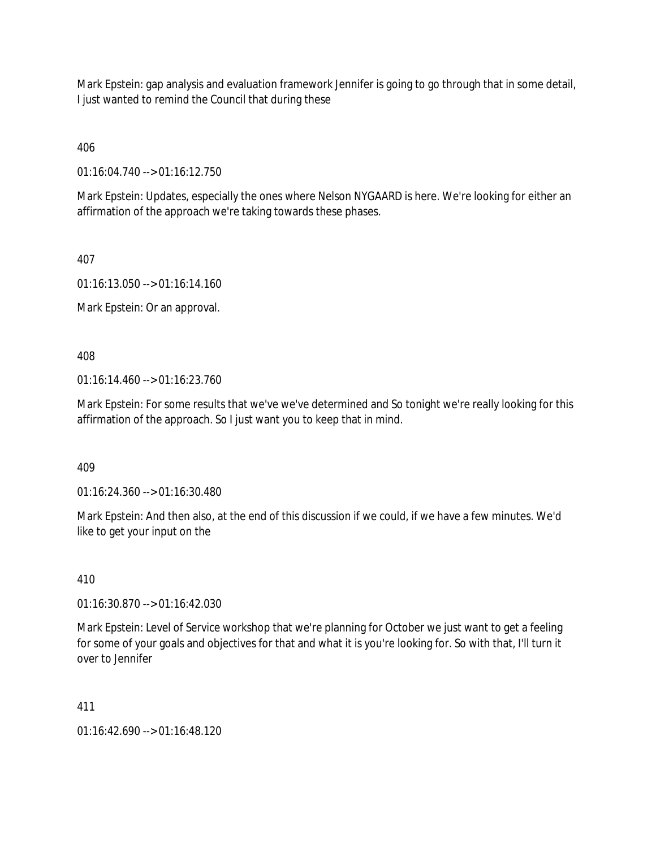Mark Epstein: gap analysis and evaluation framework Jennifer is going to go through that in some detail, I just wanted to remind the Council that during these

406

01:16:04.740 --> 01:16:12.750

Mark Epstein: Updates, especially the ones where Nelson NYGAARD is here. We're looking for either an affirmation of the approach we're taking towards these phases.

407

01:16:13.050 --> 01:16:14.160

Mark Epstein: Or an approval.

408

01:16:14.460 --> 01:16:23.760

Mark Epstein: For some results that we've we've determined and So tonight we're really looking for this affirmation of the approach. So I just want you to keep that in mind.

409

01:16:24.360 --> 01:16:30.480

Mark Epstein: And then also, at the end of this discussion if we could, if we have a few minutes. We'd like to get your input on the

410

01:16:30.870 --> 01:16:42.030

Mark Epstein: Level of Service workshop that we're planning for October we just want to get a feeling for some of your goals and objectives for that and what it is you're looking for. So with that, I'll turn it over to Jennifer

411

01:16:42.690 --> 01:16:48.120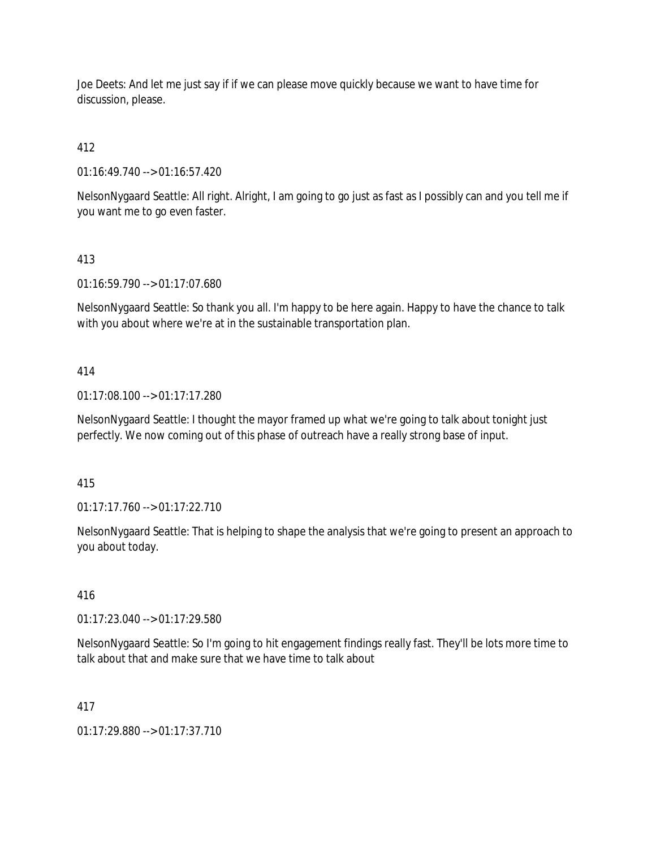Joe Deets: And let me just say if if we can please move quickly because we want to have time for discussion, please.

412

01:16:49.740 --> 01:16:57.420

NelsonNygaard Seattle: All right. Alright, I am going to go just as fast as I possibly can and you tell me if you want me to go even faster.

413

01:16:59.790 --> 01:17:07.680

NelsonNygaard Seattle: So thank you all. I'm happy to be here again. Happy to have the chance to talk with you about where we're at in the sustainable transportation plan.

414

01:17:08.100 --> 01:17:17.280

NelsonNygaard Seattle: I thought the mayor framed up what we're going to talk about tonight just perfectly. We now coming out of this phase of outreach have a really strong base of input.

415

01:17:17.760 --> 01:17:22.710

NelsonNygaard Seattle: That is helping to shape the analysis that we're going to present an approach to you about today.

416

01:17:23.040 --> 01:17:29.580

NelsonNygaard Seattle: So I'm going to hit engagement findings really fast. They'll be lots more time to talk about that and make sure that we have time to talk about

417

01:17:29.880 --> 01:17:37.710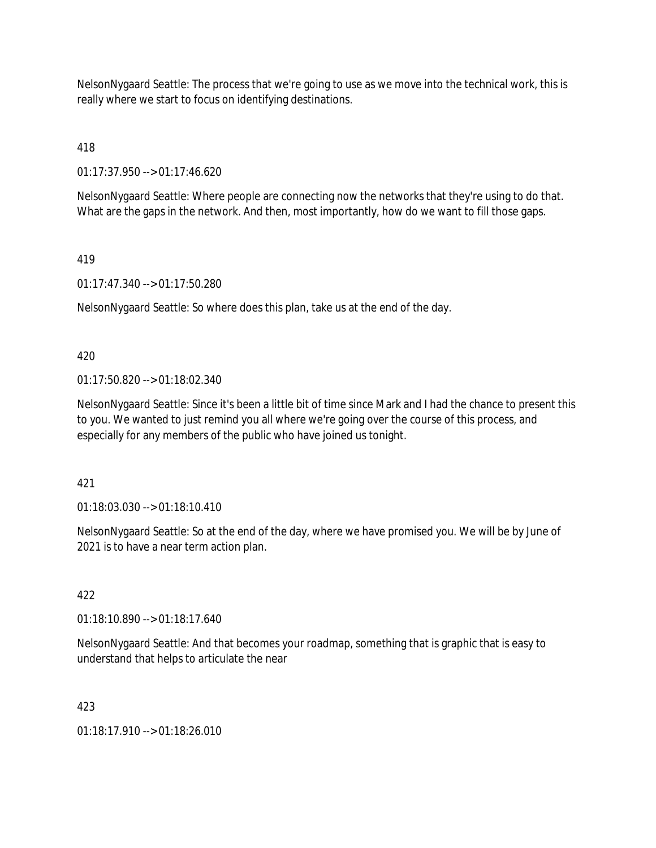NelsonNygaard Seattle: The process that we're going to use as we move into the technical work, this is really where we start to focus on identifying destinations.

418

01:17:37.950 --> 01:17:46.620

NelsonNygaard Seattle: Where people are connecting now the networks that they're using to do that. What are the gaps in the network. And then, most importantly, how do we want to fill those gaps.

## 419

01:17:47.340 --> 01:17:50.280

NelsonNygaard Seattle: So where does this plan, take us at the end of the day.

420

01:17:50.820 --> 01:18:02.340

NelsonNygaard Seattle: Since it's been a little bit of time since Mark and I had the chance to present this to you. We wanted to just remind you all where we're going over the course of this process, and especially for any members of the public who have joined us tonight.

421

01:18:03.030 --> 01:18:10.410

NelsonNygaard Seattle: So at the end of the day, where we have promised you. We will be by June of 2021 is to have a near term action plan.

### 422

01:18:10.890 --> 01:18:17.640

NelsonNygaard Seattle: And that becomes your roadmap, something that is graphic that is easy to understand that helps to articulate the near

423

01:18:17.910 --> 01:18:26.010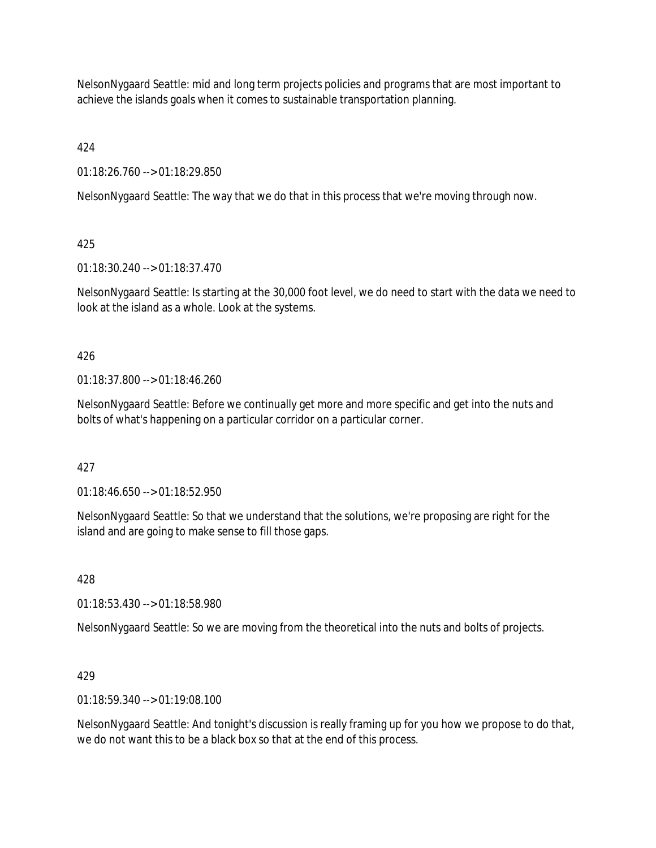NelsonNygaard Seattle: mid and long term projects policies and programs that are most important to achieve the islands goals when it comes to sustainable transportation planning.

424

01:18:26.760 --> 01:18:29.850

NelsonNygaard Seattle: The way that we do that in this process that we're moving through now.

# 425

01:18:30.240 --> 01:18:37.470

NelsonNygaard Seattle: Is starting at the 30,000 foot level, we do need to start with the data we need to look at the island as a whole. Look at the systems.

# 426

01:18:37.800 --> 01:18:46.260

NelsonNygaard Seattle: Before we continually get more and more specific and get into the nuts and bolts of what's happening on a particular corridor on a particular corner.

# 427

01:18:46.650 --> 01:18:52.950

NelsonNygaard Seattle: So that we understand that the solutions, we're proposing are right for the island and are going to make sense to fill those gaps.

# 428

01:18:53.430 --> 01:18:58.980

NelsonNygaard Seattle: So we are moving from the theoretical into the nuts and bolts of projects.

# 429

01:18:59.340 --> 01:19:08.100

NelsonNygaard Seattle: And tonight's discussion is really framing up for you how we propose to do that, we do not want this to be a black box so that at the end of this process.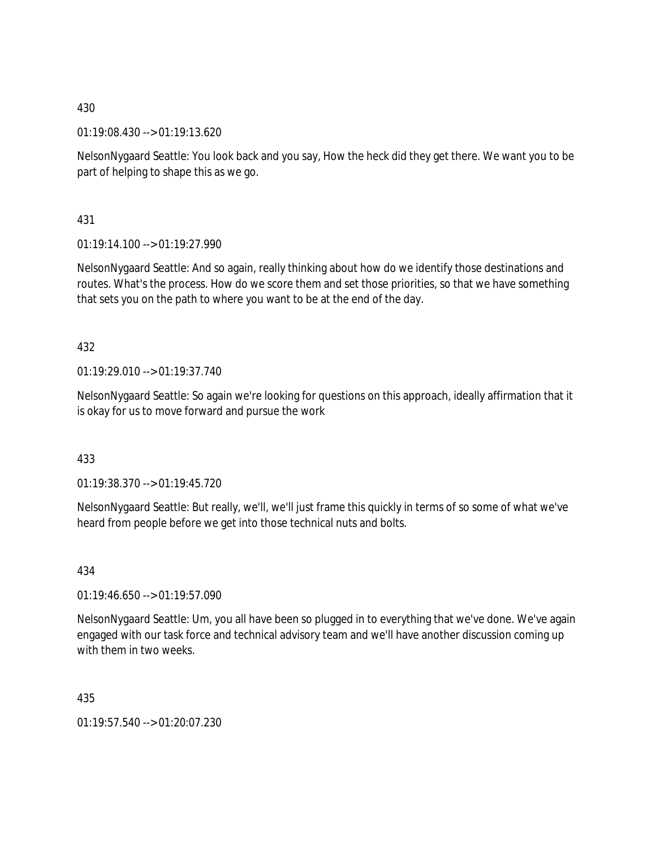01:19:08.430 --> 01:19:13.620

NelsonNygaard Seattle: You look back and you say, How the heck did they get there. We want you to be part of helping to shape this as we go.

431

 $01:19:14.100 \rightarrow 01:19:27.990$ 

NelsonNygaard Seattle: And so again, really thinking about how do we identify those destinations and routes. What's the process. How do we score them and set those priorities, so that we have something that sets you on the path to where you want to be at the end of the day.

432

01:19:29.010 --> 01:19:37.740

NelsonNygaard Seattle: So again we're looking for questions on this approach, ideally affirmation that it is okay for us to move forward and pursue the work

433

01:19:38.370 --> 01:19:45.720

NelsonNygaard Seattle: But really, we'll, we'll just frame this quickly in terms of so some of what we've heard from people before we get into those technical nuts and bolts.

434

01:19:46.650 --> 01:19:57.090

NelsonNygaard Seattle: Um, you all have been so plugged in to everything that we've done. We've again engaged with our task force and technical advisory team and we'll have another discussion coming up with them in two weeks.

435

01:19:57.540 --> 01:20:07.230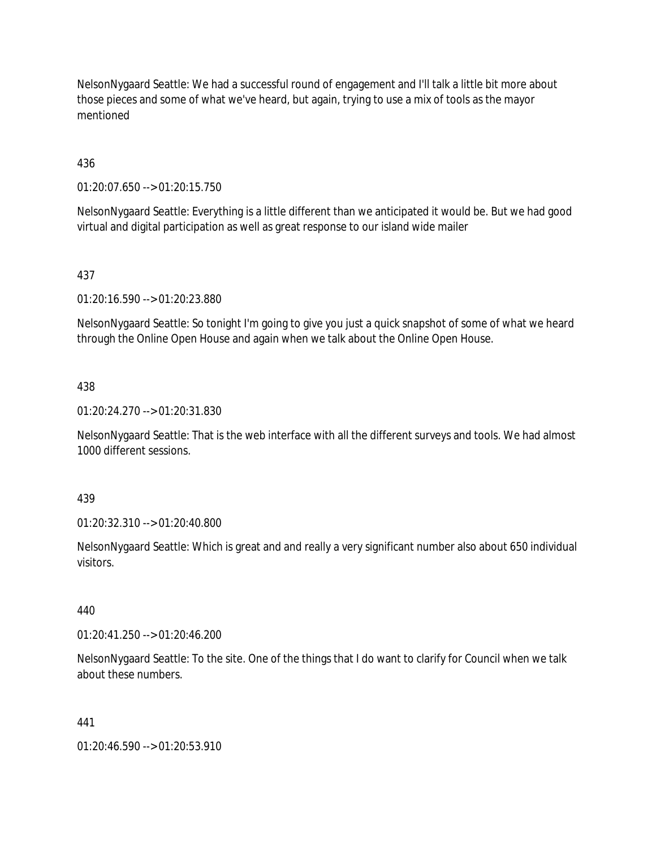NelsonNygaard Seattle: We had a successful round of engagement and I'll talk a little bit more about those pieces and some of what we've heard, but again, trying to use a mix of tools as the mayor mentioned

436

01:20:07.650 --> 01:20:15.750

NelsonNygaard Seattle: Everything is a little different than we anticipated it would be. But we had good virtual and digital participation as well as great response to our island wide mailer

## 437

01:20:16.590 --> 01:20:23.880

NelsonNygaard Seattle: So tonight I'm going to give you just a quick snapshot of some of what we heard through the Online Open House and again when we talk about the Online Open House.

#### 438

01:20:24.270 --> 01:20:31.830

NelsonNygaard Seattle: That is the web interface with all the different surveys and tools. We had almost 1000 different sessions.

439

01:20:32.310 --> 01:20:40.800

NelsonNygaard Seattle: Which is great and and really a very significant number also about 650 individual visitors.

440

01:20:41.250 --> 01:20:46.200

NelsonNygaard Seattle: To the site. One of the things that I do want to clarify for Council when we talk about these numbers.

### 441

01:20:46.590 --> 01:20:53.910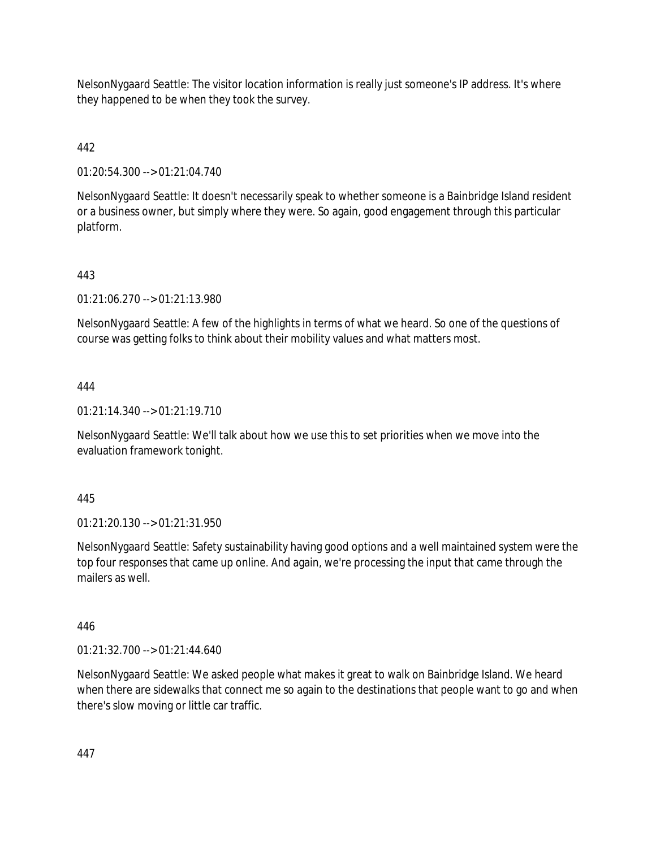NelsonNygaard Seattle: The visitor location information is really just someone's IP address. It's where they happened to be when they took the survey.

# 442

01:20:54.300 --> 01:21:04.740

NelsonNygaard Seattle: It doesn't necessarily speak to whether someone is a Bainbridge Island resident or a business owner, but simply where they were. So again, good engagement through this particular platform.

# 443

01:21:06.270 --> 01:21:13.980

NelsonNygaard Seattle: A few of the highlights in terms of what we heard. So one of the questions of course was getting folks to think about their mobility values and what matters most.

# 444

01:21:14.340 --> 01:21:19.710

NelsonNygaard Seattle: We'll talk about how we use this to set priorities when we move into the evaluation framework tonight.

# 445

01:21:20.130 --> 01:21:31.950

NelsonNygaard Seattle: Safety sustainability having good options and a well maintained system were the top four responses that came up online. And again, we're processing the input that came through the mailers as well.

# 446

01:21:32.700 --> 01:21:44.640

NelsonNygaard Seattle: We asked people what makes it great to walk on Bainbridge Island. We heard when there are sidewalks that connect me so again to the destinations that people want to go and when there's slow moving or little car traffic.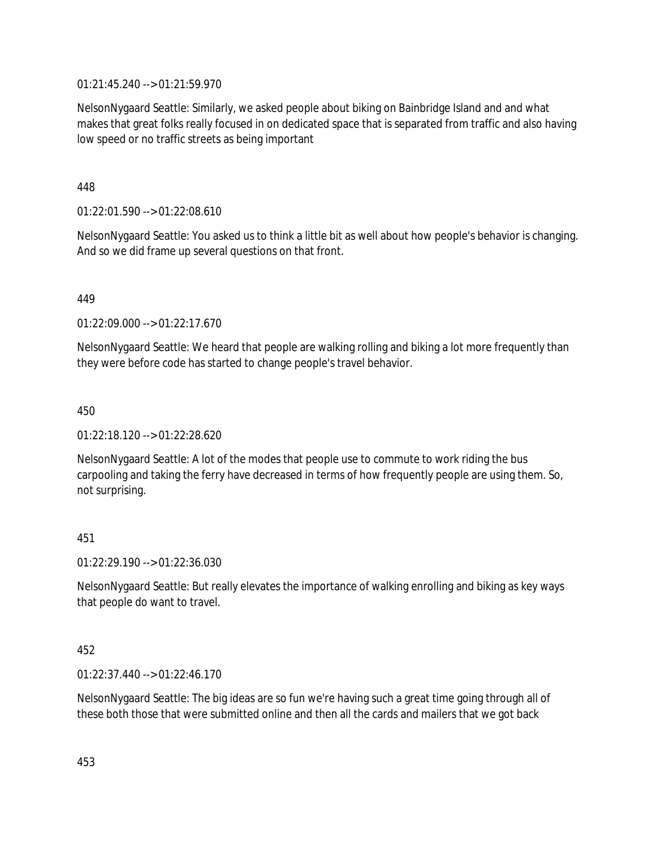01:21:45.240 --> 01:21:59.970

NelsonNygaard Seattle: Similarly, we asked people about biking on Bainbridge Island and and what makes that great folks really focused in on dedicated space that is separated from traffic and also having low speed or no traffic streets as being important

448

01:22:01.590 --> 01:22:08.610

NelsonNygaard Seattle: You asked us to think a little bit as well about how people's behavior is changing. And so we did frame up several questions on that front.

449

01:22:09.000 --> 01:22:17.670

NelsonNygaard Seattle: We heard that people are walking rolling and biking a lot more frequently than they were before code has started to change people's travel behavior.

450

01:22:18.120 --> 01:22:28.620

NelsonNygaard Seattle: A lot of the modes that people use to commute to work riding the bus carpooling and taking the ferry have decreased in terms of how frequently people are using them. So, not surprising.

451

01:22:29.190 --> 01:22:36.030

NelsonNygaard Seattle: But really elevates the importance of walking enrolling and biking as key ways that people do want to travel.

452

01:22:37.440 --> 01:22:46.170

NelsonNygaard Seattle: The big ideas are so fun we're having such a great time going through all of these both those that were submitted online and then all the cards and mailers that we got back

453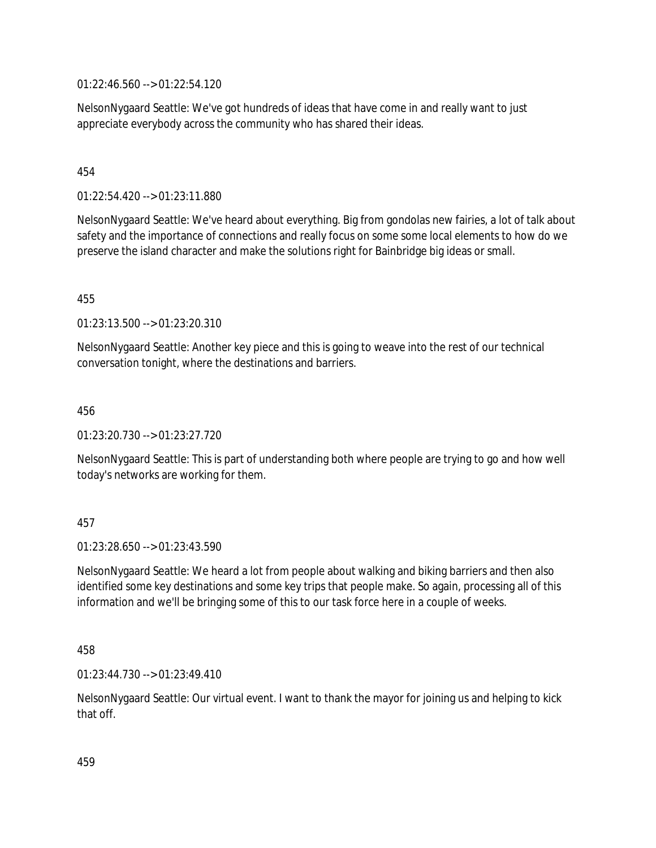01:22:46.560 --> 01:22:54.120

NelsonNygaard Seattle: We've got hundreds of ideas that have come in and really want to just appreciate everybody across the community who has shared their ideas.

### 454

01:22:54.420 --> 01:23:11.880

NelsonNygaard Seattle: We've heard about everything. Big from gondolas new fairies, a lot of talk about safety and the importance of connections and really focus on some some local elements to how do we preserve the island character and make the solutions right for Bainbridge big ideas or small.

455

01:23:13.500 --> 01:23:20.310

NelsonNygaard Seattle: Another key piece and this is going to weave into the rest of our technical conversation tonight, where the destinations and barriers.

456

01:23:20.730 --> 01:23:27.720

NelsonNygaard Seattle: This is part of understanding both where people are trying to go and how well today's networks are working for them.

### 457

01:23:28.650 --> 01:23:43.590

NelsonNygaard Seattle: We heard a lot from people about walking and biking barriers and then also identified some key destinations and some key trips that people make. So again, processing all of this information and we'll be bringing some of this to our task force here in a couple of weeks.

458

01:23:44.730 --> 01:23:49.410

NelsonNygaard Seattle: Our virtual event. I want to thank the mayor for joining us and helping to kick that off.

459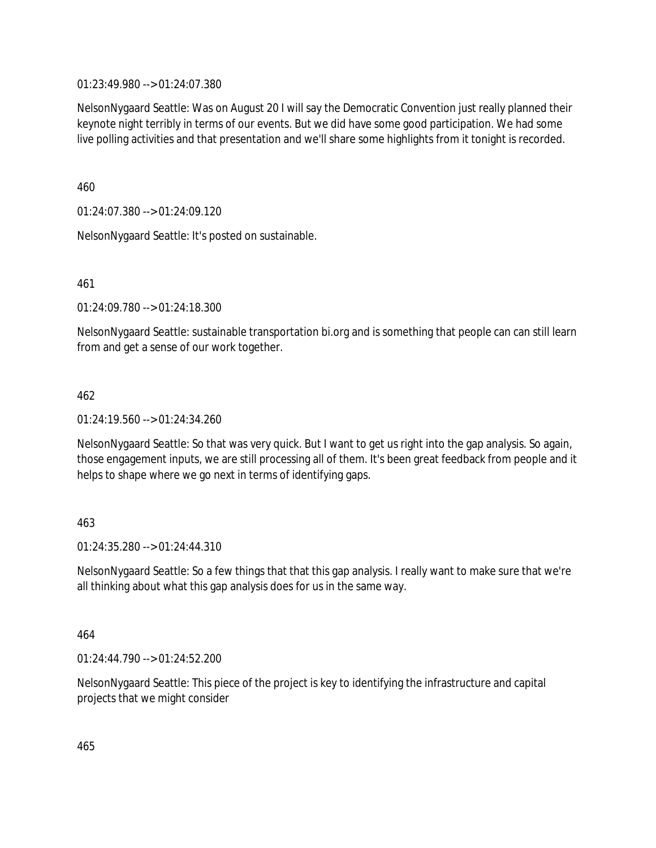01:23:49.980 --> 01:24:07.380

NelsonNygaard Seattle: Was on August 20 I will say the Democratic Convention just really planned their keynote night terribly in terms of our events. But we did have some good participation. We had some live polling activities and that presentation and we'll share some highlights from it tonight is recorded.

460

01:24:07.380 --> 01:24:09.120

NelsonNygaard Seattle: It's posted on sustainable.

461

01:24:09.780 --> 01:24:18.300

NelsonNygaard Seattle: sustainable transportation bi.org and is something that people can can still learn from and get a sense of our work together.

462

01:24:19.560 --> 01:24:34.260

NelsonNygaard Seattle: So that was very quick. But I want to get us right into the gap analysis. So again, those engagement inputs, we are still processing all of them. It's been great feedback from people and it helps to shape where we go next in terms of identifying gaps.

### 463

01:24:35.280 --> 01:24:44.310

NelsonNygaard Seattle: So a few things that that this gap analysis. I really want to make sure that we're all thinking about what this gap analysis does for us in the same way.

464

01:24:44.790 --> 01:24:52.200

NelsonNygaard Seattle: This piece of the project is key to identifying the infrastructure and capital projects that we might consider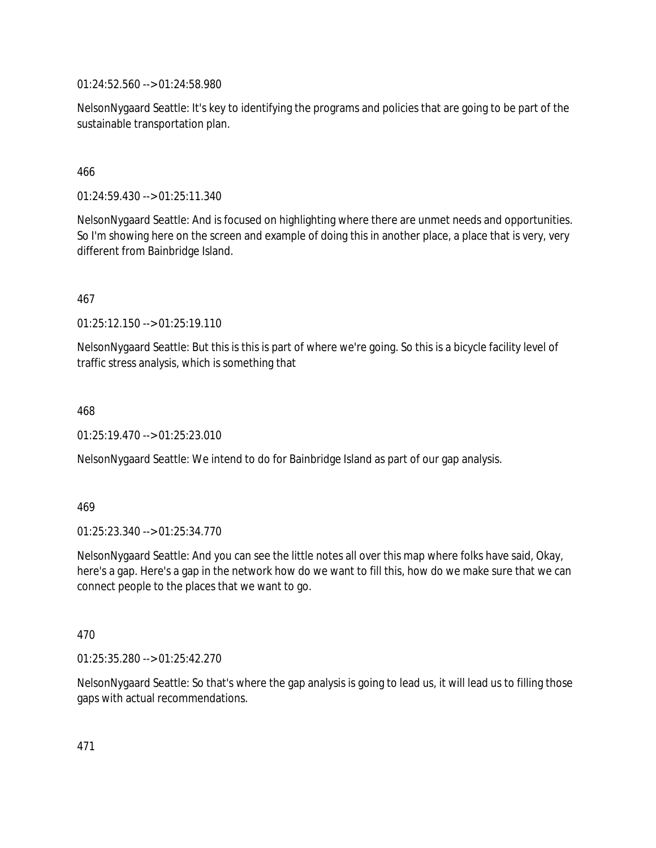01:24:52.560 --> 01:24:58.980

NelsonNygaard Seattle: It's key to identifying the programs and policies that are going to be part of the sustainable transportation plan.

### 466

01:24:59.430 --> 01:25:11.340

NelsonNygaard Seattle: And is focused on highlighting where there are unmet needs and opportunities. So I'm showing here on the screen and example of doing this in another place, a place that is very, very different from Bainbridge Island.

### 467

01:25:12.150 --> 01:25:19.110

NelsonNygaard Seattle: But this is this is part of where we're going. So this is a bicycle facility level of traffic stress analysis, which is something that

### 468

01:25:19.470 --> 01:25:23.010

NelsonNygaard Seattle: We intend to do for Bainbridge Island as part of our gap analysis.

### 469

01:25:23.340 --> 01:25:34.770

NelsonNygaard Seattle: And you can see the little notes all over this map where folks have said, Okay, here's a gap. Here's a gap in the network how do we want to fill this, how do we make sure that we can connect people to the places that we want to go.

### 470

01:25:35.280 --> 01:25:42.270

NelsonNygaard Seattle: So that's where the gap analysis is going to lead us, it will lead us to filling those gaps with actual recommendations.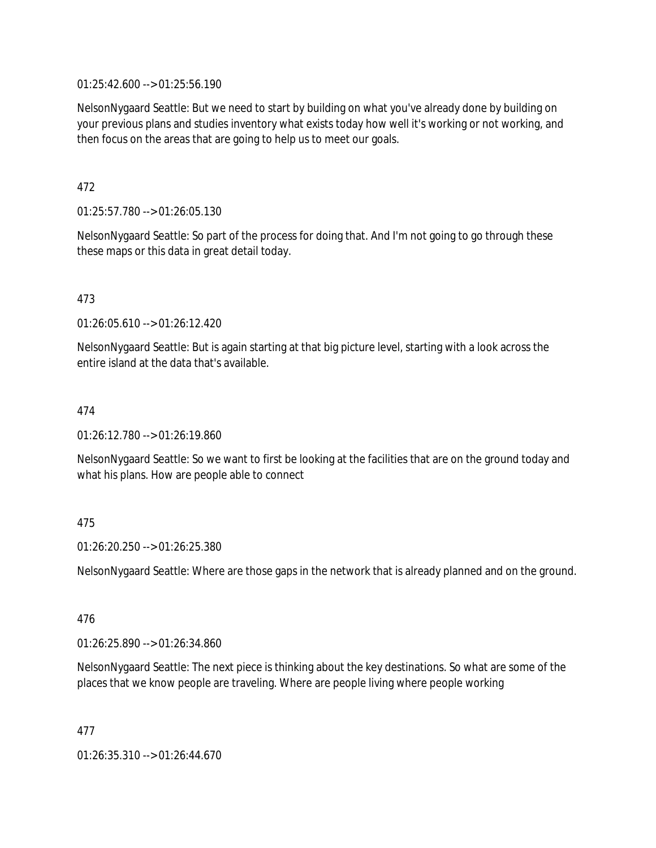01:25:42.600 --> 01:25:56.190

NelsonNygaard Seattle: But we need to start by building on what you've already done by building on your previous plans and studies inventory what exists today how well it's working or not working, and then focus on the areas that are going to help us to meet our goals.

472

01:25:57.780 --> 01:26:05.130

NelsonNygaard Seattle: So part of the process for doing that. And I'm not going to go through these these maps or this data in great detail today.

473

01:26:05.610 --> 01:26:12.420

NelsonNygaard Seattle: But is again starting at that big picture level, starting with a look across the entire island at the data that's available.

474

01:26:12.780 --> 01:26:19.860

NelsonNygaard Seattle: So we want to first be looking at the facilities that are on the ground today and what his plans. How are people able to connect

### 475

01:26:20.250 --> 01:26:25.380

NelsonNygaard Seattle: Where are those gaps in the network that is already planned and on the ground.

476

01:26:25.890 --> 01:26:34.860

NelsonNygaard Seattle: The next piece is thinking about the key destinations. So what are some of the places that we know people are traveling. Where are people living where people working

477

01:26:35.310 --> 01:26:44.670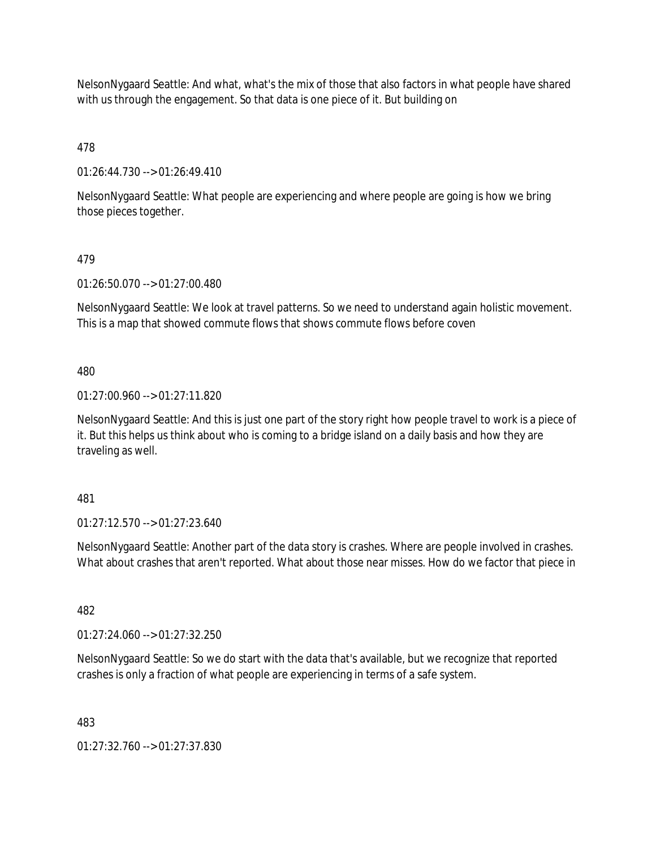NelsonNygaard Seattle: And what, what's the mix of those that also factors in what people have shared with us through the engagement. So that data is one piece of it. But building on

478

01:26:44.730 --> 01:26:49.410

NelsonNygaard Seattle: What people are experiencing and where people are going is how we bring those pieces together.

## 479

01:26:50.070 --> 01:27:00.480

NelsonNygaard Seattle: We look at travel patterns. So we need to understand again holistic movement. This is a map that showed commute flows that shows commute flows before coven

480

01:27:00.960 --> 01:27:11.820

NelsonNygaard Seattle: And this is just one part of the story right how people travel to work is a piece of it. But this helps us think about who is coming to a bridge island on a daily basis and how they are traveling as well.

481

01:27:12.570 --> 01:27:23.640

NelsonNygaard Seattle: Another part of the data story is crashes. Where are people involved in crashes. What about crashes that aren't reported. What about those near misses. How do we factor that piece in

482

01:27:24.060 --> 01:27:32.250

NelsonNygaard Seattle: So we do start with the data that's available, but we recognize that reported crashes is only a fraction of what people are experiencing in terms of a safe system.

483

01:27:32.760 --> 01:27:37.830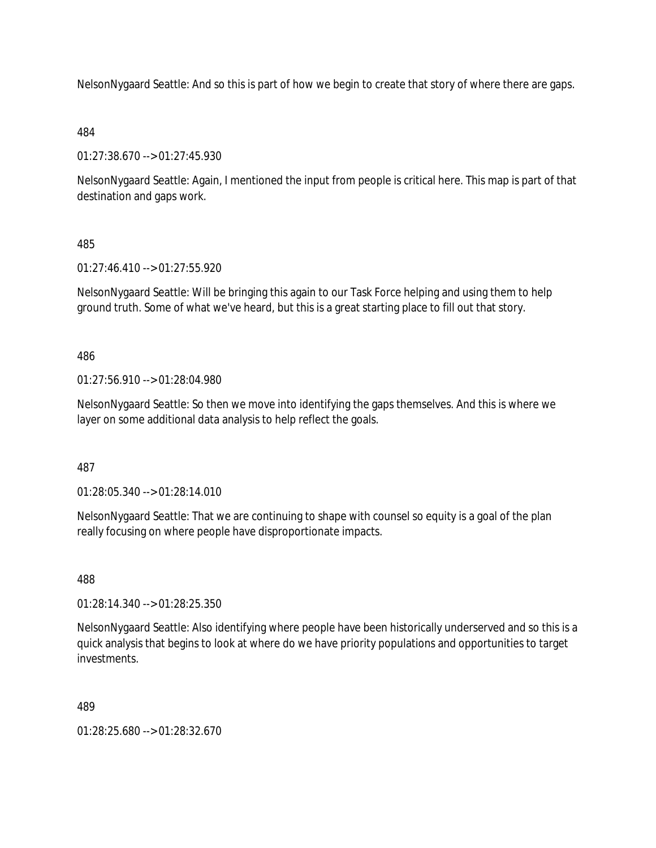NelsonNygaard Seattle: And so this is part of how we begin to create that story of where there are gaps.

## 484

01:27:38.670 --> 01:27:45.930

NelsonNygaard Seattle: Again, I mentioned the input from people is critical here. This map is part of that destination and gaps work.

# 485

01:27:46.410 --> 01:27:55.920

NelsonNygaard Seattle: Will be bringing this again to our Task Force helping and using them to help ground truth. Some of what we've heard, but this is a great starting place to fill out that story.

486

01:27:56.910 --> 01:28:04.980

NelsonNygaard Seattle: So then we move into identifying the gaps themselves. And this is where we layer on some additional data analysis to help reflect the goals.

487

01:28:05.340 --> 01:28:14.010

NelsonNygaard Seattle: That we are continuing to shape with counsel so equity is a goal of the plan really focusing on where people have disproportionate impacts.

488

01:28:14.340 --> 01:28:25.350

NelsonNygaard Seattle: Also identifying where people have been historically underserved and so this is a quick analysis that begins to look at where do we have priority populations and opportunities to target investments.

489

01:28:25.680 --> 01:28:32.670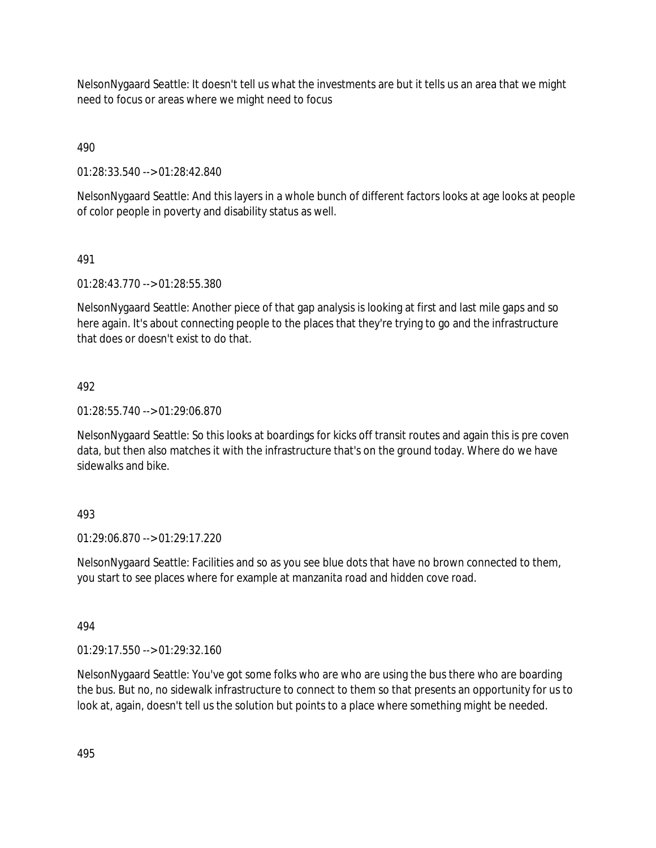NelsonNygaard Seattle: It doesn't tell us what the investments are but it tells us an area that we might need to focus or areas where we might need to focus

490

01:28:33.540 --> 01:28:42.840

NelsonNygaard Seattle: And this layers in a whole bunch of different factors looks at age looks at people of color people in poverty and disability status as well.

## 491

01:28:43.770 --> 01:28:55.380

NelsonNygaard Seattle: Another piece of that gap analysis is looking at first and last mile gaps and so here again. It's about connecting people to the places that they're trying to go and the infrastructure that does or doesn't exist to do that.

## 492

01:28:55.740 --> 01:29:06.870

NelsonNygaard Seattle: So this looks at boardings for kicks off transit routes and again this is pre coven data, but then also matches it with the infrastructure that's on the ground today. Where do we have sidewalks and bike.

## 493

01:29:06.870 --> 01:29:17.220

NelsonNygaard Seattle: Facilities and so as you see blue dots that have no brown connected to them, you start to see places where for example at manzanita road and hidden cove road.

## 494

01:29:17.550 --> 01:29:32.160

NelsonNygaard Seattle: You've got some folks who are who are using the bus there who are boarding the bus. But no, no sidewalk infrastructure to connect to them so that presents an opportunity for us to look at, again, doesn't tell us the solution but points to a place where something might be needed.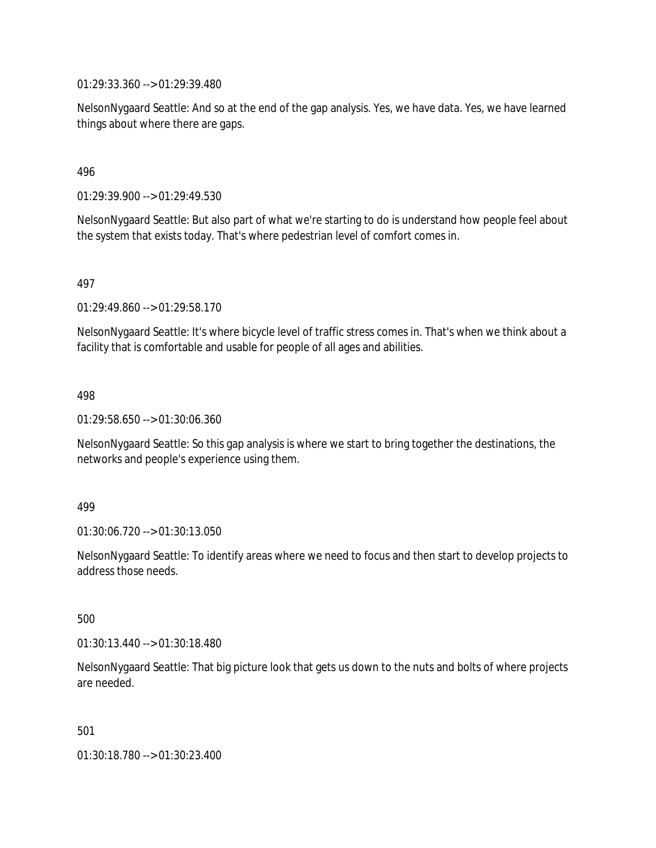01:29:33.360 --> 01:29:39.480

NelsonNygaard Seattle: And so at the end of the gap analysis. Yes, we have data. Yes, we have learned things about where there are gaps.

### 496

01:29:39.900 --> 01:29:49.530

NelsonNygaard Seattle: But also part of what we're starting to do is understand how people feel about the system that exists today. That's where pedestrian level of comfort comes in.

### 497

01:29:49.860 --> 01:29:58.170

NelsonNygaard Seattle: It's where bicycle level of traffic stress comes in. That's when we think about a facility that is comfortable and usable for people of all ages and abilities.

### 498

01:29:58.650 --> 01:30:06.360

NelsonNygaard Seattle: So this gap analysis is where we start to bring together the destinations, the networks and people's experience using them.

#### 499

01:30:06.720 --> 01:30:13.050

NelsonNygaard Seattle: To identify areas where we need to focus and then start to develop projects to address those needs.

#### 500

01:30:13.440 --> 01:30:18.480

NelsonNygaard Seattle: That big picture look that gets us down to the nuts and bolts of where projects are needed.

501

01:30:18.780 --> 01:30:23.400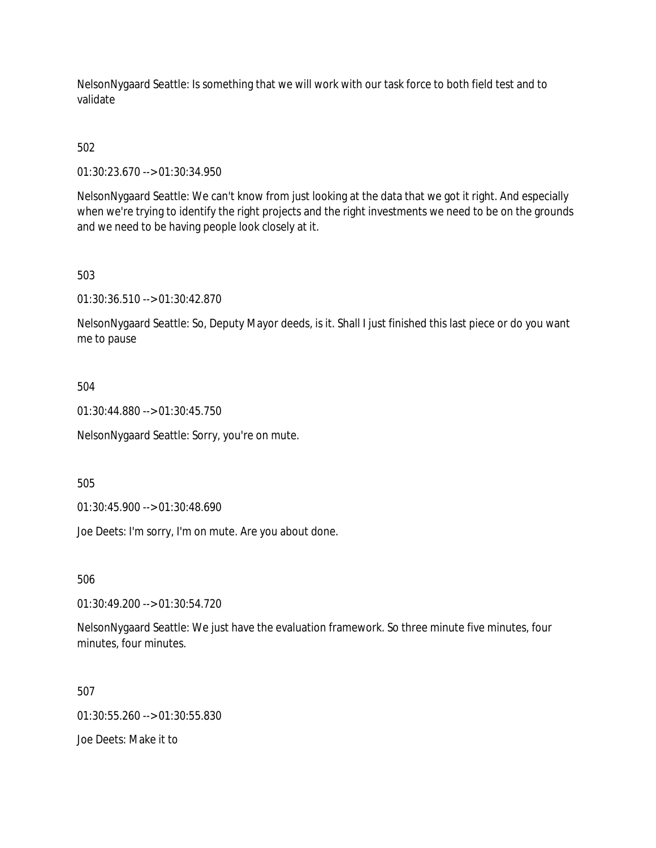NelsonNygaard Seattle: Is something that we will work with our task force to both field test and to validate

502

01:30:23.670 --> 01:30:34.950

NelsonNygaard Seattle: We can't know from just looking at the data that we got it right. And especially when we're trying to identify the right projects and the right investments we need to be on the grounds and we need to be having people look closely at it.

503

01:30:36.510 --> 01:30:42.870

NelsonNygaard Seattle: So, Deputy Mayor deeds, is it. Shall I just finished this last piece or do you want me to pause

504

01:30:44.880 --> 01:30:45.750

NelsonNygaard Seattle: Sorry, you're on mute.

505

01:30:45.900 --> 01:30:48.690

Joe Deets: I'm sorry, I'm on mute. Are you about done.

506

01:30:49.200 --> 01:30:54.720

NelsonNygaard Seattle: We just have the evaluation framework. So three minute five minutes, four minutes, four minutes.

507

01:30:55.260 --> 01:30:55.830

Joe Deets: Make it to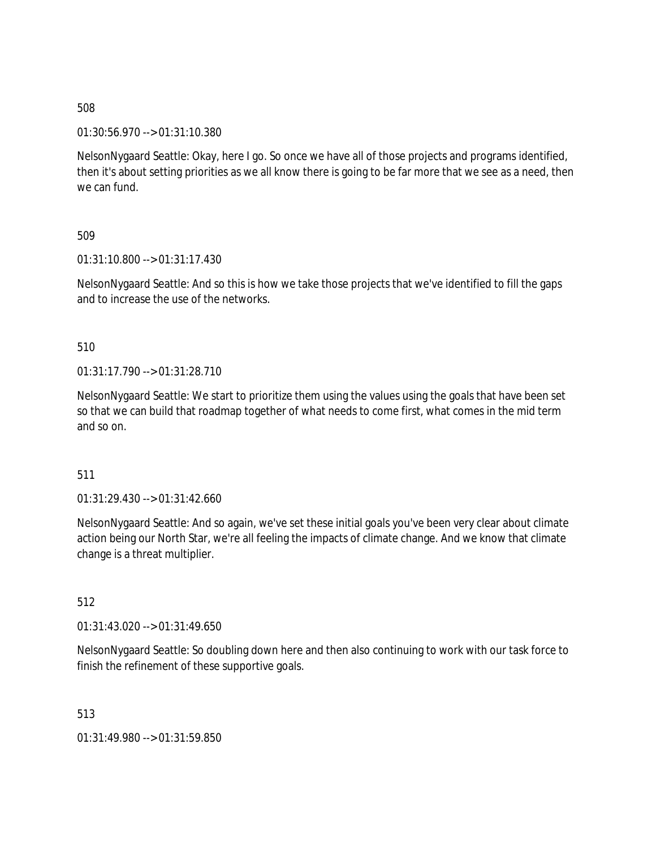01:30:56.970 --> 01:31:10.380

NelsonNygaard Seattle: Okay, here I go. So once we have all of those projects and programs identified, then it's about setting priorities as we all know there is going to be far more that we see as a need, then we can fund.

## 509

01:31:10.800 --> 01:31:17.430

NelsonNygaard Seattle: And so this is how we take those projects that we've identified to fill the gaps and to increase the use of the networks.

## 510

01:31:17.790 --> 01:31:28.710

NelsonNygaard Seattle: We start to prioritize them using the values using the goals that have been set so that we can build that roadmap together of what needs to come first, what comes in the mid term and so on.

### 511

01:31:29.430 --> 01:31:42.660

NelsonNygaard Seattle: And so again, we've set these initial goals you've been very clear about climate action being our North Star, we're all feeling the impacts of climate change. And we know that climate change is a threat multiplier.

### 512

 $01:31:43.020 \rightarrow 01:31:49.650$ 

NelsonNygaard Seattle: So doubling down here and then also continuing to work with our task force to finish the refinement of these supportive goals.

513

01:31:49.980 --> 01:31:59.850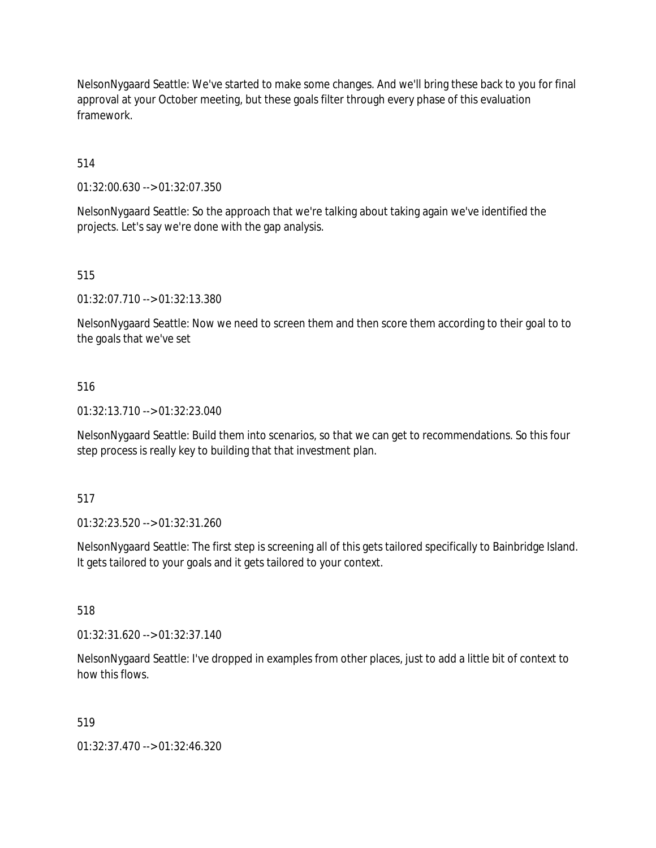NelsonNygaard Seattle: We've started to make some changes. And we'll bring these back to you for final approval at your October meeting, but these goals filter through every phase of this evaluation framework.

514

01:32:00.630 --> 01:32:07.350

NelsonNygaard Seattle: So the approach that we're talking about taking again we've identified the projects. Let's say we're done with the gap analysis.

515

01:32:07.710 --> 01:32:13.380

NelsonNygaard Seattle: Now we need to screen them and then score them according to their goal to to the goals that we've set

### 516

01:32:13.710 --> 01:32:23.040

NelsonNygaard Seattle: Build them into scenarios, so that we can get to recommendations. So this four step process is really key to building that that investment plan.

517

01:32:23.520 --> 01:32:31.260

NelsonNygaard Seattle: The first step is screening all of this gets tailored specifically to Bainbridge Island. It gets tailored to your goals and it gets tailored to your context.

518

01:32:31.620 --> 01:32:37.140

NelsonNygaard Seattle: I've dropped in examples from other places, just to add a little bit of context to how this flows.

519

01:32:37.470 --> 01:32:46.320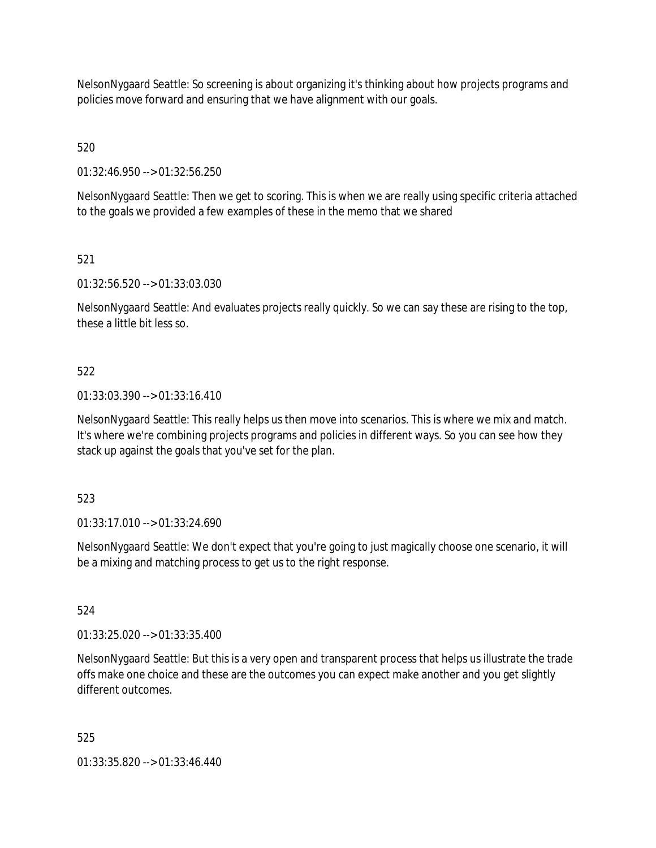NelsonNygaard Seattle: So screening is about organizing it's thinking about how projects programs and policies move forward and ensuring that we have alignment with our goals.

520

01:32:46.950 --> 01:32:56.250

NelsonNygaard Seattle: Then we get to scoring. This is when we are really using specific criteria attached to the goals we provided a few examples of these in the memo that we shared

## 521

01:32:56.520 --> 01:33:03.030

NelsonNygaard Seattle: And evaluates projects really quickly. So we can say these are rising to the top, these a little bit less so.

## 522

01:33:03.390 --> 01:33:16.410

NelsonNygaard Seattle: This really helps us then move into scenarios. This is where we mix and match. It's where we're combining projects programs and policies in different ways. So you can see how they stack up against the goals that you've set for the plan.

## 523

01:33:17.010 --> 01:33:24.690

NelsonNygaard Seattle: We don't expect that you're going to just magically choose one scenario, it will be a mixing and matching process to get us to the right response.

## 524

01:33:25.020 --> 01:33:35.400

NelsonNygaard Seattle: But this is a very open and transparent process that helps us illustrate the trade offs make one choice and these are the outcomes you can expect make another and you get slightly different outcomes.

### 525

01:33:35.820 --> 01:33:46.440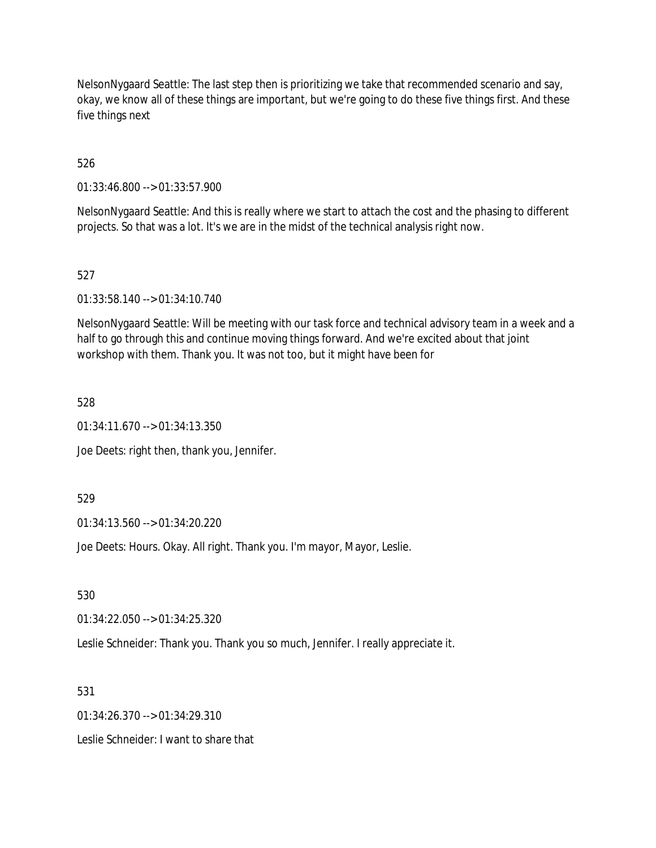NelsonNygaard Seattle: The last step then is prioritizing we take that recommended scenario and say, okay, we know all of these things are important, but we're going to do these five things first. And these five things next

526

01:33:46.800 --> 01:33:57.900

NelsonNygaard Seattle: And this is really where we start to attach the cost and the phasing to different projects. So that was a lot. It's we are in the midst of the technical analysis right now.

527

01:33:58.140 --> 01:34:10.740

NelsonNygaard Seattle: Will be meeting with our task force and technical advisory team in a week and a half to go through this and continue moving things forward. And we're excited about that joint workshop with them. Thank you. It was not too, but it might have been for

528

01:34:11.670 --> 01:34:13.350

Joe Deets: right then, thank you, Jennifer.

529

01:34:13.560 --> 01:34:20.220

Joe Deets: Hours. Okay. All right. Thank you. I'm mayor, Mayor, Leslie.

530

01:34:22.050 --> 01:34:25.320

Leslie Schneider: Thank you. Thank you so much, Jennifer. I really appreciate it.

531

01:34:26.370 --> 01:34:29.310

Leslie Schneider: I want to share that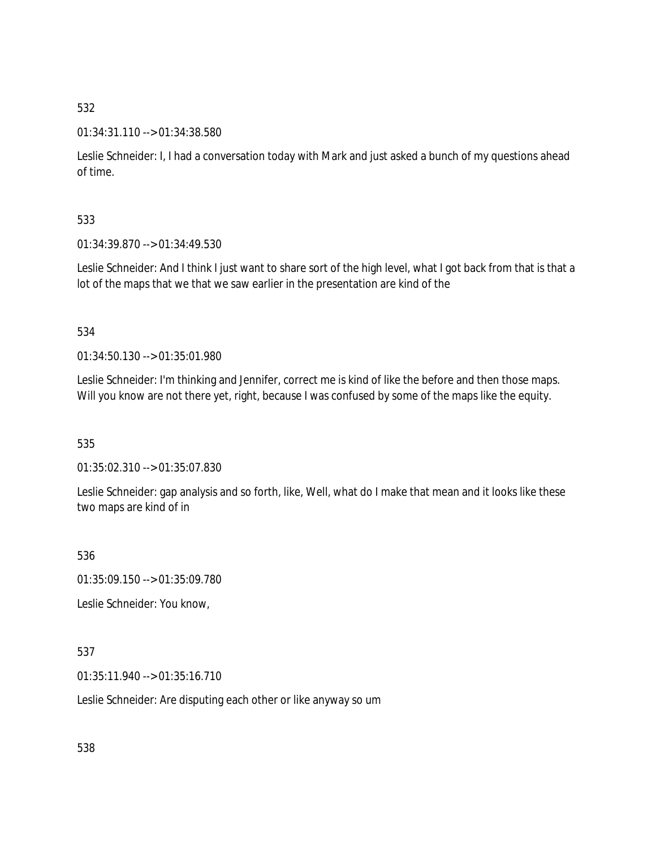### 01:34:31.110 --> 01:34:38.580

Leslie Schneider: I, I had a conversation today with Mark and just asked a bunch of my questions ahead of time.

## 533

01:34:39.870 --> 01:34:49.530

Leslie Schneider: And I think I just want to share sort of the high level, what I got back from that is that a lot of the maps that we that we saw earlier in the presentation are kind of the

## 534

01:34:50.130 --> 01:35:01.980

Leslie Schneider: I'm thinking and Jennifer, correct me is kind of like the before and then those maps. Will you know are not there yet, right, because I was confused by some of the maps like the equity.

535

01:35:02.310 --> 01:35:07.830

Leslie Schneider: gap analysis and so forth, like, Well, what do I make that mean and it looks like these two maps are kind of in

### 536

01:35:09.150 --> 01:35:09.780

Leslie Schneider: You know,

### 537

01:35:11.940 --> 01:35:16.710

Leslie Schneider: Are disputing each other or like anyway so um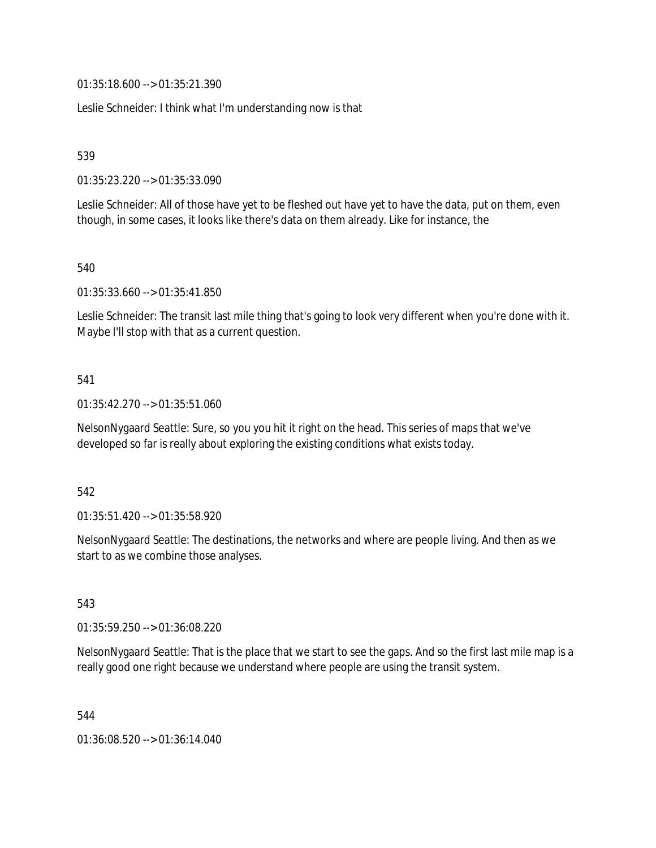01:35:18.600 --> 01:35:21.390

Leslie Schneider: I think what I'm understanding now is that

539

01:35:23.220 --> 01:35:33.090

Leslie Schneider: All of those have yet to be fleshed out have yet to have the data, put on them, even though, in some cases, it looks like there's data on them already. Like for instance, the

540

01:35:33.660 --> 01:35:41.850

Leslie Schneider: The transit last mile thing that's going to look very different when you're done with it. Maybe I'll stop with that as a current question.

### 541

01:35:42.270 --> 01:35:51.060

NelsonNygaard Seattle: Sure, so you you hit it right on the head. This series of maps that we've developed so far is really about exploring the existing conditions what exists today.

### 542

01:35:51.420 --> 01:35:58.920

NelsonNygaard Seattle: The destinations, the networks and where are people living. And then as we start to as we combine those analyses.

543

01:35:59.250 --> 01:36:08.220

NelsonNygaard Seattle: That is the place that we start to see the gaps. And so the first last mile map is a really good one right because we understand where people are using the transit system.

544

01:36:08.520 --> 01:36:14.040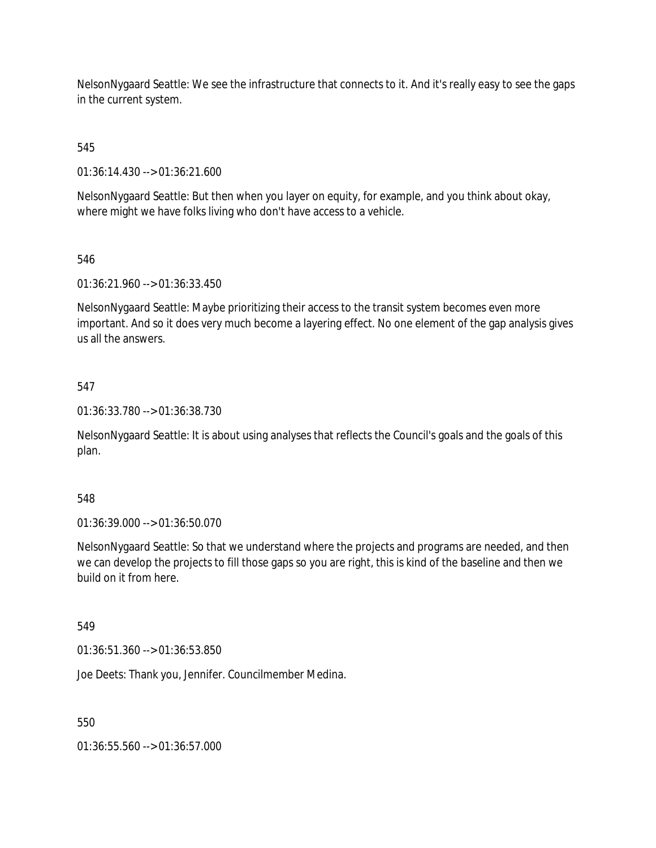NelsonNygaard Seattle: We see the infrastructure that connects to it. And it's really easy to see the gaps in the current system.

545

01:36:14.430 --> 01:36:21.600

NelsonNygaard Seattle: But then when you layer on equity, for example, and you think about okay, where might we have folks living who don't have access to a vehicle.

## 546

01:36:21.960 --> 01:36:33.450

NelsonNygaard Seattle: Maybe prioritizing their access to the transit system becomes even more important. And so it does very much become a layering effect. No one element of the gap analysis gives us all the answers.

## 547

01:36:33.780 --> 01:36:38.730

NelsonNygaard Seattle: It is about using analyses that reflects the Council's goals and the goals of this plan.

### 548

01:36:39.000 --> 01:36:50.070

NelsonNygaard Seattle: So that we understand where the projects and programs are needed, and then we can develop the projects to fill those gaps so you are right, this is kind of the baseline and then we build on it from here.

### 549

01:36:51.360 --> 01:36:53.850

Joe Deets: Thank you, Jennifer. Councilmember Medina.

550

01:36:55.560 --> 01:36:57.000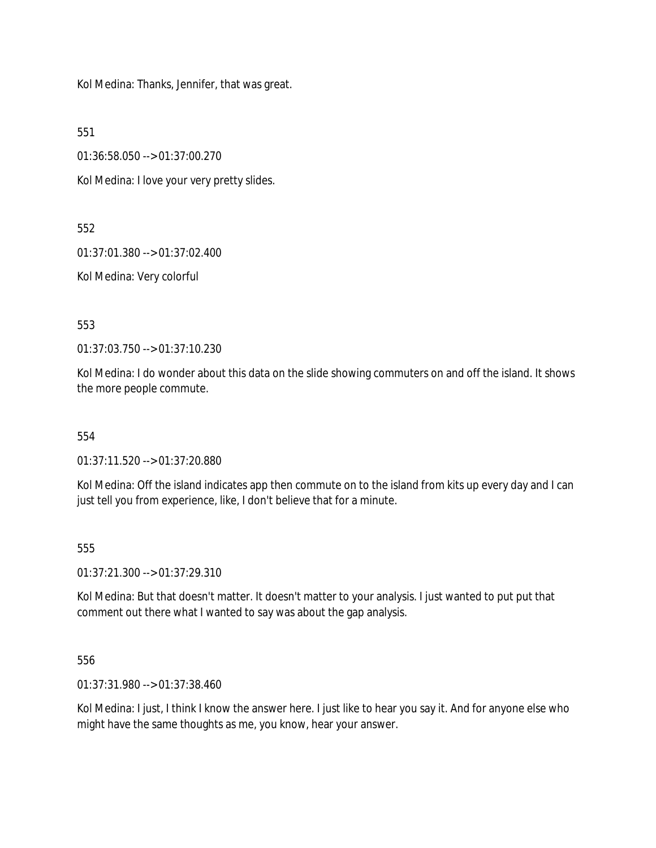Kol Medina: Thanks, Jennifer, that was great.

551

01:36:58.050 --> 01:37:00.270

Kol Medina: I love your very pretty slides.

552

01:37:01.380 --> 01:37:02.400

Kol Medina: Very colorful

553

01:37:03.750 --> 01:37:10.230

Kol Medina: I do wonder about this data on the slide showing commuters on and off the island. It shows the more people commute.

554

01:37:11.520 --> 01:37:20.880

Kol Medina: Off the island indicates app then commute on to the island from kits up every day and I can just tell you from experience, like, I don't believe that for a minute.

555

01:37:21.300 --> 01:37:29.310

Kol Medina: But that doesn't matter. It doesn't matter to your analysis. I just wanted to put put that comment out there what I wanted to say was about the gap analysis.

556

01:37:31.980 --> 01:37:38.460

Kol Medina: I just, I think I know the answer here. I just like to hear you say it. And for anyone else who might have the same thoughts as me, you know, hear your answer.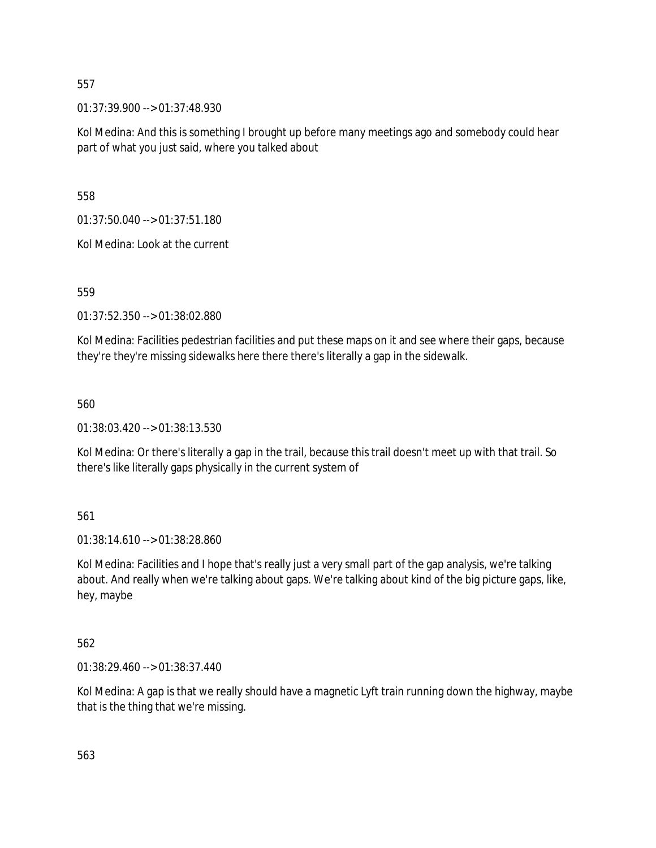01:37:39.900 --> 01:37:48.930

Kol Medina: And this is something I brought up before many meetings ago and somebody could hear part of what you just said, where you talked about

558

01:37:50.040 --> 01:37:51.180

Kol Medina: Look at the current

559

01:37:52.350 --> 01:38:02.880

Kol Medina: Facilities pedestrian facilities and put these maps on it and see where their gaps, because they're they're missing sidewalks here there there's literally a gap in the sidewalk.

560

01:38:03.420 --> 01:38:13.530

Kol Medina: Or there's literally a gap in the trail, because this trail doesn't meet up with that trail. So there's like literally gaps physically in the current system of

561

01:38:14.610 --> 01:38:28.860

Kol Medina: Facilities and I hope that's really just a very small part of the gap analysis, we're talking about. And really when we're talking about gaps. We're talking about kind of the big picture gaps, like, hey, maybe

562

01:38:29.460 --> 01:38:37.440

Kol Medina: A gap is that we really should have a magnetic Lyft train running down the highway, maybe that is the thing that we're missing.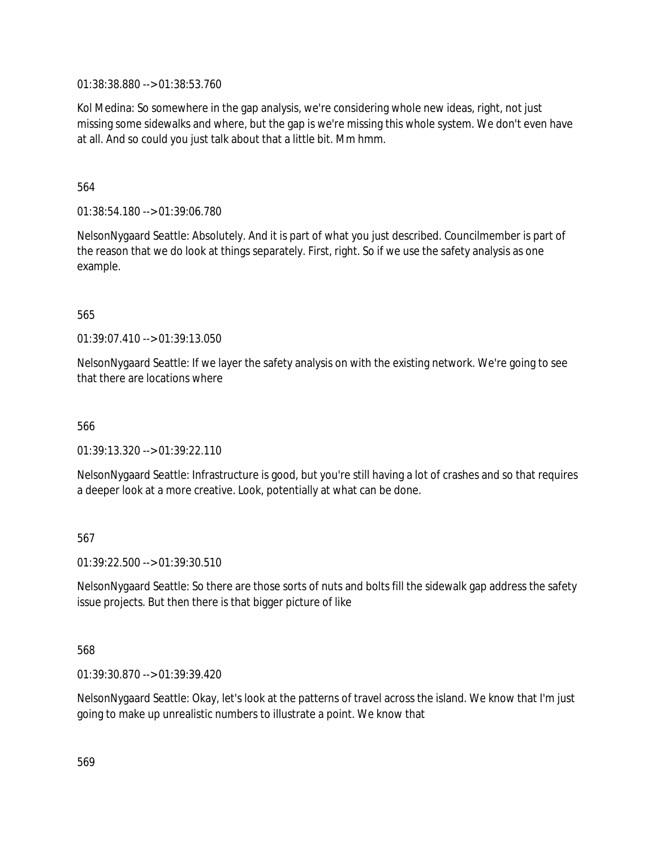01:38:38.880 --> 01:38:53.760

Kol Medina: So somewhere in the gap analysis, we're considering whole new ideas, right, not just missing some sidewalks and where, but the gap is we're missing this whole system. We don't even have at all. And so could you just talk about that a little bit. Mm hmm.

564

01:38:54.180 --> 01:39:06.780

NelsonNygaard Seattle: Absolutely. And it is part of what you just described. Councilmember is part of the reason that we do look at things separately. First, right. So if we use the safety analysis as one example.

565

01:39:07.410 --> 01:39:13.050

NelsonNygaard Seattle: If we layer the safety analysis on with the existing network. We're going to see that there are locations where

566

01:39:13.320 --> 01:39:22.110

NelsonNygaard Seattle: Infrastructure is good, but you're still having a lot of crashes and so that requires a deeper look at a more creative. Look, potentially at what can be done.

567

01:39:22.500 --> 01:39:30.510

NelsonNygaard Seattle: So there are those sorts of nuts and bolts fill the sidewalk gap address the safety issue projects. But then there is that bigger picture of like

568

01:39:30.870 --> 01:39:39.420

NelsonNygaard Seattle: Okay, let's look at the patterns of travel across the island. We know that I'm just going to make up unrealistic numbers to illustrate a point. We know that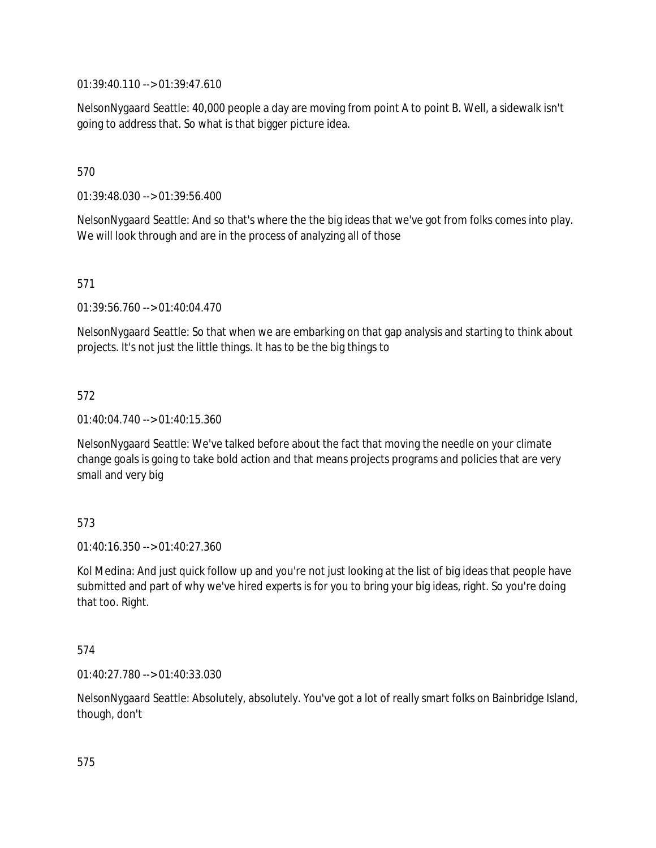01:39:40.110 --> 01:39:47.610

NelsonNygaard Seattle: 40,000 people a day are moving from point A to point B. Well, a sidewalk isn't going to address that. So what is that bigger picture idea.

## 570

01:39:48.030 --> 01:39:56.400

NelsonNygaard Seattle: And so that's where the the big ideas that we've got from folks comes into play. We will look through and are in the process of analyzing all of those

## 571

01:39:56.760 --> 01:40:04.470

NelsonNygaard Seattle: So that when we are embarking on that gap analysis and starting to think about projects. It's not just the little things. It has to be the big things to

## 572

01:40:04.740 --> 01:40:15.360

NelsonNygaard Seattle: We've talked before about the fact that moving the needle on your climate change goals is going to take bold action and that means projects programs and policies that are very small and very big

### 573

01:40:16.350 --> 01:40:27.360

Kol Medina: And just quick follow up and you're not just looking at the list of big ideas that people have submitted and part of why we've hired experts is for you to bring your big ideas, right. So you're doing that too. Right.

### 574

01:40:27.780 --> 01:40:33.030

NelsonNygaard Seattle: Absolutely, absolutely. You've got a lot of really smart folks on Bainbridge Island, though, don't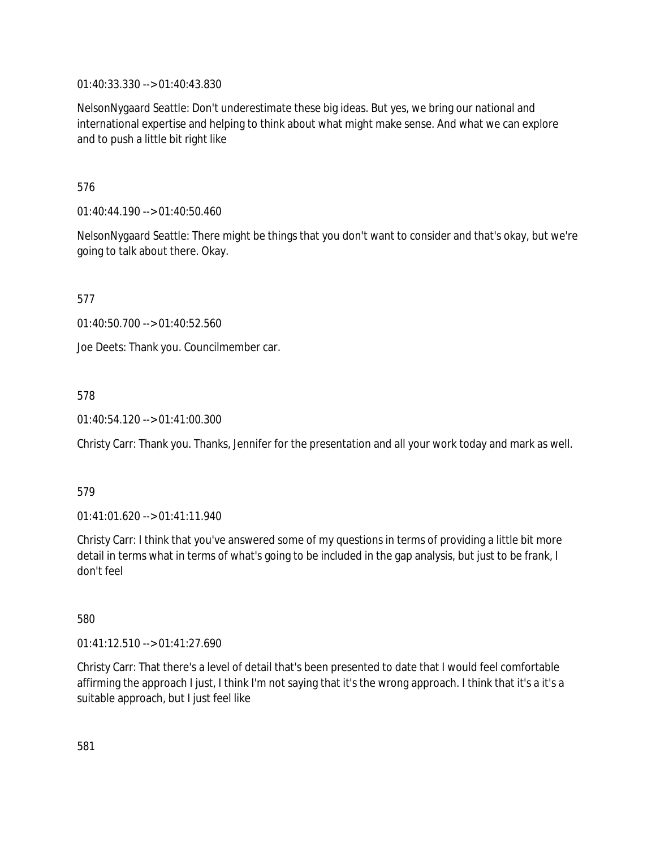01:40:33.330 --> 01:40:43.830

NelsonNygaard Seattle: Don't underestimate these big ideas. But yes, we bring our national and international expertise and helping to think about what might make sense. And what we can explore and to push a little bit right like

576

01:40:44.190 --> 01:40:50.460

NelsonNygaard Seattle: There might be things that you don't want to consider and that's okay, but we're going to talk about there. Okay.

577

01:40:50.700 --> 01:40:52.560

Joe Deets: Thank you. Councilmember car.

578

01:40:54.120 --> 01:41:00.300

Christy Carr: Thank you. Thanks, Jennifer for the presentation and all your work today and mark as well.

579

01:41:01.620 --> 01:41:11.940

Christy Carr: I think that you've answered some of my questions in terms of providing a little bit more detail in terms what in terms of what's going to be included in the gap analysis, but just to be frank, I don't feel

580

01:41:12.510 --> 01:41:27.690

Christy Carr: That there's a level of detail that's been presented to date that I would feel comfortable affirming the approach I just, I think I'm not saying that it's the wrong approach. I think that it's a it's a suitable approach, but I just feel like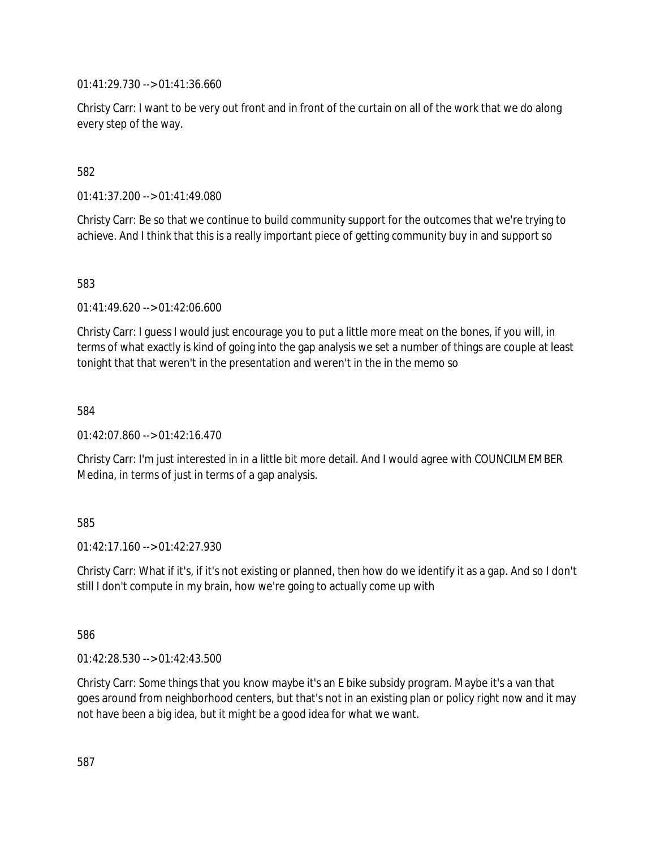01:41:29.730 --> 01:41:36.660

Christy Carr: I want to be very out front and in front of the curtain on all of the work that we do along every step of the way.

582

01:41:37.200 --> 01:41:49.080

Christy Carr: Be so that we continue to build community support for the outcomes that we're trying to achieve. And I think that this is a really important piece of getting community buy in and support so

583

01:41:49.620 --> 01:42:06.600

Christy Carr: I guess I would just encourage you to put a little more meat on the bones, if you will, in terms of what exactly is kind of going into the gap analysis we set a number of things are couple at least tonight that that weren't in the presentation and weren't in the in the memo so

584

01:42:07.860 --> 01:42:16.470

Christy Carr: I'm just interested in in a little bit more detail. And I would agree with COUNCILMEMBER Medina, in terms of just in terms of a gap analysis.

585

 $01:42:17.160 \rightarrow 01:42:27.930$ 

Christy Carr: What if it's, if it's not existing or planned, then how do we identify it as a gap. And so I don't still I don't compute in my brain, how we're going to actually come up with

586

01:42:28.530 --> 01:42:43.500

Christy Carr: Some things that you know maybe it's an E bike subsidy program. Maybe it's a van that goes around from neighborhood centers, but that's not in an existing plan or policy right now and it may not have been a big idea, but it might be a good idea for what we want.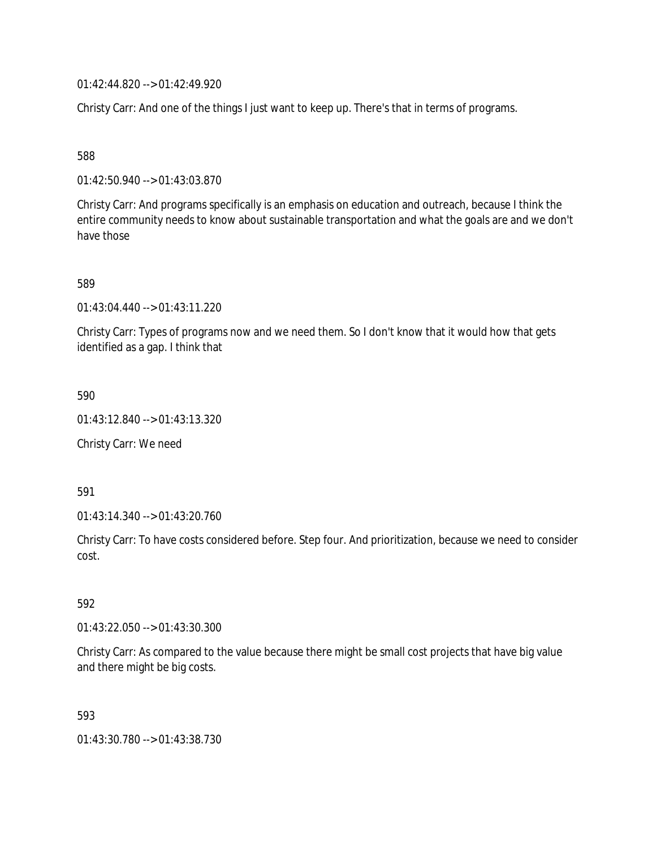01:42:44.820 --> 01:42:49.920

Christy Carr: And one of the things I just want to keep up. There's that in terms of programs.

588

01:42:50.940 --> 01:43:03.870

Christy Carr: And programs specifically is an emphasis on education and outreach, because I think the entire community needs to know about sustainable transportation and what the goals are and we don't have those

589

01:43:04.440 --> 01:43:11.220

Christy Carr: Types of programs now and we need them. So I don't know that it would how that gets identified as a gap. I think that

590

01:43:12.840 --> 01:43:13.320

Christy Carr: We need

591

01:43:14.340 --> 01:43:20.760

Christy Carr: To have costs considered before. Step four. And prioritization, because we need to consider cost.

592

01:43:22.050 --> 01:43:30.300

Christy Carr: As compared to the value because there might be small cost projects that have big value and there might be big costs.

593

01:43:30.780 --> 01:43:38.730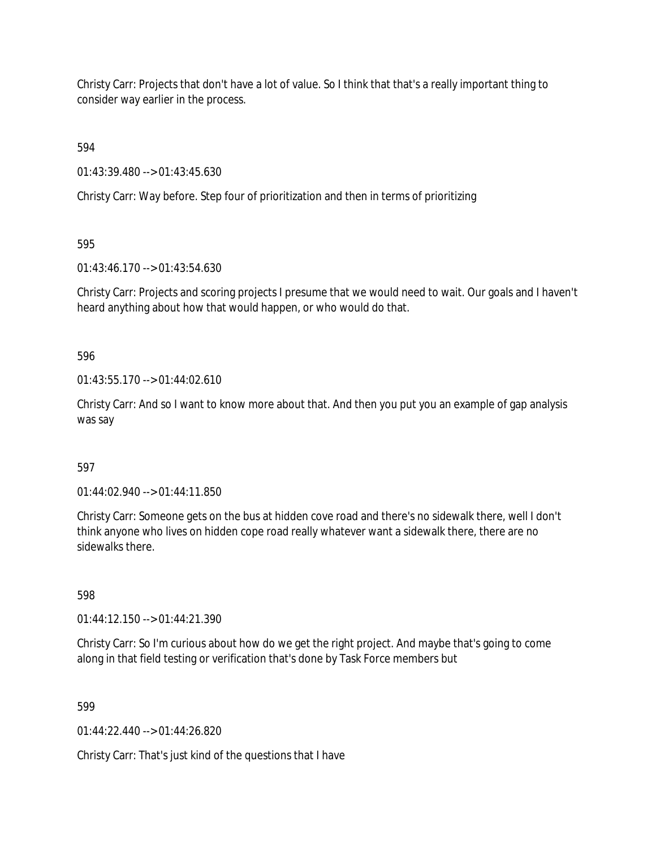Christy Carr: Projects that don't have a lot of value. So I think that that's a really important thing to consider way earlier in the process.

594

01:43:39.480 --> 01:43:45.630

Christy Carr: Way before. Step four of prioritization and then in terms of prioritizing

595

01:43:46.170 --> 01:43:54.630

Christy Carr: Projects and scoring projects I presume that we would need to wait. Our goals and I haven't heard anything about how that would happen, or who would do that.

596

 $01:43:55.170 \rightarrow 01:44:02.610$ 

Christy Carr: And so I want to know more about that. And then you put you an example of gap analysis was say

## 597

01:44:02.940 --> 01:44:11.850

Christy Carr: Someone gets on the bus at hidden cove road and there's no sidewalk there, well I don't think anyone who lives on hidden cope road really whatever want a sidewalk there, there are no sidewalks there.

598

01:44:12.150 --> 01:44:21.390

Christy Carr: So I'm curious about how do we get the right project. And maybe that's going to come along in that field testing or verification that's done by Task Force members but

599

01:44:22.440 --> 01:44:26.820

Christy Carr: That's just kind of the questions that I have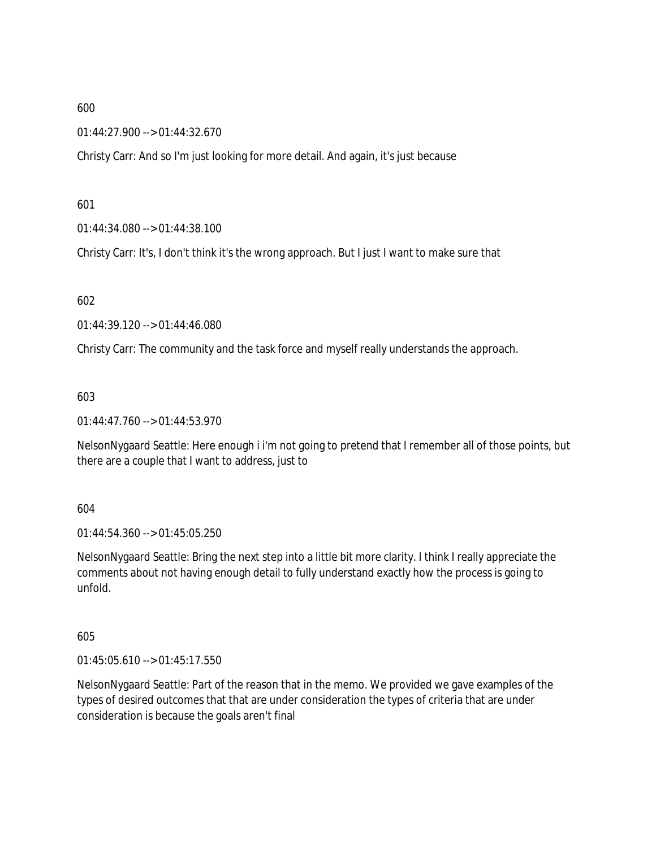01:44:27.900 --> 01:44:32.670

Christy Carr: And so I'm just looking for more detail. And again, it's just because

601

01:44:34.080 --> 01:44:38.100

Christy Carr: It's, I don't think it's the wrong approach. But I just I want to make sure that

602

01:44:39.120 --> 01:44:46.080

Christy Carr: The community and the task force and myself really understands the approach.

603

01:44:47.760 --> 01:44:53.970

NelsonNygaard Seattle: Here enough i i'm not going to pretend that I remember all of those points, but there are a couple that I want to address, just to

604

01:44:54.360 --> 01:45:05.250

NelsonNygaard Seattle: Bring the next step into a little bit more clarity. I think I really appreciate the comments about not having enough detail to fully understand exactly how the process is going to unfold.

605

01:45:05.610 --> 01:45:17.550

NelsonNygaard Seattle: Part of the reason that in the memo. We provided we gave examples of the types of desired outcomes that that are under consideration the types of criteria that are under consideration is because the goals aren't final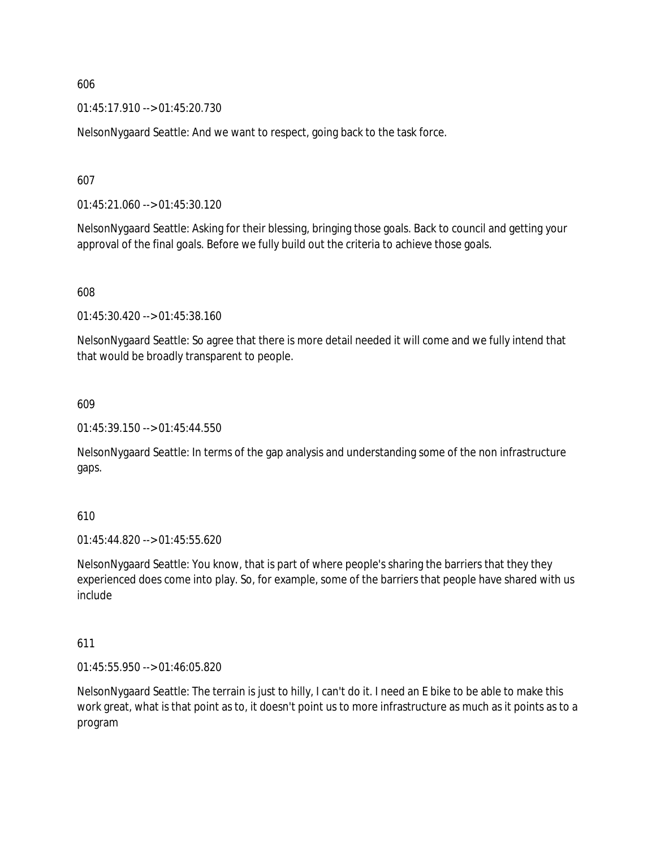01:45:17.910 --> 01:45:20.730

NelsonNygaard Seattle: And we want to respect, going back to the task force.

607

01:45:21.060 --> 01:45:30.120

NelsonNygaard Seattle: Asking for their blessing, bringing those goals. Back to council and getting your approval of the final goals. Before we fully build out the criteria to achieve those goals.

608

01:45:30.420 --> 01:45:38.160

NelsonNygaard Seattle: So agree that there is more detail needed it will come and we fully intend that that would be broadly transparent to people.

609

01:45:39.150 --> 01:45:44.550

NelsonNygaard Seattle: In terms of the gap analysis and understanding some of the non infrastructure gaps.

610

01:45:44.820 --> 01:45:55.620

NelsonNygaard Seattle: You know, that is part of where people's sharing the barriers that they they experienced does come into play. So, for example, some of the barriers that people have shared with us include

611

01:45:55.950 --> 01:46:05.820

NelsonNygaard Seattle: The terrain is just to hilly, I can't do it. I need an E bike to be able to make this work great, what is that point as to, it doesn't point us to more infrastructure as much as it points as to a program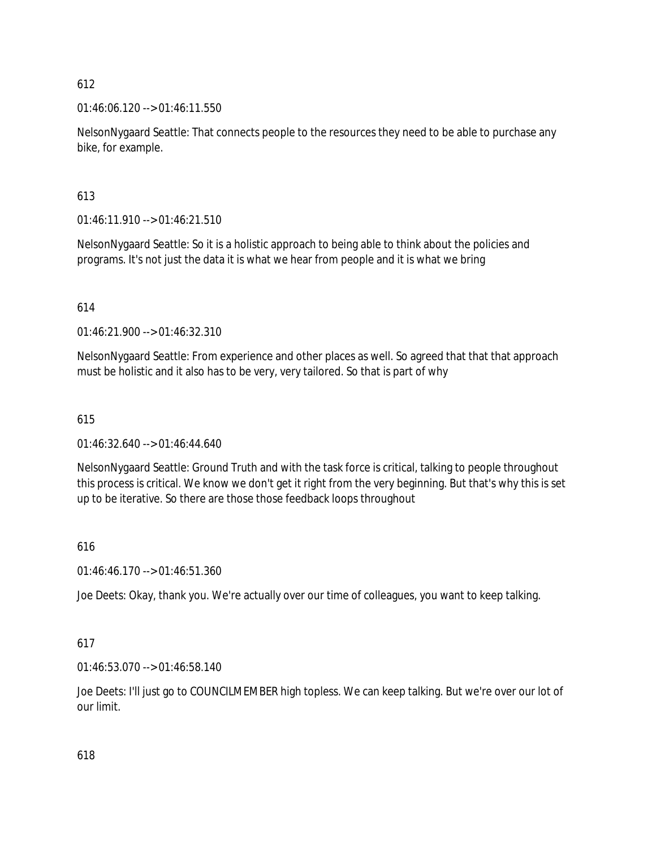01:46:06.120 --> 01:46:11.550

NelsonNygaard Seattle: That connects people to the resources they need to be able to purchase any bike, for example.

## 613

01:46:11.910 --> 01:46:21.510

NelsonNygaard Seattle: So it is a holistic approach to being able to think about the policies and programs. It's not just the data it is what we hear from people and it is what we bring

## 614

01:46:21.900 --> 01:46:32.310

NelsonNygaard Seattle: From experience and other places as well. So agreed that that that approach must be holistic and it also has to be very, very tailored. So that is part of why

## 615

 $01:46:32.640 \rightarrow 01:46:44.640$ 

NelsonNygaard Seattle: Ground Truth and with the task force is critical, talking to people throughout this process is critical. We know we don't get it right from the very beginning. But that's why this is set up to be iterative. So there are those those feedback loops throughout

## 616

01:46:46.170 --> 01:46:51.360

Joe Deets: Okay, thank you. We're actually over our time of colleagues, you want to keep talking.

# 617

01:46:53.070 --> 01:46:58.140

Joe Deets: I'll just go to COUNCILMEMBER high topless. We can keep talking. But we're over our lot of our limit.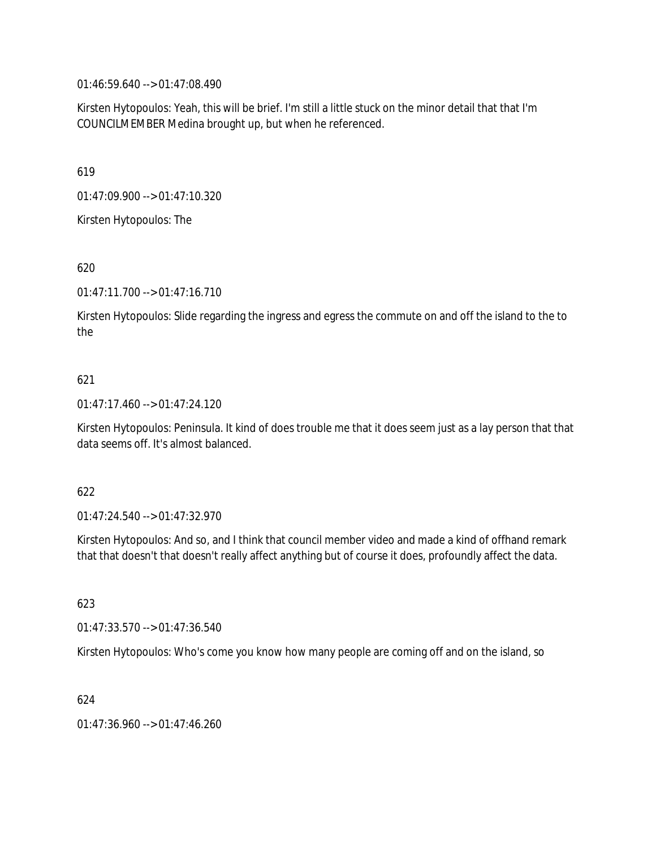01:46:59.640 --> 01:47:08.490

Kirsten Hytopoulos: Yeah, this will be brief. I'm still a little stuck on the minor detail that that I'm COUNCILMEMBER Medina brought up, but when he referenced.

619

01:47:09.900 --> 01:47:10.320

Kirsten Hytopoulos: The

620

01:47:11.700 --> 01:47:16.710

Kirsten Hytopoulos: Slide regarding the ingress and egress the commute on and off the island to the to the

## 621

01:47:17.460 --> 01:47:24.120

Kirsten Hytopoulos: Peninsula. It kind of does trouble me that it does seem just as a lay person that that data seems off. It's almost balanced.

### 622

01:47:24.540 --> 01:47:32.970

Kirsten Hytopoulos: And so, and I think that council member video and made a kind of offhand remark that that doesn't that doesn't really affect anything but of course it does, profoundly affect the data.

623

01:47:33.570 --> 01:47:36.540

Kirsten Hytopoulos: Who's come you know how many people are coming off and on the island, so

624

01:47:36.960 --> 01:47:46.260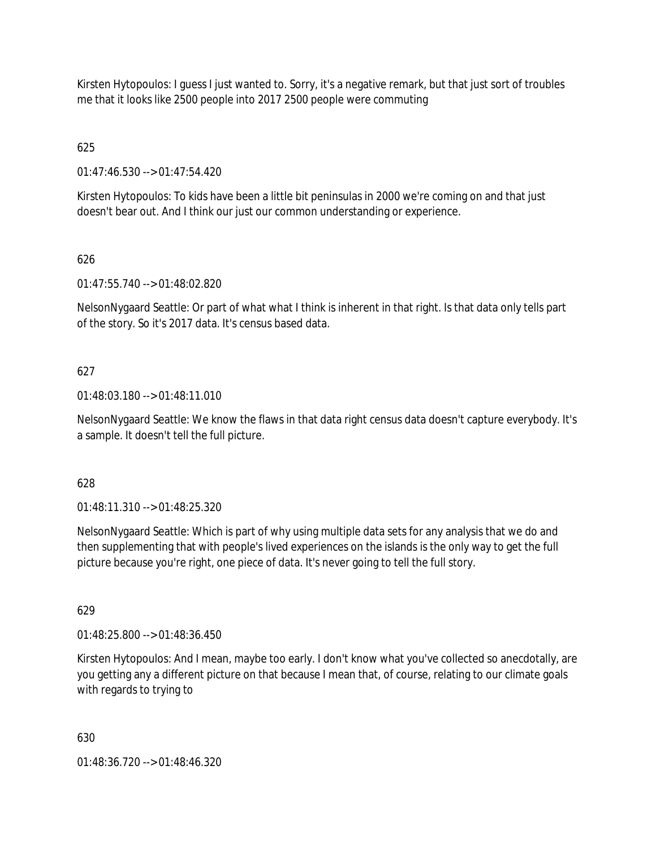Kirsten Hytopoulos: I guess I just wanted to. Sorry, it's a negative remark, but that just sort of troubles me that it looks like 2500 people into 2017 2500 people were commuting

625

01:47:46.530 --> 01:47:54.420

Kirsten Hytopoulos: To kids have been a little bit peninsulas in 2000 we're coming on and that just doesn't bear out. And I think our just our common understanding or experience.

# 626

01:47:55.740 --> 01:48:02.820

NelsonNygaard Seattle: Or part of what what I think is inherent in that right. Is that data only tells part of the story. So it's 2017 data. It's census based data.

## 627

01:48:03.180 --> 01:48:11.010

NelsonNygaard Seattle: We know the flaws in that data right census data doesn't capture everybody. It's a sample. It doesn't tell the full picture.

## 628

01:48:11.310 --> 01:48:25.320

NelsonNygaard Seattle: Which is part of why using multiple data sets for any analysis that we do and then supplementing that with people's lived experiences on the islands is the only way to get the full picture because you're right, one piece of data. It's never going to tell the full story.

629

01:48:25.800 --> 01:48:36.450

Kirsten Hytopoulos: And I mean, maybe too early. I don't know what you've collected so anecdotally, are you getting any a different picture on that because I mean that, of course, relating to our climate goals with regards to trying to

630

01:48:36.720 --> 01:48:46.320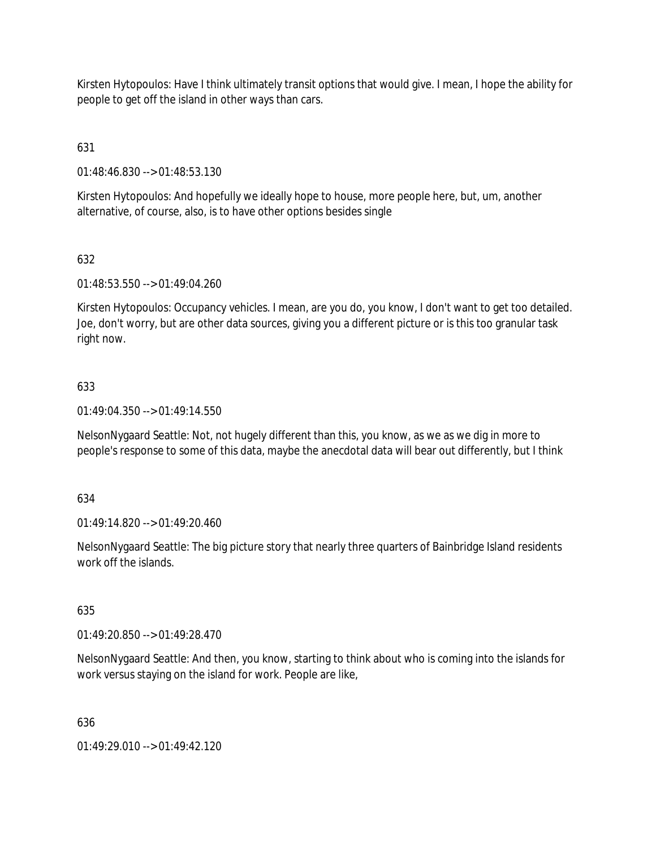Kirsten Hytopoulos: Have I think ultimately transit options that would give. I mean, I hope the ability for people to get off the island in other ways than cars.

631

01:48:46.830 --> 01:48:53.130

Kirsten Hytopoulos: And hopefully we ideally hope to house, more people here, but, um, another alternative, of course, also, is to have other options besides single

## 632

01:48:53.550 --> 01:49:04.260

Kirsten Hytopoulos: Occupancy vehicles. I mean, are you do, you know, I don't want to get too detailed. Joe, don't worry, but are other data sources, giving you a different picture or is this too granular task right now.

## 633

01:49:04.350 --> 01:49:14.550

NelsonNygaard Seattle: Not, not hugely different than this, you know, as we as we dig in more to people's response to some of this data, maybe the anecdotal data will bear out differently, but I think

### 634

01:49:14.820 --> 01:49:20.460

NelsonNygaard Seattle: The big picture story that nearly three quarters of Bainbridge Island residents work off the islands.

### 635

01:49:20.850 --> 01:49:28.470

NelsonNygaard Seattle: And then, you know, starting to think about who is coming into the islands for work versus staying on the island for work. People are like,

### 636

01:49:29.010 --> 01:49:42.120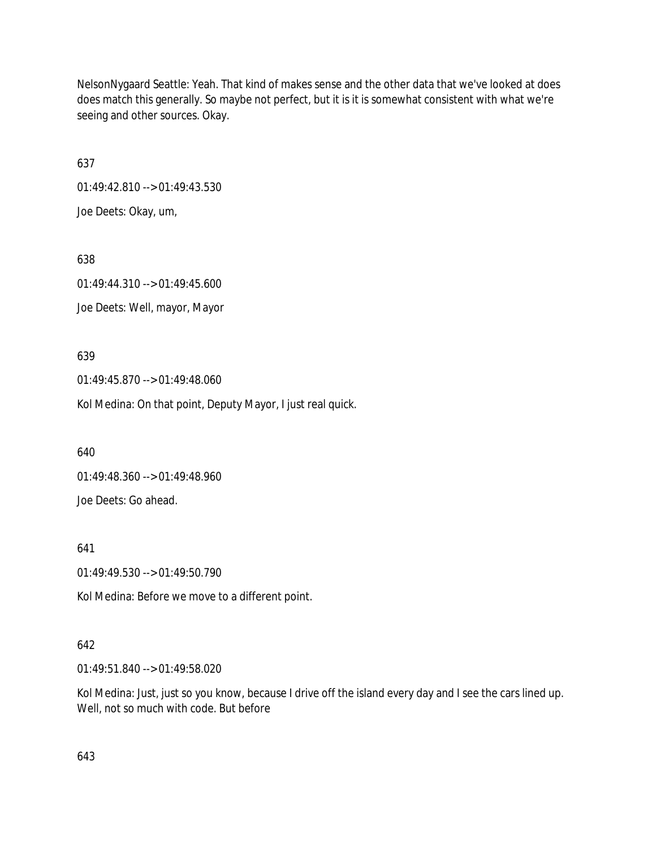NelsonNygaard Seattle: Yeah. That kind of makes sense and the other data that we've looked at does does match this generally. So maybe not perfect, but it is it is somewhat consistent with what we're seeing and other sources. Okay.

637

01:49:42.810 --> 01:49:43.530 Joe Deets: Okay, um,

638 01:49:44.310 --> 01:49:45.600 Joe Deets: Well, mayor, Mayor

639

01:49:45.870 --> 01:49:48.060

Kol Medina: On that point, Deputy Mayor, I just real quick.

640

01:49:48.360 --> 01:49:48.960

Joe Deets: Go ahead.

641

01:49:49.530 --> 01:49:50.790

Kol Medina: Before we move to a different point.

## 642

01:49:51.840 --> 01:49:58.020

Kol Medina: Just, just so you know, because I drive off the island every day and I see the cars lined up. Well, not so much with code. But before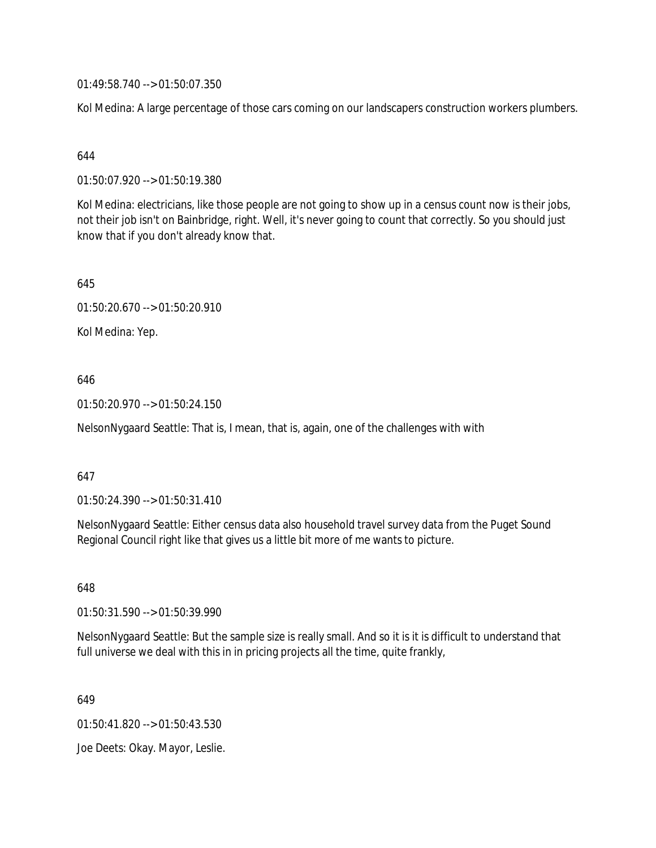01:49:58.740 --> 01:50:07.350

Kol Medina: A large percentage of those cars coming on our landscapers construction workers plumbers.

### 644

01:50:07.920 --> 01:50:19.380

Kol Medina: electricians, like those people are not going to show up in a census count now is their jobs, not their job isn't on Bainbridge, right. Well, it's never going to count that correctly. So you should just know that if you don't already know that.

645

01:50:20.670 --> 01:50:20.910

Kol Medina: Yep.

## 646

01:50:20.970 --> 01:50:24.150

NelsonNygaard Seattle: That is, I mean, that is, again, one of the challenges with with

### 647

01:50:24.390 --> 01:50:31.410

NelsonNygaard Seattle: Either census data also household travel survey data from the Puget Sound Regional Council right like that gives us a little bit more of me wants to picture.

648

01:50:31.590 --> 01:50:39.990

NelsonNygaard Seattle: But the sample size is really small. And so it is it is difficult to understand that full universe we deal with this in in pricing projects all the time, quite frankly,

649

01:50:41.820 --> 01:50:43.530

Joe Deets: Okay. Mayor, Leslie.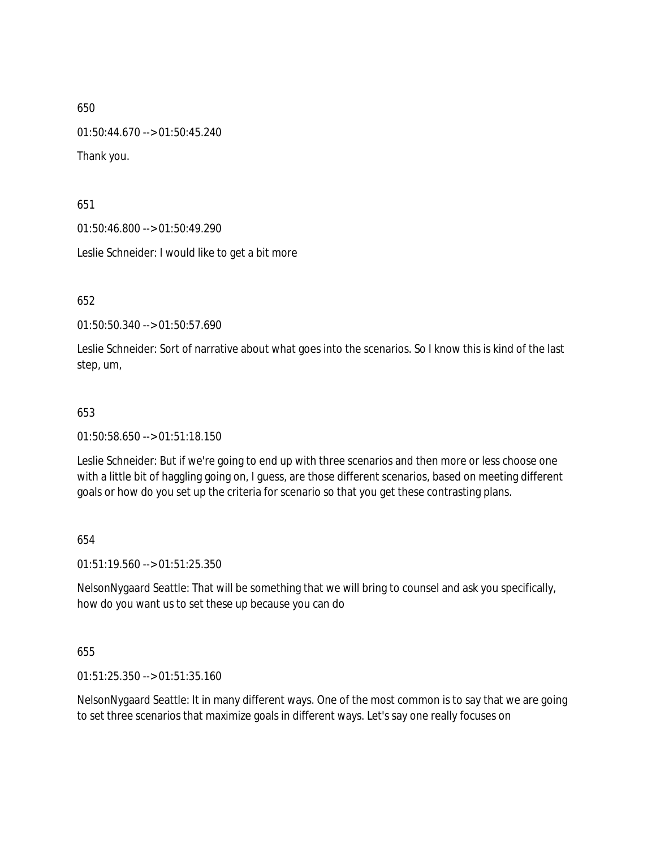01:50:44.670 --> 01:50:45.240

Thank you.

651

01:50:46.800 --> 01:50:49.290

Leslie Schneider: I would like to get a bit more

652

01:50:50.340 --> 01:50:57.690

Leslie Schneider: Sort of narrative about what goes into the scenarios. So I know this is kind of the last step, um,

### 653

01:50:58.650 --> 01:51:18.150

Leslie Schneider: But if we're going to end up with three scenarios and then more or less choose one with a little bit of haggling going on, I guess, are those different scenarios, based on meeting different goals or how do you set up the criteria for scenario so that you get these contrasting plans.

654

01:51:19.560 --> 01:51:25.350

NelsonNygaard Seattle: That will be something that we will bring to counsel and ask you specifically, how do you want us to set these up because you can do

655

01:51:25.350 --> 01:51:35.160

NelsonNygaard Seattle: It in many different ways. One of the most common is to say that we are going to set three scenarios that maximize goals in different ways. Let's say one really focuses on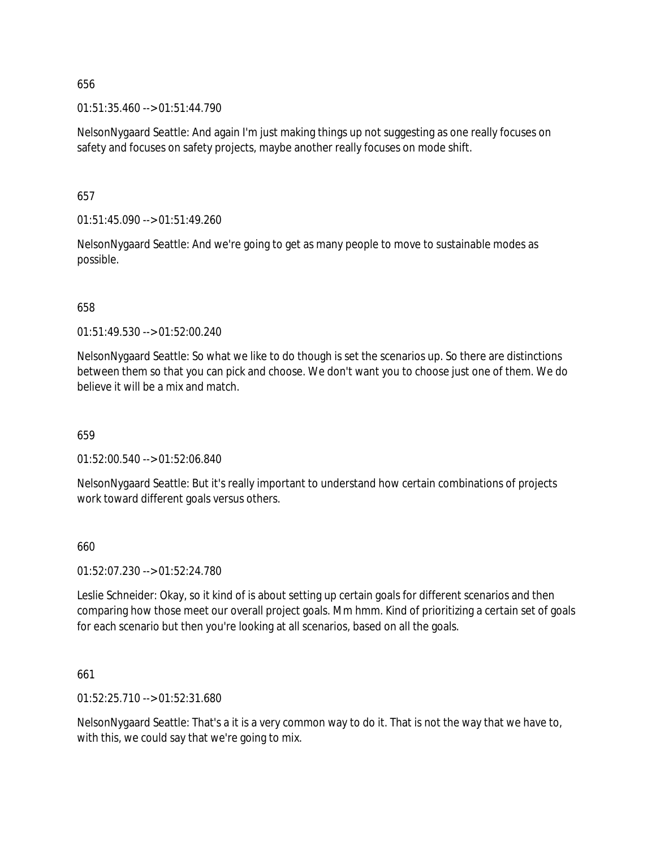01:51:35.460 --> 01:51:44.790

NelsonNygaard Seattle: And again I'm just making things up not suggesting as one really focuses on safety and focuses on safety projects, maybe another really focuses on mode shift.

657

01:51:45.090 --> 01:51:49.260

NelsonNygaard Seattle: And we're going to get as many people to move to sustainable modes as possible.

658

01:51:49.530 --> 01:52:00.240

NelsonNygaard Seattle: So what we like to do though is set the scenarios up. So there are distinctions between them so that you can pick and choose. We don't want you to choose just one of them. We do believe it will be a mix and match.

659

01:52:00.540 --> 01:52:06.840

NelsonNygaard Seattle: But it's really important to understand how certain combinations of projects work toward different goals versus others.

660

01:52:07.230 --> 01:52:24.780

Leslie Schneider: Okay, so it kind of is about setting up certain goals for different scenarios and then comparing how those meet our overall project goals. Mm hmm. Kind of prioritizing a certain set of goals for each scenario but then you're looking at all scenarios, based on all the goals.

661

01:52:25.710 --> 01:52:31.680

NelsonNygaard Seattle: That's a it is a very common way to do it. That is not the way that we have to, with this, we could say that we're going to mix.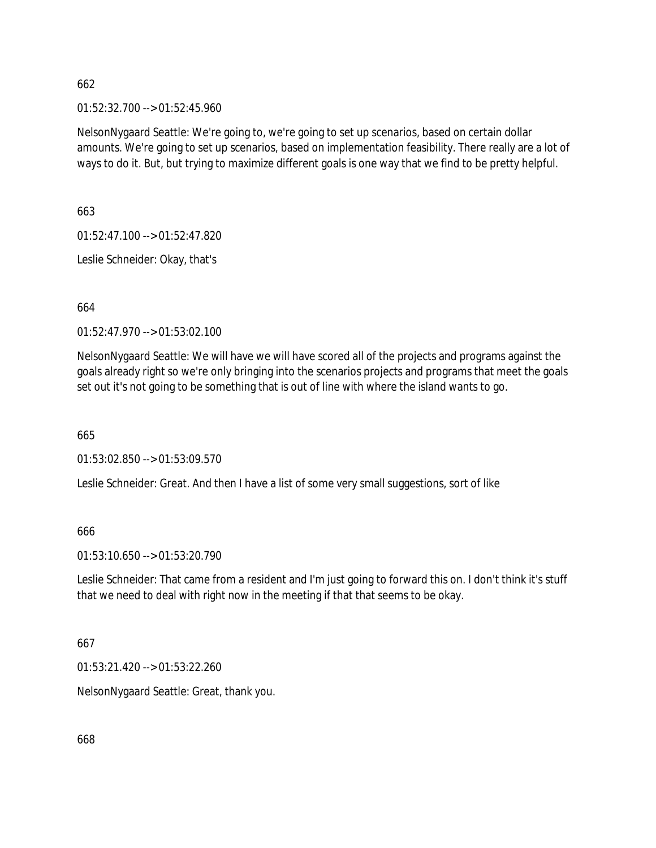01:52:32.700 --> 01:52:45.960

NelsonNygaard Seattle: We're going to, we're going to set up scenarios, based on certain dollar amounts. We're going to set up scenarios, based on implementation feasibility. There really are a lot of ways to do it. But, but trying to maximize different goals is one way that we find to be pretty helpful.

663

01:52:47.100 --> 01:52:47.820

Leslie Schneider: Okay, that's

664

01:52:47.970 --> 01:53:02.100

NelsonNygaard Seattle: We will have we will have scored all of the projects and programs against the goals already right so we're only bringing into the scenarios projects and programs that meet the goals set out it's not going to be something that is out of line with where the island wants to go.

665

01:53:02.850 --> 01:53:09.570

Leslie Schneider: Great. And then I have a list of some very small suggestions, sort of like

666

01:53:10.650 --> 01:53:20.790

Leslie Schneider: That came from a resident and I'm just going to forward this on. I don't think it's stuff that we need to deal with right now in the meeting if that that seems to be okay.

667

01:53:21.420 --> 01:53:22.260

NelsonNygaard Seattle: Great, thank you.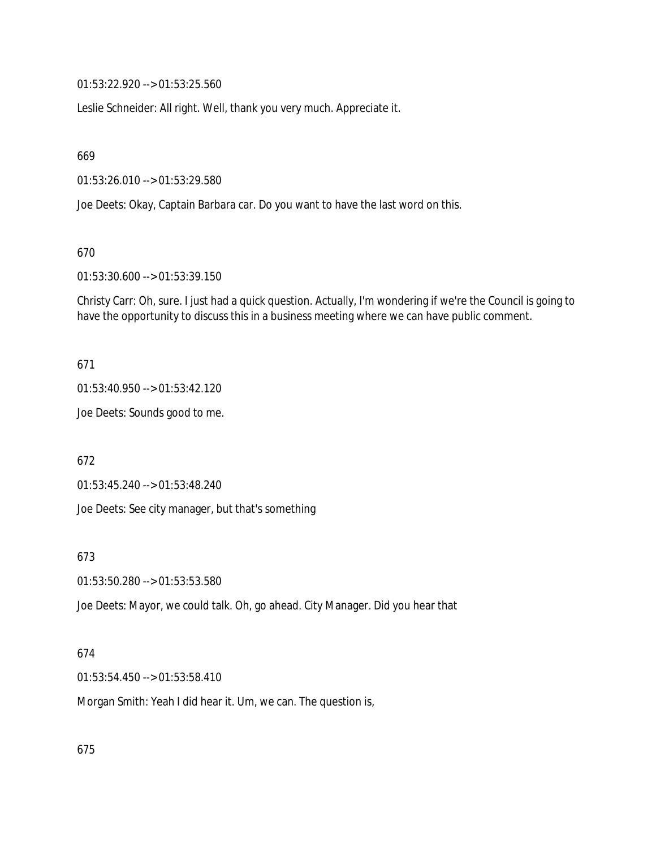01:53:22.920 --> 01:53:25.560

Leslie Schneider: All right. Well, thank you very much. Appreciate it.

669

01:53:26.010 --> 01:53:29.580

Joe Deets: Okay, Captain Barbara car. Do you want to have the last word on this.

670

01:53:30.600 --> 01:53:39.150

Christy Carr: Oh, sure. I just had a quick question. Actually, I'm wondering if we're the Council is going to have the opportunity to discuss this in a business meeting where we can have public comment.

671

01:53:40.950 --> 01:53:42.120

Joe Deets: Sounds good to me.

672

01:53:45.240 --> 01:53:48.240

Joe Deets: See city manager, but that's something

673

01:53:50.280 --> 01:53:53.580

Joe Deets: Mayor, we could talk. Oh, go ahead. City Manager. Did you hear that

#### 674

01:53:54.450 --> 01:53:58.410

Morgan Smith: Yeah I did hear it. Um, we can. The question is,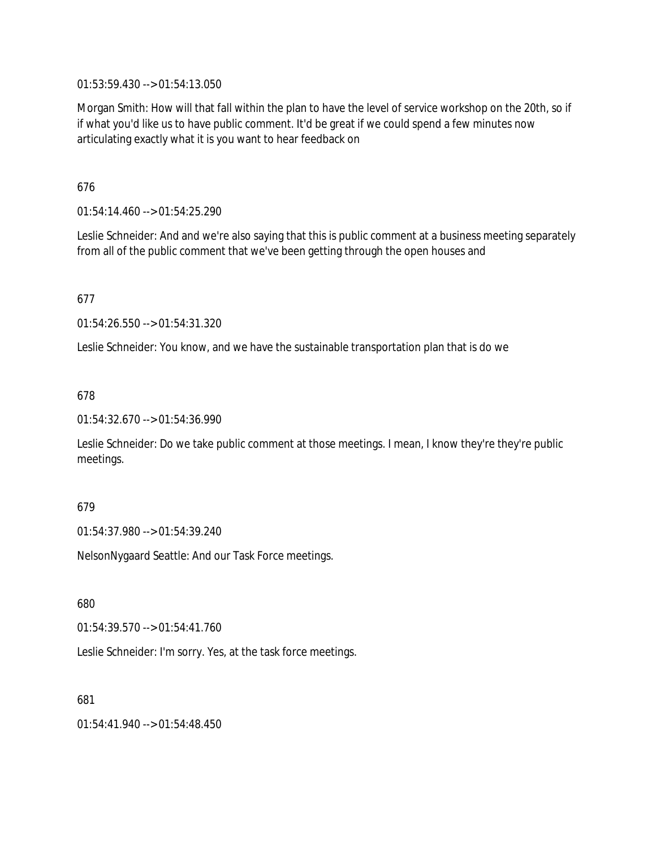01:53:59.430 --> 01:54:13.050

Morgan Smith: How will that fall within the plan to have the level of service workshop on the 20th, so if if what you'd like us to have public comment. It'd be great if we could spend a few minutes now articulating exactly what it is you want to hear feedback on

676

01:54:14.460 --> 01:54:25.290

Leslie Schneider: And and we're also saying that this is public comment at a business meeting separately from all of the public comment that we've been getting through the open houses and

677

01:54:26.550 --> 01:54:31.320

Leslie Schneider: You know, and we have the sustainable transportation plan that is do we

678

01:54:32.670 --> 01:54:36.990

Leslie Schneider: Do we take public comment at those meetings. I mean, I know they're they're public meetings.

### 679

01:54:37.980 --> 01:54:39.240

NelsonNygaard Seattle: And our Task Force meetings.

680

01:54:39.570 --> 01:54:41.760

Leslie Schneider: I'm sorry. Yes, at the task force meetings.

681

01:54:41.940 --> 01:54:48.450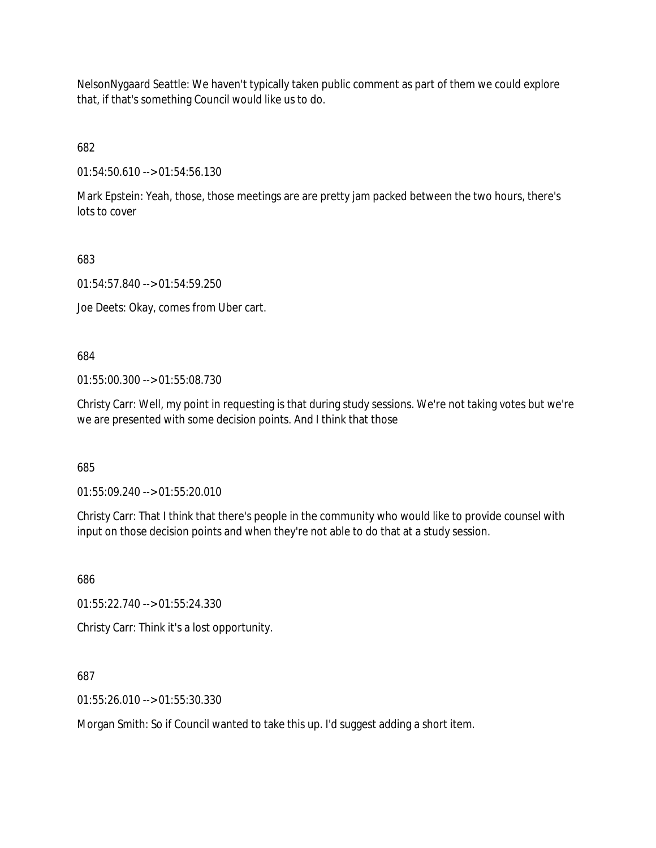NelsonNygaard Seattle: We haven't typically taken public comment as part of them we could explore that, if that's something Council would like us to do.

682

01:54:50.610 --> 01:54:56.130

Mark Epstein: Yeah, those, those meetings are are pretty jam packed between the two hours, there's lots to cover

683

01:54:57.840 --> 01:54:59.250

Joe Deets: Okay, comes from Uber cart.

684

01:55:00.300 --> 01:55:08.730

Christy Carr: Well, my point in requesting is that during study sessions. We're not taking votes but we're we are presented with some decision points. And I think that those

685

01:55:09.240 --> 01:55:20.010

Christy Carr: That I think that there's people in the community who would like to provide counsel with input on those decision points and when they're not able to do that at a study session.

686

01:55:22.740 --> 01:55:24.330

Christy Carr: Think it's a lost opportunity.

687

01:55:26.010 --> 01:55:30.330

Morgan Smith: So if Council wanted to take this up. I'd suggest adding a short item.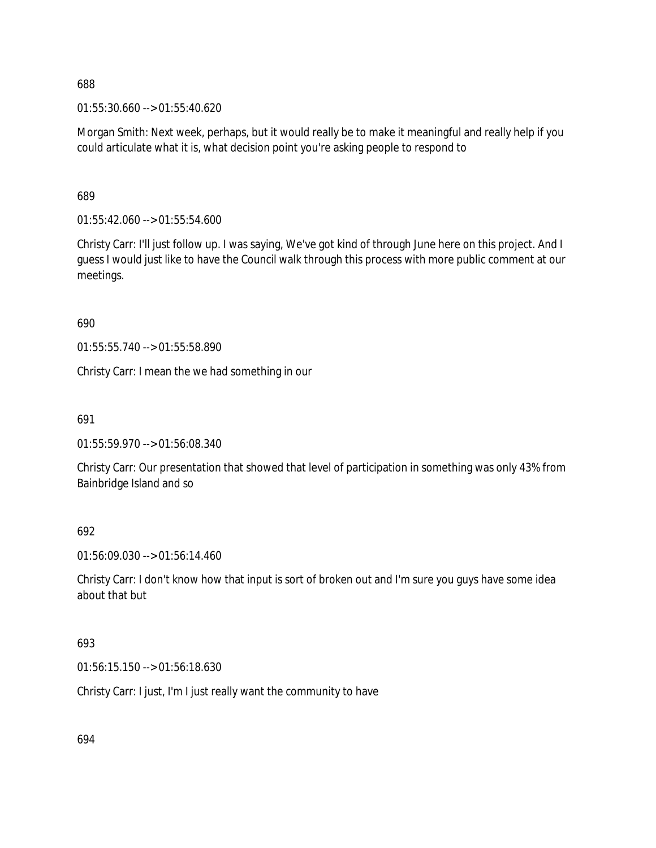01:55:30.660 --> 01:55:40.620

Morgan Smith: Next week, perhaps, but it would really be to make it meaningful and really help if you could articulate what it is, what decision point you're asking people to respond to

689

01:55:42.060 --> 01:55:54.600

Christy Carr: I'll just follow up. I was saying, We've got kind of through June here on this project. And I guess I would just like to have the Council walk through this process with more public comment at our meetings.

690

01:55:55.740 --> 01:55:58.890

Christy Carr: I mean the we had something in our

691

01:55:59.970 --> 01:56:08.340

Christy Carr: Our presentation that showed that level of participation in something was only 43% from Bainbridge Island and so

692

01:56:09.030 --> 01:56:14.460

Christy Carr: I don't know how that input is sort of broken out and I'm sure you guys have some idea about that but

693

01:56:15.150 --> 01:56:18.630

Christy Carr: I just, I'm I just really want the community to have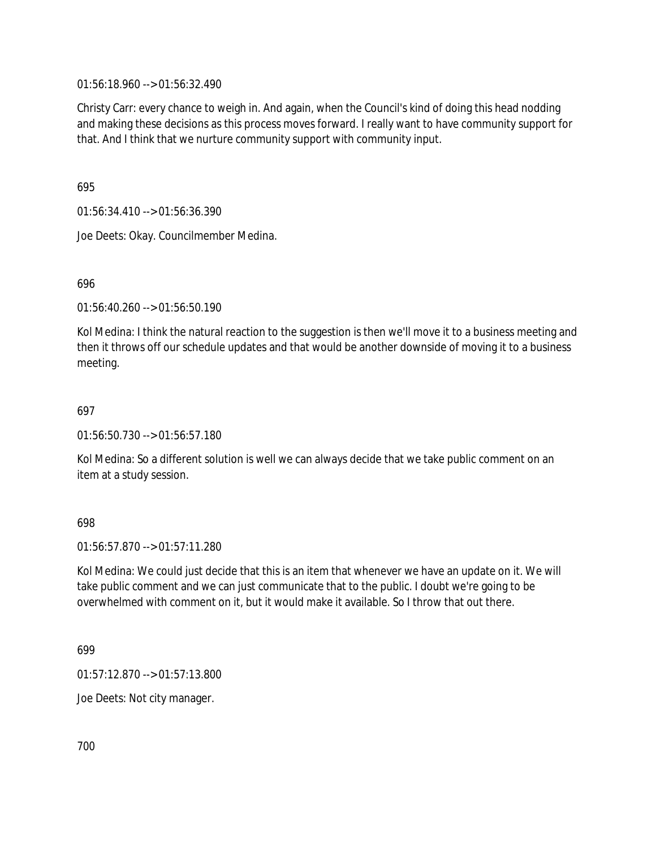01:56:18.960 --> 01:56:32.490

Christy Carr: every chance to weigh in. And again, when the Council's kind of doing this head nodding and making these decisions as this process moves forward. I really want to have community support for that. And I think that we nurture community support with community input.

695

01:56:34.410 --> 01:56:36.390

Joe Deets: Okay. Councilmember Medina.

696

01:56:40.260 --> 01:56:50.190

Kol Medina: I think the natural reaction to the suggestion is then we'll move it to a business meeting and then it throws off our schedule updates and that would be another downside of moving it to a business meeting.

### 697

01:56:50.730 --> 01:56:57.180

Kol Medina: So a different solution is well we can always decide that we take public comment on an item at a study session.

### 698

 $01:56:57.870 \rightarrow 01:57:11.280$ 

Kol Medina: We could just decide that this is an item that whenever we have an update on it. We will take public comment and we can just communicate that to the public. I doubt we're going to be overwhelmed with comment on it, but it would make it available. So I throw that out there.

699

01:57:12.870 --> 01:57:13.800

Joe Deets: Not city manager.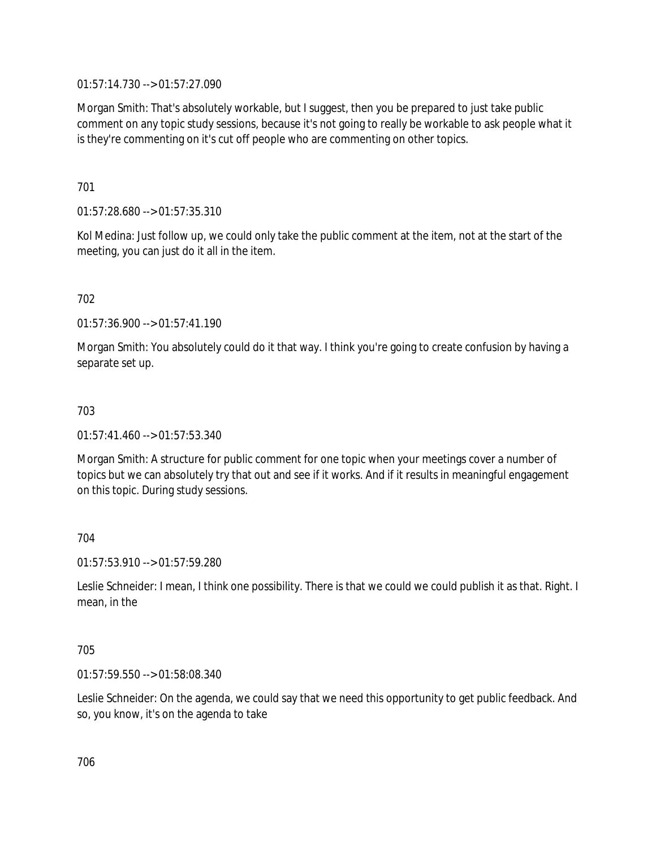01:57:14.730 --> 01:57:27.090

Morgan Smith: That's absolutely workable, but I suggest, then you be prepared to just take public comment on any topic study sessions, because it's not going to really be workable to ask people what it is they're commenting on it's cut off people who are commenting on other topics.

701

01:57:28.680 --> 01:57:35.310

Kol Medina: Just follow up, we could only take the public comment at the item, not at the start of the meeting, you can just do it all in the item.

702

01:57:36.900 --> 01:57:41.190

Morgan Smith: You absolutely could do it that way. I think you're going to create confusion by having a separate set up.

703

01:57:41.460 --> 01:57:53.340

Morgan Smith: A structure for public comment for one topic when your meetings cover a number of topics but we can absolutely try that out and see if it works. And if it results in meaningful engagement on this topic. During study sessions.

704

01:57:53.910 --> 01:57:59.280

Leslie Schneider: I mean, I think one possibility. There is that we could we could publish it as that. Right. I mean, in the

705

01:57:59.550 --> 01:58:08.340

Leslie Schneider: On the agenda, we could say that we need this opportunity to get public feedback. And so, you know, it's on the agenda to take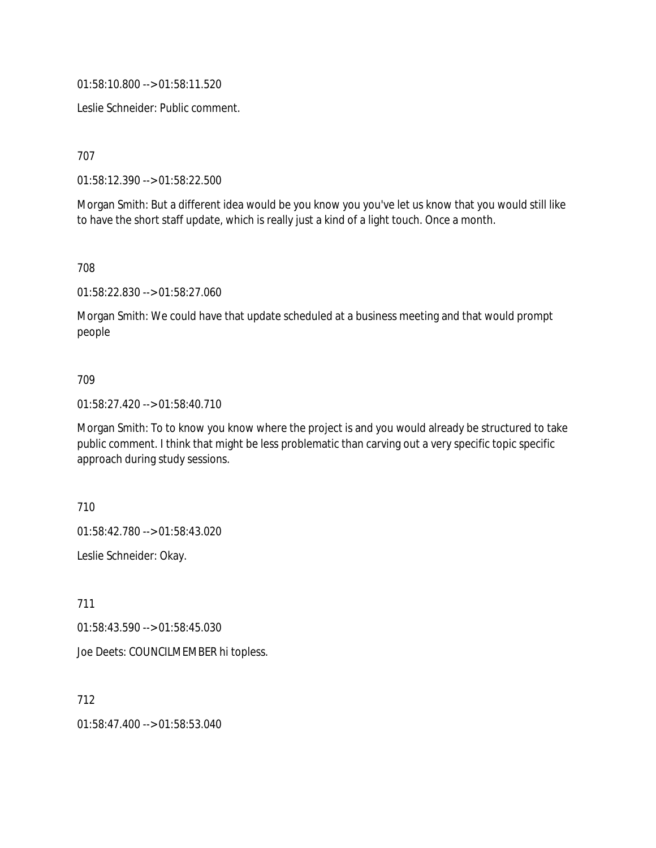01:58:10.800 --> 01:58:11.520

Leslie Schneider: Public comment.

707

01:58:12.390 --> 01:58:22.500

Morgan Smith: But a different idea would be you know you you've let us know that you would still like to have the short staff update, which is really just a kind of a light touch. Once a month.

708

01:58:22.830 --> 01:58:27.060

Morgan Smith: We could have that update scheduled at a business meeting and that would prompt people

#### 709

01:58:27.420 --> 01:58:40.710

Morgan Smith: To to know you know where the project is and you would already be structured to take public comment. I think that might be less problematic than carving out a very specific topic specific approach during study sessions.

710

01:58:42.780 --> 01:58:43.020

Leslie Schneider: Okay.

711

01:58:43.590 --> 01:58:45.030

Joe Deets: COUNCILMEMBER hi topless.

712

01:58:47.400 --> 01:58:53.040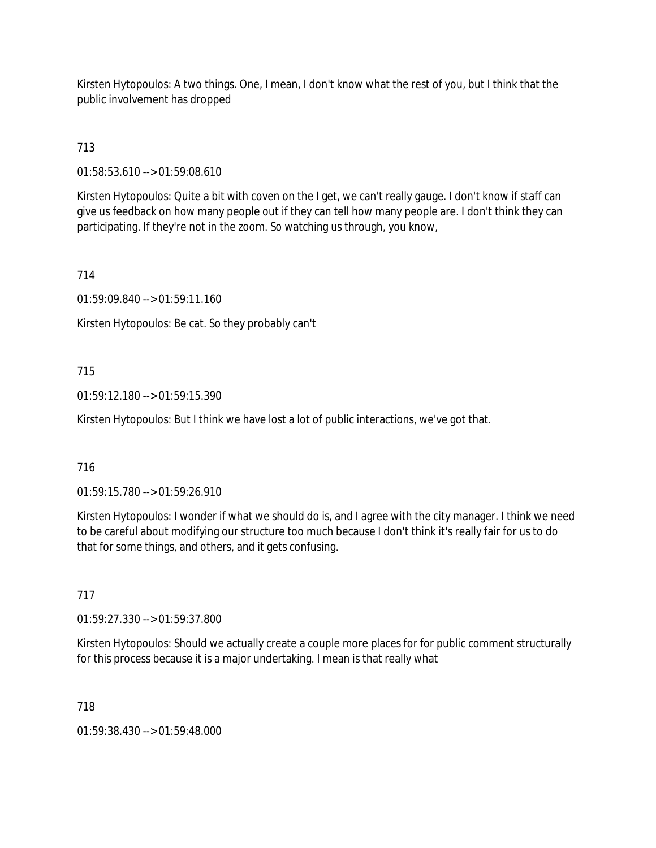Kirsten Hytopoulos: A two things. One, I mean, I don't know what the rest of you, but I think that the public involvement has dropped

713

01:58:53.610 --> 01:59:08.610

Kirsten Hytopoulos: Quite a bit with coven on the I get, we can't really gauge. I don't know if staff can give us feedback on how many people out if they can tell how many people are. I don't think they can participating. If they're not in the zoom. So watching us through, you know,

714

01:59:09.840 --> 01:59:11.160

Kirsten Hytopoulos: Be cat. So they probably can't

# 715

01:59:12.180 --> 01:59:15.390

Kirsten Hytopoulos: But I think we have lost a lot of public interactions, we've got that.

# 716

01:59:15.780 --> 01:59:26.910

Kirsten Hytopoulos: I wonder if what we should do is, and I agree with the city manager. I think we need to be careful about modifying our structure too much because I don't think it's really fair for us to do that for some things, and others, and it gets confusing.

# 717

01:59:27.330 --> 01:59:37.800

Kirsten Hytopoulos: Should we actually create a couple more places for for public comment structurally for this process because it is a major undertaking. I mean is that really what

718

01:59:38.430 --> 01:59:48.000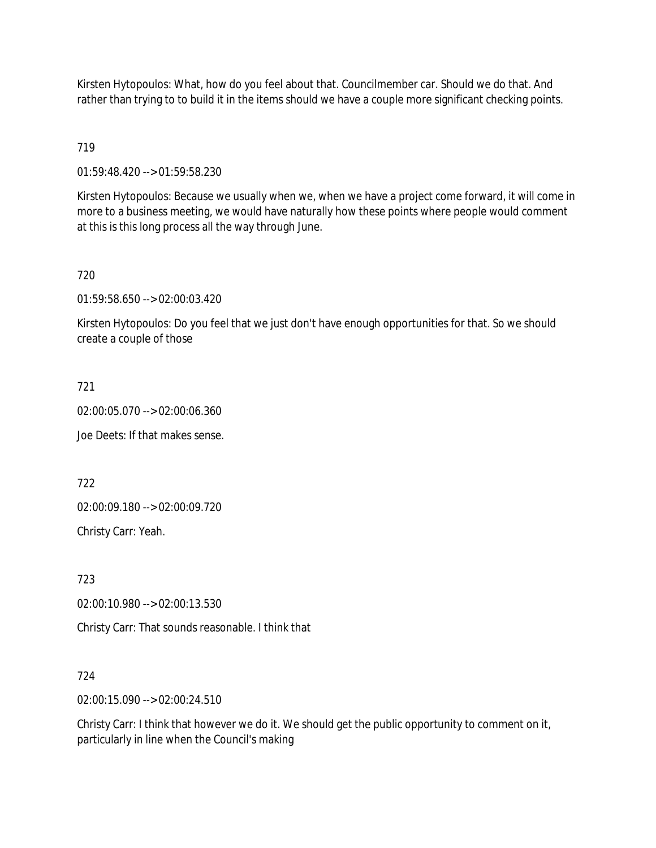Kirsten Hytopoulos: What, how do you feel about that. Councilmember car. Should we do that. And rather than trying to to build it in the items should we have a couple more significant checking points.

719

01:59:48.420 --> 01:59:58.230

Kirsten Hytopoulos: Because we usually when we, when we have a project come forward, it will come in more to a business meeting, we would have naturally how these points where people would comment at this is this long process all the way through June.

720

01:59:58.650 --> 02:00:03.420

Kirsten Hytopoulos: Do you feel that we just don't have enough opportunities for that. So we should create a couple of those

721

02:00:05.070 --> 02:00:06.360

Joe Deets: If that makes sense.

722

02:00:09.180 --> 02:00:09.720

Christy Carr: Yeah.

723

02:00:10.980 --> 02:00:13.530

Christy Carr: That sounds reasonable. I think that

724

02:00:15.090 --> 02:00:24.510

Christy Carr: I think that however we do it. We should get the public opportunity to comment on it, particularly in line when the Council's making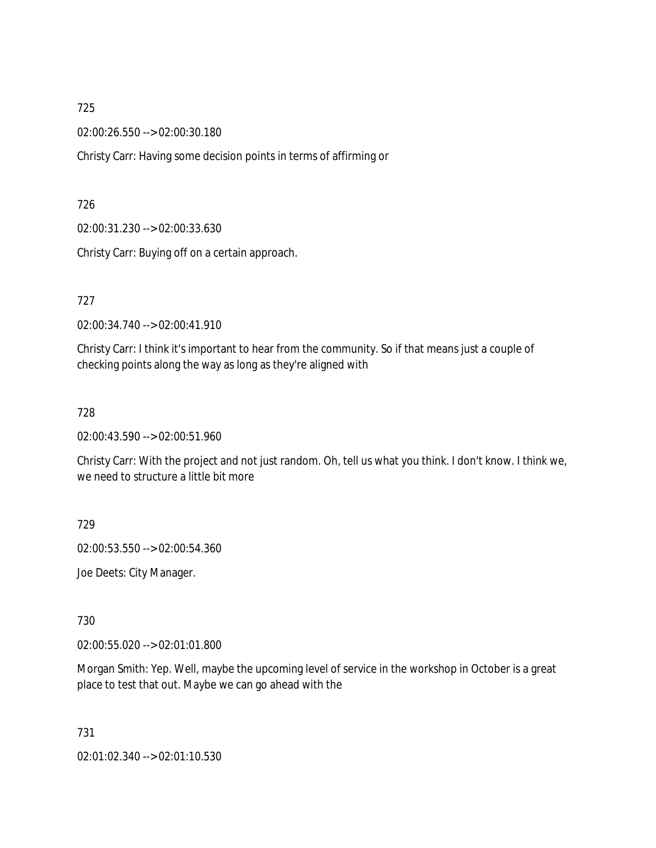02:00:26.550 --> 02:00:30.180

Christy Carr: Having some decision points in terms of affirming or

726

02:00:31.230 --> 02:00:33.630

Christy Carr: Buying off on a certain approach.

727

02:00:34.740 --> 02:00:41.910

Christy Carr: I think it's important to hear from the community. So if that means just a couple of checking points along the way as long as they're aligned with

728

02:00:43.590 --> 02:00:51.960

Christy Carr: With the project and not just random. Oh, tell us what you think. I don't know. I think we, we need to structure a little bit more

729

02:00:53.550 --> 02:00:54.360

Joe Deets: City Manager.

730

02:00:55.020 --> 02:01:01.800

Morgan Smith: Yep. Well, maybe the upcoming level of service in the workshop in October is a great place to test that out. Maybe we can go ahead with the

731 02:01:02.340 --> 02:01:10.530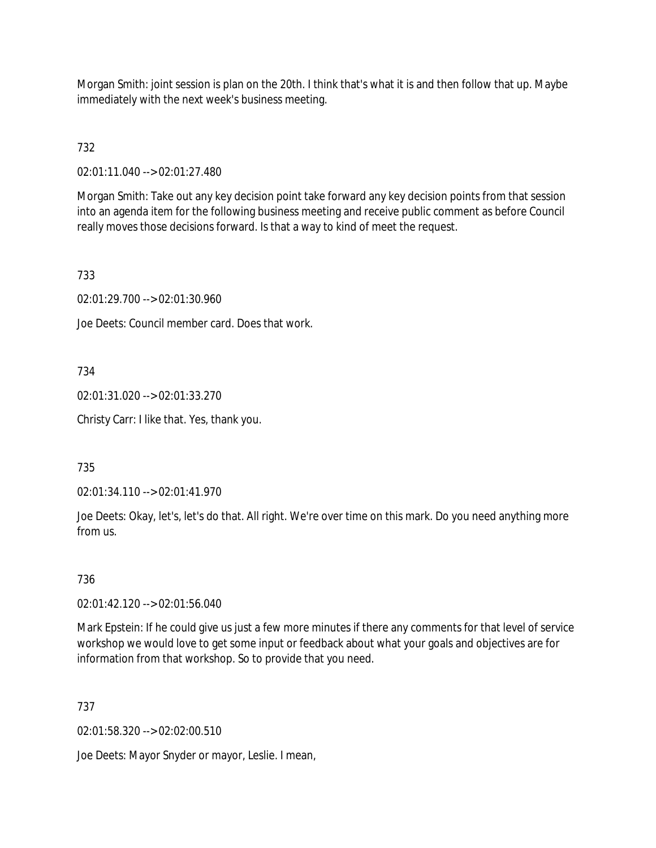Morgan Smith: joint session is plan on the 20th. I think that's what it is and then follow that up. Maybe immediately with the next week's business meeting.

732

02:01:11.040 --> 02:01:27.480

Morgan Smith: Take out any key decision point take forward any key decision points from that session into an agenda item for the following business meeting and receive public comment as before Council really moves those decisions forward. Is that a way to kind of meet the request.

733

02:01:29.700 --> 02:01:30.960

Joe Deets: Council member card. Does that work.

734

02:01:31.020 --> 02:01:33.270

Christy Carr: I like that. Yes, thank you.

735

02:01:34.110 --> 02:01:41.970

Joe Deets: Okay, let's, let's do that. All right. We're over time on this mark. Do you need anything more from us.

736

02:01:42.120 --> 02:01:56.040

Mark Epstein: If he could give us just a few more minutes if there any comments for that level of service workshop we would love to get some input or feedback about what your goals and objectives are for information from that workshop. So to provide that you need.

737

02:01:58.320 --> 02:02:00.510

Joe Deets: Mayor Snyder or mayor, Leslie. I mean,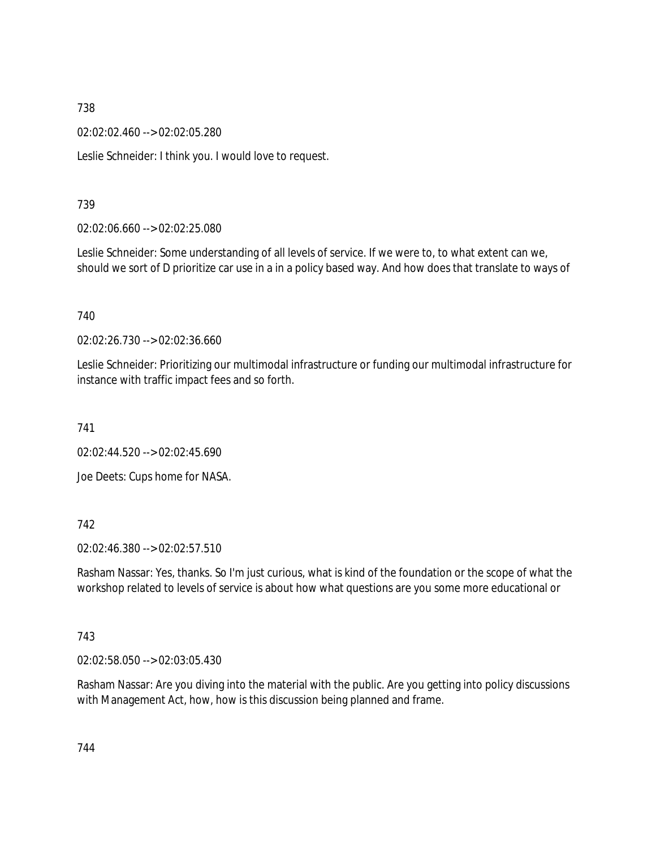02:02:02.460 --> 02:02:05.280

Leslie Schneider: I think you. I would love to request.

### 739

02:02:06.660 --> 02:02:25.080

Leslie Schneider: Some understanding of all levels of service. If we were to, to what extent can we, should we sort of D prioritize car use in a in a policy based way. And how does that translate to ways of

### 740

02:02:26.730 --> 02:02:36.660

Leslie Schneider: Prioritizing our multimodal infrastructure or funding our multimodal infrastructure for instance with traffic impact fees and so forth.

741

02:02:44.520 --> 02:02:45.690

Joe Deets: Cups home for NASA.

### 742

02:02:46.380 --> 02:02:57.510

Rasham Nassar: Yes, thanks. So I'm just curious, what is kind of the foundation or the scope of what the workshop related to levels of service is about how what questions are you some more educational or

### 743

02:02:58.050 --> 02:03:05.430

Rasham Nassar: Are you diving into the material with the public. Are you getting into policy discussions with Management Act, how, how is this discussion being planned and frame.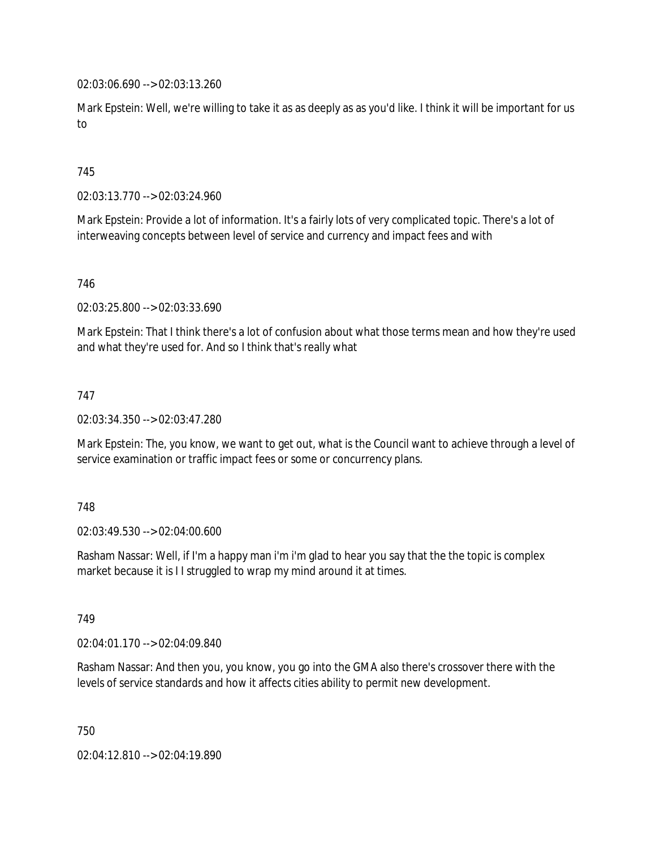02:03:06.690 --> 02:03:13.260

Mark Epstein: Well, we're willing to take it as as deeply as as you'd like. I think it will be important for us to

## 745

02:03:13.770 --> 02:03:24.960

Mark Epstein: Provide a lot of information. It's a fairly lots of very complicated topic. There's a lot of interweaving concepts between level of service and currency and impact fees and with

#### 746

02:03:25.800 --> 02:03:33.690

Mark Epstein: That I think there's a lot of confusion about what those terms mean and how they're used and what they're used for. And so I think that's really what

#### 747

02:03:34.350 --> 02:03:47.280

Mark Epstein: The, you know, we want to get out, what is the Council want to achieve through a level of service examination or traffic impact fees or some or concurrency plans.

#### 748

02:03:49.530 --> 02:04:00.600

Rasham Nassar: Well, if I'm a happy man i'm i'm glad to hear you say that the the topic is complex market because it is I I struggled to wrap my mind around it at times.

#### 749

02:04:01.170 --> 02:04:09.840

Rasham Nassar: And then you, you know, you go into the GMA also there's crossover there with the levels of service standards and how it affects cities ability to permit new development.

750

02:04:12.810 --> 02:04:19.890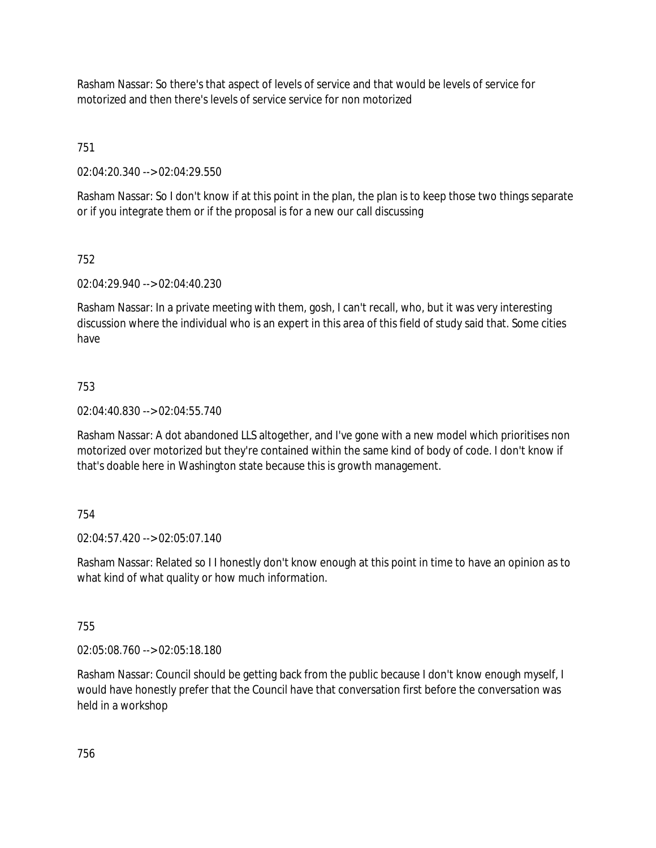Rasham Nassar: So there's that aspect of levels of service and that would be levels of service for motorized and then there's levels of service service for non motorized

751

02:04:20.340 --> 02:04:29.550

Rasham Nassar: So I don't know if at this point in the plan, the plan is to keep those two things separate or if you integrate them or if the proposal is for a new our call discussing

## 752

02:04:29.940 --> 02:04:40.230

Rasham Nassar: In a private meeting with them, gosh, I can't recall, who, but it was very interesting discussion where the individual who is an expert in this area of this field of study said that. Some cities have

## 753

02:04:40.830 --> 02:04:55.740

Rasham Nassar: A dot abandoned LLS altogether, and I've gone with a new model which prioritises non motorized over motorized but they're contained within the same kind of body of code. I don't know if that's doable here in Washington state because this is growth management.

### 754

02:04:57.420 --> 02:05:07.140

Rasham Nassar: Related so I I honestly don't know enough at this point in time to have an opinion as to what kind of what quality or how much information.

### 755

02:05:08.760 --> 02:05:18.180

Rasham Nassar: Council should be getting back from the public because I don't know enough myself, I would have honestly prefer that the Council have that conversation first before the conversation was held in a workshop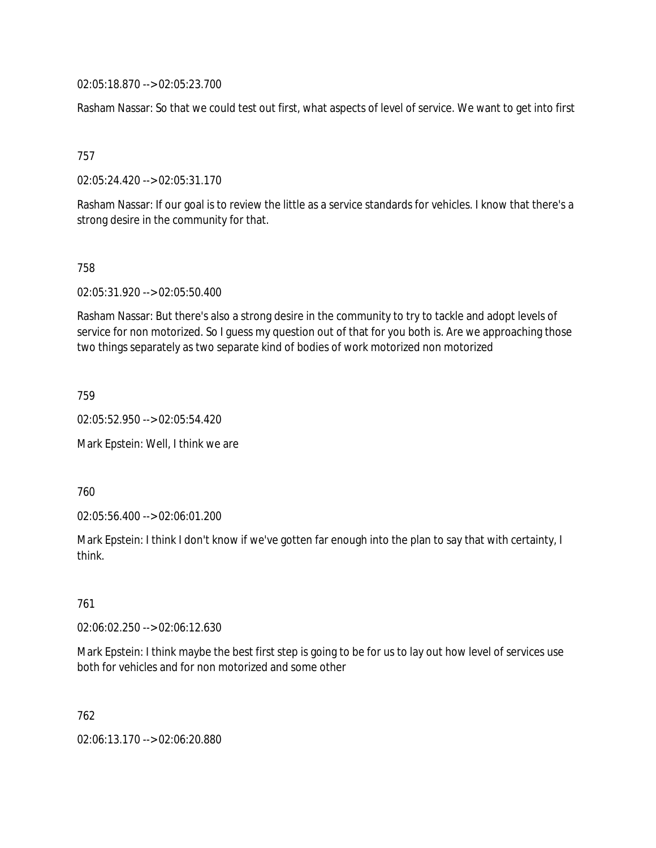02:05:18.870 --> 02:05:23.700

Rasham Nassar: So that we could test out first, what aspects of level of service. We want to get into first

757

02:05:24.420 --> 02:05:31.170

Rasham Nassar: If our goal is to review the little as a service standards for vehicles. I know that there's a strong desire in the community for that.

758

02:05:31.920 --> 02:05:50.400

Rasham Nassar: But there's also a strong desire in the community to try to tackle and adopt levels of service for non motorized. So I guess my question out of that for you both is. Are we approaching those two things separately as two separate kind of bodies of work motorized non motorized

759

02:05:52.950 --> 02:05:54.420

Mark Epstein: Well, I think we are

760

02:05:56.400 --> 02:06:01.200

Mark Epstein: I think I don't know if we've gotten far enough into the plan to say that with certainty, I think.

761

02:06:02.250 --> 02:06:12.630

Mark Epstein: I think maybe the best first step is going to be for us to lay out how level of services use both for vehicles and for non motorized and some other

762

02:06:13.170 --> 02:06:20.880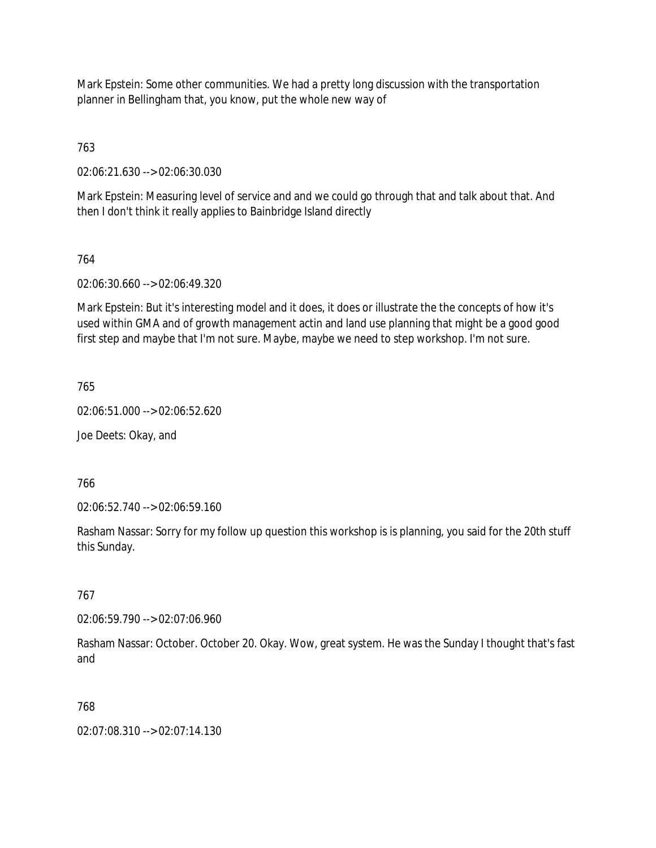Mark Epstein: Some other communities. We had a pretty long discussion with the transportation planner in Bellingham that, you know, put the whole new way of

763

02:06:21.630 --> 02:06:30.030

Mark Epstein: Measuring level of service and and we could go through that and talk about that. And then I don't think it really applies to Bainbridge Island directly

## 764

02:06:30.660 --> 02:06:49.320

Mark Epstein: But it's interesting model and it does, it does or illustrate the the concepts of how it's used within GMA and of growth management actin and land use planning that might be a good good first step and maybe that I'm not sure. Maybe, maybe we need to step workshop. I'm not sure.

765

02:06:51.000 --> 02:06:52.620

Joe Deets: Okay, and

766

02:06:52.740 --> 02:06:59.160

Rasham Nassar: Sorry for my follow up question this workshop is is planning, you said for the 20th stuff this Sunday.

### 767

02:06:59.790 --> 02:07:06.960

Rasham Nassar: October. October 20. Okay. Wow, great system. He was the Sunday I thought that's fast and

### 768

02:07:08.310 --> 02:07:14.130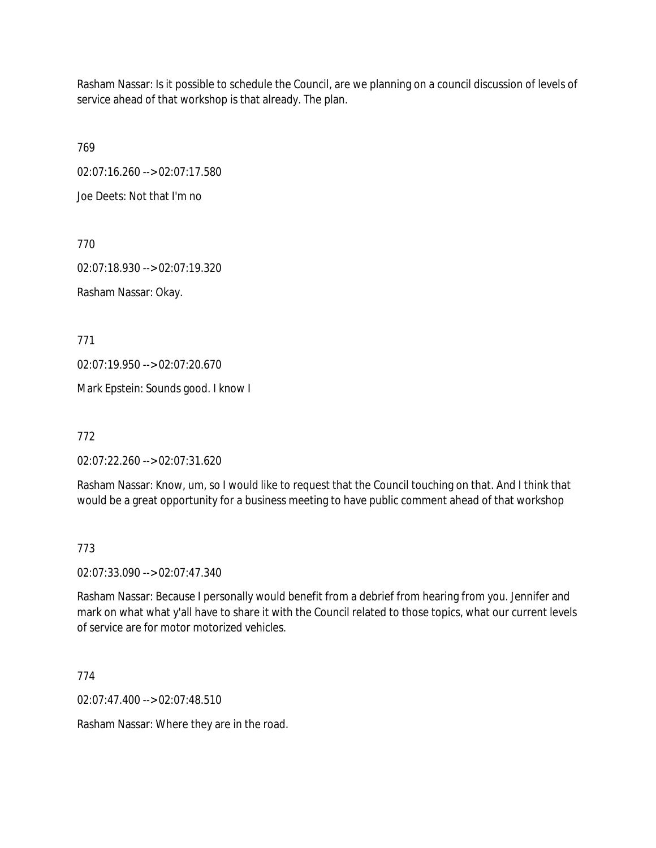Rasham Nassar: Is it possible to schedule the Council, are we planning on a council discussion of levels of service ahead of that workshop is that already. The plan.

769

02:07:16.260 --> 02:07:17.580

Joe Deets: Not that I'm no

770

02:07:18.930 --> 02:07:19.320 Rasham Nassar: Okay.

771

02:07:19.950 --> 02:07:20.670

Mark Epstein: Sounds good. I know I

772

02:07:22.260 --> 02:07:31.620

Rasham Nassar: Know, um, so I would like to request that the Council touching on that. And I think that would be a great opportunity for a business meeting to have public comment ahead of that workshop

773

02:07:33.090 --> 02:07:47.340

Rasham Nassar: Because I personally would benefit from a debrief from hearing from you. Jennifer and mark on what what y'all have to share it with the Council related to those topics, what our current levels of service are for motor motorized vehicles.

774

02:07:47.400 --> 02:07:48.510

Rasham Nassar: Where they are in the road.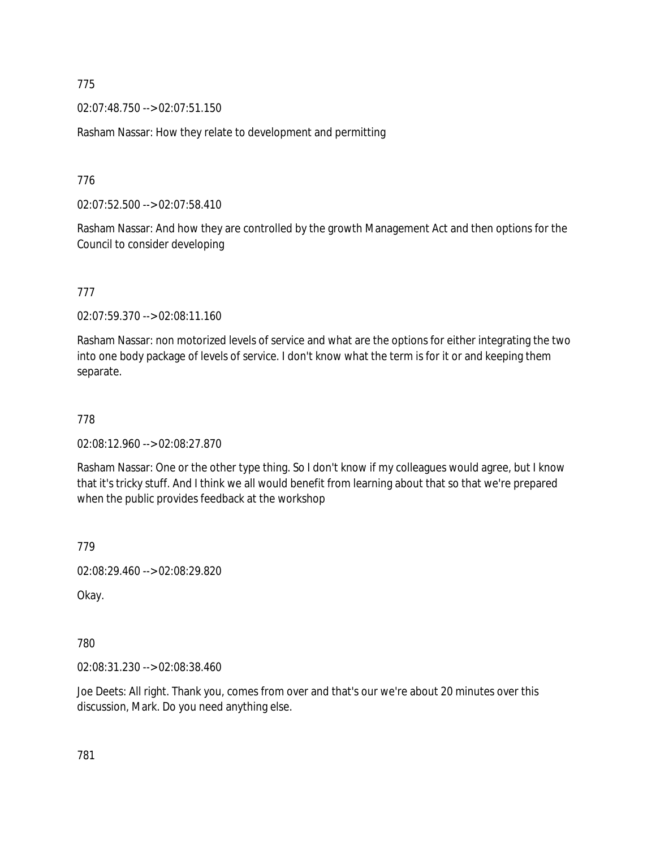02:07:48.750 --> 02:07:51.150

Rasham Nassar: How they relate to development and permitting

776

02:07:52.500 --> 02:07:58.410

Rasham Nassar: And how they are controlled by the growth Management Act and then options for the Council to consider developing

777

02:07:59.370 --> 02:08:11.160

Rasham Nassar: non motorized levels of service and what are the options for either integrating the two into one body package of levels of service. I don't know what the term is for it or and keeping them separate.

778

02:08:12.960 --> 02:08:27.870

Rasham Nassar: One or the other type thing. So I don't know if my colleagues would agree, but I know that it's tricky stuff. And I think we all would benefit from learning about that so that we're prepared when the public provides feedback at the workshop

779

02:08:29.460 --> 02:08:29.820

Okay.

780

02:08:31.230 --> 02:08:38.460

Joe Deets: All right. Thank you, comes from over and that's our we're about 20 minutes over this discussion, Mark. Do you need anything else.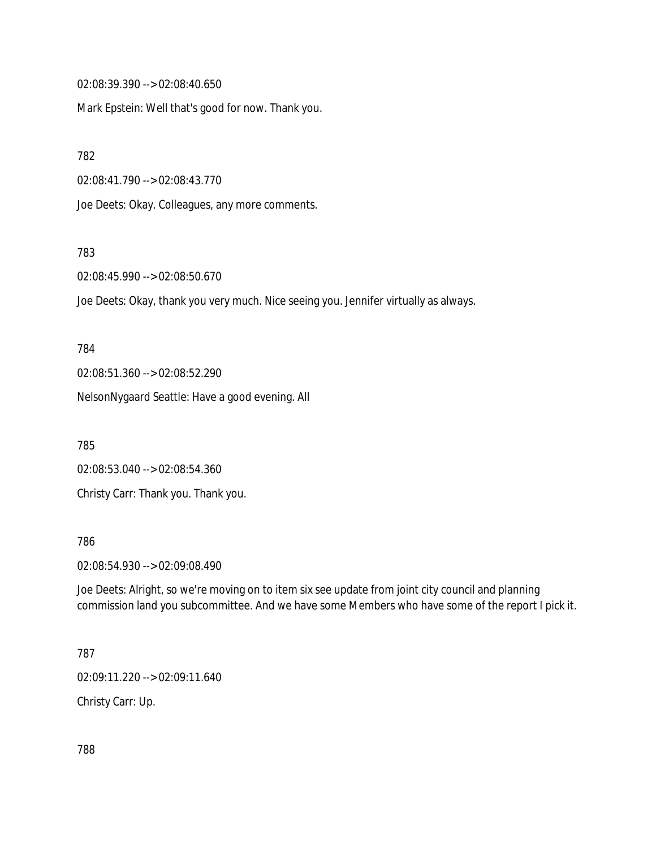02:08:39.390 --> 02:08:40.650

Mark Epstein: Well that's good for now. Thank you.

782

02:08:41.790 --> 02:08:43.770

Joe Deets: Okay. Colleagues, any more comments.

783

02:08:45.990 --> 02:08:50.670

Joe Deets: Okay, thank you very much. Nice seeing you. Jennifer virtually as always.

784 02:08:51.360 --> 02:08:52.290 NelsonNygaard Seattle: Have a good evening. All

785

02:08:53.040 --> 02:08:54.360 Christy Carr: Thank you. Thank you.

786

02:08:54.930 --> 02:09:08.490

Joe Deets: Alright, so we're moving on to item six see update from joint city council and planning commission land you subcommittee. And we have some Members who have some of the report I pick it.

787

02:09:11.220 --> 02:09:11.640

Christy Carr: Up.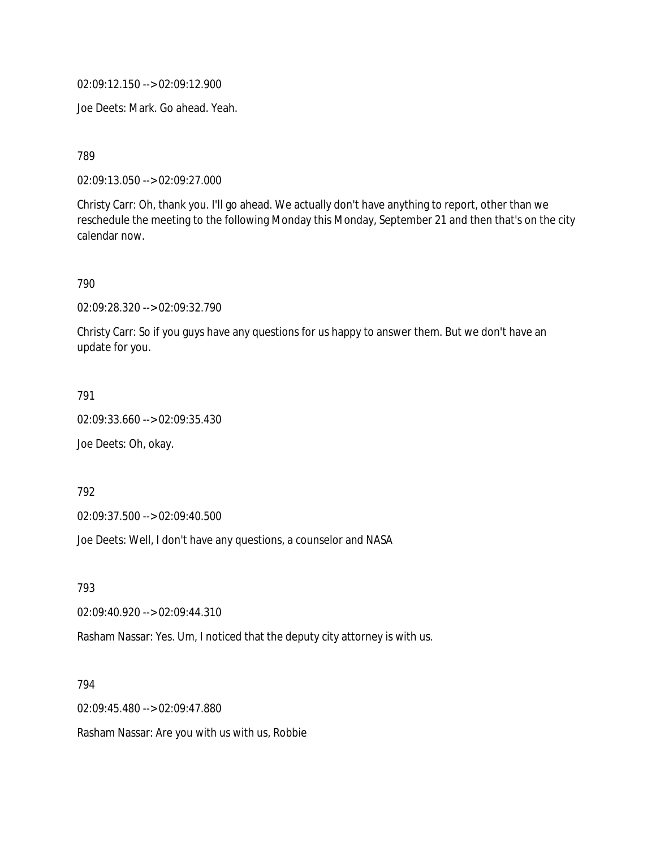02:09:12.150 --> 02:09:12.900

Joe Deets: Mark. Go ahead. Yeah.

789

02:09:13.050 --> 02:09:27.000

Christy Carr: Oh, thank you. I'll go ahead. We actually don't have anything to report, other than we reschedule the meeting to the following Monday this Monday, September 21 and then that's on the city calendar now.

790

02:09:28.320 --> 02:09:32.790

Christy Carr: So if you guys have any questions for us happy to answer them. But we don't have an update for you.

791

02:09:33.660 --> 02:09:35.430

Joe Deets: Oh, okay.

792

02:09:37.500 --> 02:09:40.500

Joe Deets: Well, I don't have any questions, a counselor and NASA

793

02:09:40.920 --> 02:09:44.310

Rasham Nassar: Yes. Um, I noticed that the deputy city attorney is with us.

794

02:09:45.480 --> 02:09:47.880

Rasham Nassar: Are you with us with us, Robbie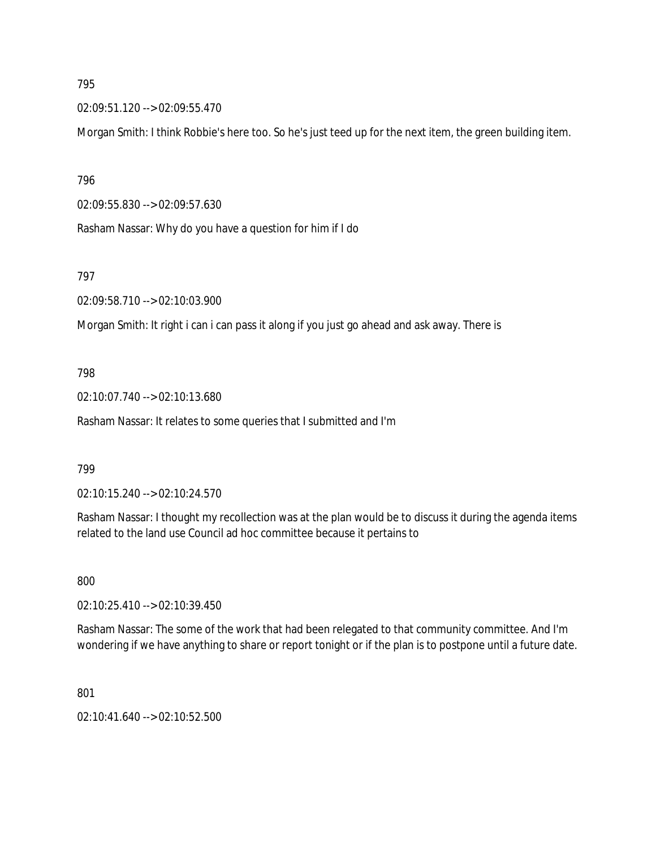02:09:51.120 --> 02:09:55.470

Morgan Smith: I think Robbie's here too. So he's just teed up for the next item, the green building item.

796

02:09:55.830 --> 02:09:57.630

Rasham Nassar: Why do you have a question for him if I do

797

02:09:58.710 --> 02:10:03.900

Morgan Smith: It right i can i can pass it along if you just go ahead and ask away. There is

### 798

02:10:07.740 --> 02:10:13.680

Rasham Nassar: It relates to some queries that I submitted and I'm

#### 799

02:10:15.240 --> 02:10:24.570

Rasham Nassar: I thought my recollection was at the plan would be to discuss it during the agenda items related to the land use Council ad hoc committee because it pertains to

800

02:10:25.410 --> 02:10:39.450

Rasham Nassar: The some of the work that had been relegated to that community committee. And I'm wondering if we have anything to share or report tonight or if the plan is to postpone until a future date.

801

02:10:41.640 --> 02:10:52.500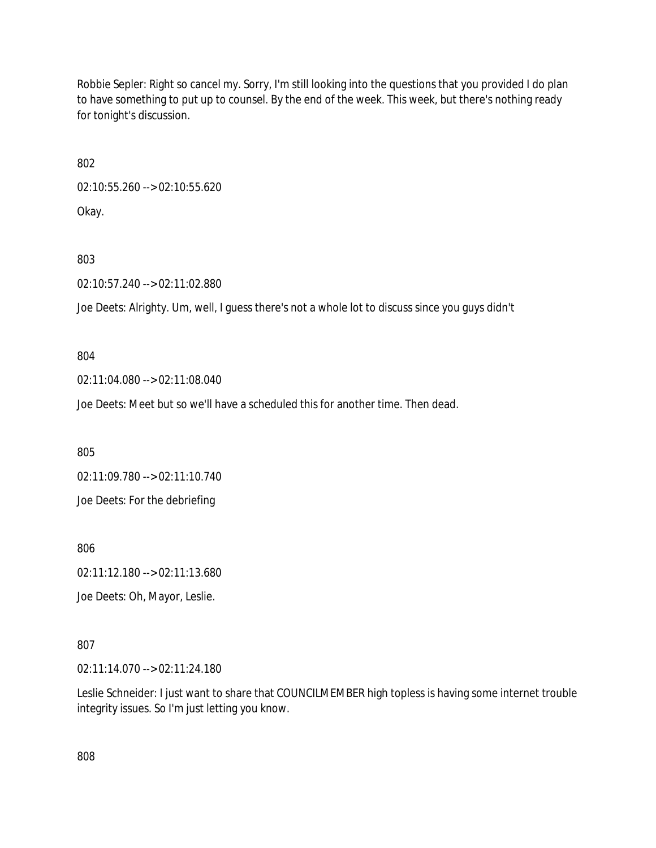Robbie Sepler: Right so cancel my. Sorry, I'm still looking into the questions that you provided I do plan to have something to put up to counsel. By the end of the week. This week, but there's nothing ready for tonight's discussion.

802

02:10:55.260 --> 02:10:55.620 Okay.

803

02:10:57.240 --> 02:11:02.880

Joe Deets: Alrighty. Um, well, I guess there's not a whole lot to discuss since you guys didn't

804

02:11:04.080 --> 02:11:08.040

Joe Deets: Meet but so we'll have a scheduled this for another time. Then dead.

805

02:11:09.780 --> 02:11:10.740

Joe Deets: For the debriefing

806

02:11:12.180 --> 02:11:13.680

Joe Deets: Oh, Mayor, Leslie.

807

02:11:14.070 --> 02:11:24.180

Leslie Schneider: I just want to share that COUNCILMEMBER high topless is having some internet trouble integrity issues. So I'm just letting you know.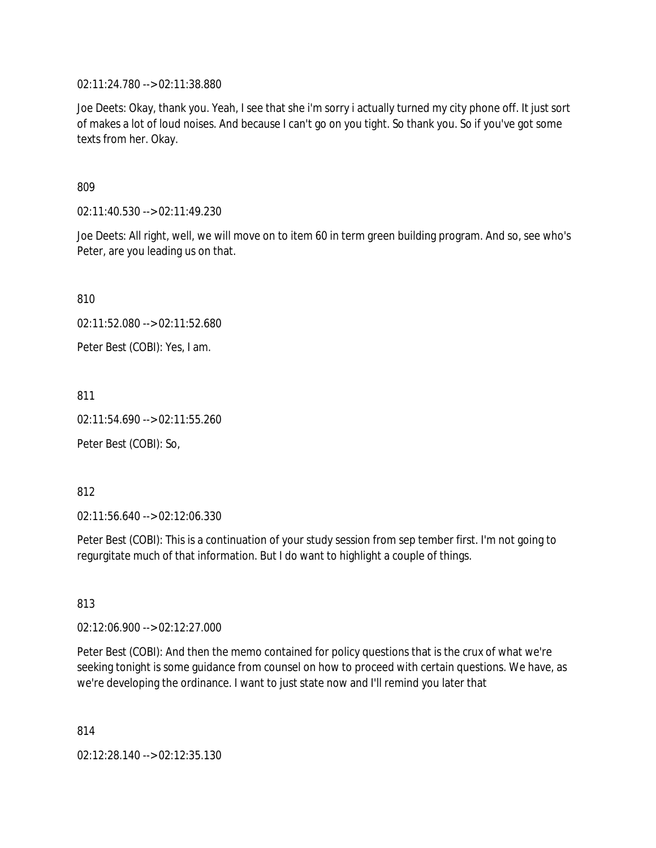02:11:24.780 --> 02:11:38.880

Joe Deets: Okay, thank you. Yeah, I see that she i'm sorry i actually turned my city phone off. It just sort of makes a lot of loud noises. And because I can't go on you tight. So thank you. So if you've got some texts from her. Okay.

809

02:11:40.530 --> 02:11:49.230

Joe Deets: All right, well, we will move on to item 60 in term green building program. And so, see who's Peter, are you leading us on that.

810

02:11:52.080 --> 02:11:52.680

Peter Best (COBI): Yes, I am.

811

02:11:54.690 --> 02:11:55.260

Peter Best (COBI): So,

812

02:11:56.640 --> 02:12:06.330

Peter Best (COBI): This is a continuation of your study session from sep tember first. I'm not going to regurgitate much of that information. But I do want to highlight a couple of things.

813

02:12:06.900 --> 02:12:27.000

Peter Best (COBI): And then the memo contained for policy questions that is the crux of what we're seeking tonight is some guidance from counsel on how to proceed with certain questions. We have, as we're developing the ordinance. I want to just state now and I'll remind you later that

814

02:12:28.140 --> 02:12:35.130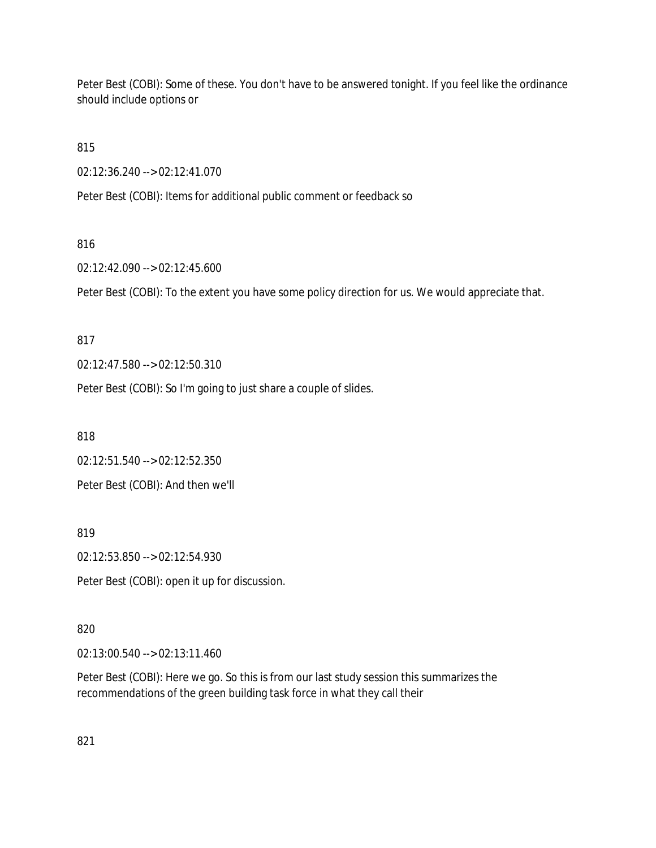Peter Best (COBI): Some of these. You don't have to be answered tonight. If you feel like the ordinance should include options or

815

02:12:36.240 --> 02:12:41.070

Peter Best (COBI): Items for additional public comment or feedback so

# 816

02:12:42.090 --> 02:12:45.600

Peter Best (COBI): To the extent you have some policy direction for us. We would appreciate that.

### 817

02:12:47.580 --> 02:12:50.310

Peter Best (COBI): So I'm going to just share a couple of slides.

818

02:12:51.540 --> 02:12:52.350

Peter Best (COBI): And then we'll

819

02:12:53.850 --> 02:12:54.930

Peter Best (COBI): open it up for discussion.

### 820

02:13:00.540 --> 02:13:11.460

Peter Best (COBI): Here we go. So this is from our last study session this summarizes the recommendations of the green building task force in what they call their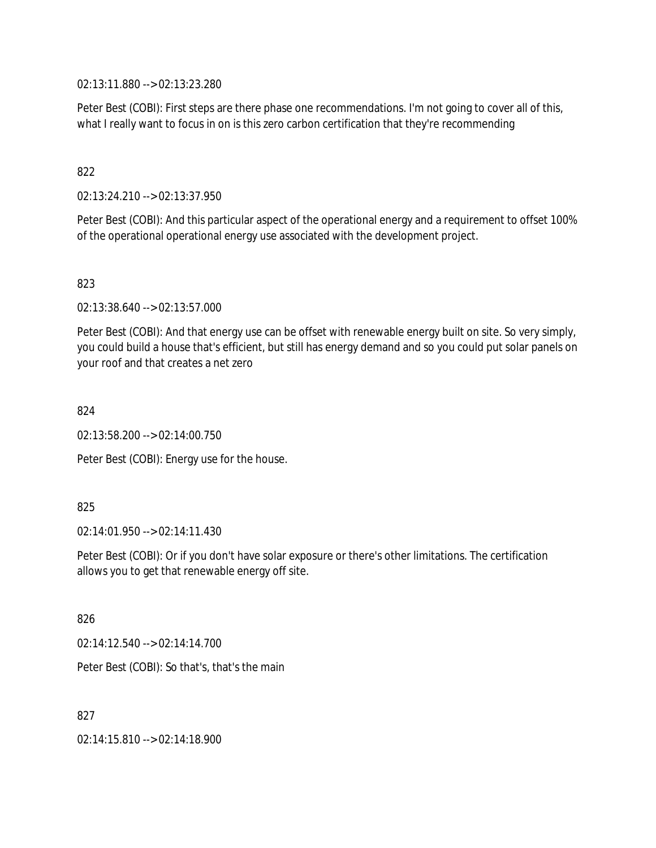02:13:11.880 --> 02:13:23.280

Peter Best (COBI): First steps are there phase one recommendations. I'm not going to cover all of this, what I really want to focus in on is this zero carbon certification that they're recommending

## 822

02:13:24.210 --> 02:13:37.950

Peter Best (COBI): And this particular aspect of the operational energy and a requirement to offset 100% of the operational operational energy use associated with the development project.

823

02:13:38.640 --> 02:13:57.000

Peter Best (COBI): And that energy use can be offset with renewable energy built on site. So very simply, you could build a house that's efficient, but still has energy demand and so you could put solar panels on your roof and that creates a net zero

824

02:13:58.200 --> 02:14:00.750

Peter Best (COBI): Energy use for the house.

### 825

02:14:01.950 --> 02:14:11.430

Peter Best (COBI): Or if you don't have solar exposure or there's other limitations. The certification allows you to get that renewable energy off site.

826

02:14:12.540 --> 02:14:14.700

Peter Best (COBI): So that's, that's the main

827

02:14:15.810 --> 02:14:18.900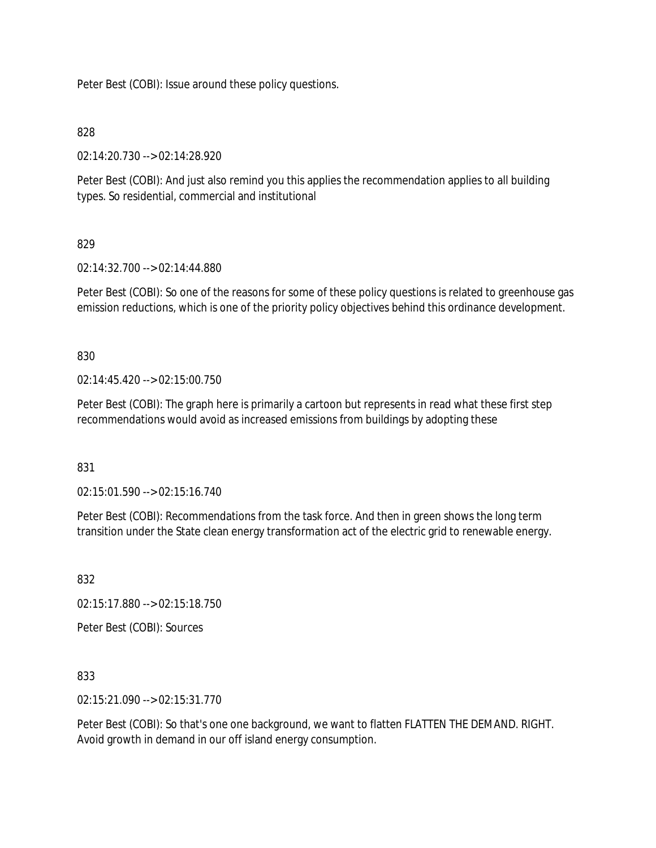Peter Best (COBI): Issue around these policy questions.

### 828

02:14:20.730 --> 02:14:28.920

Peter Best (COBI): And just also remind you this applies the recommendation applies to all building types. So residential, commercial and institutional

## 829

02:14:32.700 --> 02:14:44.880

Peter Best (COBI): So one of the reasons for some of these policy questions is related to greenhouse gas emission reductions, which is one of the priority policy objectives behind this ordinance development.

830

02:14:45.420 --> 02:15:00.750

Peter Best (COBI): The graph here is primarily a cartoon but represents in read what these first step recommendations would avoid as increased emissions from buildings by adopting these

831

02:15:01.590 --> 02:15:16.740

Peter Best (COBI): Recommendations from the task force. And then in green shows the long term transition under the State clean energy transformation act of the electric grid to renewable energy.

832

02:15:17.880 --> 02:15:18.750

Peter Best (COBI): Sources

833

02:15:21.090 --> 02:15:31.770

Peter Best (COBI): So that's one one background, we want to flatten FLATTEN THE DEMAND. RIGHT. Avoid growth in demand in our off island energy consumption.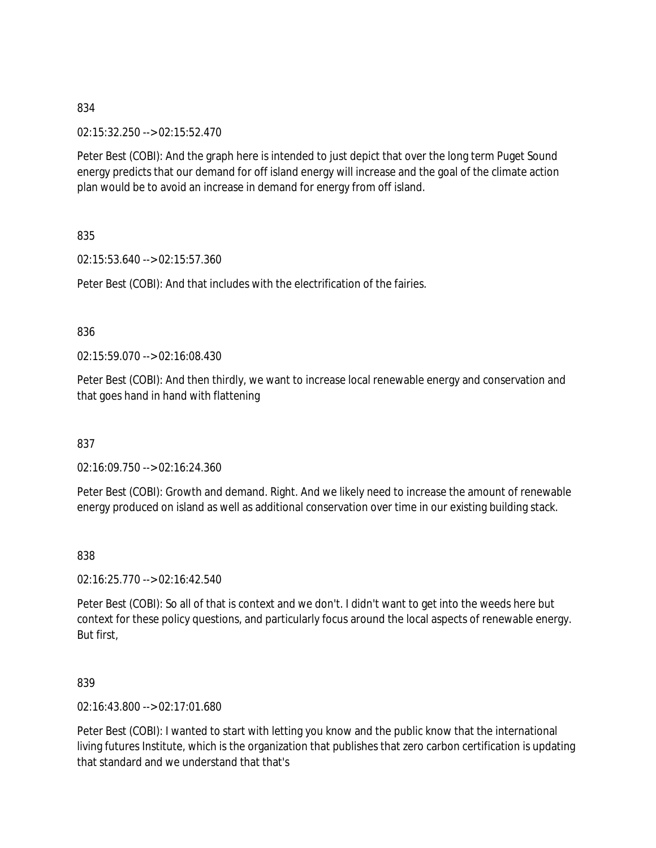02:15:32.250 --> 02:15:52.470

Peter Best (COBI): And the graph here is intended to just depict that over the long term Puget Sound energy predicts that our demand for off island energy will increase and the goal of the climate action plan would be to avoid an increase in demand for energy from off island.

835

02:15:53.640 --> 02:15:57.360

Peter Best (COBI): And that includes with the electrification of the fairies.

836

02:15:59.070 --> 02:16:08.430

Peter Best (COBI): And then thirdly, we want to increase local renewable energy and conservation and that goes hand in hand with flattening

837

02:16:09.750 --> 02:16:24.360

Peter Best (COBI): Growth and demand. Right. And we likely need to increase the amount of renewable energy produced on island as well as additional conservation over time in our existing building stack.

838

02:16:25.770 --> 02:16:42.540

Peter Best (COBI): So all of that is context and we don't. I didn't want to get into the weeds here but context for these policy questions, and particularly focus around the local aspects of renewable energy. But first,

839

02:16:43.800 --> 02:17:01.680

Peter Best (COBI): I wanted to start with letting you know and the public know that the international living futures Institute, which is the organization that publishes that zero carbon certification is updating that standard and we understand that that's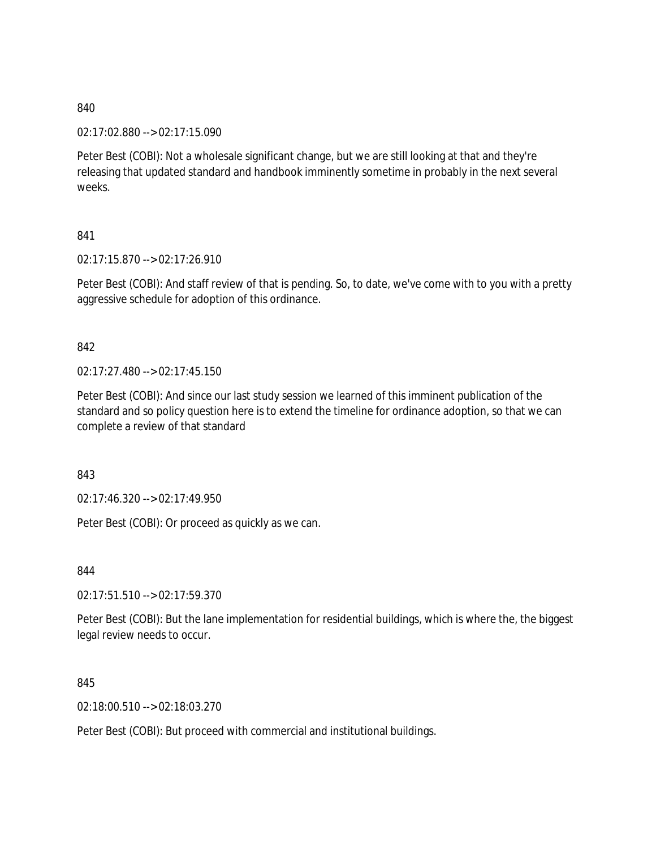02:17:02.880 --> 02:17:15.090

Peter Best (COBI): Not a wholesale significant change, but we are still looking at that and they're releasing that updated standard and handbook imminently sometime in probably in the next several weeks.

## 841

02:17:15.870 --> 02:17:26.910

Peter Best (COBI): And staff review of that is pending. So, to date, we've come with to you with a pretty aggressive schedule for adoption of this ordinance.

## 842

02:17:27.480 --> 02:17:45.150

Peter Best (COBI): And since our last study session we learned of this imminent publication of the standard and so policy question here is to extend the timeline for ordinance adoption, so that we can complete a review of that standard

843

02:17:46.320 --> 02:17:49.950

Peter Best (COBI): Or proceed as quickly as we can.

844

02:17:51.510 --> 02:17:59.370

Peter Best (COBI): But the lane implementation for residential buildings, which is where the, the biggest legal review needs to occur.

845

02:18:00.510 --> 02:18:03.270

Peter Best (COBI): But proceed with commercial and institutional buildings.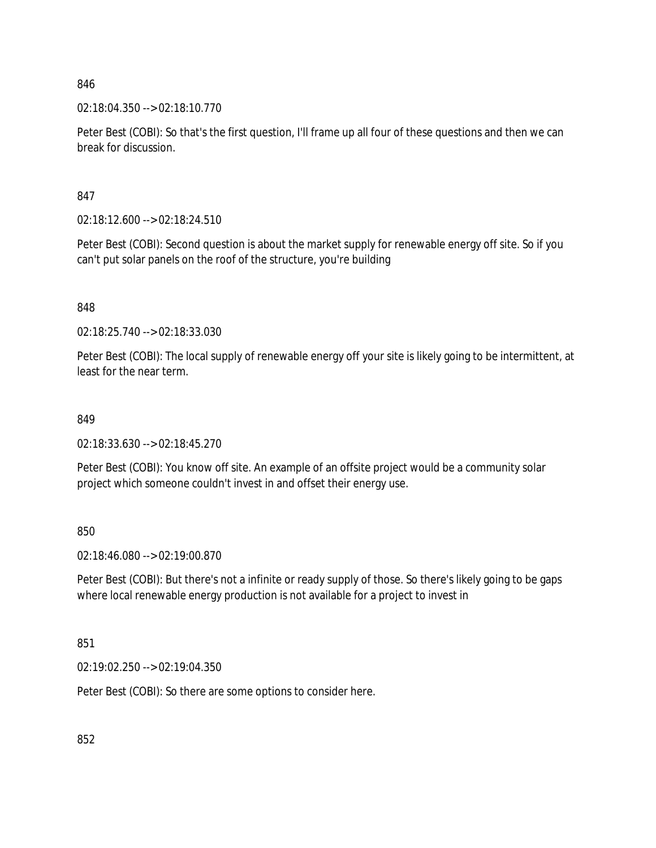02:18:04.350 --> 02:18:10.770

Peter Best (COBI): So that's the first question, I'll frame up all four of these questions and then we can break for discussion.

847

02:18:12.600 --> 02:18:24.510

Peter Best (COBI): Second question is about the market supply for renewable energy off site. So if you can't put solar panels on the roof of the structure, you're building

848

02:18:25.740 --> 02:18:33.030

Peter Best (COBI): The local supply of renewable energy off your site is likely going to be intermittent, at least for the near term.

#### 849

02:18:33.630 --> 02:18:45.270

Peter Best (COBI): You know off site. An example of an offsite project would be a community solar project which someone couldn't invest in and offset their energy use.

850

02:18:46.080 --> 02:19:00.870

Peter Best (COBI): But there's not a infinite or ready supply of those. So there's likely going to be gaps where local renewable energy production is not available for a project to invest in

851

02:19:02.250 --> 02:19:04.350

Peter Best (COBI): So there are some options to consider here.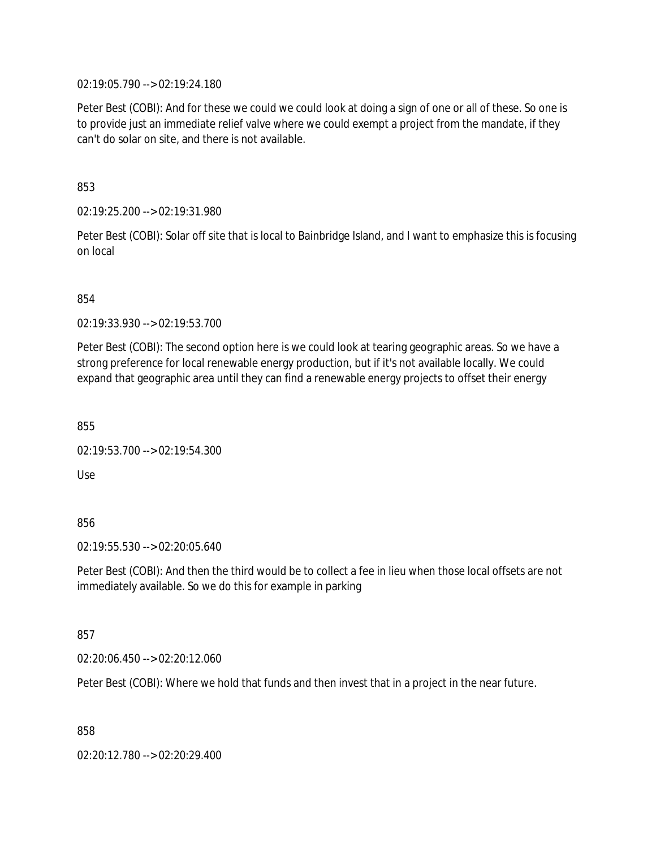02:19:05.790 --> 02:19:24.180

Peter Best (COBI): And for these we could we could look at doing a sign of one or all of these. So one is to provide just an immediate relief valve where we could exempt a project from the mandate, if they can't do solar on site, and there is not available.

853

02:19:25.200 --> 02:19:31.980

Peter Best (COBI): Solar off site that is local to Bainbridge Island, and I want to emphasize this is focusing on local

854

02:19:33.930 --> 02:19:53.700

Peter Best (COBI): The second option here is we could look at tearing geographic areas. So we have a strong preference for local renewable energy production, but if it's not available locally. We could expand that geographic area until they can find a renewable energy projects to offset their energy

855

02:19:53.700 --> 02:19:54.300

Use

856

02:19:55.530 --> 02:20:05.640

Peter Best (COBI): And then the third would be to collect a fee in lieu when those local offsets are not immediately available. So we do this for example in parking

857

02:20:06.450 --> 02:20:12.060

Peter Best (COBI): Where we hold that funds and then invest that in a project in the near future.

858

02:20:12.780 --> 02:20:29.400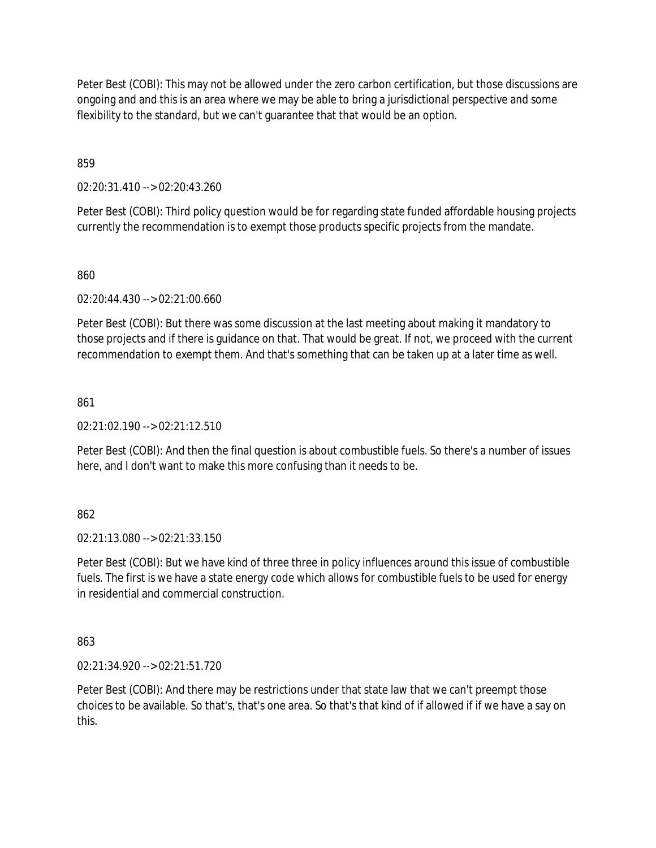Peter Best (COBI): This may not be allowed under the zero carbon certification, but those discussions are ongoing and and this is an area where we may be able to bring a jurisdictional perspective and some flexibility to the standard, but we can't guarantee that that would be an option.

859

02:20:31.410 --> 02:20:43.260

Peter Best (COBI): Third policy question would be for regarding state funded affordable housing projects currently the recommendation is to exempt those products specific projects from the mandate.

860

02:20:44.430 --> 02:21:00.660

Peter Best (COBI): But there was some discussion at the last meeting about making it mandatory to those projects and if there is guidance on that. That would be great. If not, we proceed with the current recommendation to exempt them. And that's something that can be taken up at a later time as well.

861

 $02.21.02.190 -5.02.21.12.510$ 

Peter Best (COBI): And then the final question is about combustible fuels. So there's a number of issues here, and I don't want to make this more confusing than it needs to be.

862

02:21:13.080 --> 02:21:33.150

Peter Best (COBI): But we have kind of three three in policy influences around this issue of combustible fuels. The first is we have a state energy code which allows for combustible fuels to be used for energy in residential and commercial construction.

863

02:21:34.920 --> 02:21:51.720

Peter Best (COBI): And there may be restrictions under that state law that we can't preempt those choices to be available. So that's, that's one area. So that's that kind of if allowed if if we have a say on this.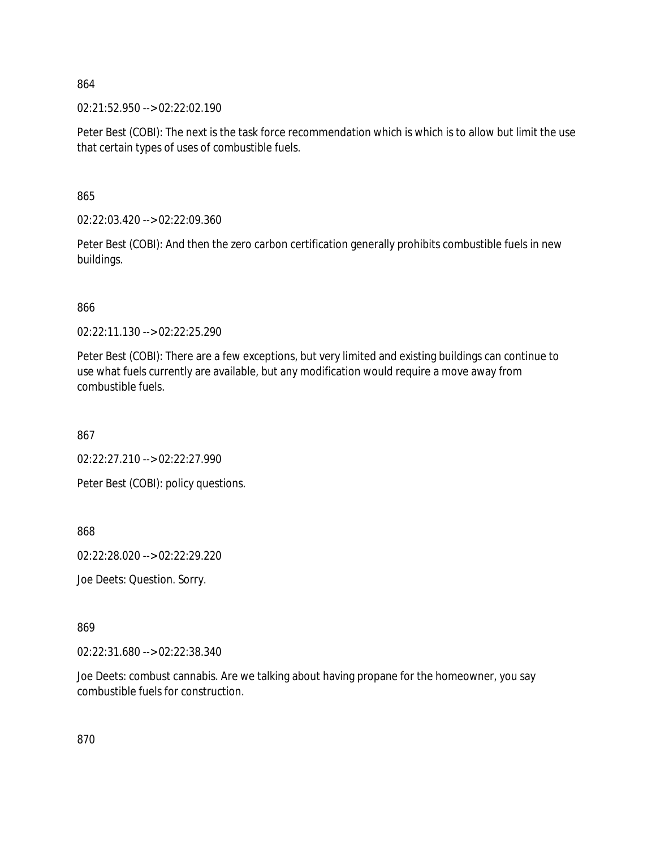02:21:52.950 --> 02:22:02.190

Peter Best (COBI): The next is the task force recommendation which is which is to allow but limit the use that certain types of uses of combustible fuels.

865

02:22:03.420 --> 02:22:09.360

Peter Best (COBI): And then the zero carbon certification generally prohibits combustible fuels in new buildings.

866

02:22:11.130 --> 02:22:25.290

Peter Best (COBI): There are a few exceptions, but very limited and existing buildings can continue to use what fuels currently are available, but any modification would require a move away from combustible fuels.

867

02:22:27.210 --> 02:22:27.990

Peter Best (COBI): policy questions.

868

02:22:28.020 --> 02:22:29.220

Joe Deets: Question. Sorry.

869

02:22:31.680 --> 02:22:38.340

Joe Deets: combust cannabis. Are we talking about having propane for the homeowner, you say combustible fuels for construction.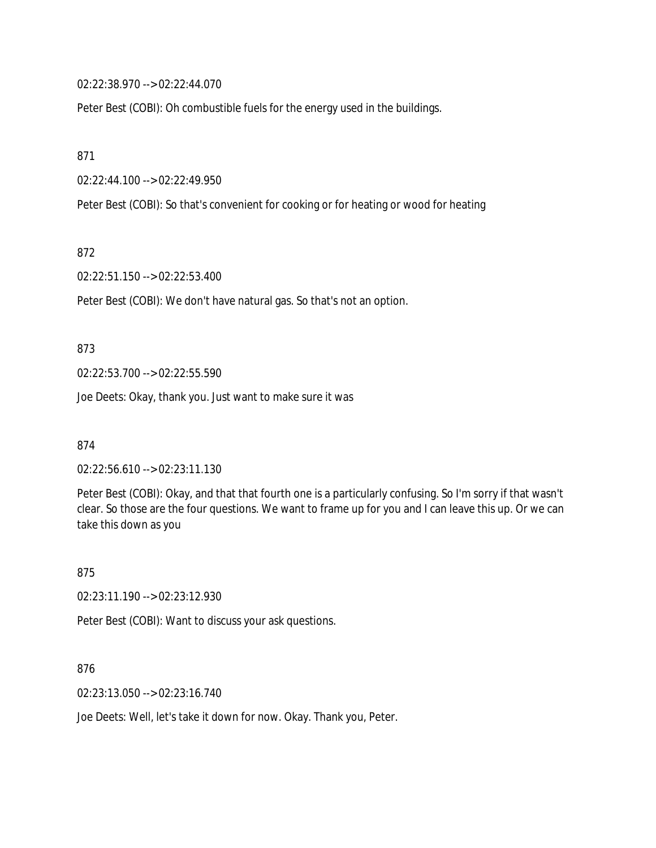02:22:38.970 --> 02:22:44.070

Peter Best (COBI): Oh combustible fuels for the energy used in the buildings.

871

02:22:44.100 --> 02:22:49.950

Peter Best (COBI): So that's convenient for cooking or for heating or wood for heating

872

02:22:51.150 --> 02:22:53.400

Peter Best (COBI): We don't have natural gas. So that's not an option.

873

02:22:53.700 --> 02:22:55.590

Joe Deets: Okay, thank you. Just want to make sure it was

874

02:22:56.610 --> 02:23:11.130

Peter Best (COBI): Okay, and that that fourth one is a particularly confusing. So I'm sorry if that wasn't clear. So those are the four questions. We want to frame up for you and I can leave this up. Or we can take this down as you

875

02:23:11.190 --> 02:23:12.930

Peter Best (COBI): Want to discuss your ask questions.

876

02:23:13.050 --> 02:23:16.740

Joe Deets: Well, let's take it down for now. Okay. Thank you, Peter.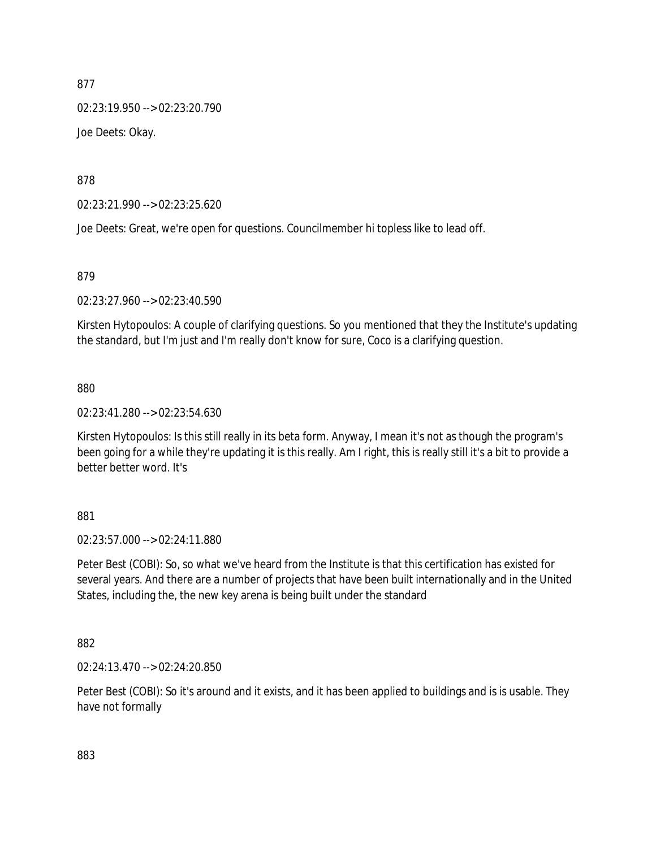02:23:19.950 --> 02:23:20.790 Joe Deets: Okay.

878

02:23:21.990 --> 02:23:25.620

Joe Deets: Great, we're open for questions. Councilmember hi topless like to lead off.

879

02:23:27.960 --> 02:23:40.590

Kirsten Hytopoulos: A couple of clarifying questions. So you mentioned that they the Institute's updating the standard, but I'm just and I'm really don't know for sure, Coco is a clarifying question.

880

02:23:41.280 --> 02:23:54.630

Kirsten Hytopoulos: Is this still really in its beta form. Anyway, I mean it's not as though the program's been going for a while they're updating it is this really. Am I right, this is really still it's a bit to provide a better better word. It's

881

02:23:57.000 --> 02:24:11.880

Peter Best (COBI): So, so what we've heard from the Institute is that this certification has existed for several years. And there are a number of projects that have been built internationally and in the United States, including the, the new key arena is being built under the standard

882

02:24:13.470 --> 02:24:20.850

Peter Best (COBI): So it's around and it exists, and it has been applied to buildings and is is usable. They have not formally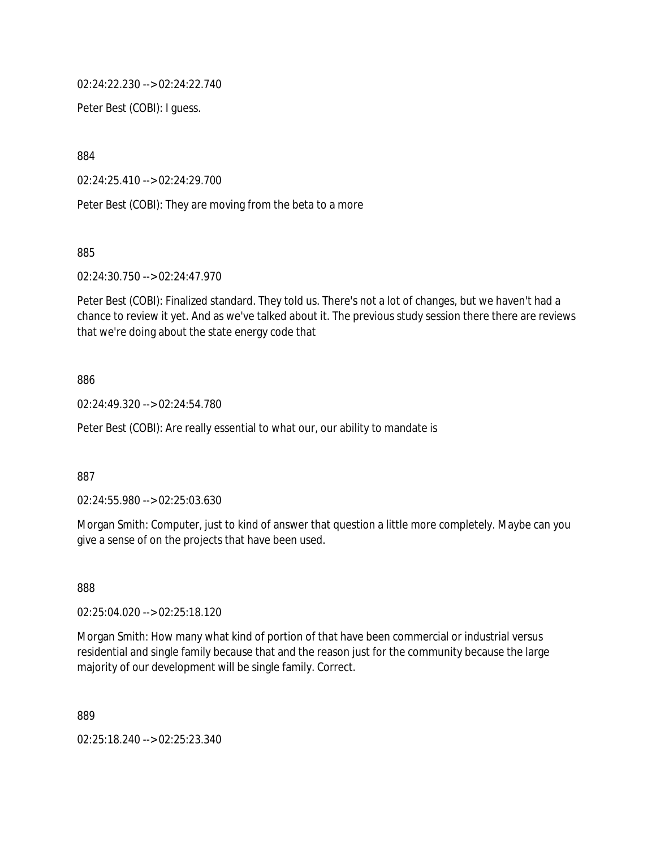02:24:22.230 --> 02:24:22.740

Peter Best (COBI): I guess.

884

02:24:25.410 --> 02:24:29.700

Peter Best (COBI): They are moving from the beta to a more

885

02:24:30.750 --> 02:24:47.970

Peter Best (COBI): Finalized standard. They told us. There's not a lot of changes, but we haven't had a chance to review it yet. And as we've talked about it. The previous study session there there are reviews that we're doing about the state energy code that

### 886

02:24:49.320 --> 02:24:54.780

Peter Best (COBI): Are really essential to what our, our ability to mandate is

887

02:24:55.980 --> 02:25:03.630

Morgan Smith: Computer, just to kind of answer that question a little more completely. Maybe can you give a sense of on the projects that have been used.

888

02:25:04.020 --> 02:25:18.120

Morgan Smith: How many what kind of portion of that have been commercial or industrial versus residential and single family because that and the reason just for the community because the large majority of our development will be single family. Correct.

889

02:25:18.240 --> 02:25:23.340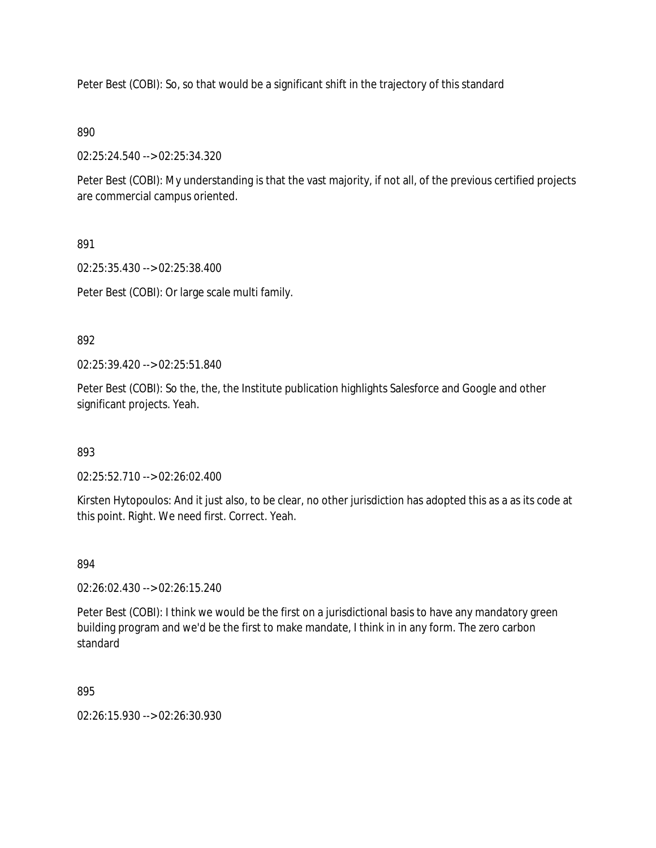Peter Best (COBI): So, so that would be a significant shift in the trajectory of this standard

### 890

02:25:24.540 --> 02:25:34.320

Peter Best (COBI): My understanding is that the vast majority, if not all, of the previous certified projects are commercial campus oriented.

## 891

02:25:35.430 --> 02:25:38.400

Peter Best (COBI): Or large scale multi family.

## 892

02:25:39.420 --> 02:25:51.840

Peter Best (COBI): So the, the, the Institute publication highlights Salesforce and Google and other significant projects. Yeah.

### 893

02:25:52.710 --> 02:26:02.400

Kirsten Hytopoulos: And it just also, to be clear, no other jurisdiction has adopted this as a as its code at this point. Right. We need first. Correct. Yeah.

### 894

02:26:02.430 --> 02:26:15.240

Peter Best (COBI): I think we would be the first on a jurisdictional basis to have any mandatory green building program and we'd be the first to make mandate, I think in in any form. The zero carbon standard

895

02:26:15.930 --> 02:26:30.930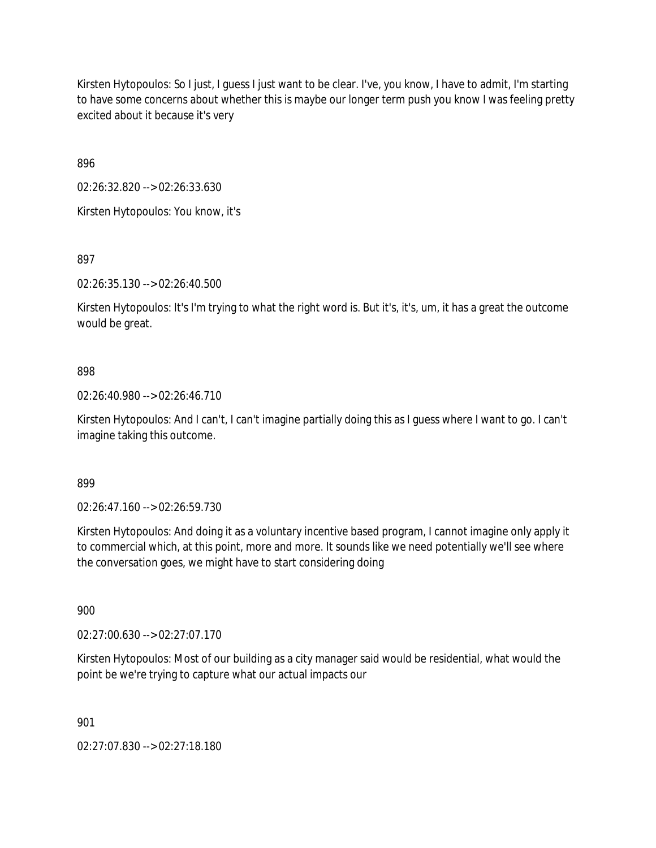Kirsten Hytopoulos: So I just, I guess I just want to be clear. I've, you know, I have to admit, I'm starting to have some concerns about whether this is maybe our longer term push you know I was feeling pretty excited about it because it's very

896

02:26:32.820 --> 02:26:33.630 Kirsten Hytopoulos: You know, it's

897

02:26:35.130 --> 02:26:40.500

Kirsten Hytopoulos: It's I'm trying to what the right word is. But it's, it's, um, it has a great the outcome would be great.

## 898

02:26:40.980 --> 02:26:46.710

Kirsten Hytopoulos: And I can't, I can't imagine partially doing this as I guess where I want to go. I can't imagine taking this outcome.

899

02:26:47.160 --> 02:26:59.730

Kirsten Hytopoulos: And doing it as a voluntary incentive based program, I cannot imagine only apply it to commercial which, at this point, more and more. It sounds like we need potentially we'll see where the conversation goes, we might have to start considering doing

900

02:27:00.630 --> 02:27:07.170

Kirsten Hytopoulos: Most of our building as a city manager said would be residential, what would the point be we're trying to capture what our actual impacts our

901

02:27:07.830 --> 02:27:18.180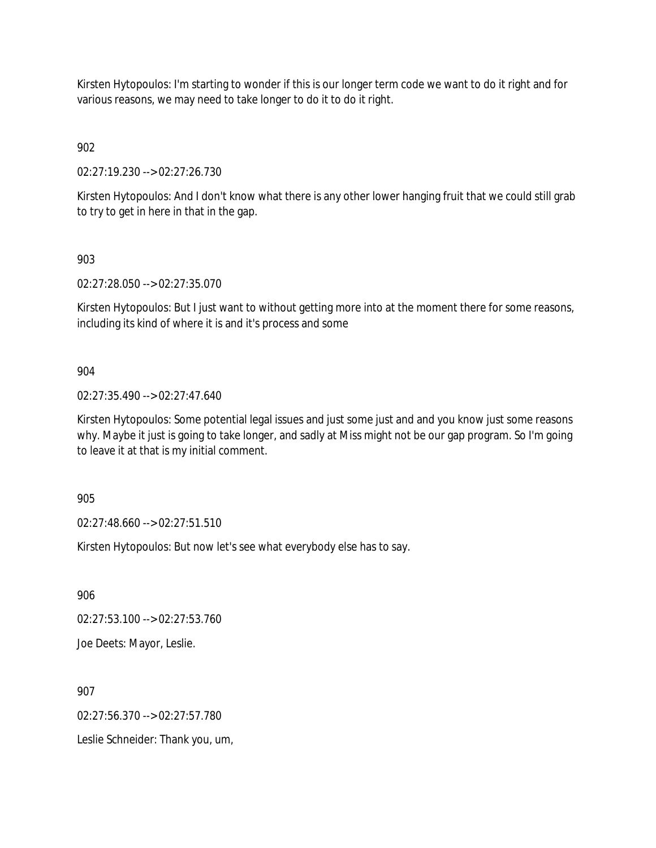Kirsten Hytopoulos: I'm starting to wonder if this is our longer term code we want to do it right and for various reasons, we may need to take longer to do it to do it right.

902

02:27:19.230 --> 02:27:26.730

Kirsten Hytopoulos: And I don't know what there is any other lower hanging fruit that we could still grab to try to get in here in that in the gap.

903

02:27:28.050 --> 02:27:35.070

Kirsten Hytopoulos: But I just want to without getting more into at the moment there for some reasons, including its kind of where it is and it's process and some

904

02:27:35.490 --> 02:27:47.640

Kirsten Hytopoulos: Some potential legal issues and just some just and and you know just some reasons why. Maybe it just is going to take longer, and sadly at Miss might not be our gap program. So I'm going to leave it at that is my initial comment.

905

02:27:48.660 --> 02:27:51.510

Kirsten Hytopoulos: But now let's see what everybody else has to say.

906

02:27:53.100 --> 02:27:53.760

Joe Deets: Mayor, Leslie.

907

02:27:56.370 --> 02:27:57.780

Leslie Schneider: Thank you, um,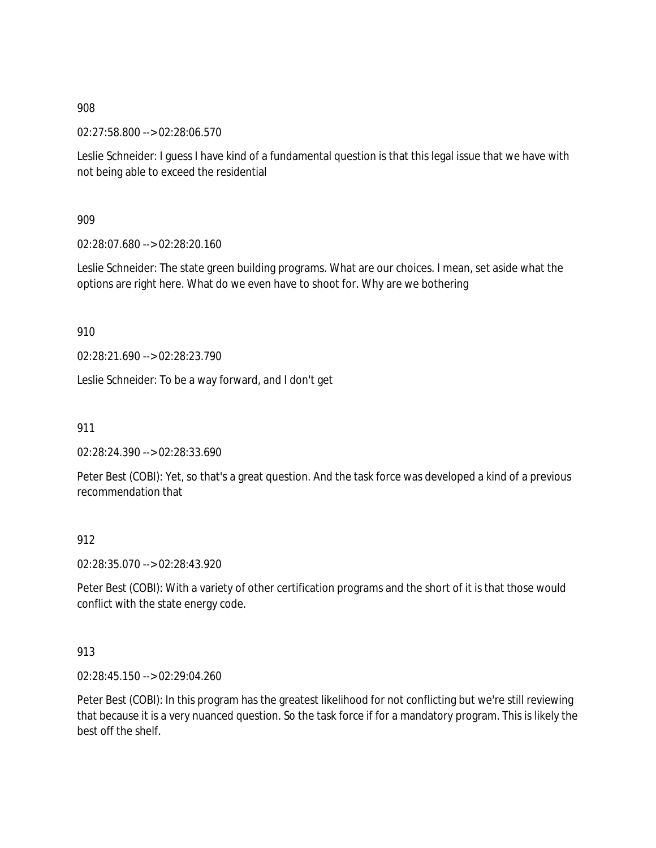02:27:58.800 --> 02:28:06.570

Leslie Schneider: I guess I have kind of a fundamental question is that this legal issue that we have with not being able to exceed the residential

909

02:28:07.680 --> 02:28:20.160

Leslie Schneider: The state green building programs. What are our choices. I mean, set aside what the options are right here. What do we even have to shoot for. Why are we bothering

910

02:28:21.690 --> 02:28:23.790

Leslie Schneider: To be a way forward, and I don't get

911

02:28:24.390 --> 02:28:33.690

Peter Best (COBI): Yet, so that's a great question. And the task force was developed a kind of a previous recommendation that

## 912

02:28:35.070 --> 02:28:43.920

Peter Best (COBI): With a variety of other certification programs and the short of it is that those would conflict with the state energy code.

## 913

02:28:45.150 --> 02:29:04.260

Peter Best (COBI): In this program has the greatest likelihood for not conflicting but we're still reviewing that because it is a very nuanced question. So the task force if for a mandatory program. This is likely the best off the shelf.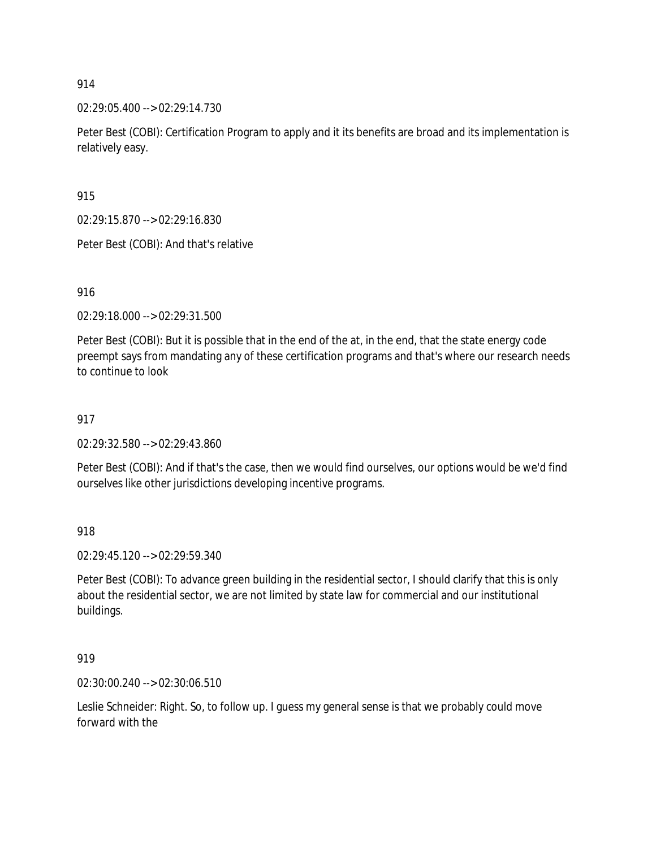02:29:05.400 --> 02:29:14.730

Peter Best (COBI): Certification Program to apply and it its benefits are broad and its implementation is relatively easy.

915

02:29:15.870 --> 02:29:16.830

Peter Best (COBI): And that's relative

916

02:29:18.000 --> 02:29:31.500

Peter Best (COBI): But it is possible that in the end of the at, in the end, that the state energy code preempt says from mandating any of these certification programs and that's where our research needs to continue to look

## 917

02:29:32.580 --> 02:29:43.860

Peter Best (COBI): And if that's the case, then we would find ourselves, our options would be we'd find ourselves like other jurisdictions developing incentive programs.

918

02:29:45.120 --> 02:29:59.340

Peter Best (COBI): To advance green building in the residential sector, I should clarify that this is only about the residential sector, we are not limited by state law for commercial and our institutional buildings.

919

02:30:00.240 --> 02:30:06.510

Leslie Schneider: Right. So, to follow up. I guess my general sense is that we probably could move forward with the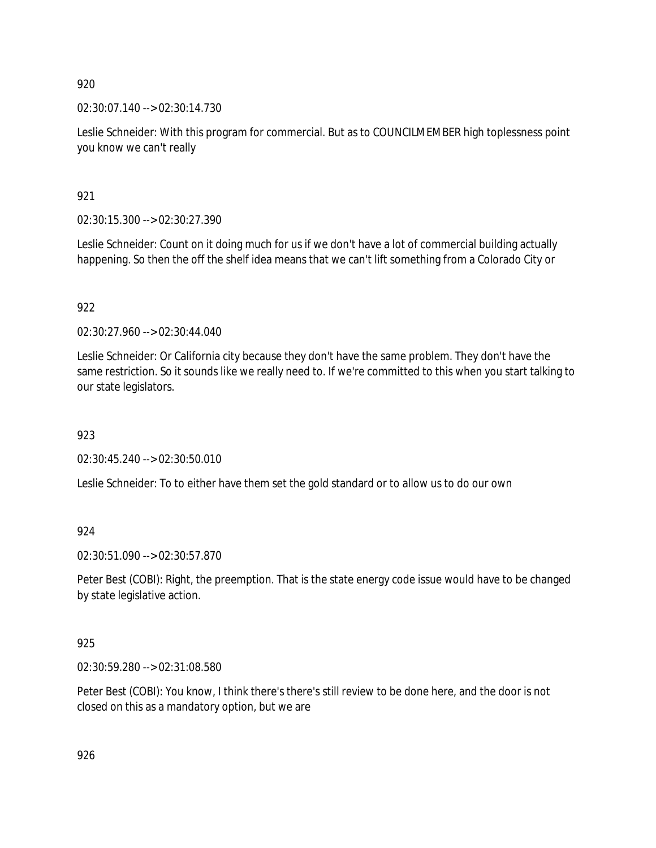02:30:07.140 --> 02:30:14.730

Leslie Schneider: With this program for commercial. But as to COUNCILMEMBER high toplessness point you know we can't really

921

02:30:15.300 --> 02:30:27.390

Leslie Schneider: Count on it doing much for us if we don't have a lot of commercial building actually happening. So then the off the shelf idea means that we can't lift something from a Colorado City or

922

02:30:27.960 --> 02:30:44.040

Leslie Schneider: Or California city because they don't have the same problem. They don't have the same restriction. So it sounds like we really need to. If we're committed to this when you start talking to our state legislators.

923

02:30:45.240 --> 02:30:50.010

Leslie Schneider: To to either have them set the gold standard or to allow us to do our own

924

02:30:51.090 --> 02:30:57.870

Peter Best (COBI): Right, the preemption. That is the state energy code issue would have to be changed by state legislative action.

925

02:30:59.280 --> 02:31:08.580

Peter Best (COBI): You know, I think there's there's still review to be done here, and the door is not closed on this as a mandatory option, but we are

926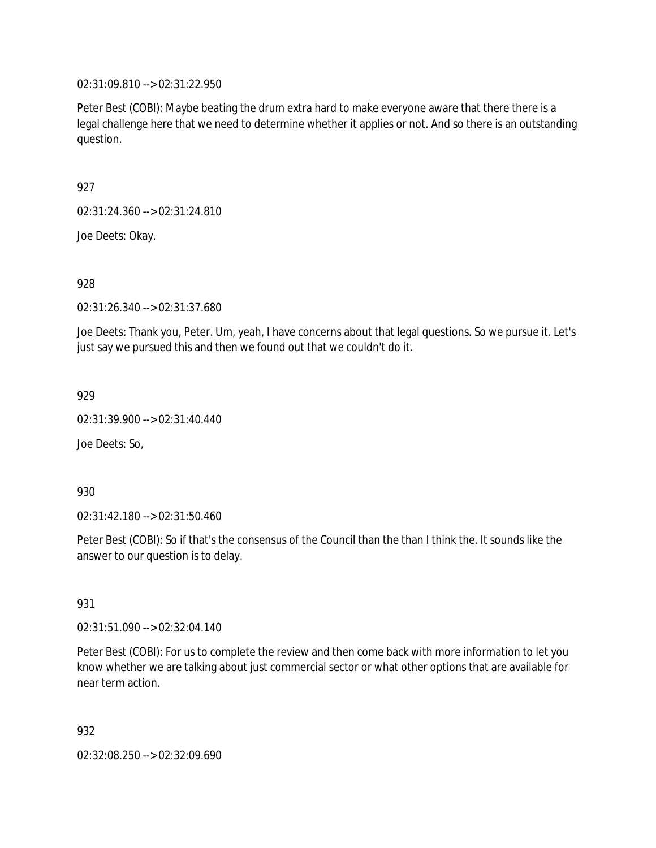02:31:09.810 --> 02:31:22.950

Peter Best (COBI): Maybe beating the drum extra hard to make everyone aware that there there is a legal challenge here that we need to determine whether it applies or not. And so there is an outstanding question.

927

02:31:24.360 --> 02:31:24.810

Joe Deets: Okay.

928

02:31:26.340 --> 02:31:37.680

Joe Deets: Thank you, Peter. Um, yeah, I have concerns about that legal questions. So we pursue it. Let's just say we pursued this and then we found out that we couldn't do it.

929

02:31:39.900 --> 02:31:40.440

Joe Deets: So,

930

02:31:42.180 --> 02:31:50.460

Peter Best (COBI): So if that's the consensus of the Council than the than I think the. It sounds like the answer to our question is to delay.

931

02:31:51.090 --> 02:32:04.140

Peter Best (COBI): For us to complete the review and then come back with more information to let you know whether we are talking about just commercial sector or what other options that are available for near term action.

932

02:32:08.250 --> 02:32:09.690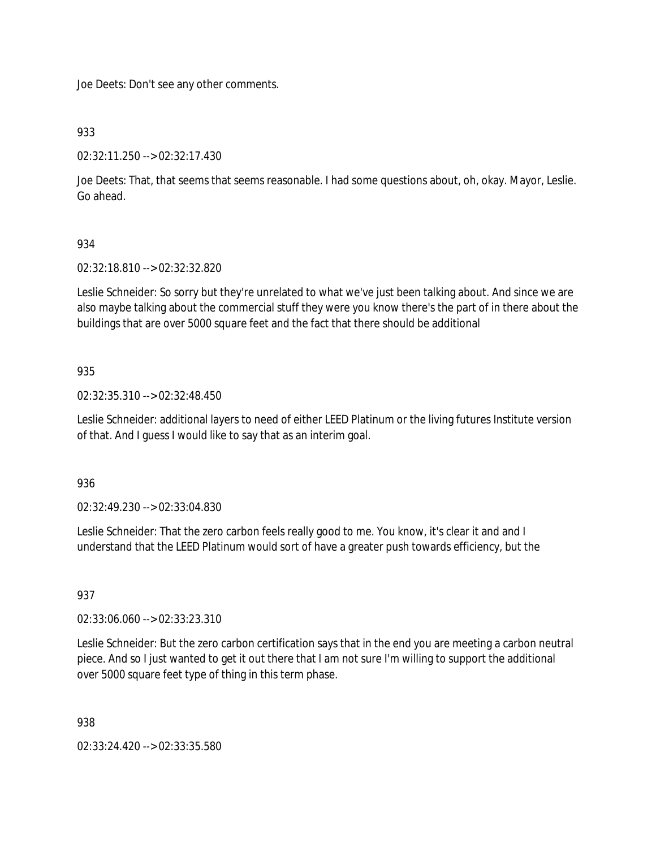Joe Deets: Don't see any other comments.

933

02:32:11.250 --> 02:32:17.430

Joe Deets: That, that seems that seems reasonable. I had some questions about, oh, okay. Mayor, Leslie. Go ahead.

# 934

02:32:18.810 --> 02:32:32.820

Leslie Schneider: So sorry but they're unrelated to what we've just been talking about. And since we are also maybe talking about the commercial stuff they were you know there's the part of in there about the buildings that are over 5000 square feet and the fact that there should be additional

## 935

02:32:35.310 --> 02:32:48.450

Leslie Schneider: additional layers to need of either LEED Platinum or the living futures Institute version of that. And I guess I would like to say that as an interim goal.

936

02:32:49.230 --> 02:33:04.830

Leslie Schneider: That the zero carbon feels really good to me. You know, it's clear it and and I understand that the LEED Platinum would sort of have a greater push towards efficiency, but the

# 937

02:33:06.060 --> 02:33:23.310

Leslie Schneider: But the zero carbon certification says that in the end you are meeting a carbon neutral piece. And so I just wanted to get it out there that I am not sure I'm willing to support the additional over 5000 square feet type of thing in this term phase.

938

02:33:24.420 --> 02:33:35.580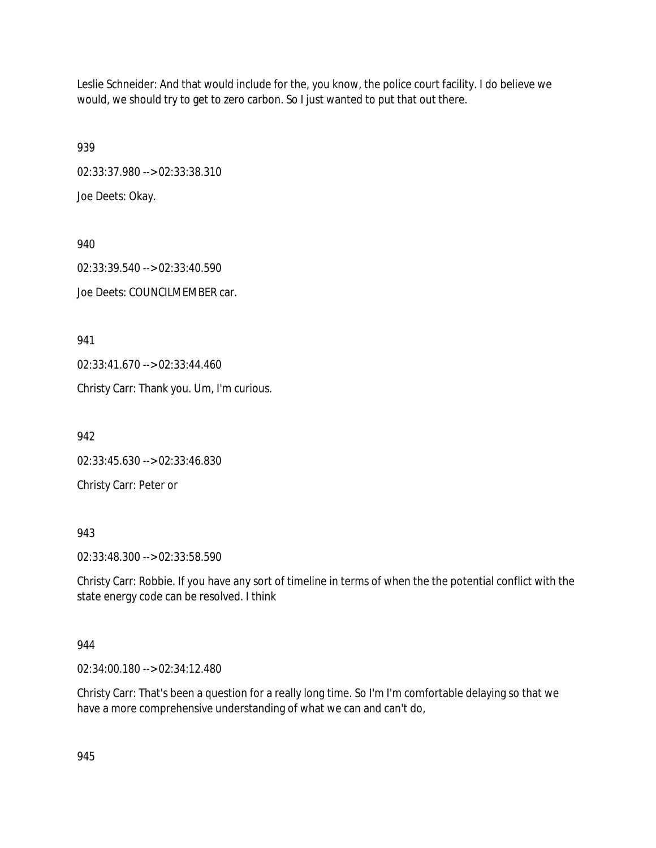Leslie Schneider: And that would include for the, you know, the police court facility. I do believe we would, we should try to get to zero carbon. So I just wanted to put that out there.

939 02:33:37.980 --> 02:33:38.310

Joe Deets: Okay.

940 02:33:39.540 --> 02:33:40.590 Joe Deets: COUNCILMEMBER car.

941

02:33:41.670 --> 02:33:44.460

Christy Carr: Thank you. Um, I'm curious.

942

02:33:45.630 --> 02:33:46.830

Christy Carr: Peter or

943

02:33:48.300 --> 02:33:58.590

Christy Carr: Robbie. If you have any sort of timeline in terms of when the the potential conflict with the state energy code can be resolved. I think

# 944

02:34:00.180 --> 02:34:12.480

Christy Carr: That's been a question for a really long time. So I'm I'm comfortable delaying so that we have a more comprehensive understanding of what we can and can't do,

945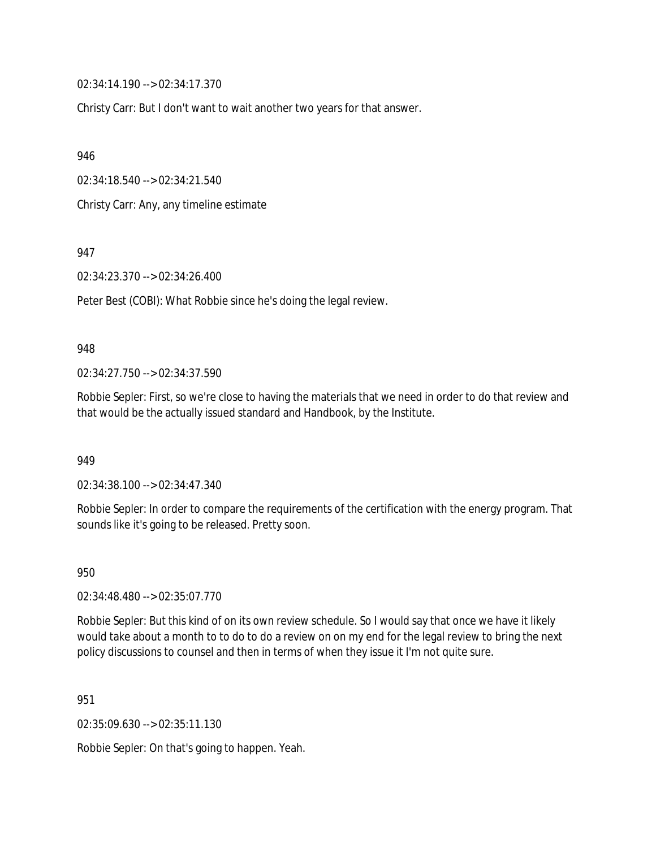02:34:14.190 --> 02:34:17.370

Christy Carr: But I don't want to wait another two years for that answer.

946

02:34:18.540 --> 02:34:21.540

Christy Carr: Any, any timeline estimate

947

02:34:23.370 --> 02:34:26.400

Peter Best (COBI): What Robbie since he's doing the legal review.

#### 948

02:34:27.750 --> 02:34:37.590

Robbie Sepler: First, so we're close to having the materials that we need in order to do that review and that would be the actually issued standard and Handbook, by the Institute.

949

02:34:38.100 --> 02:34:47.340

Robbie Sepler: In order to compare the requirements of the certification with the energy program. That sounds like it's going to be released. Pretty soon.

950

02:34:48.480 --> 02:35:07.770

Robbie Sepler: But this kind of on its own review schedule. So I would say that once we have it likely would take about a month to to do to do a review on on my end for the legal review to bring the next policy discussions to counsel and then in terms of when they issue it I'm not quite sure.

951

02:35:09.630 --> 02:35:11.130

Robbie Sepler: On that's going to happen. Yeah.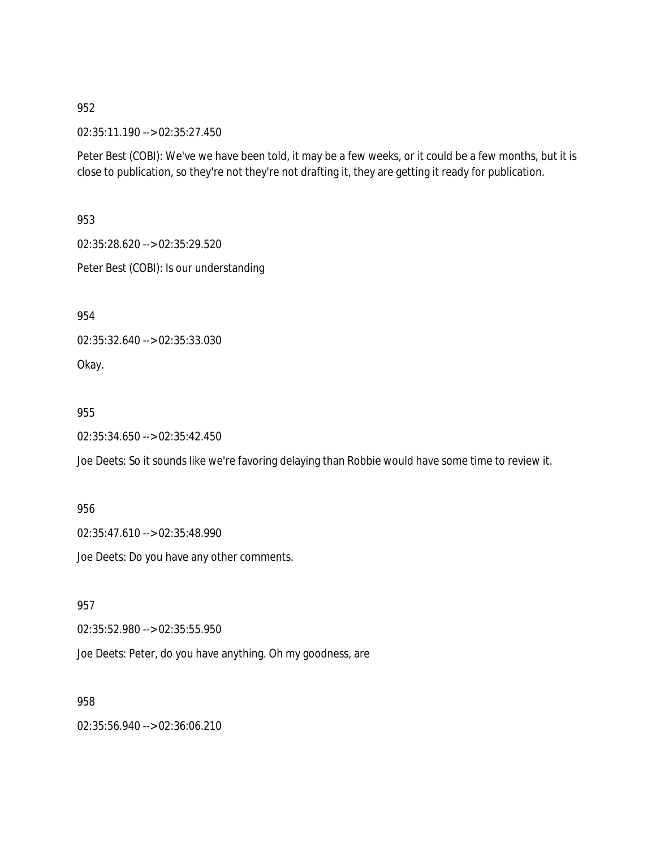02:35:11.190 --> 02:35:27.450

Peter Best (COBI): We've we have been told, it may be a few weeks, or it could be a few months, but it is close to publication, so they're not they're not drafting it, they are getting it ready for publication.

953

02:35:28.620 --> 02:35:29.520

Peter Best (COBI): Is our understanding

954

02:35:32.640 --> 02:35:33.030

Okay.

955

02:35:34.650 --> 02:35:42.450

Joe Deets: So it sounds like we're favoring delaying than Robbie would have some time to review it.

956

02:35:47.610 --> 02:35:48.990

Joe Deets: Do you have any other comments.

957

02:35:52.980 --> 02:35:55.950

Joe Deets: Peter, do you have anything. Oh my goodness, are

958

02:35:56.940 --> 02:36:06.210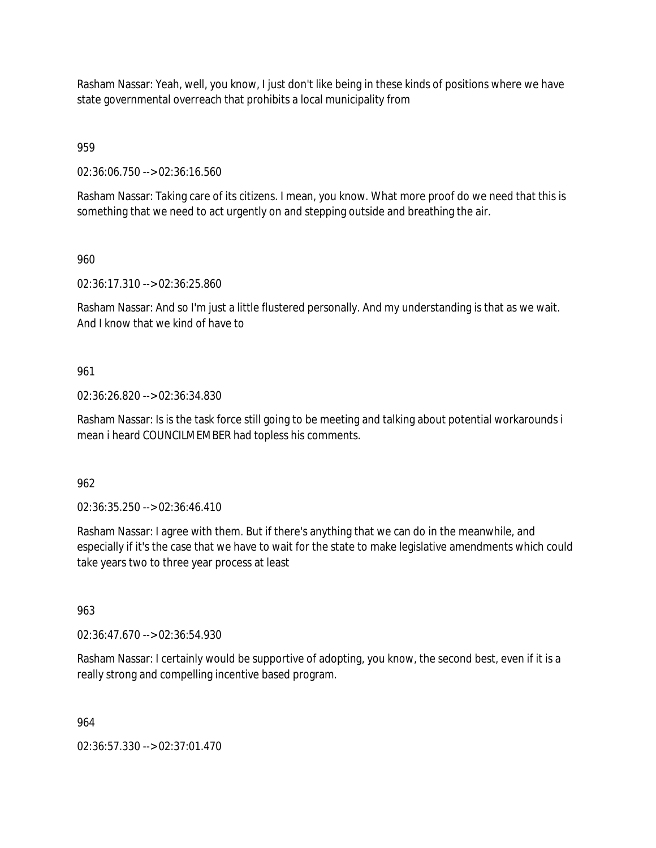Rasham Nassar: Yeah, well, you know, I just don't like being in these kinds of positions where we have state governmental overreach that prohibits a local municipality from

959

02:36:06.750 --> 02:36:16.560

Rasham Nassar: Taking care of its citizens. I mean, you know. What more proof do we need that this is something that we need to act urgently on and stepping outside and breathing the air.

960

02:36:17.310 --> 02:36:25.860

Rasham Nassar: And so I'm just a little flustered personally. And my understanding is that as we wait. And I know that we kind of have to

961

02:36:26.820 --> 02:36:34.830

Rasham Nassar: Is is the task force still going to be meeting and talking about potential workarounds i mean i heard COUNCILMEMBER had topless his comments.

962

02:36:35.250 --> 02:36:46.410

Rasham Nassar: I agree with them. But if there's anything that we can do in the meanwhile, and especially if it's the case that we have to wait for the state to make legislative amendments which could take years two to three year process at least

963

02:36:47.670 --> 02:36:54.930

Rasham Nassar: I certainly would be supportive of adopting, you know, the second best, even if it is a really strong and compelling incentive based program.

964

02:36:57.330 --> 02:37:01.470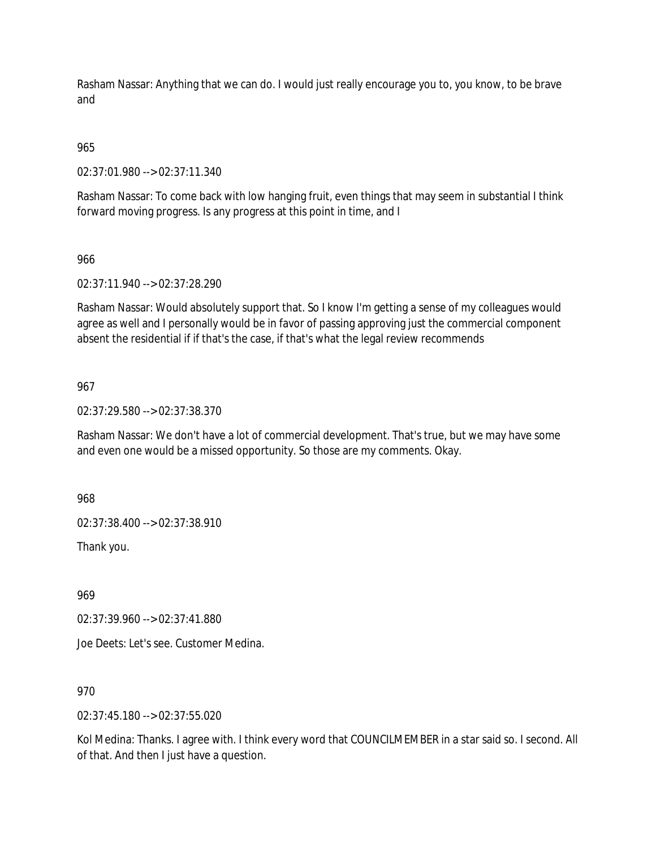Rasham Nassar: Anything that we can do. I would just really encourage you to, you know, to be brave and

# 965

02:37:01.980 --> 02:37:11.340

Rasham Nassar: To come back with low hanging fruit, even things that may seem in substantial I think forward moving progress. Is any progress at this point in time, and I

## 966

02:37:11.940 --> 02:37:28.290

Rasham Nassar: Would absolutely support that. So I know I'm getting a sense of my colleagues would agree as well and I personally would be in favor of passing approving just the commercial component absent the residential if if that's the case, if that's what the legal review recommends

## 967

02:37:29.580 --> 02:37:38.370

Rasham Nassar: We don't have a lot of commercial development. That's true, but we may have some and even one would be a missed opportunity. So those are my comments. Okay.

968

02:37:38.400 --> 02:37:38.910

Thank you.

969

02:37:39.960 --> 02:37:41.880

Joe Deets: Let's see. Customer Medina.

## 970

02:37:45.180 --> 02:37:55.020

Kol Medina: Thanks. I agree with. I think every word that COUNCILMEMBER in a star said so. I second. All of that. And then I just have a question.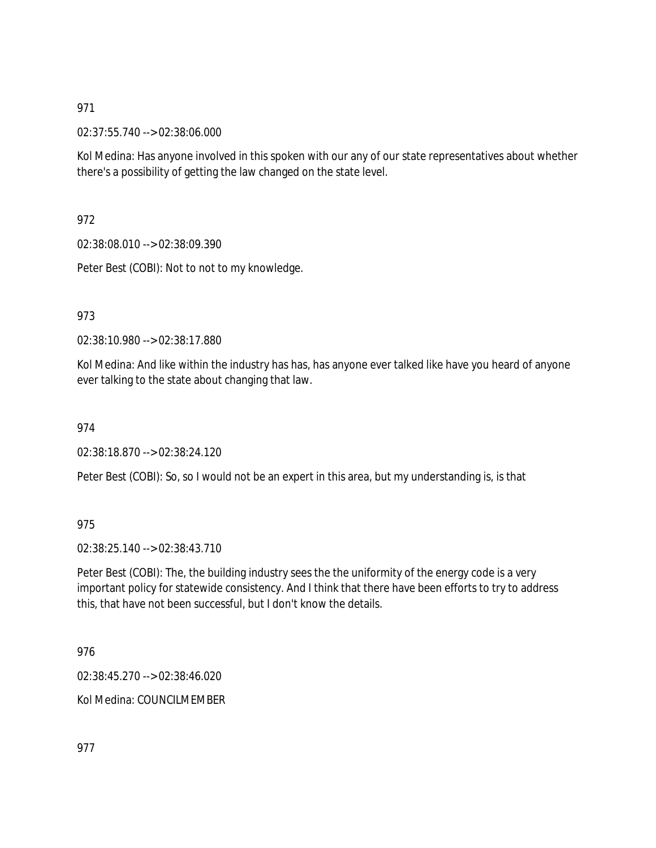02:37:55.740 --> 02:38:06.000

Kol Medina: Has anyone involved in this spoken with our any of our state representatives about whether there's a possibility of getting the law changed on the state level.

972

02:38:08.010 --> 02:38:09.390

Peter Best (COBI): Not to not to my knowledge.

973

02:38:10.980 --> 02:38:17.880

Kol Medina: And like within the industry has has, has anyone ever talked like have you heard of anyone ever talking to the state about changing that law.

974

02:38:18.870 --> 02:38:24.120

Peter Best (COBI): So, so I would not be an expert in this area, but my understanding is, is that

975

02:38:25.140 --> 02:38:43.710

Peter Best (COBI): The, the building industry sees the the uniformity of the energy code is a very important policy for statewide consistency. And I think that there have been efforts to try to address this, that have not been successful, but I don't know the details.

976

02:38:45.270 --> 02:38:46.020

Kol Medina: COUNCILMEMBER

977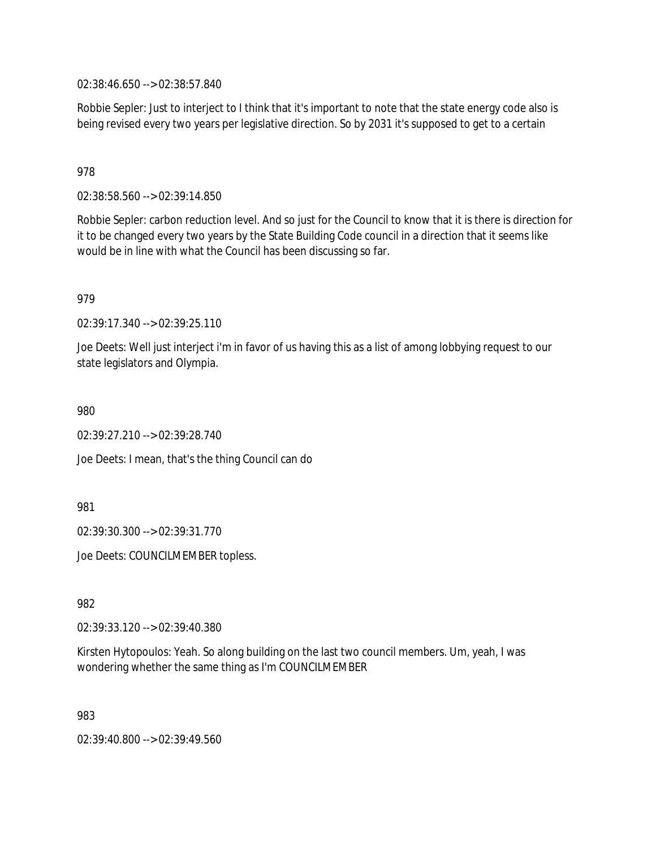02:38:46.650 --> 02:38:57.840

Robbie Sepler: Just to interject to I think that it's important to note that the state energy code also is being revised every two years per legislative direction. So by 2031 it's supposed to get to a certain

978

02:38:58.560 --> 02:39:14.850

Robbie Sepler: carbon reduction level. And so just for the Council to know that it is there is direction for it to be changed every two years by the State Building Code council in a direction that it seems like would be in line with what the Council has been discussing so far.

979

02:39:17.340 --> 02:39:25.110

Joe Deets: Well just interject i'm in favor of us having this as a list of among lobbying request to our state legislators and Olympia.

980

02:39:27.210 --> 02:39:28.740

Joe Deets: I mean, that's the thing Council can do

981

02:39:30.300 --> 02:39:31.770

Joe Deets: COUNCILMEMBER topless.

982

02:39:33.120 --> 02:39:40.380

Kirsten Hytopoulos: Yeah. So along building on the last two council members. Um, yeah, I was wondering whether the same thing as I'm COUNCILMEMBER

983

02:39:40.800 --> 02:39:49.560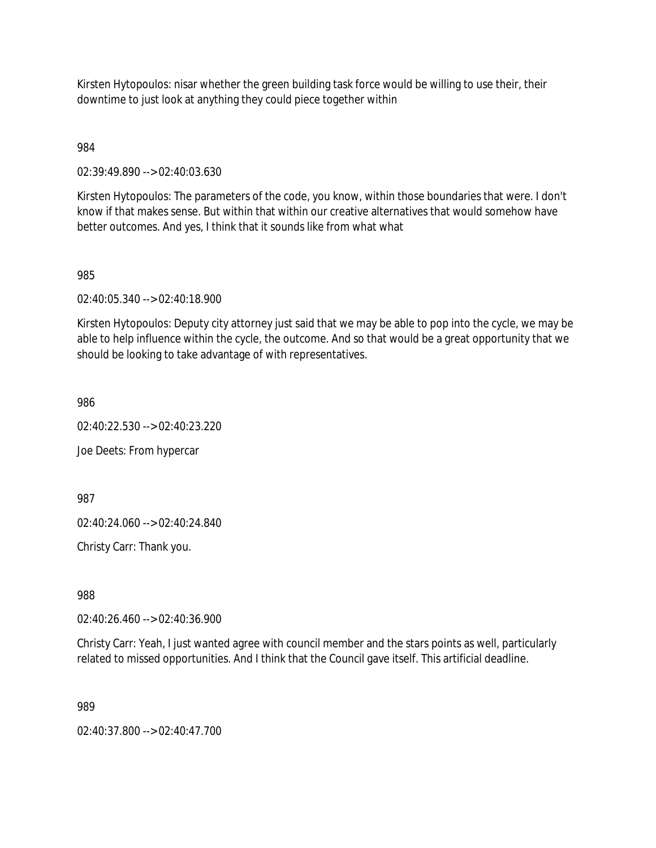Kirsten Hytopoulos: nisar whether the green building task force would be willing to use their, their downtime to just look at anything they could piece together within

984

02:39:49.890 --> 02:40:03.630

Kirsten Hytopoulos: The parameters of the code, you know, within those boundaries that were. I don't know if that makes sense. But within that within our creative alternatives that would somehow have better outcomes. And yes, I think that it sounds like from what what

985

02:40:05.340 --> 02:40:18.900

Kirsten Hytopoulos: Deputy city attorney just said that we may be able to pop into the cycle, we may be able to help influence within the cycle, the outcome. And so that would be a great opportunity that we should be looking to take advantage of with representatives.

986

02:40:22.530 --> 02:40:23.220

Joe Deets: From hypercar

987

02:40:24.060 --> 02:40:24.840

Christy Carr: Thank you.

988

02:40:26.460 --> 02:40:36.900

Christy Carr: Yeah, I just wanted agree with council member and the stars points as well, particularly related to missed opportunities. And I think that the Council gave itself. This artificial deadline.

989

02:40:37.800 --> 02:40:47.700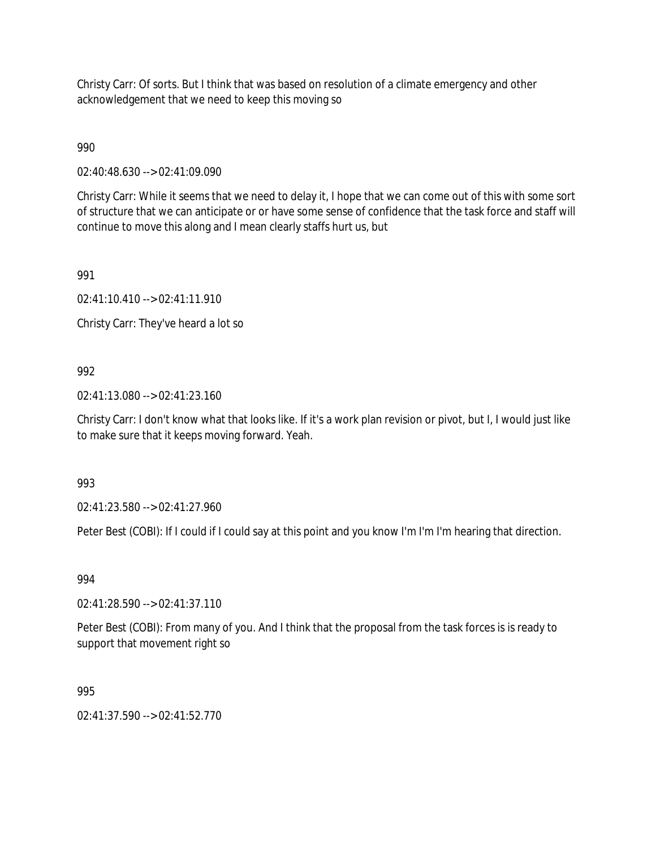Christy Carr: Of sorts. But I think that was based on resolution of a climate emergency and other acknowledgement that we need to keep this moving so

990

02:40:48.630 --> 02:41:09.090

Christy Carr: While it seems that we need to delay it, I hope that we can come out of this with some sort of structure that we can anticipate or or have some sense of confidence that the task force and staff will continue to move this along and I mean clearly staffs hurt us, but

991

02:41:10.410 --> 02:41:11.910

Christy Carr: They've heard a lot so

## 992

02:41:13.080 --> 02:41:23.160

Christy Carr: I don't know what that looks like. If it's a work plan revision or pivot, but I, I would just like to make sure that it keeps moving forward. Yeah.

993

02:41:23.580 --> 02:41:27.960

Peter Best (COBI): If I could if I could say at this point and you know I'm I'm I'm hearing that direction.

994

02:41:28.590 --> 02:41:37.110

Peter Best (COBI): From many of you. And I think that the proposal from the task forces is is ready to support that movement right so

995

02:41:37.590 --> 02:41:52.770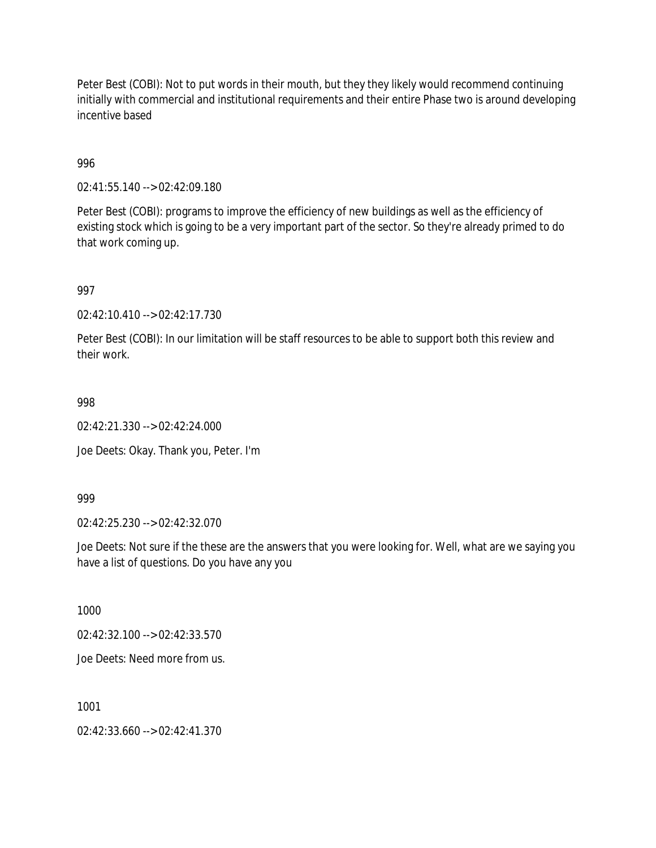Peter Best (COBI): Not to put words in their mouth, but they they likely would recommend continuing initially with commercial and institutional requirements and their entire Phase two is around developing incentive based

996

02:41:55.140 --> 02:42:09.180

Peter Best (COBI): programs to improve the efficiency of new buildings as well as the efficiency of existing stock which is going to be a very important part of the sector. So they're already primed to do that work coming up.

997

02:42:10.410 --> 02:42:17.730

Peter Best (COBI): In our limitation will be staff resources to be able to support both this review and their work.

998

02:42:21.330 --> 02:42:24.000

Joe Deets: Okay. Thank you, Peter. I'm

999

02:42:25.230 --> 02:42:32.070

Joe Deets: Not sure if the these are the answers that you were looking for. Well, what are we saying you have a list of questions. Do you have any you

1000

02:42:32.100 --> 02:42:33.570

Joe Deets: Need more from us.

1001

02:42:33.660 --> 02:42:41.370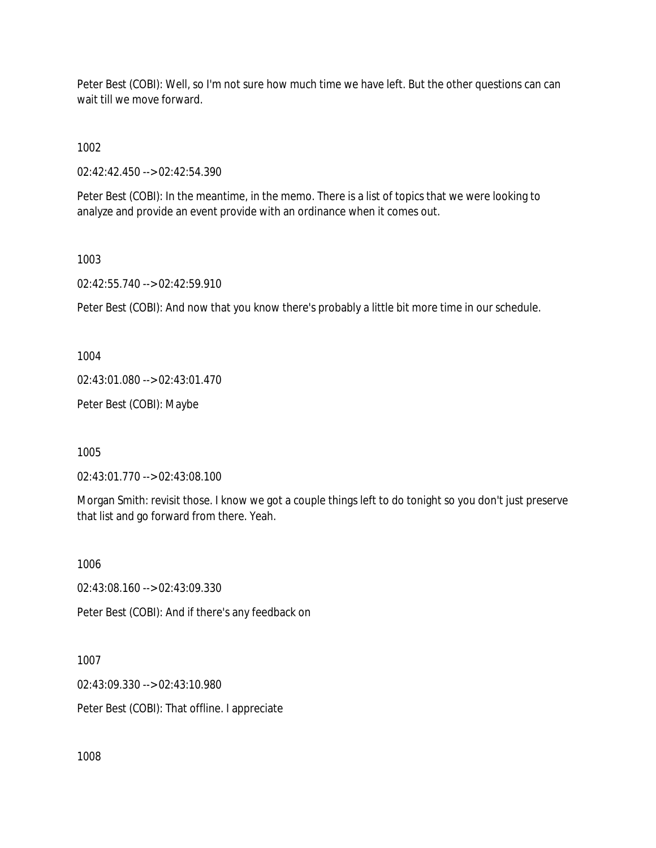Peter Best (COBI): Well, so I'm not sure how much time we have left. But the other questions can can wait till we move forward.

1002

02:42:42.450 --> 02:42:54.390

Peter Best (COBI): In the meantime, in the memo. There is a list of topics that we were looking to analyze and provide an event provide with an ordinance when it comes out.

1003

02:42:55.740 --> 02:42:59.910

Peter Best (COBI): And now that you know there's probably a little bit more time in our schedule.

1004

02:43:01.080 --> 02:43:01.470

Peter Best (COBI): Maybe

1005

02:43:01.770 --> 02:43:08.100

Morgan Smith: revisit those. I know we got a couple things left to do tonight so you don't just preserve that list and go forward from there. Yeah.

1006

02:43:08.160 --> 02:43:09.330

Peter Best (COBI): And if there's any feedback on

1007 02:43:09.330 --> 02:43:10.980 Peter Best (COBI): That offline. I appreciate

1008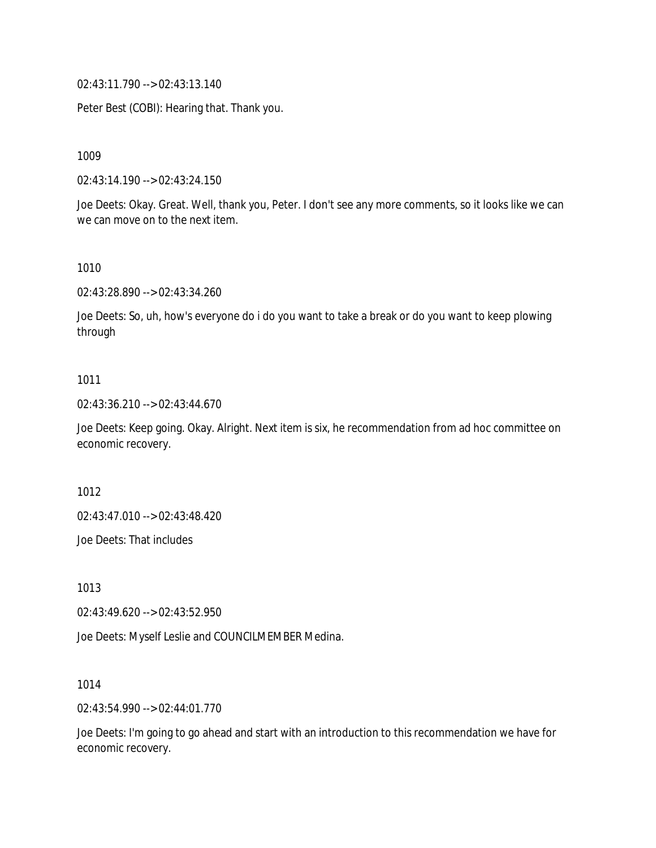02:43:11.790 --> 02:43:13.140

Peter Best (COBI): Hearing that. Thank you.

1009

02:43:14.190 --> 02:43:24.150

Joe Deets: Okay. Great. Well, thank you, Peter. I don't see any more comments, so it looks like we can we can move on to the next item.

#### 1010

02:43:28.890 --> 02:43:34.260

Joe Deets: So, uh, how's everyone do i do you want to take a break or do you want to keep plowing through

#### 1011

02:43:36.210 --> 02:43:44.670

Joe Deets: Keep going. Okay. Alright. Next item is six, he recommendation from ad hoc committee on economic recovery.

1012

02:43:47.010 --> 02:43:48.420

Joe Deets: That includes

1013

02:43:49.620 --> 02:43:52.950

Joe Deets: Myself Leslie and COUNCILMEMBER Medina.

1014

02:43:54.990 --> 02:44:01.770

Joe Deets: I'm going to go ahead and start with an introduction to this recommendation we have for economic recovery.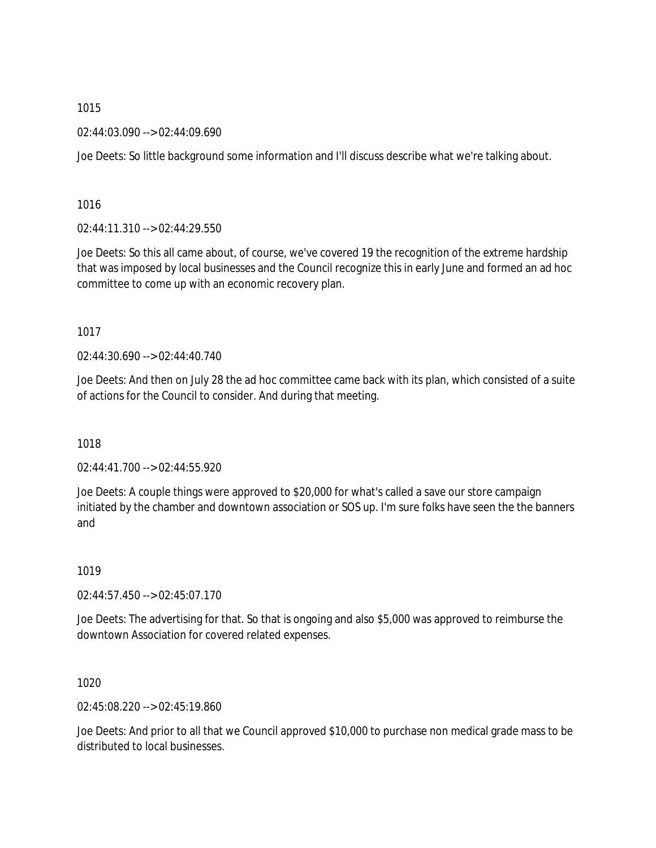02:44:03.090 --> 02:44:09.690

Joe Deets: So little background some information and I'll discuss describe what we're talking about.

1016

02:44:11.310 --> 02:44:29.550

Joe Deets: So this all came about, of course, we've covered 19 the recognition of the extreme hardship that was imposed by local businesses and the Council recognize this in early June and formed an ad hoc committee to come up with an economic recovery plan.

1017

02:44:30.690 --> 02:44:40.740

Joe Deets: And then on July 28 the ad hoc committee came back with its plan, which consisted of a suite of actions for the Council to consider. And during that meeting.

1018

02:44:41.700 --> 02:44:55.920

Joe Deets: A couple things were approved to \$20,000 for what's called a save our store campaign initiated by the chamber and downtown association or SOS up. I'm sure folks have seen the the banners and

1019

02:44:57.450 --> 02:45:07.170

Joe Deets: The advertising for that. So that is ongoing and also \$5,000 was approved to reimburse the downtown Association for covered related expenses.

1020

02:45:08.220 --> 02:45:19.860

Joe Deets: And prior to all that we Council approved \$10,000 to purchase non medical grade mass to be distributed to local businesses.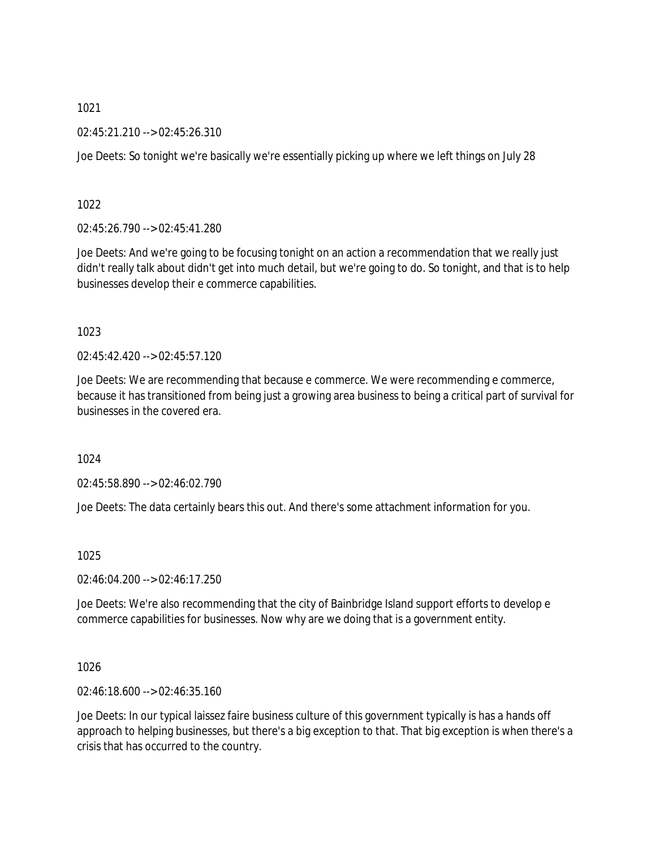02:45:21.210 --> 02:45:26.310

Joe Deets: So tonight we're basically we're essentially picking up where we left things on July 28

1022

02:45:26.790 --> 02:45:41.280

Joe Deets: And we're going to be focusing tonight on an action a recommendation that we really just didn't really talk about didn't get into much detail, but we're going to do. So tonight, and that is to help businesses develop their e commerce capabilities.

1023

 $02.45.42.420 -5.02.45.57.120$ 

Joe Deets: We are recommending that because e commerce. We were recommending e commerce, because it has transitioned from being just a growing area business to being a critical part of survival for businesses in the covered era.

1024

02:45:58.890 --> 02:46:02.790

Joe Deets: The data certainly bears this out. And there's some attachment information for you.

1025

02:46:04.200 --> 02:46:17.250

Joe Deets: We're also recommending that the city of Bainbridge Island support efforts to develop e commerce capabilities for businesses. Now why are we doing that is a government entity.

1026

02:46:18.600 --> 02:46:35.160

Joe Deets: In our typical laissez faire business culture of this government typically is has a hands off approach to helping businesses, but there's a big exception to that. That big exception is when there's a crisis that has occurred to the country.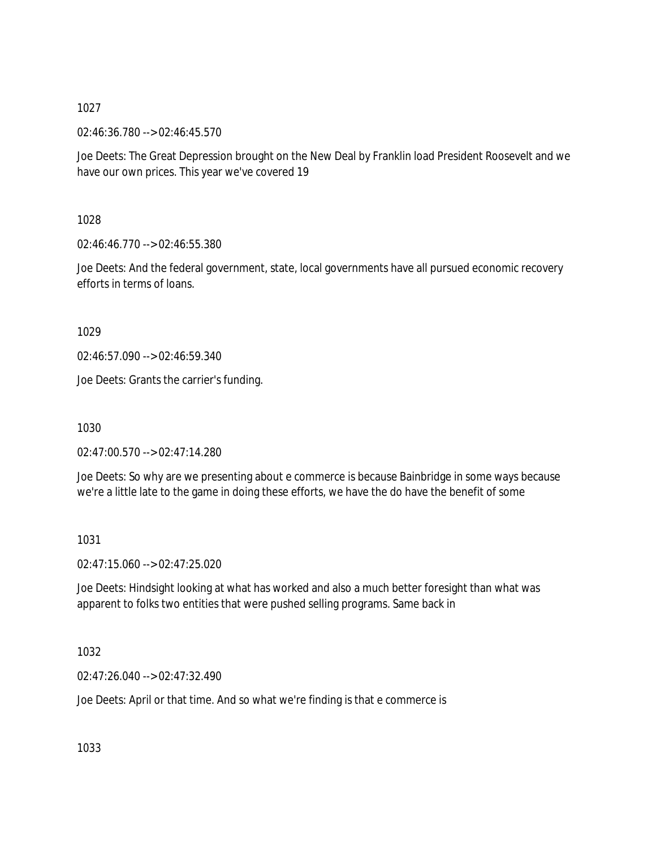02:46:36.780 --> 02:46:45.570

Joe Deets: The Great Depression brought on the New Deal by Franklin load President Roosevelt and we have our own prices. This year we've covered 19

1028

02:46:46.770 --> 02:46:55.380

Joe Deets: And the federal government, state, local governments have all pursued economic recovery efforts in terms of loans.

1029

02:46:57.090 --> 02:46:59.340

Joe Deets: Grants the carrier's funding.

1030

02:47:00.570 --> 02:47:14.280

Joe Deets: So why are we presenting about e commerce is because Bainbridge in some ways because we're a little late to the game in doing these efforts, we have the do have the benefit of some

1031

02:47:15.060 --> 02:47:25.020

Joe Deets: Hindsight looking at what has worked and also a much better foresight than what was apparent to folks two entities that were pushed selling programs. Same back in

1032

02:47:26.040 --> 02:47:32.490

Joe Deets: April or that time. And so what we're finding is that e commerce is

1033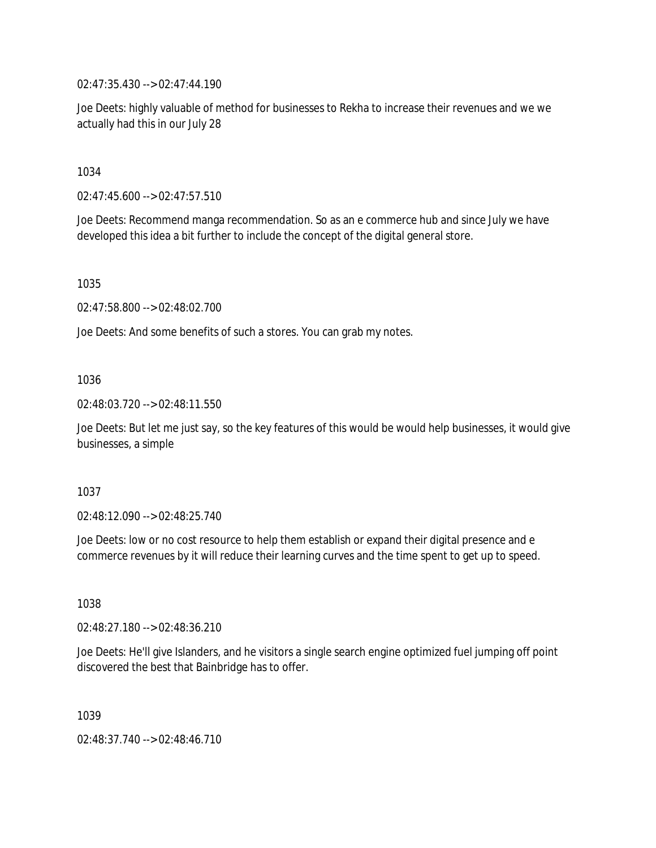02:47:35.430 --> 02:47:44.190

Joe Deets: highly valuable of method for businesses to Rekha to increase their revenues and we we actually had this in our July 28

1034

02:47:45.600 --> 02:47:57.510

Joe Deets: Recommend manga recommendation. So as an e commerce hub and since July we have developed this idea a bit further to include the concept of the digital general store.

1035

02:47:58.800 --> 02:48:02.700

Joe Deets: And some benefits of such a stores. You can grab my notes.

## 1036

02:48:03.720 --> 02:48:11.550

Joe Deets: But let me just say, so the key features of this would be would help businesses, it would give businesses, a simple

## 1037

02:48:12.090 --> 02:48:25.740

Joe Deets: low or no cost resource to help them establish or expand their digital presence and e commerce revenues by it will reduce their learning curves and the time spent to get up to speed.

1038

02:48:27.180 --> 02:48:36.210

Joe Deets: He'll give Islanders, and he visitors a single search engine optimized fuel jumping off point discovered the best that Bainbridge has to offer.

1039

02:48:37.740 --> 02:48:46.710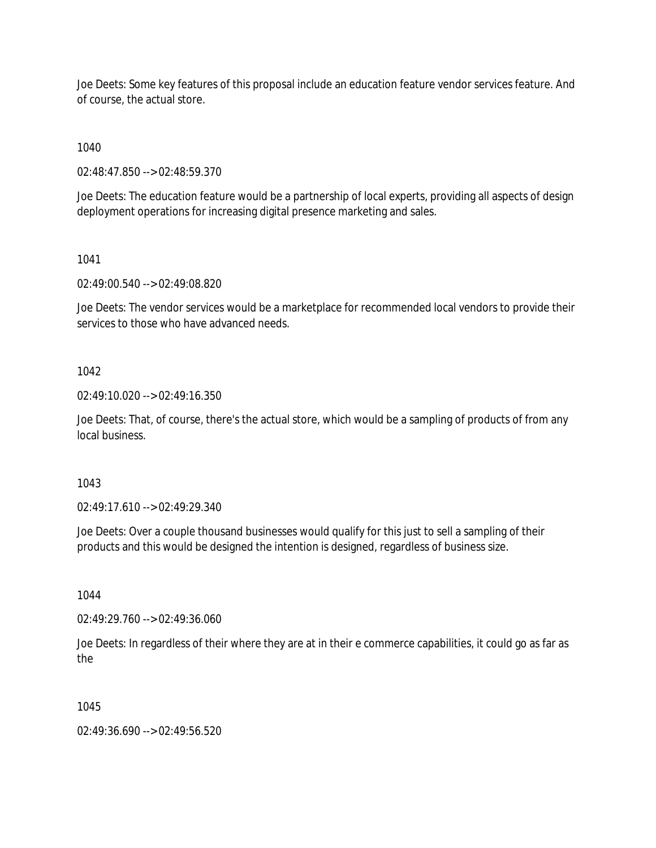Joe Deets: Some key features of this proposal include an education feature vendor services feature. And of course, the actual store.

1040

02:48:47.850 --> 02:48:59.370

Joe Deets: The education feature would be a partnership of local experts, providing all aspects of design deployment operations for increasing digital presence marketing and sales.

1041

02:49:00.540 --> 02:49:08.820

Joe Deets: The vendor services would be a marketplace for recommended local vendors to provide their services to those who have advanced needs.

1042

02:49:10.020 --> 02:49:16.350

Joe Deets: That, of course, there's the actual store, which would be a sampling of products of from any local business.

1043

02:49:17.610 --> 02:49:29.340

Joe Deets: Over a couple thousand businesses would qualify for this just to sell a sampling of their products and this would be designed the intention is designed, regardless of business size.

1044

02:49:29.760 --> 02:49:36.060

Joe Deets: In regardless of their where they are at in their e commerce capabilities, it could go as far as the

1045

02:49:36.690 --> 02:49:56.520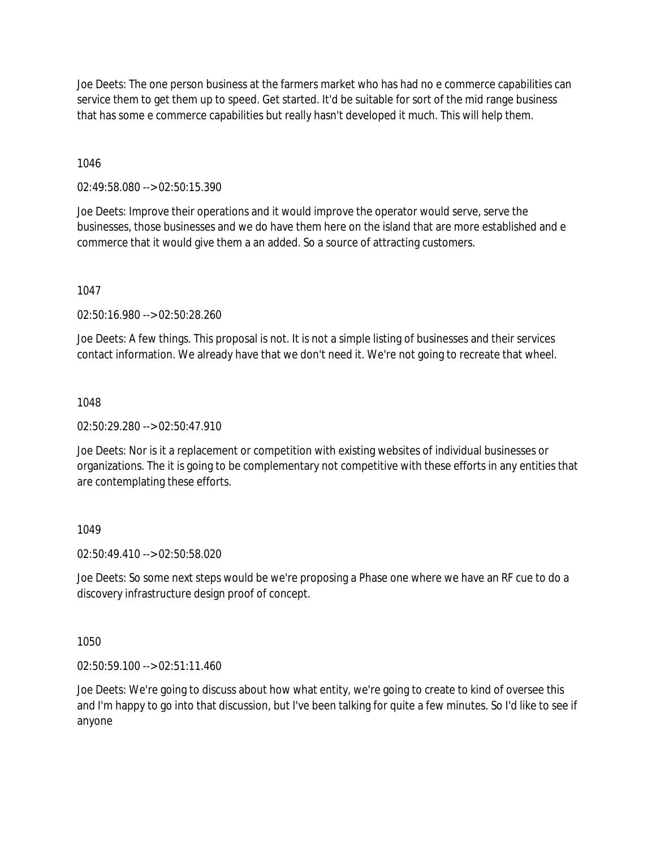Joe Deets: The one person business at the farmers market who has had no e commerce capabilities can service them to get them up to speed. Get started. It'd be suitable for sort of the mid range business that has some e commerce capabilities but really hasn't developed it much. This will help them.

## 1046

02:49:58.080 --> 02:50:15.390

Joe Deets: Improve their operations and it would improve the operator would serve, serve the businesses, those businesses and we do have them here on the island that are more established and e commerce that it would give them a an added. So a source of attracting customers.

## 1047

02:50:16.980 --> 02:50:28.260

Joe Deets: A few things. This proposal is not. It is not a simple listing of businesses and their services contact information. We already have that we don't need it. We're not going to recreate that wheel.

## 1048

02:50:29.280 --> 02:50:47.910

Joe Deets: Nor is it a replacement or competition with existing websites of individual businesses or organizations. The it is going to be complementary not competitive with these efforts in any entities that are contemplating these efforts.

# 1049

02:50:49.410 --> 02:50:58.020

Joe Deets: So some next steps would be we're proposing a Phase one where we have an RF cue to do a discovery infrastructure design proof of concept.

1050

02:50:59.100 --> 02:51:11.460

Joe Deets: We're going to discuss about how what entity, we're going to create to kind of oversee this and I'm happy to go into that discussion, but I've been talking for quite a few minutes. So I'd like to see if anyone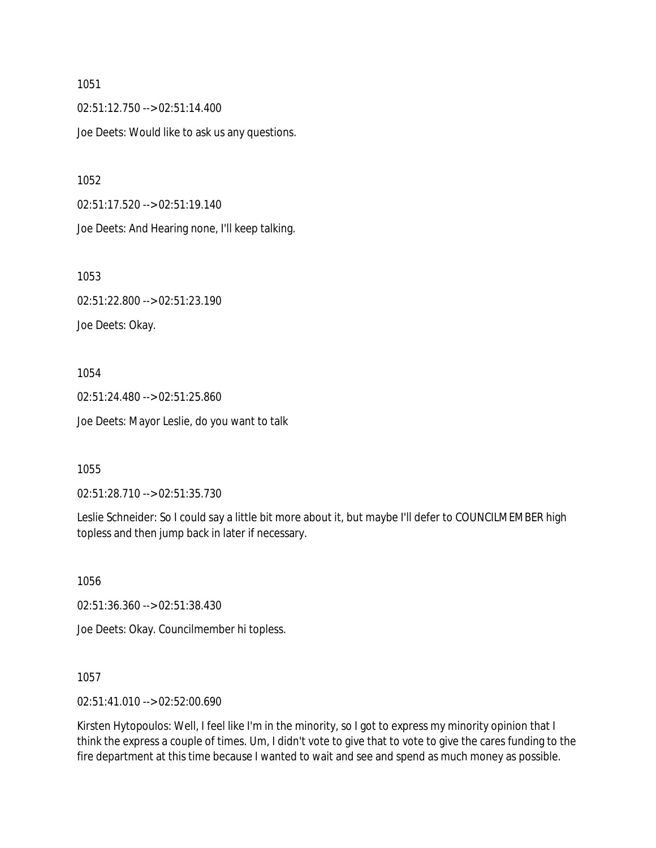02:51:12.750 --> 02:51:14.400 Joe Deets: Would like to ask us any questions.

1052

02:51:17.520 --> 02:51:19.140

Joe Deets: And Hearing none, I'll keep talking.

1053 02:51:22.800 --> 02:51:23.190 Joe Deets: Okay.

1054 02:51:24.480 --> 02:51:25.860 Joe Deets: Mayor Leslie, do you want to talk

1055

02:51:28.710 --> 02:51:35.730

Leslie Schneider: So I could say a little bit more about it, but maybe I'll defer to COUNCILMEMBER high topless and then jump back in later if necessary.

1056

02:51:36.360 --> 02:51:38.430

Joe Deets: Okay. Councilmember hi topless.

1057

02:51:41.010 --> 02:52:00.690

Kirsten Hytopoulos: Well, I feel like I'm in the minority, so I got to express my minority opinion that I think the express a couple of times. Um, I didn't vote to give that to vote to give the cares funding to the fire department at this time because I wanted to wait and see and spend as much money as possible.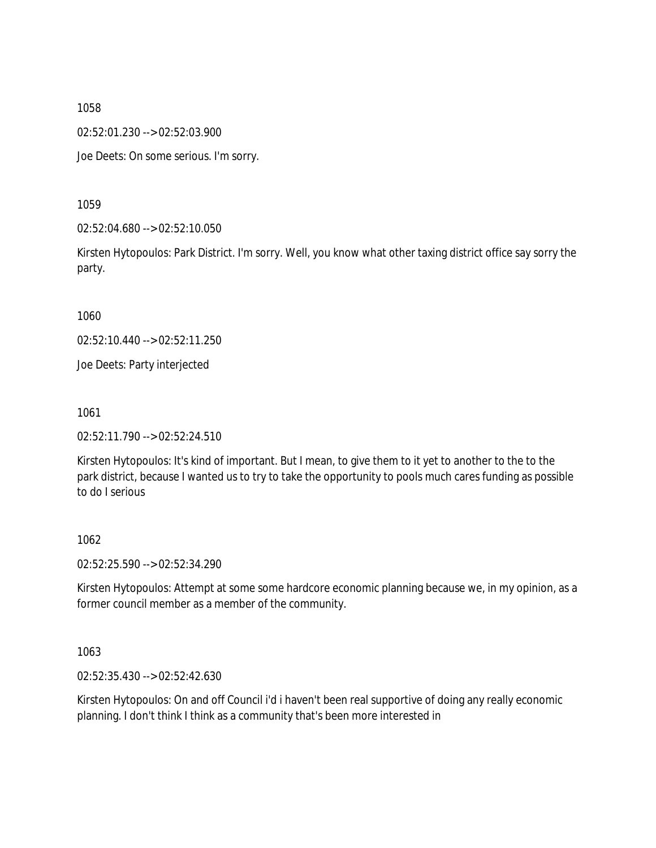02:52:01.230 --> 02:52:03.900

Joe Deets: On some serious. I'm sorry.

1059

02:52:04.680 --> 02:52:10.050

Kirsten Hytopoulos: Park District. I'm sorry. Well, you know what other taxing district office say sorry the party.

1060

02:52:10.440 --> 02:52:11.250

Joe Deets: Party interjected

1061

02:52:11.790 --> 02:52:24.510

Kirsten Hytopoulos: It's kind of important. But I mean, to give them to it yet to another to the to the park district, because I wanted us to try to take the opportunity to pools much cares funding as possible to do I serious

#### 1062

02:52:25.590 --> 02:52:34.290

Kirsten Hytopoulos: Attempt at some some hardcore economic planning because we, in my opinion, as a former council member as a member of the community.

1063

02:52:35.430 --> 02:52:42.630

Kirsten Hytopoulos: On and off Council i'd i haven't been real supportive of doing any really economic planning. I don't think I think as a community that's been more interested in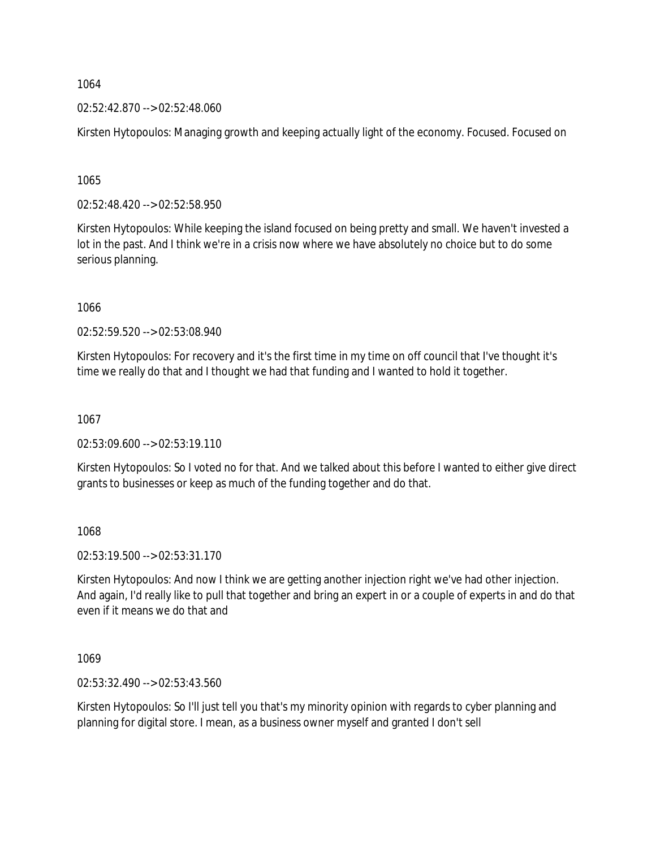02:52:42.870 --> 02:52:48.060

Kirsten Hytopoulos: Managing growth and keeping actually light of the economy. Focused. Focused on

1065

02:52:48.420 --> 02:52:58.950

Kirsten Hytopoulos: While keeping the island focused on being pretty and small. We haven't invested a lot in the past. And I think we're in a crisis now where we have absolutely no choice but to do some serious planning.

1066

02:52:59.520 --> 02:53:08.940

Kirsten Hytopoulos: For recovery and it's the first time in my time on off council that I've thought it's time we really do that and I thought we had that funding and I wanted to hold it together.

1067

02:53:09.600 --> 02:53:19.110

Kirsten Hytopoulos: So I voted no for that. And we talked about this before I wanted to either give direct grants to businesses or keep as much of the funding together and do that.

1068

02:53:19.500 --> 02:53:31.170

Kirsten Hytopoulos: And now I think we are getting another injection right we've had other injection. And again, I'd really like to pull that together and bring an expert in or a couple of experts in and do that even if it means we do that and

1069

02:53:32.490 --> 02:53:43.560

Kirsten Hytopoulos: So I'll just tell you that's my minority opinion with regards to cyber planning and planning for digital store. I mean, as a business owner myself and granted I don't sell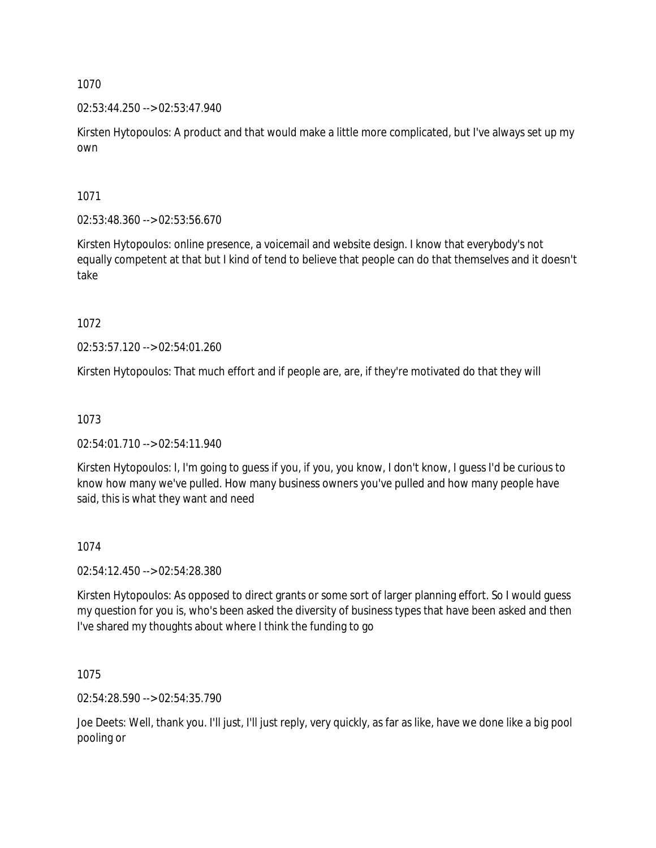## 02:53:44.250 --> 02:53:47.940

Kirsten Hytopoulos: A product and that would make a little more complicated, but I've always set up my own

1071

02:53:48.360 --> 02:53:56.670

Kirsten Hytopoulos: online presence, a voicemail and website design. I know that everybody's not equally competent at that but I kind of tend to believe that people can do that themselves and it doesn't take

1072

02:53:57.120 --> 02:54:01.260

Kirsten Hytopoulos: That much effort and if people are, are, if they're motivated do that they will

## 1073

02:54:01.710 --> 02:54:11.940

Kirsten Hytopoulos: I, I'm going to guess if you, if you, you know, I don't know, I guess I'd be curious to know how many we've pulled. How many business owners you've pulled and how many people have said, this is what they want and need

## 1074

02:54:12.450 --> 02:54:28.380

Kirsten Hytopoulos: As opposed to direct grants or some sort of larger planning effort. So I would guess my question for you is, who's been asked the diversity of business types that have been asked and then I've shared my thoughts about where I think the funding to go

1075

02:54:28.590 --> 02:54:35.790

Joe Deets: Well, thank you. I'll just, I'll just reply, very quickly, as far as like, have we done like a big pool pooling or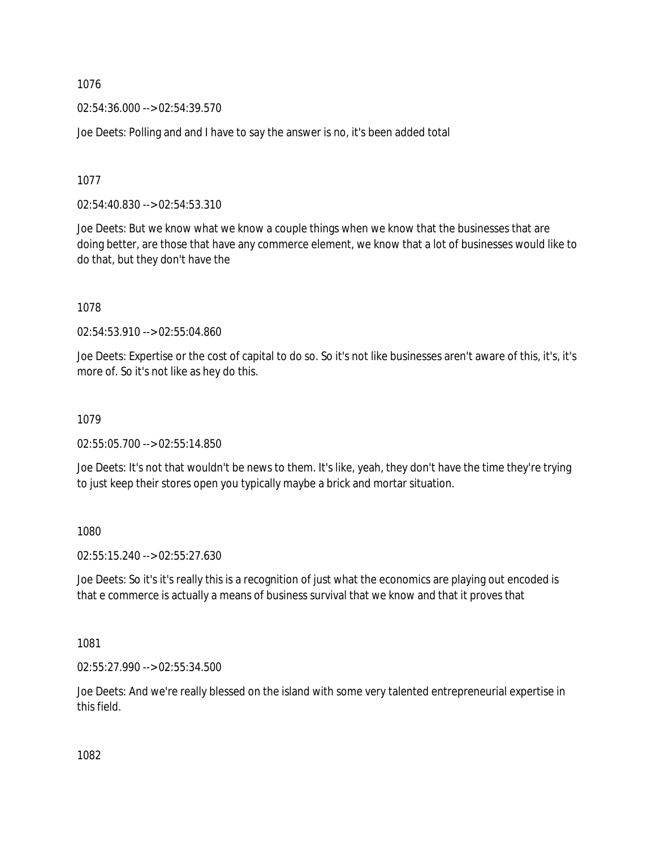02:54:36.000 --> 02:54:39.570

Joe Deets: Polling and and I have to say the answer is no, it's been added total

1077

02:54:40.830 --> 02:54:53.310

Joe Deets: But we know what we know a couple things when we know that the businesses that are doing better, are those that have any commerce element, we know that a lot of businesses would like to do that, but they don't have the

1078

02:54:53.910 --> 02:55:04.860

Joe Deets: Expertise or the cost of capital to do so. So it's not like businesses aren't aware of this, it's, it's more of. So it's not like as hey do this.

1079

02:55:05.700 --> 02:55:14.850

Joe Deets: It's not that wouldn't be news to them. It's like, yeah, they don't have the time they're trying to just keep their stores open you typically maybe a brick and mortar situation.

1080

02:55:15.240 --> 02:55:27.630

Joe Deets: So it's it's really this is a recognition of just what the economics are playing out encoded is that e commerce is actually a means of business survival that we know and that it proves that

1081

02:55:27.990 --> 02:55:34.500

Joe Deets: And we're really blessed on the island with some very talented entrepreneurial expertise in this field.

1082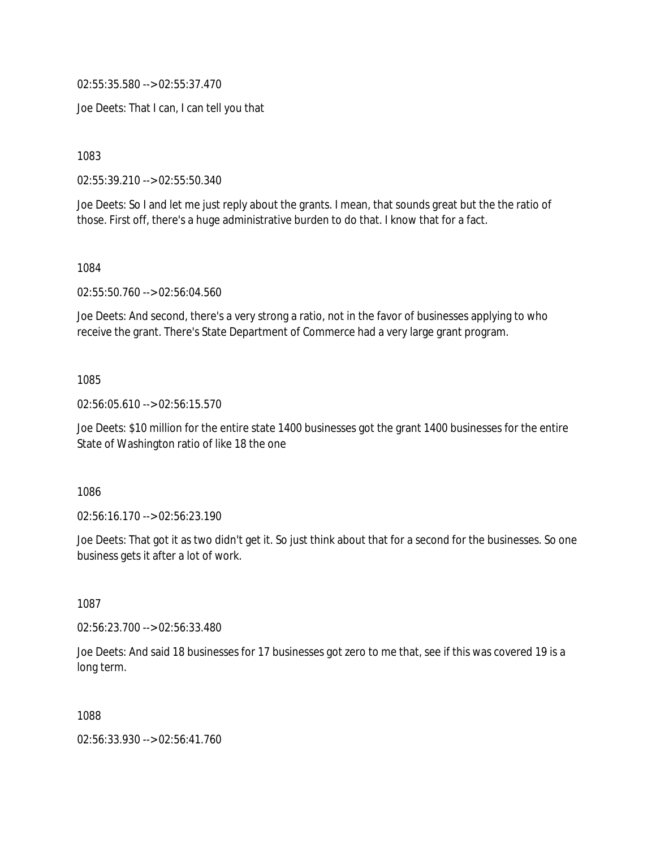02:55:35.580 --> 02:55:37.470

Joe Deets: That I can, I can tell you that

1083

02:55:39.210 --> 02:55:50.340

Joe Deets: So I and let me just reply about the grants. I mean, that sounds great but the the ratio of those. First off, there's a huge administrative burden to do that. I know that for a fact.

1084

02:55:50.760 --> 02:56:04.560

Joe Deets: And second, there's a very strong a ratio, not in the favor of businesses applying to who receive the grant. There's State Department of Commerce had a very large grant program.

1085

02:56:05.610 --> 02:56:15.570

Joe Deets: \$10 million for the entire state 1400 businesses got the grant 1400 businesses for the entire State of Washington ratio of like 18 the one

1086

02:56:16.170 --> 02:56:23.190

Joe Deets: That got it as two didn't get it. So just think about that for a second for the businesses. So one business gets it after a lot of work.

1087

02:56:23.700 --> 02:56:33.480

Joe Deets: And said 18 businesses for 17 businesses got zero to me that, see if this was covered 19 is a long term.

1088

02:56:33.930 --> 02:56:41.760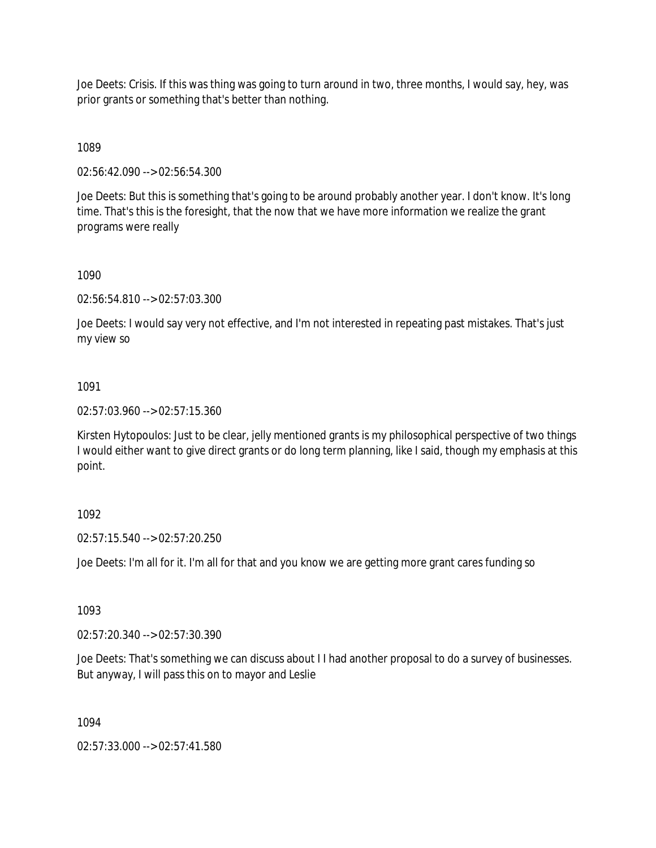Joe Deets: Crisis. If this was thing was going to turn around in two, three months, I would say, hey, was prior grants or something that's better than nothing.

1089

02:56:42.090 --> 02:56:54.300

Joe Deets: But this is something that's going to be around probably another year. I don't know. It's long time. That's this is the foresight, that the now that we have more information we realize the grant programs were really

#### 1090

02:56:54.810 --> 02:57:03.300

Joe Deets: I would say very not effective, and I'm not interested in repeating past mistakes. That's just my view so

## 1091

02:57:03.960 --> 02:57:15.360

Kirsten Hytopoulos: Just to be clear, jelly mentioned grants is my philosophical perspective of two things I would either want to give direct grants or do long term planning, like I said, though my emphasis at this point.

## 1092

02:57:15.540 --> 02:57:20.250

Joe Deets: I'm all for it. I'm all for that and you know we are getting more grant cares funding so

## 1093

02:57:20.340 --> 02:57:30.390

Joe Deets: That's something we can discuss about I I had another proposal to do a survey of businesses. But anyway, I will pass this on to mayor and Leslie

## 1094

02:57:33.000 --> 02:57:41.580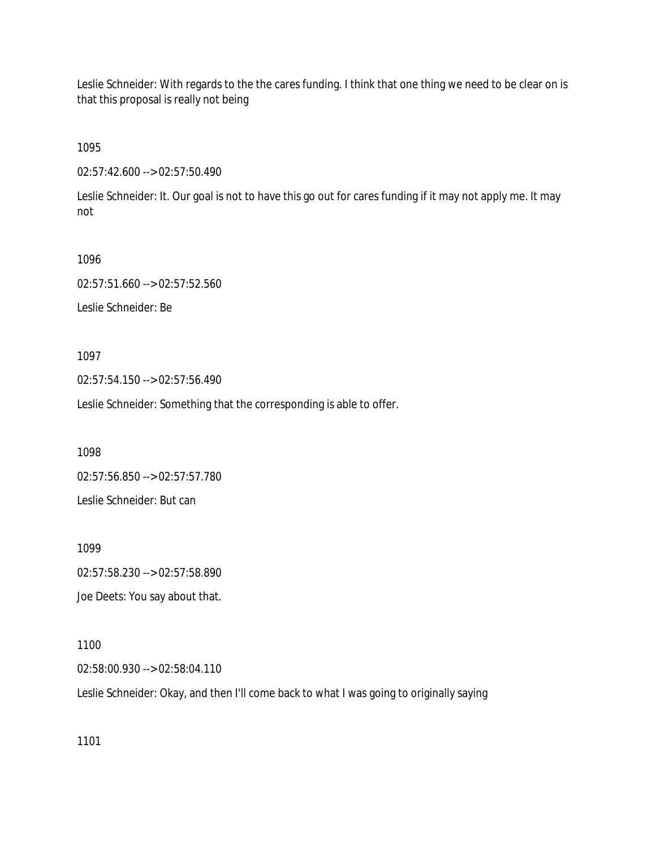Leslie Schneider: With regards to the the cares funding. I think that one thing we need to be clear on is that this proposal is really not being

1095

02:57:42.600 --> 02:57:50.490

Leslie Schneider: It. Our goal is not to have this go out for cares funding if it may not apply me. It may not

1096 02:57:51.660 --> 02:57:52.560 Leslie Schneider: Be

1097

02:57:54.150 --> 02:57:56.490

Leslie Schneider: Something that the corresponding is able to offer.

1098

02:57:56.850 --> 02:57:57.780 Leslie Schneider: But can

1099 02:57:58.230 --> 02:57:58.890 Joe Deets: You say about that.

1100

02:58:00.930 --> 02:58:04.110

Leslie Schneider: Okay, and then I'll come back to what I was going to originally saying

1101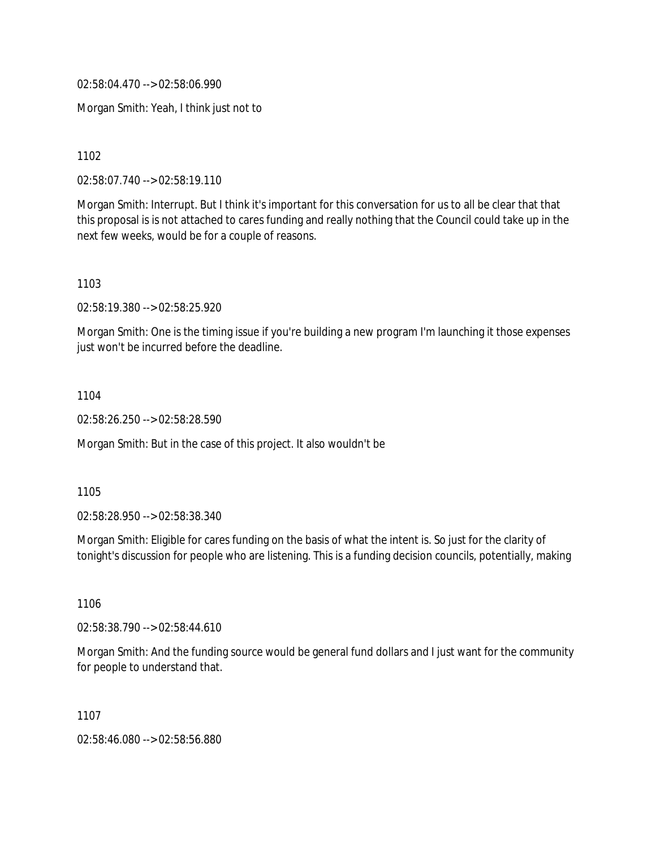02:58:04.470 --> 02:58:06.990

Morgan Smith: Yeah, I think just not to

1102

02:58:07.740 --> 02:58:19.110

Morgan Smith: Interrupt. But I think it's important for this conversation for us to all be clear that that this proposal is is not attached to cares funding and really nothing that the Council could take up in the next few weeks, would be for a couple of reasons.

1103

02:58:19.380 --> 02:58:25.920

Morgan Smith: One is the timing issue if you're building a new program I'm launching it those expenses just won't be incurred before the deadline.

1104

02:58:26.250 --> 02:58:28.590

Morgan Smith: But in the case of this project. It also wouldn't be

1105

02:58:28.950 --> 02:58:38.340

Morgan Smith: Eligible for cares funding on the basis of what the intent is. So just for the clarity of tonight's discussion for people who are listening. This is a funding decision councils, potentially, making

1106

02:58:38.790 --> 02:58:44.610

Morgan Smith: And the funding source would be general fund dollars and I just want for the community for people to understand that.

1107

02:58:46.080 --> 02:58:56.880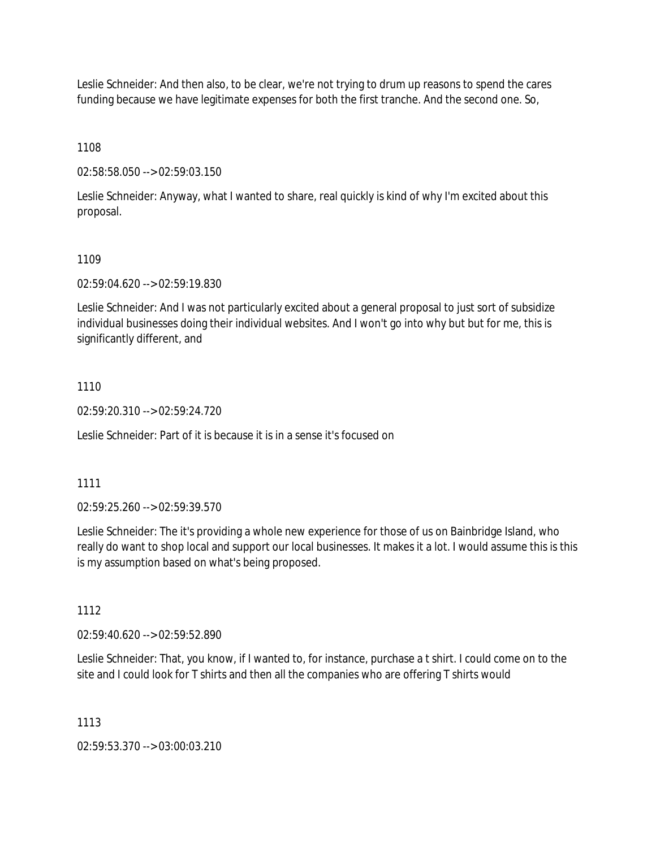Leslie Schneider: And then also, to be clear, we're not trying to drum up reasons to spend the cares funding because we have legitimate expenses for both the first tranche. And the second one. So,

1108

02:58:58.050 --> 02:59:03.150

Leslie Schneider: Anyway, what I wanted to share, real quickly is kind of why I'm excited about this proposal.

#### 1109

02:59:04.620 --> 02:59:19.830

Leslie Schneider: And I was not particularly excited about a general proposal to just sort of subsidize individual businesses doing their individual websites. And I won't go into why but but for me, this is significantly different, and

## 1110

02:59:20.310 --> 02:59:24.720

Leslie Schneider: Part of it is because it is in a sense it's focused on

#### 1111

02:59:25.260 --> 02:59:39.570

Leslie Schneider: The it's providing a whole new experience for those of us on Bainbridge Island, who really do want to shop local and support our local businesses. It makes it a lot. I would assume this is this is my assumption based on what's being proposed.

## 1112

02:59:40.620 --> 02:59:52.890

Leslie Schneider: That, you know, if I wanted to, for instance, purchase a t shirt. I could come on to the site and I could look for T shirts and then all the companies who are offering T shirts would

#### 1113

02:59:53.370 --> 03:00:03.210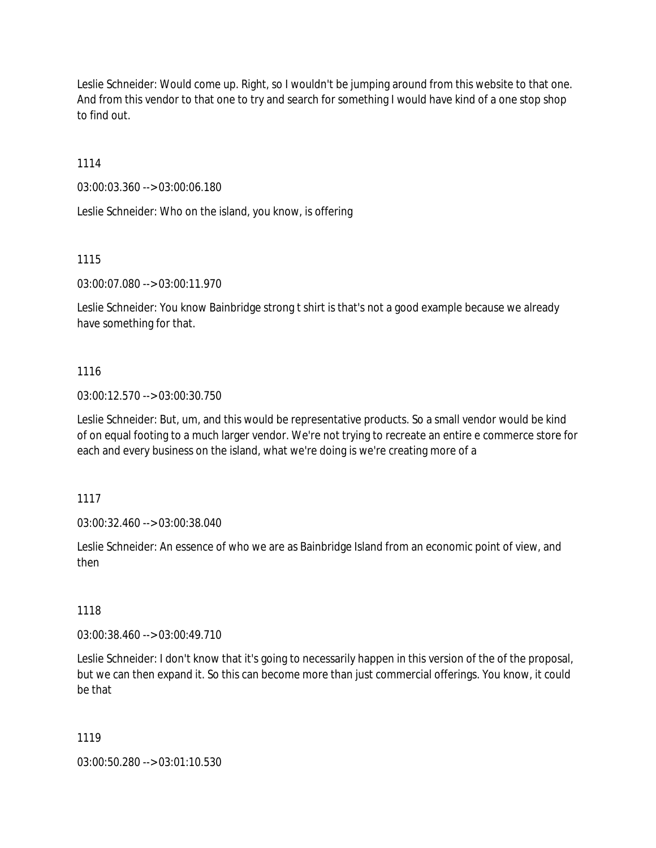Leslie Schneider: Would come up. Right, so I wouldn't be jumping around from this website to that one. And from this vendor to that one to try and search for something I would have kind of a one stop shop to find out.

1114

03:00:03.360 --> 03:00:06.180

Leslie Schneider: Who on the island, you know, is offering

1115

03:00:07.080 --> 03:00:11.970

Leslie Schneider: You know Bainbridge strong t shirt is that's not a good example because we already have something for that.

## 1116

03:00:12.570 --> 03:00:30.750

Leslie Schneider: But, um, and this would be representative products. So a small vendor would be kind of on equal footing to a much larger vendor. We're not trying to recreate an entire e commerce store for each and every business on the island, what we're doing is we're creating more of a

1117

03:00:32.460 --> 03:00:38.040

Leslie Schneider: An essence of who we are as Bainbridge Island from an economic point of view, and then

1118

03:00:38.460 --> 03:00:49.710

Leslie Schneider: I don't know that it's going to necessarily happen in this version of the of the proposal, but we can then expand it. So this can become more than just commercial offerings. You know, it could be that

1119

03:00:50.280 --> 03:01:10.530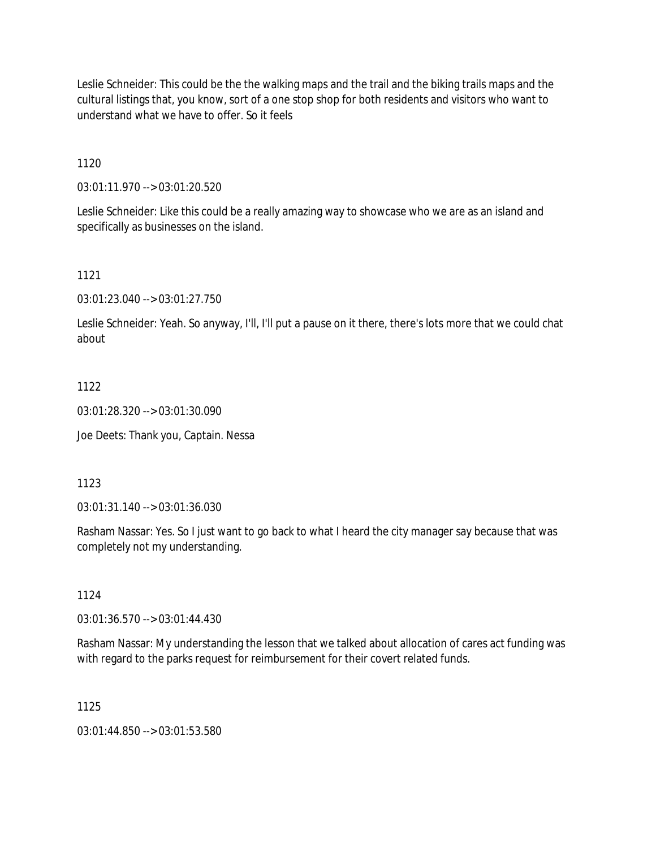Leslie Schneider: This could be the the walking maps and the trail and the biking trails maps and the cultural listings that, you know, sort of a one stop shop for both residents and visitors who want to understand what we have to offer. So it feels

1120

03:01:11.970 --> 03:01:20.520

Leslie Schneider: Like this could be a really amazing way to showcase who we are as an island and specifically as businesses on the island.

1121

03:01:23.040 --> 03:01:27.750

Leslie Schneider: Yeah. So anyway, I'll, I'll put a pause on it there, there's lots more that we could chat about

1122

03:01:28.320 --> 03:01:30.090

Joe Deets: Thank you, Captain. Nessa

1123

03:01:31.140 --> 03:01:36.030

Rasham Nassar: Yes. So I just want to go back to what I heard the city manager say because that was completely not my understanding.

1124

03:01:36.570 --> 03:01:44.430

Rasham Nassar: My understanding the lesson that we talked about allocation of cares act funding was with regard to the parks request for reimbursement for their covert related funds.

1125

03:01:44.850 --> 03:01:53.580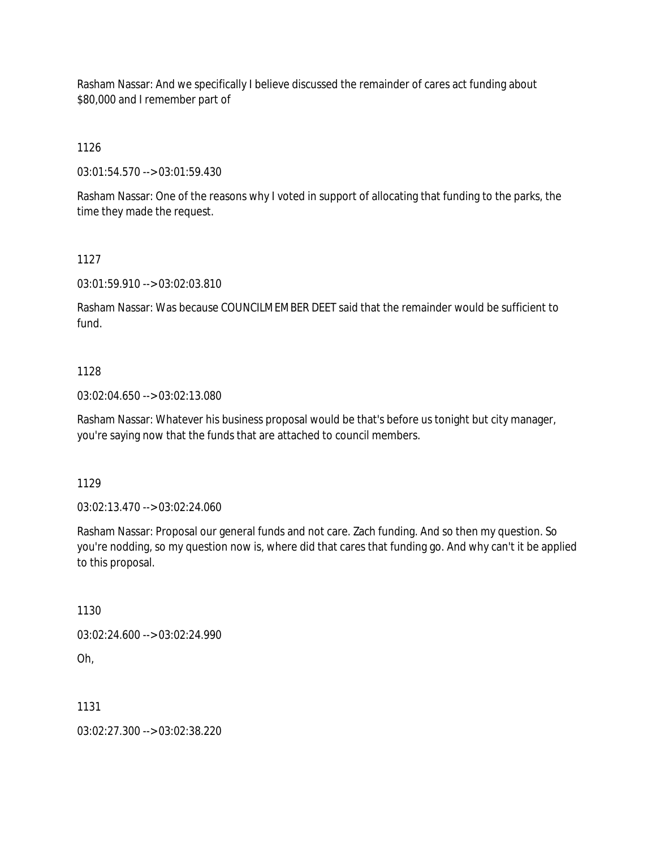Rasham Nassar: And we specifically I believe discussed the remainder of cares act funding about \$80,000 and I remember part of

1126

03:01:54.570 --> 03:01:59.430

Rasham Nassar: One of the reasons why I voted in support of allocating that funding to the parks, the time they made the request.

1127

03:01:59.910 --> 03:02:03.810

Rasham Nassar: Was because COUNCILMEMBER DEET said that the remainder would be sufficient to fund.

#### 1128

03:02:04.650 --> 03:02:13.080

Rasham Nassar: Whatever his business proposal would be that's before us tonight but city manager, you're saying now that the funds that are attached to council members.

1129

03:02:13.470 --> 03:02:24.060

Rasham Nassar: Proposal our general funds and not care. Zach funding. And so then my question. So you're nodding, so my question now is, where did that cares that funding go. And why can't it be applied to this proposal.

1130

03:02:24.600 --> 03:02:24.990

Oh,

1131

03:02:27.300 --> 03:02:38.220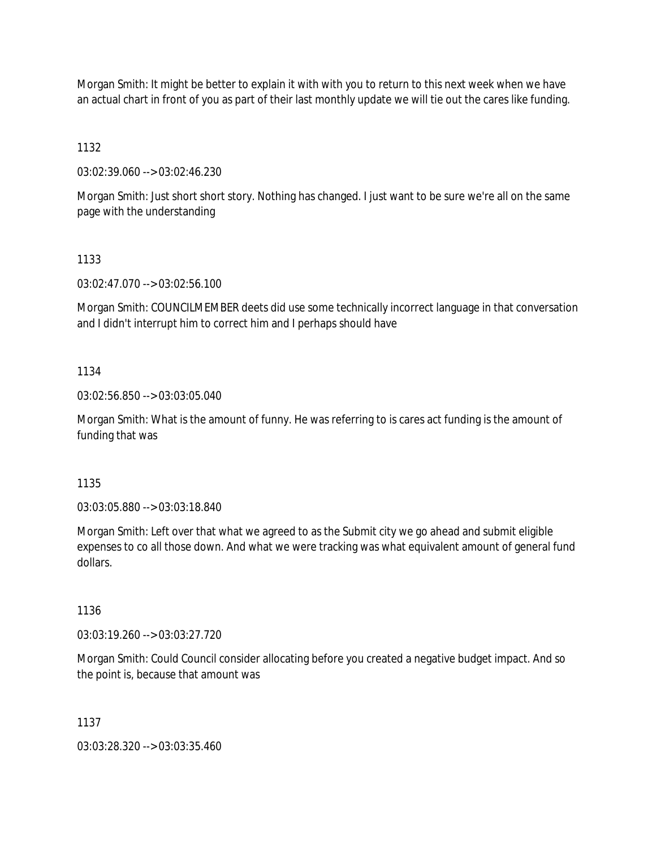Morgan Smith: It might be better to explain it with with you to return to this next week when we have an actual chart in front of you as part of their last monthly update we will tie out the cares like funding.

1132

03:02:39.060 --> 03:02:46.230

Morgan Smith: Just short short story. Nothing has changed. I just want to be sure we're all on the same page with the understanding

1133

03:02:47.070 --> 03:02:56.100

Morgan Smith: COUNCILMEMBER deets did use some technically incorrect language in that conversation and I didn't interrupt him to correct him and I perhaps should have

1134

03:02:56.850 --> 03:03:05.040

Morgan Smith: What is the amount of funny. He was referring to is cares act funding is the amount of funding that was

1135

03:03:05.880 --> 03:03:18.840

Morgan Smith: Left over that what we agreed to as the Submit city we go ahead and submit eligible expenses to co all those down. And what we were tracking was what equivalent amount of general fund dollars.

1136

03:03:19.260 --> 03:03:27.720

Morgan Smith: Could Council consider allocating before you created a negative budget impact. And so the point is, because that amount was

1137

03:03:28.320 --> 03:03:35.460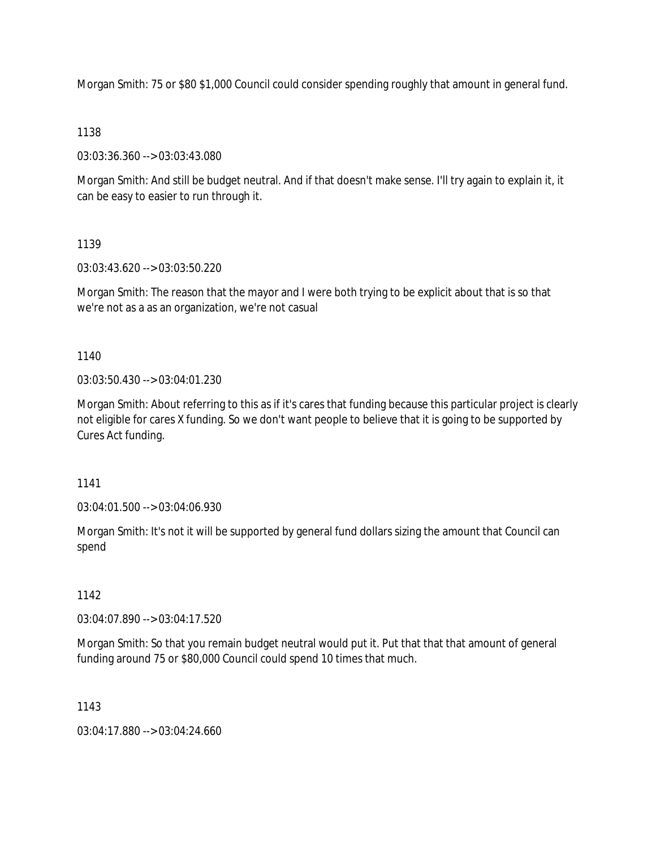Morgan Smith: 75 or \$80 \$1,000 Council could consider spending roughly that amount in general fund.

### 1138

03:03:36.360 --> 03:03:43.080

Morgan Smith: And still be budget neutral. And if that doesn't make sense. I'll try again to explain it, it can be easy to easier to run through it.

## 1139

03:03:43.620 --> 03:03:50.220

Morgan Smith: The reason that the mayor and I were both trying to be explicit about that is so that we're not as a as an organization, we're not casual

1140

03:03:50.430 --> 03:04:01.230

Morgan Smith: About referring to this as if it's cares that funding because this particular project is clearly not eligible for cares X funding. So we don't want people to believe that it is going to be supported by Cures Act funding.

1141

03:04:01.500 --> 03:04:06.930

Morgan Smith: It's not it will be supported by general fund dollars sizing the amount that Council can spend

## 1142

03:04:07.890 --> 03:04:17.520

Morgan Smith: So that you remain budget neutral would put it. Put that that that amount of general funding around 75 or \$80,000 Council could spend 10 times that much.

1143

03:04:17.880 --> 03:04:24.660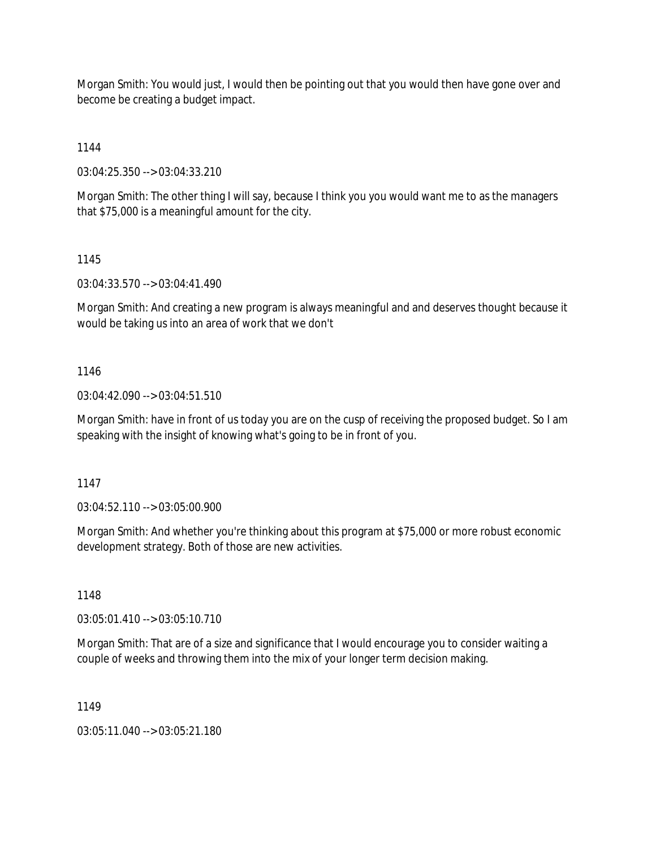Morgan Smith: You would just, I would then be pointing out that you would then have gone over and become be creating a budget impact.

1144

03:04:25.350 --> 03:04:33.210

Morgan Smith: The other thing I will say, because I think you you would want me to as the managers that \$75,000 is a meaningful amount for the city.

1145

03:04:33.570 --> 03:04:41.490

Morgan Smith: And creating a new program is always meaningful and and deserves thought because it would be taking us into an area of work that we don't

1146

03:04:42.090 --> 03:04:51.510

Morgan Smith: have in front of us today you are on the cusp of receiving the proposed budget. So I am speaking with the insight of knowing what's going to be in front of you.

1147

03:04:52.110 --> 03:05:00.900

Morgan Smith: And whether you're thinking about this program at \$75,000 or more robust economic development strategy. Both of those are new activities.

1148

03:05:01.410 --> 03:05:10.710

Morgan Smith: That are of a size and significance that I would encourage you to consider waiting a couple of weeks and throwing them into the mix of your longer term decision making.

1149

03:05:11.040 --> 03:05:21.180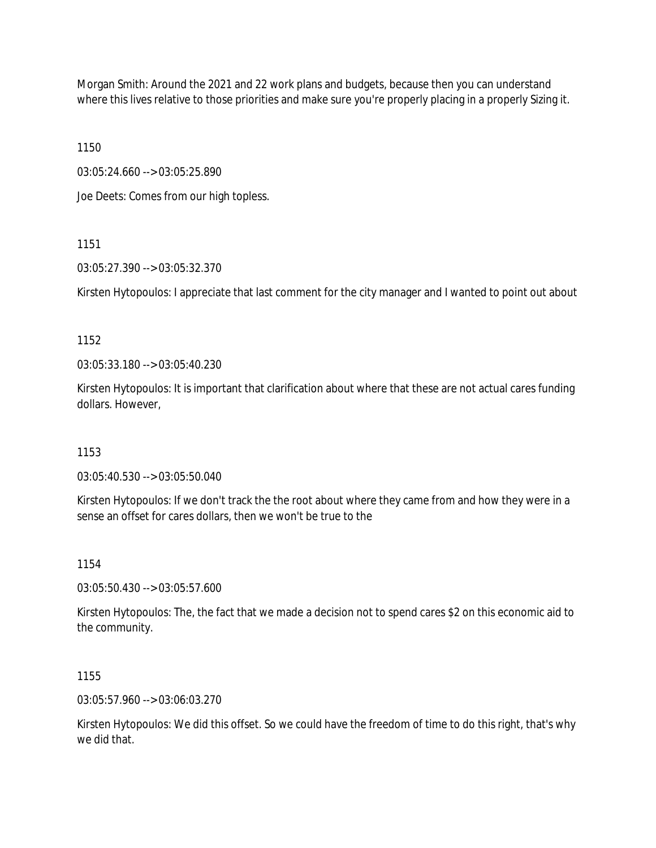Morgan Smith: Around the 2021 and 22 work plans and budgets, because then you can understand where this lives relative to those priorities and make sure you're properly placing in a properly Sizing it.

1150

03:05:24.660 --> 03:05:25.890

Joe Deets: Comes from our high topless.

1151

03:05:27.390 --> 03:05:32.370

Kirsten Hytopoulos: I appreciate that last comment for the city manager and I wanted to point out about

1152

03:05:33.180 --> 03:05:40.230

Kirsten Hytopoulos: It is important that clarification about where that these are not actual cares funding dollars. However,

1153

03:05:40.530 --> 03:05:50.040

Kirsten Hytopoulos: If we don't track the the root about where they came from and how they were in a sense an offset for cares dollars, then we won't be true to the

1154

03:05:50.430 --> 03:05:57.600

Kirsten Hytopoulos: The, the fact that we made a decision not to spend cares \$2 on this economic aid to the community.

1155

03:05:57.960 --> 03:06:03.270

Kirsten Hytopoulos: We did this offset. So we could have the freedom of time to do this right, that's why we did that.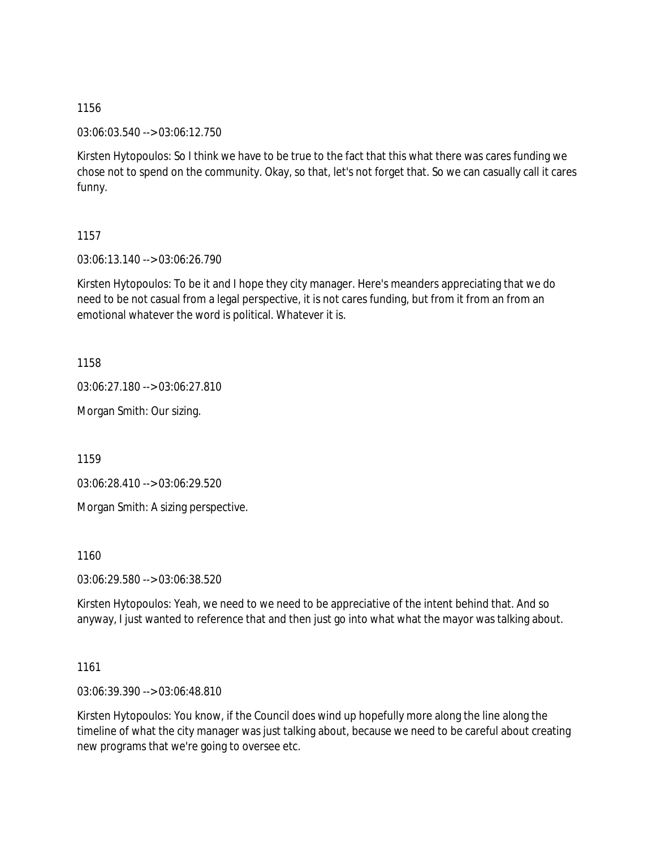03:06:03.540 --> 03:06:12.750

Kirsten Hytopoulos: So I think we have to be true to the fact that this what there was cares funding we chose not to spend on the community. Okay, so that, let's not forget that. So we can casually call it cares funny.

1157

03:06:13.140 --> 03:06:26.790

Kirsten Hytopoulos: To be it and I hope they city manager. Here's meanders appreciating that we do need to be not casual from a legal perspective, it is not cares funding, but from it from an from an emotional whatever the word is political. Whatever it is.

1158

03:06:27.180 --> 03:06:27.810

Morgan Smith: Our sizing.

1159

03:06:28.410 --> 03:06:29.520

Morgan Smith: A sizing perspective.

1160

03:06:29.580 --> 03:06:38.520

Kirsten Hytopoulos: Yeah, we need to we need to be appreciative of the intent behind that. And so anyway, I just wanted to reference that and then just go into what what the mayor was talking about.

1161

03:06:39.390 --> 03:06:48.810

Kirsten Hytopoulos: You know, if the Council does wind up hopefully more along the line along the timeline of what the city manager was just talking about, because we need to be careful about creating new programs that we're going to oversee etc.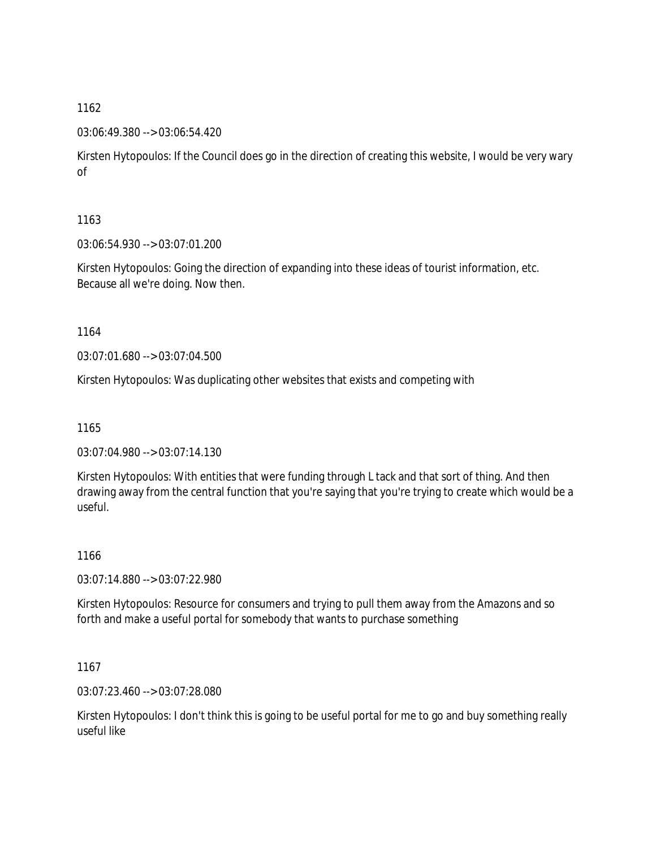03:06:49.380 --> 03:06:54.420

Kirsten Hytopoulos: If the Council does go in the direction of creating this website, I would be very wary of

1163

03:06:54.930 --> 03:07:01.200

Kirsten Hytopoulos: Going the direction of expanding into these ideas of tourist information, etc. Because all we're doing. Now then.

1164

03:07:01.680 --> 03:07:04.500

Kirsten Hytopoulos: Was duplicating other websites that exists and competing with

1165

03:07:04.980 --> 03:07:14.130

Kirsten Hytopoulos: With entities that were funding through L tack and that sort of thing. And then drawing away from the central function that you're saying that you're trying to create which would be a useful.

1166

03:07:14.880 --> 03:07:22.980

Kirsten Hytopoulos: Resource for consumers and trying to pull them away from the Amazons and so forth and make a useful portal for somebody that wants to purchase something

1167

03:07:23.460 --> 03:07:28.080

Kirsten Hytopoulos: I don't think this is going to be useful portal for me to go and buy something really useful like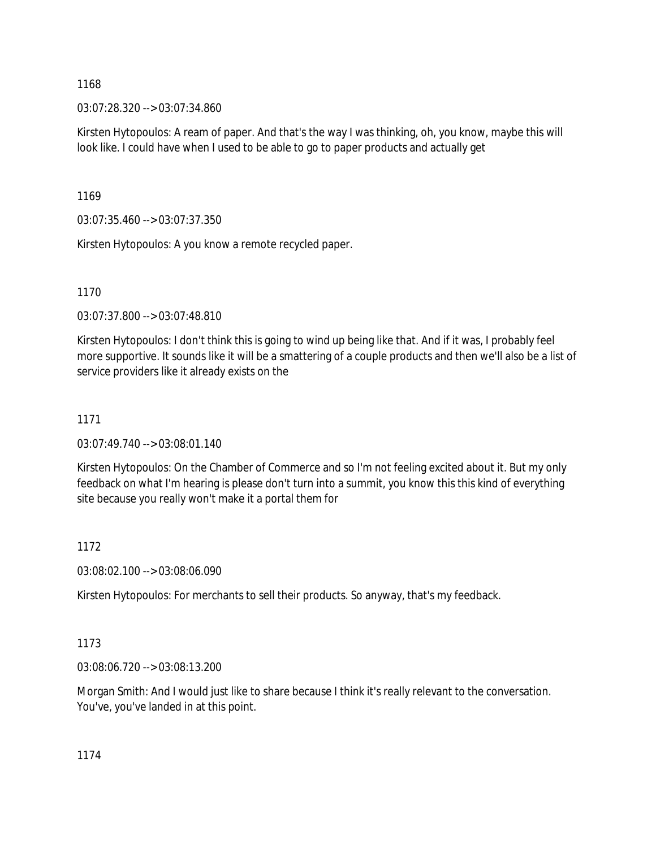03:07:28.320 --> 03:07:34.860

Kirsten Hytopoulos: A ream of paper. And that's the way I was thinking, oh, you know, maybe this will look like. I could have when I used to be able to go to paper products and actually get

1169

03:07:35.460 --> 03:07:37.350

Kirsten Hytopoulos: A you know a remote recycled paper.

1170

03:07:37.800 --> 03:07:48.810

Kirsten Hytopoulos: I don't think this is going to wind up being like that. And if it was, I probably feel more supportive. It sounds like it will be a smattering of a couple products and then we'll also be a list of service providers like it already exists on the

## 1171

03:07:49.740 --> 03:08:01.140

Kirsten Hytopoulos: On the Chamber of Commerce and so I'm not feeling excited about it. But my only feedback on what I'm hearing is please don't turn into a summit, you know this this kind of everything site because you really won't make it a portal them for

#### 1172

03:08:02.100 --> 03:08:06.090

Kirsten Hytopoulos: For merchants to sell their products. So anyway, that's my feedback.

## 1173

03:08:06.720 --> 03:08:13.200

Morgan Smith: And I would just like to share because I think it's really relevant to the conversation. You've, you've landed in at this point.

1174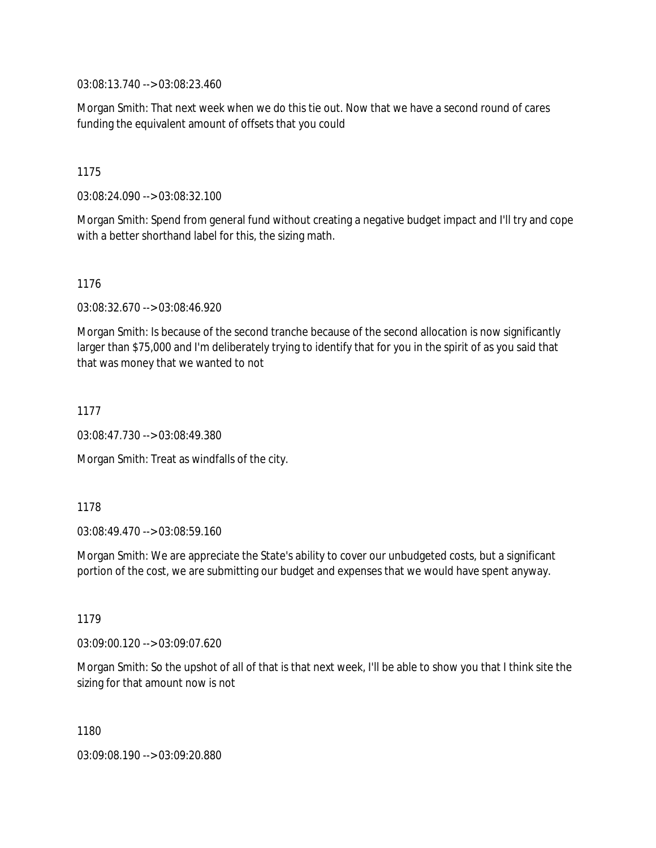03:08:13.740 --> 03:08:23.460

Morgan Smith: That next week when we do this tie out. Now that we have a second round of cares funding the equivalent amount of offsets that you could

1175

03:08:24.090 --> 03:08:32.100

Morgan Smith: Spend from general fund without creating a negative budget impact and I'll try and cope with a better shorthand label for this, the sizing math.

1176

03:08:32.670 --> 03:08:46.920

Morgan Smith: Is because of the second tranche because of the second allocation is now significantly larger than \$75,000 and I'm deliberately trying to identify that for you in the spirit of as you said that that was money that we wanted to not

1177

03:08:47.730 --> 03:08:49.380

Morgan Smith: Treat as windfalls of the city.

1178

03:08:49.470 --> 03:08:59.160

Morgan Smith: We are appreciate the State's ability to cover our unbudgeted costs, but a significant portion of the cost, we are submitting our budget and expenses that we would have spent anyway.

1179

03:09:00.120 --> 03:09:07.620

Morgan Smith: So the upshot of all of that is that next week, I'll be able to show you that I think site the sizing for that amount now is not

1180

03:09:08.190 --> 03:09:20.880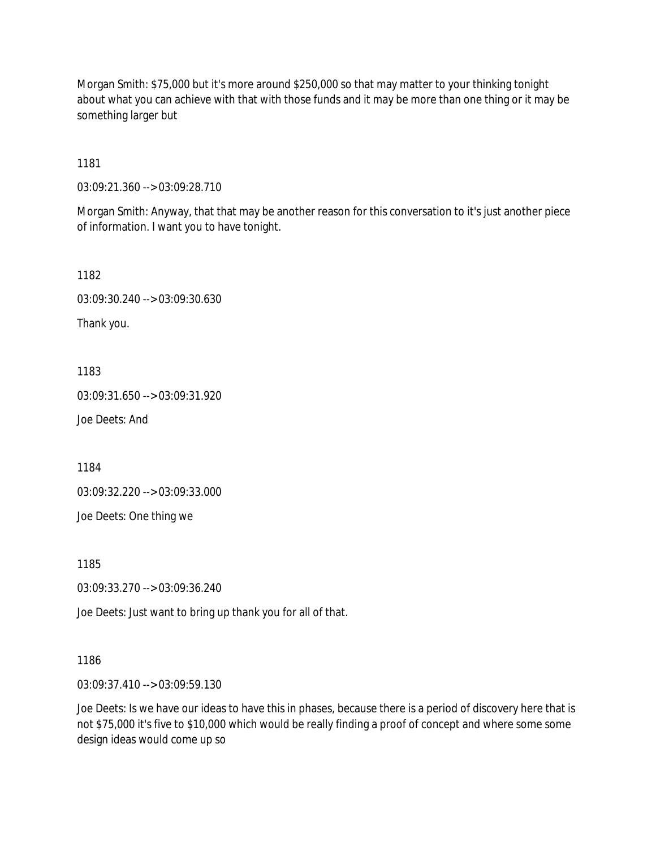Morgan Smith: \$75,000 but it's more around \$250,000 so that may matter to your thinking tonight about what you can achieve with that with those funds and it may be more than one thing or it may be something larger but

1181

03:09:21.360 --> 03:09:28.710

Morgan Smith: Anyway, that that may be another reason for this conversation to it's just another piece of information. I want you to have tonight.

1182

03:09:30.240 --> 03:09:30.630

Thank you.

1183

03:09:31.650 --> 03:09:31.920

Joe Deets: And

1184

03:09:32.220 --> 03:09:33.000

Joe Deets: One thing we

1185

03:09:33.270 --> 03:09:36.240

Joe Deets: Just want to bring up thank you for all of that.

1186

03:09:37.410 --> 03:09:59.130

Joe Deets: Is we have our ideas to have this in phases, because there is a period of discovery here that is not \$75,000 it's five to \$10,000 which would be really finding a proof of concept and where some some design ideas would come up so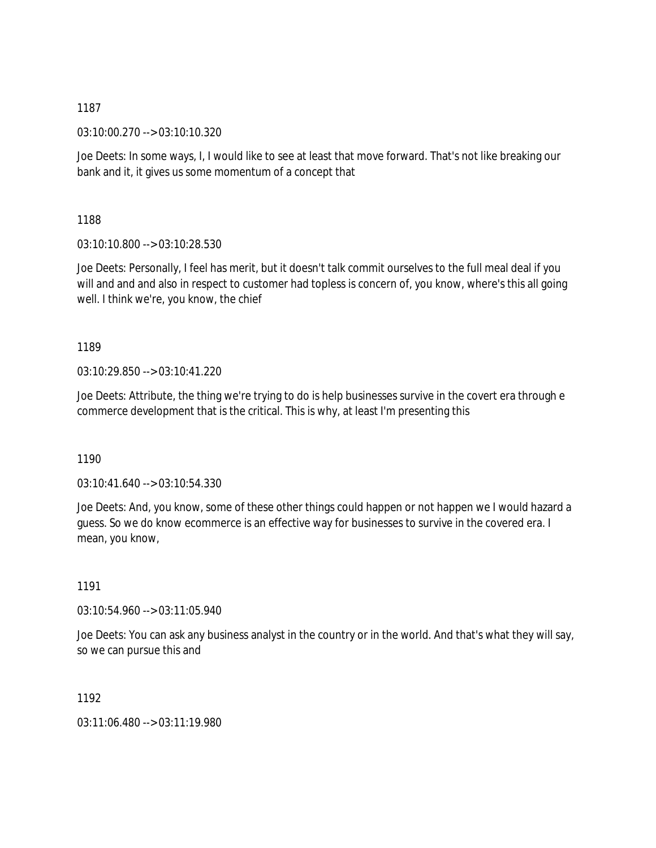03:10:00.270 --> 03:10:10.320

Joe Deets: In some ways, I, I would like to see at least that move forward. That's not like breaking our bank and it, it gives us some momentum of a concept that

1188

03:10:10.800 --> 03:10:28.530

Joe Deets: Personally, I feel has merit, but it doesn't talk commit ourselves to the full meal deal if you will and and and also in respect to customer had topless is concern of, you know, where's this all going well. I think we're, you know, the chief

1189

03:10:29.850 --> 03:10:41.220

Joe Deets: Attribute, the thing we're trying to do is help businesses survive in the covert era through e commerce development that is the critical. This is why, at least I'm presenting this

1190

03:10:41.640 --> 03:10:54.330

Joe Deets: And, you know, some of these other things could happen or not happen we I would hazard a guess. So we do know ecommerce is an effective way for businesses to survive in the covered era. I mean, you know,

1191

03:10:54.960 --> 03:11:05.940

Joe Deets: You can ask any business analyst in the country or in the world. And that's what they will say, so we can pursue this and

1192

03:11:06.480 --> 03:11:19.980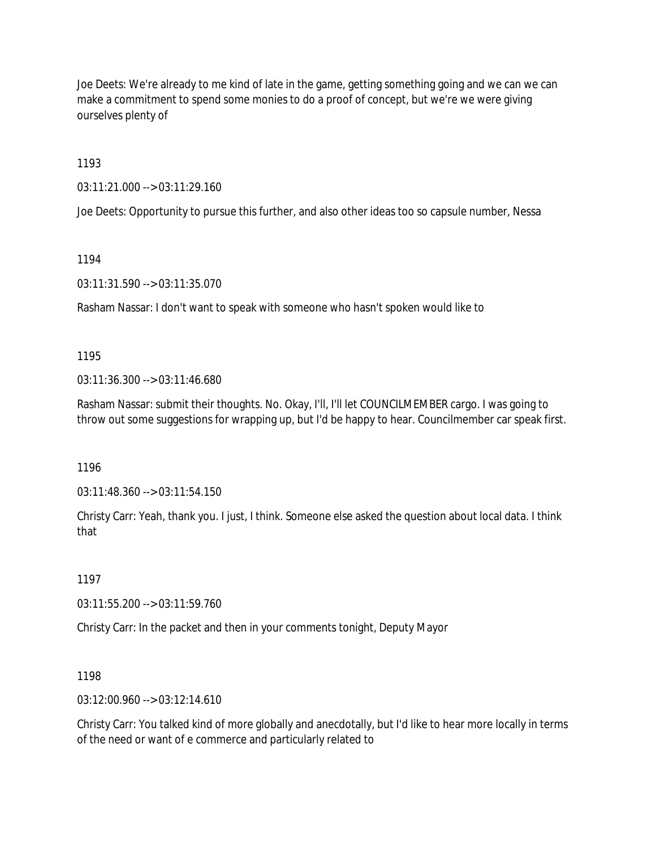Joe Deets: We're already to me kind of late in the game, getting something going and we can we can make a commitment to spend some monies to do a proof of concept, but we're we were giving ourselves plenty of

1193

03:11:21.000 --> 03:11:29.160

Joe Deets: Opportunity to pursue this further, and also other ideas too so capsule number, Nessa

1194

03:11:31.590 --> 03:11:35.070

Rasham Nassar: I don't want to speak with someone who hasn't spoken would like to

1195

03:11:36.300 --> 03:11:46.680

Rasham Nassar: submit their thoughts. No. Okay, I'll, I'll let COUNCILMEMBER cargo. I was going to throw out some suggestions for wrapping up, but I'd be happy to hear. Councilmember car speak first.

1196

03:11:48.360 --> 03:11:54.150

Christy Carr: Yeah, thank you. I just, I think. Someone else asked the question about local data. I think that

1197

03:11:55.200 --> 03:11:59.760

Christy Carr: In the packet and then in your comments tonight, Deputy Mayor

1198

03:12:00.960 --> 03:12:14.610

Christy Carr: You talked kind of more globally and anecdotally, but I'd like to hear more locally in terms of the need or want of e commerce and particularly related to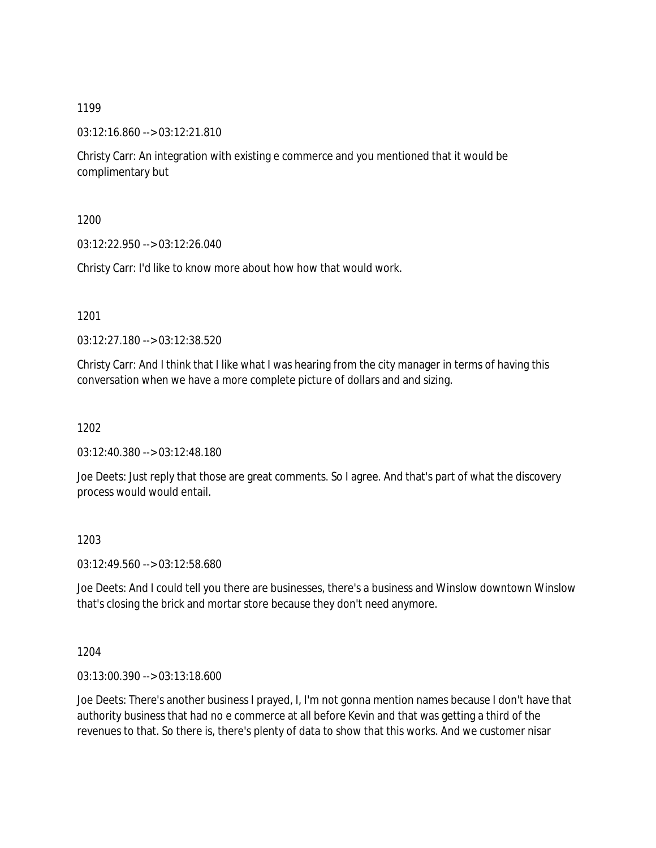03:12:16.860 --> 03:12:21.810

Christy Carr: An integration with existing e commerce and you mentioned that it would be complimentary but

1200

03:12:22.950 --> 03:12:26.040

Christy Carr: I'd like to know more about how how that would work.

1201

03:12:27.180 --> 03:12:38.520

Christy Carr: And I think that I like what I was hearing from the city manager in terms of having this conversation when we have a more complete picture of dollars and and sizing.

1202

03:12:40.380 --> 03:12:48.180

Joe Deets: Just reply that those are great comments. So I agree. And that's part of what the discovery process would would entail.

1203

03:12:49.560 --> 03:12:58.680

Joe Deets: And I could tell you there are businesses, there's a business and Winslow downtown Winslow that's closing the brick and mortar store because they don't need anymore.

1204

03:13:00.390 --> 03:13:18.600

Joe Deets: There's another business I prayed, I, I'm not gonna mention names because I don't have that authority business that had no e commerce at all before Kevin and that was getting a third of the revenues to that. So there is, there's plenty of data to show that this works. And we customer nisar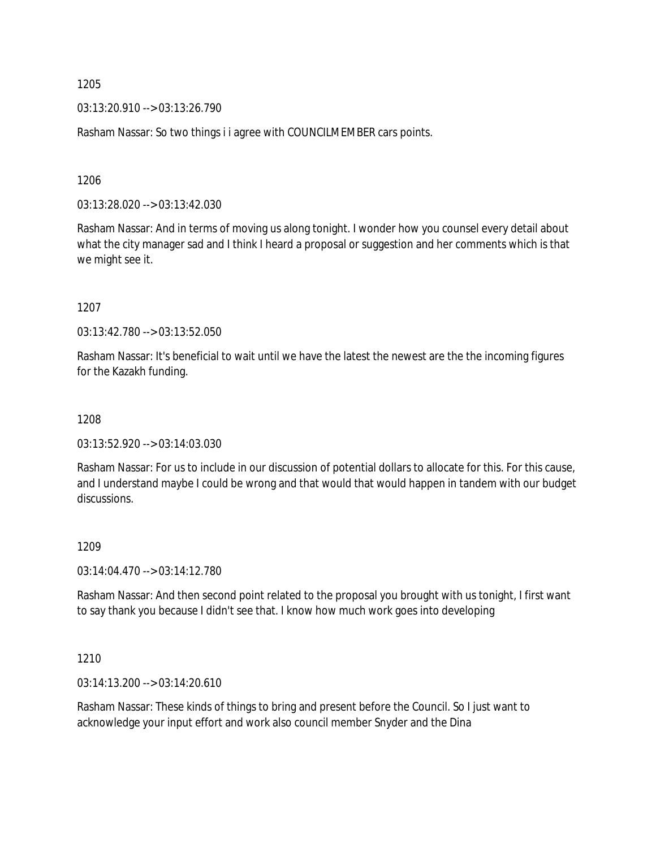03:13:20.910 --> 03:13:26.790

Rasham Nassar: So two things i i agree with COUNCILMEMBER cars points.

1206

03:13:28.020 --> 03:13:42.030

Rasham Nassar: And in terms of moving us along tonight. I wonder how you counsel every detail about what the city manager sad and I think I heard a proposal or suggestion and her comments which is that we might see it.

1207

03:13:42.780 --> 03:13:52.050

Rasham Nassar: It's beneficial to wait until we have the latest the newest are the the incoming figures for the Kazakh funding.

#### 1208

03:13:52.920 --> 03:14:03.030

Rasham Nassar: For us to include in our discussion of potential dollars to allocate for this. For this cause, and I understand maybe I could be wrong and that would that would happen in tandem with our budget discussions.

#### 1209

03:14:04.470 --> 03:14:12.780

Rasham Nassar: And then second point related to the proposal you brought with us tonight, I first want to say thank you because I didn't see that. I know how much work goes into developing

1210

03:14:13.200 --> 03:14:20.610

Rasham Nassar: These kinds of things to bring and present before the Council. So I just want to acknowledge your input effort and work also council member Snyder and the Dina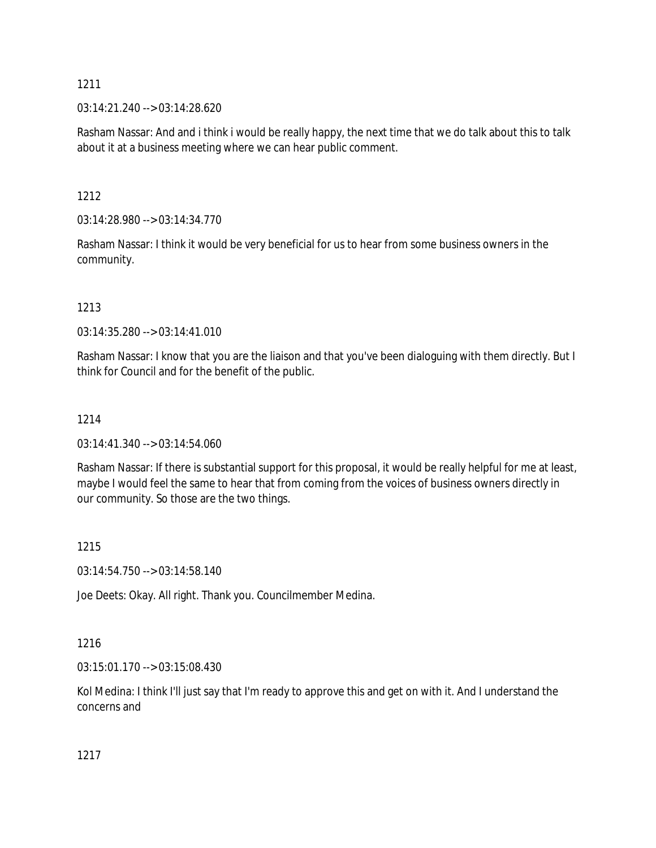03:14:21.240 --> 03:14:28.620

Rasham Nassar: And and i think i would be really happy, the next time that we do talk about this to talk about it at a business meeting where we can hear public comment.

1212

03:14:28.980 --> 03:14:34.770

Rasham Nassar: I think it would be very beneficial for us to hear from some business owners in the community.

#### 1213

03:14:35.280 --> 03:14:41.010

Rasham Nassar: I know that you are the liaison and that you've been dialoguing with them directly. But I think for Council and for the benefit of the public.

### 1214

03:14:41.340 --> 03:14:54.060

Rasham Nassar: If there is substantial support for this proposal, it would be really helpful for me at least, maybe I would feel the same to hear that from coming from the voices of business owners directly in our community. So those are the two things.

#### 1215

03:14:54.750 --> 03:14:58.140

Joe Deets: Okay. All right. Thank you. Councilmember Medina.

## 1216

03:15:01.170 --> 03:15:08.430

Kol Medina: I think I'll just say that I'm ready to approve this and get on with it. And I understand the concerns and

1217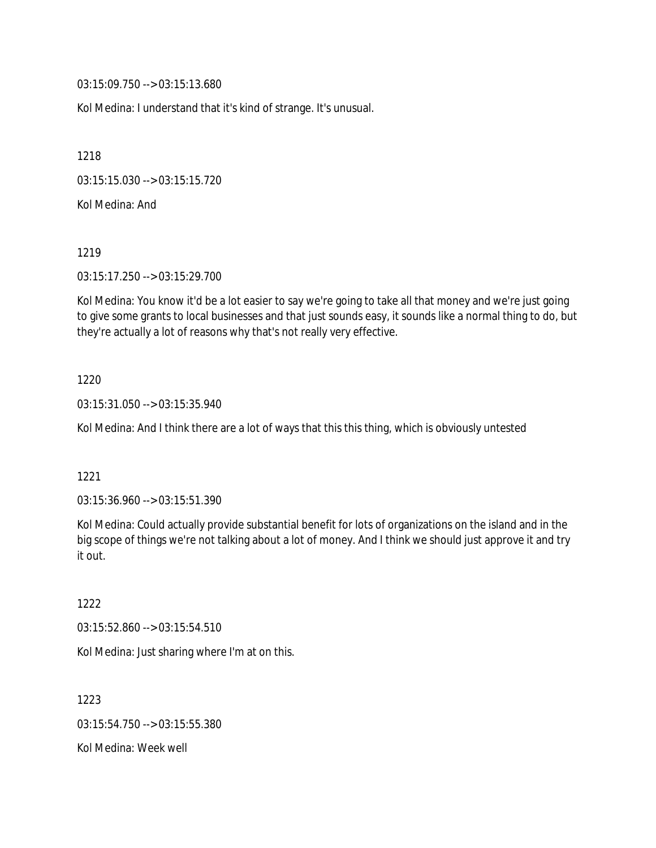03:15:09.750 --> 03:15:13.680

Kol Medina: I understand that it's kind of strange. It's unusual.

1218

03:15:15.030 --> 03:15:15.720

Kol Medina: And

1219

03:15:17.250 --> 03:15:29.700

Kol Medina: You know it'd be a lot easier to say we're going to take all that money and we're just going to give some grants to local businesses and that just sounds easy, it sounds like a normal thing to do, but they're actually a lot of reasons why that's not really very effective.

#### 1220

03:15:31.050 --> 03:15:35.940

Kol Medina: And I think there are a lot of ways that this this thing, which is obviously untested

#### 1221

03:15:36.960 --> 03:15:51.390

Kol Medina: Could actually provide substantial benefit for lots of organizations on the island and in the big scope of things we're not talking about a lot of money. And I think we should just approve it and try it out.

1222

03:15:52.860 --> 03:15:54.510

Kol Medina: Just sharing where I'm at on this.

1223 03:15:54.750 --> 03:15:55.380 Kol Medina: Week well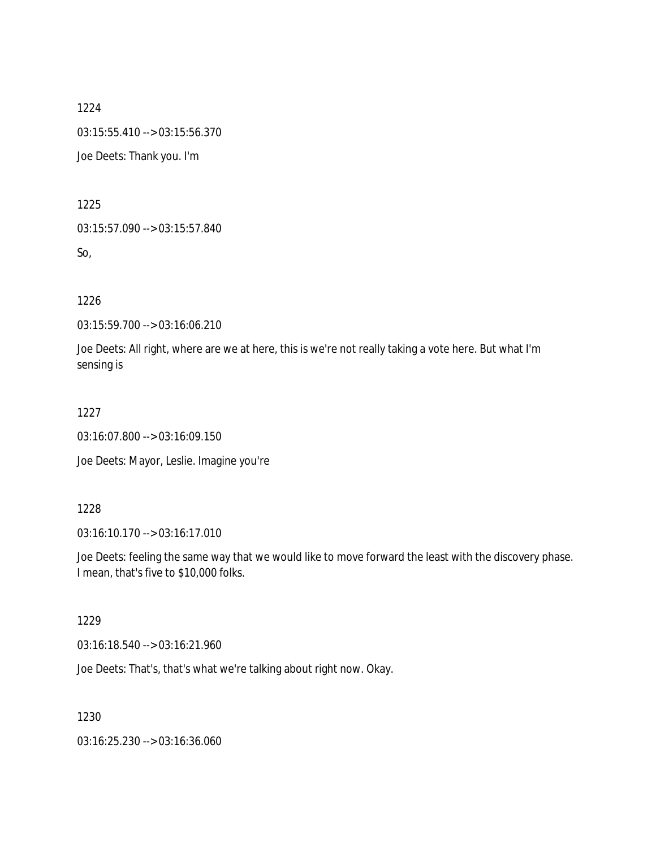1224 03:15:55.410 --> 03:15:56.370

Joe Deets: Thank you. I'm

1225

03:15:57.090 --> 03:15:57.840

So,

1226

03:15:59.700 --> 03:16:06.210

Joe Deets: All right, where are we at here, this is we're not really taking a vote here. But what I'm sensing is

1227

03:16:07.800 --> 03:16:09.150

Joe Deets: Mayor, Leslie. Imagine you're

#### 1228

03:16:10.170 --> 03:16:17.010

Joe Deets: feeling the same way that we would like to move forward the least with the discovery phase. I mean, that's five to \$10,000 folks.

#### 1229

03:16:18.540 --> 03:16:21.960

Joe Deets: That's, that's what we're talking about right now. Okay.

1230

03:16:25.230 --> 03:16:36.060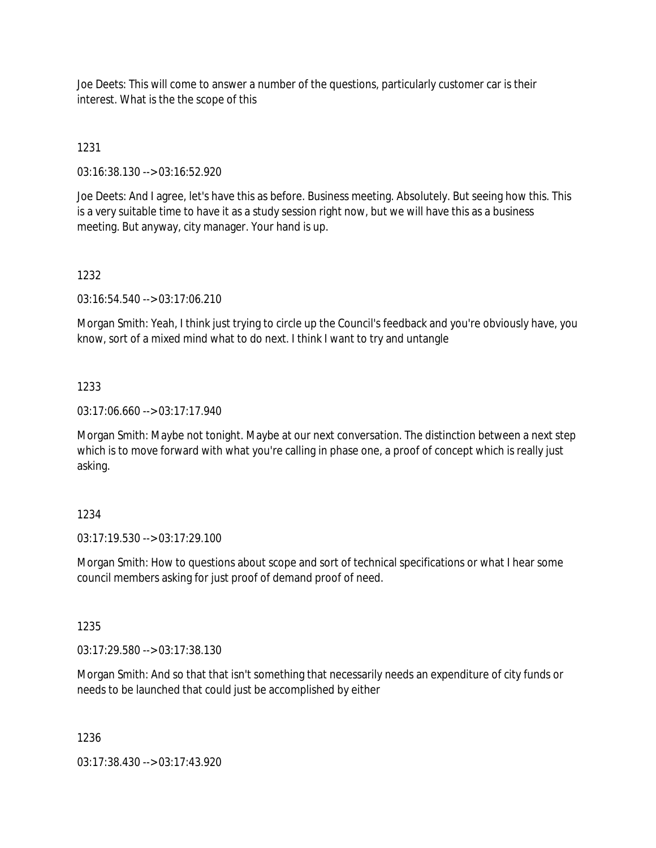Joe Deets: This will come to answer a number of the questions, particularly customer car is their interest. What is the the scope of this

## 1231

03:16:38.130 --> 03:16:52.920

Joe Deets: And I agree, let's have this as before. Business meeting. Absolutely. But seeing how this. This is a very suitable time to have it as a study session right now, but we will have this as a business meeting. But anyway, city manager. Your hand is up.

#### 1232

03:16:54.540 --> 03:17:06.210

Morgan Smith: Yeah, I think just trying to circle up the Council's feedback and you're obviously have, you know, sort of a mixed mind what to do next. I think I want to try and untangle

#### 1233

 $03:17:06.660 \rightarrow 03:17:17.940$ 

Morgan Smith: Maybe not tonight. Maybe at our next conversation. The distinction between a next step which is to move forward with what you're calling in phase one, a proof of concept which is really just asking.

#### 1234

03:17:19.530 --> 03:17:29.100

Morgan Smith: How to questions about scope and sort of technical specifications or what I hear some council members asking for just proof of demand proof of need.

#### 1235

03:17:29.580 --> 03:17:38.130

Morgan Smith: And so that that isn't something that necessarily needs an expenditure of city funds or needs to be launched that could just be accomplished by either

1236

03:17:38.430 --> 03:17:43.920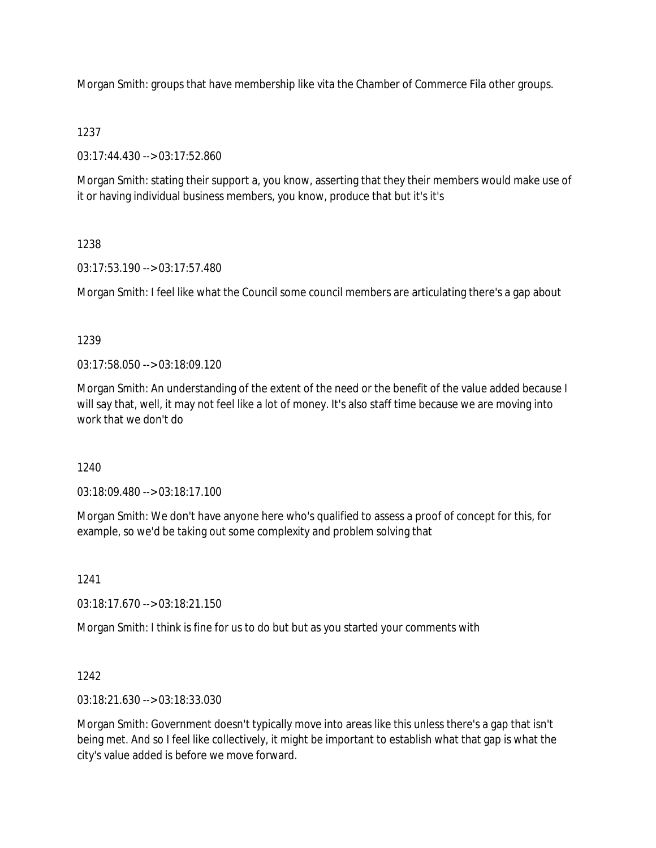Morgan Smith: groups that have membership like vita the Chamber of Commerce Fila other groups.

## 1237

03:17:44.430 --> 03:17:52.860

Morgan Smith: stating their support a, you know, asserting that they their members would make use of it or having individual business members, you know, produce that but it's it's

# 1238

03:17:53.190 --> 03:17:57.480

Morgan Smith: I feel like what the Council some council members are articulating there's a gap about

# 1239

03:17:58.050 --> 03:18:09.120

Morgan Smith: An understanding of the extent of the need or the benefit of the value added because I will say that, well, it may not feel like a lot of money. It's also staff time because we are moving into work that we don't do

## 1240

03:18:09.480 --> 03:18:17.100

Morgan Smith: We don't have anyone here who's qualified to assess a proof of concept for this, for example, so we'd be taking out some complexity and problem solving that

1241

03:18:17.670 --> 03:18:21.150

Morgan Smith: I think is fine for us to do but but as you started your comments with

# 1242

03:18:21.630 --> 03:18:33.030

Morgan Smith: Government doesn't typically move into areas like this unless there's a gap that isn't being met. And so I feel like collectively, it might be important to establish what that gap is what the city's value added is before we move forward.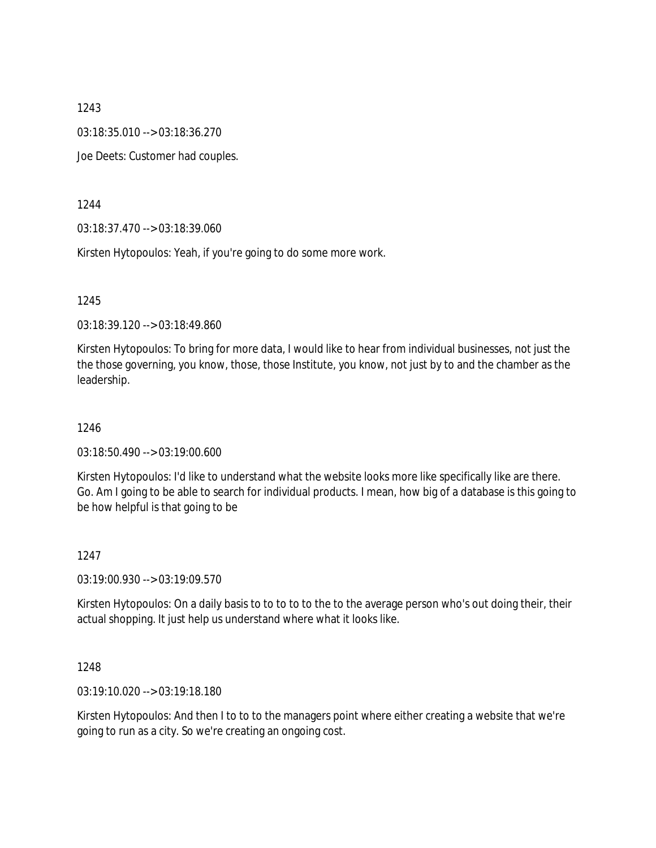03:18:35.010 --> 03:18:36.270

Joe Deets: Customer had couples.

1244

03:18:37.470 --> 03:18:39.060

Kirsten Hytopoulos: Yeah, if you're going to do some more work.

1245

03:18:39.120 --> 03:18:49.860

Kirsten Hytopoulos: To bring for more data, I would like to hear from individual businesses, not just the the those governing, you know, those, those Institute, you know, not just by to and the chamber as the leadership.

1246

03:18:50.490 --> 03:19:00.600

Kirsten Hytopoulos: I'd like to understand what the website looks more like specifically like are there. Go. Am I going to be able to search for individual products. I mean, how big of a database is this going to be how helpful is that going to be

1247

03:19:00.930 --> 03:19:09.570

Kirsten Hytopoulos: On a daily basis to to to to to the to the average person who's out doing their, their actual shopping. It just help us understand where what it looks like.

1248

03:19:10.020 --> 03:19:18.180

Kirsten Hytopoulos: And then I to to to the managers point where either creating a website that we're going to run as a city. So we're creating an ongoing cost.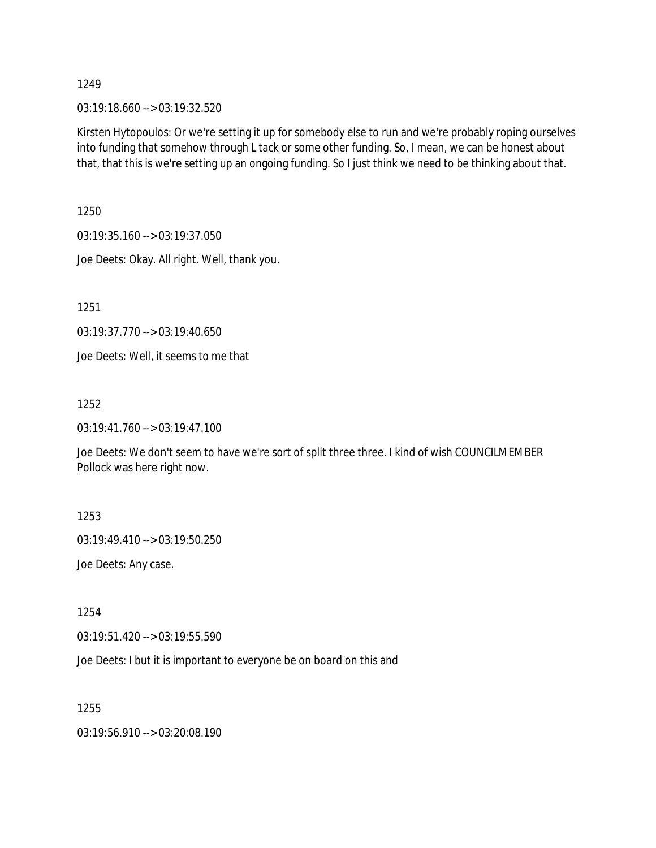03:19:18.660 --> 03:19:32.520

Kirsten Hytopoulos: Or we're setting it up for somebody else to run and we're probably roping ourselves into funding that somehow through L tack or some other funding. So, I mean, we can be honest about that, that this is we're setting up an ongoing funding. So I just think we need to be thinking about that.

1250

03:19:35.160 --> 03:19:37.050

Joe Deets: Okay. All right. Well, thank you.

1251

03:19:37.770 --> 03:19:40.650

Joe Deets: Well, it seems to me that

1252

03:19:41.760 --> 03:19:47.100

Joe Deets: We don't seem to have we're sort of split three three. I kind of wish COUNCILMEMBER Pollock was here right now.

1253

03:19:49.410 --> 03:19:50.250

Joe Deets: Any case.

1254

03:19:51.420 --> 03:19:55.590

Joe Deets: I but it is important to everyone be on board on this and

1255

03:19:56.910 --> 03:20:08.190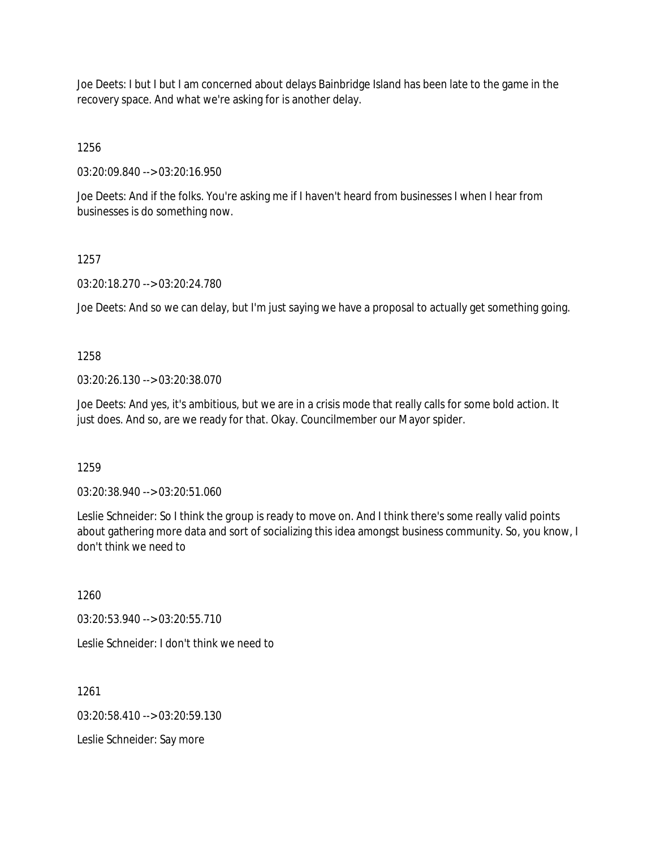Joe Deets: I but I but I am concerned about delays Bainbridge Island has been late to the game in the recovery space. And what we're asking for is another delay.

1256

03:20:09.840 --> 03:20:16.950

Joe Deets: And if the folks. You're asking me if I haven't heard from businesses I when I hear from businesses is do something now.

## 1257

03:20:18.270 --> 03:20:24.780

Joe Deets: And so we can delay, but I'm just saying we have a proposal to actually get something going.

## 1258

03:20:26.130 --> 03:20:38.070

Joe Deets: And yes, it's ambitious, but we are in a crisis mode that really calls for some bold action. It just does. And so, are we ready for that. Okay. Councilmember our Mayor spider.

1259

03:20:38.940 --> 03:20:51.060

Leslie Schneider: So I think the group is ready to move on. And I think there's some really valid points about gathering more data and sort of socializing this idea amongst business community. So, you know, I don't think we need to

1260

03:20:53.940 --> 03:20:55.710

Leslie Schneider: I don't think we need to

1261

 $03:20:58.410 \rightarrow 03:20:59.130$ 

Leslie Schneider: Say more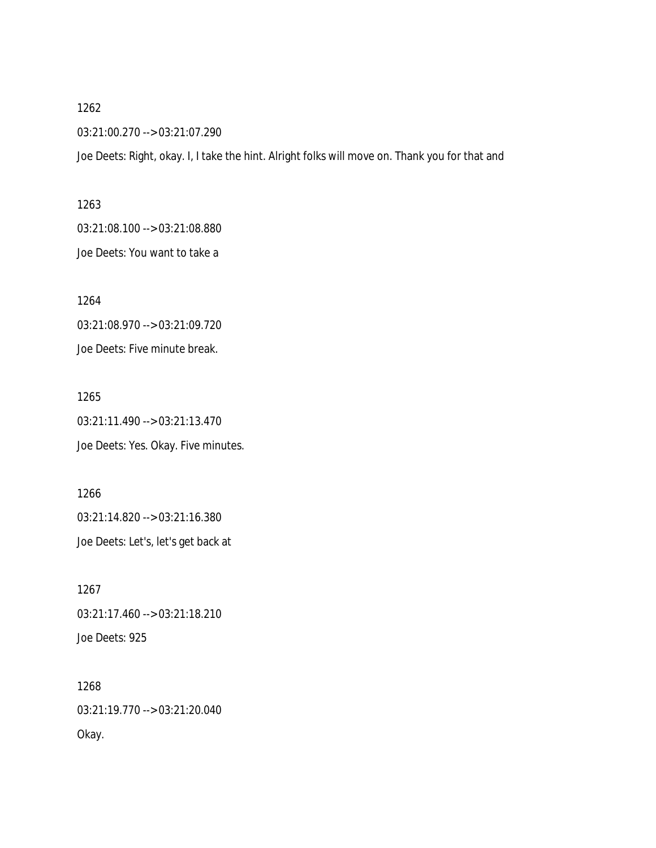03:21:00.270 --> 03:21:07.290

Joe Deets: Right, okay. I, I take the hint. Alright folks will move on. Thank you for that and

1263 03:21:08.100 --> 03:21:08.880 Joe Deets: You want to take a

1264 03:21:08.970 --> 03:21:09.720 Joe Deets: Five minute break.

1265 03:21:11.490 --> 03:21:13.470 Joe Deets: Yes. Okay. Five minutes.

1266 03:21:14.820 --> 03:21:16.380 Joe Deets: Let's, let's get back at

1267 03:21:17.460 --> 03:21:18.210 Joe Deets: 925

1268 03:21:19.770 --> 03:21:20.040 Okay.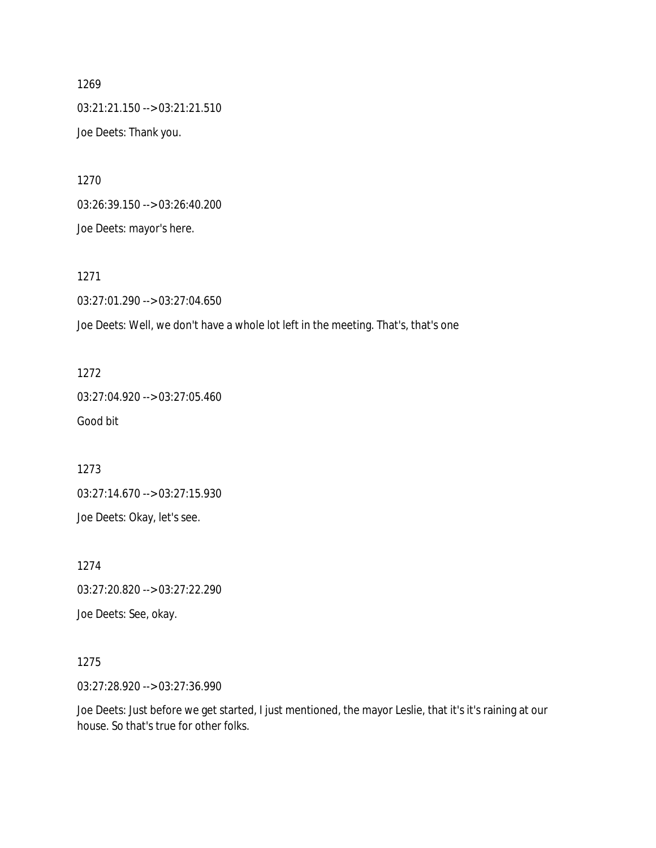1269 03:21:21.150 --> 03:21:21.510 Joe Deets: Thank you.

1270 03:26:39.150 --> 03:26:40.200 Joe Deets: mayor's here.

1271 03:27:01.290 --> 03:27:04.650 Joe Deets: Well, we don't have a whole lot left in the meeting. That's, that's one

1272 03:27:04.920 --> 03:27:05.460 Good bit

1273 03:27:14.670 --> 03:27:15.930 Joe Deets: Okay, let's see.

1274 03:27:20.820 --> 03:27:22.290

Joe Deets: See, okay.

1275

03:27:28.920 --> 03:27:36.990

Joe Deets: Just before we get started, I just mentioned, the mayor Leslie, that it's it's raining at our house. So that's true for other folks.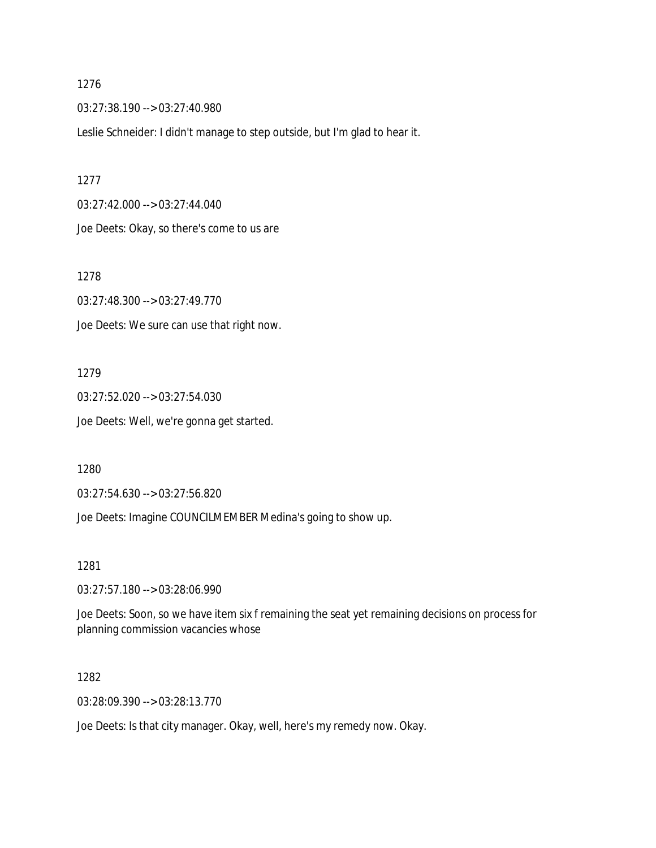03:27:38.190 --> 03:27:40.980

Leslie Schneider: I didn't manage to step outside, but I'm glad to hear it.

1277 03:27:42.000 --> 03:27:44.040

Joe Deets: Okay, so there's come to us are

1278

03:27:48.300 --> 03:27:49.770 Joe Deets: We sure can use that right now.

1279

03:27:52.020 --> 03:27:54.030 Joe Deets: Well, we're gonna get started.

1280

03:27:54.630 --> 03:27:56.820

Joe Deets: Imagine COUNCILMEMBER Medina's going to show up.

1281

03:27:57.180 --> 03:28:06.990

Joe Deets: Soon, so we have item six f remaining the seat yet remaining decisions on process for planning commission vacancies whose

1282

03:28:09.390 --> 03:28:13.770

Joe Deets: Is that city manager. Okay, well, here's my remedy now. Okay.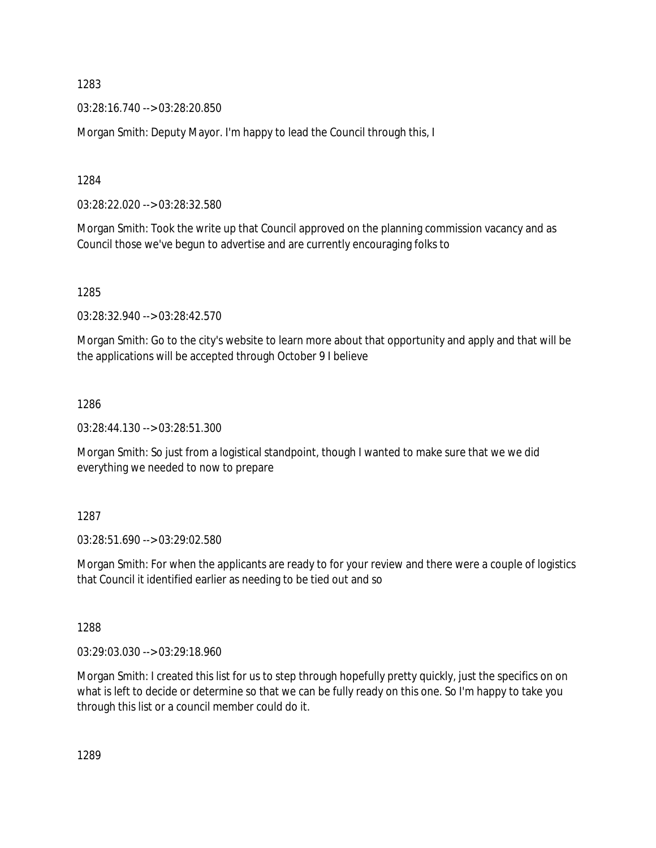03:28:16.740 --> 03:28:20.850

Morgan Smith: Deputy Mayor. I'm happy to lead the Council through this, I

1284

03:28:22.020 --> 03:28:32.580

Morgan Smith: Took the write up that Council approved on the planning commission vacancy and as Council those we've begun to advertise and are currently encouraging folks to

1285

03:28:32.940 --> 03:28:42.570

Morgan Smith: Go to the city's website to learn more about that opportunity and apply and that will be the applications will be accepted through October 9 I believe

1286

03:28:44.130 --> 03:28:51.300

Morgan Smith: So just from a logistical standpoint, though I wanted to make sure that we we did everything we needed to now to prepare

1287

03:28:51.690 --> 03:29:02.580

Morgan Smith: For when the applicants are ready to for your review and there were a couple of logistics that Council it identified earlier as needing to be tied out and so

1288

03:29:03.030 --> 03:29:18.960

Morgan Smith: I created this list for us to step through hopefully pretty quickly, just the specifics on on what is left to decide or determine so that we can be fully ready on this one. So I'm happy to take you through this list or a council member could do it.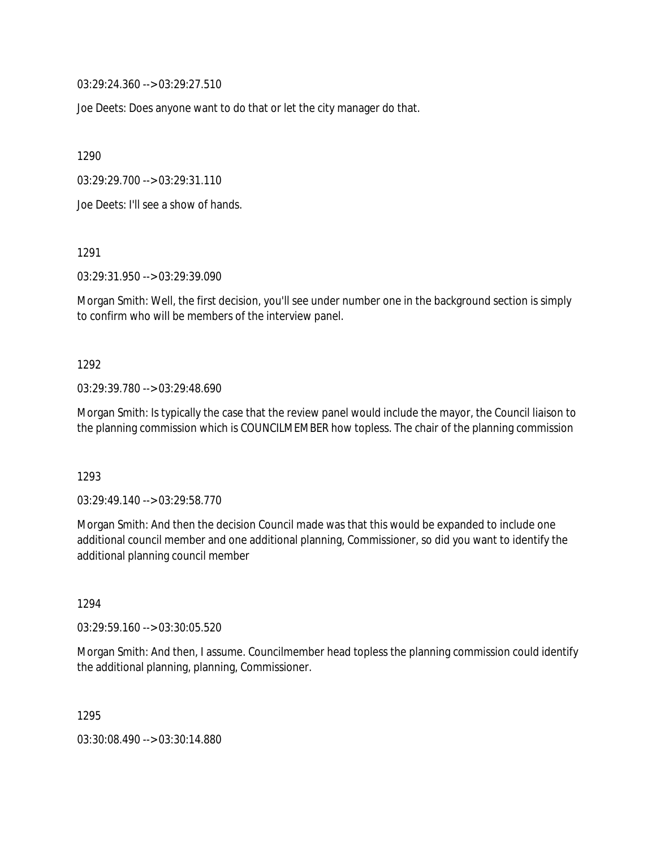03:29:24.360 --> 03:29:27.510

Joe Deets: Does anyone want to do that or let the city manager do that.

1290

03:29:29.700 --> 03:29:31.110

Joe Deets: I'll see a show of hands.

1291

03:29:31.950 --> 03:29:39.090

Morgan Smith: Well, the first decision, you'll see under number one in the background section is simply to confirm who will be members of the interview panel.

#### 1292

03:29:39.780 --> 03:29:48.690

Morgan Smith: Is typically the case that the review panel would include the mayor, the Council liaison to the planning commission which is COUNCILMEMBER how topless. The chair of the planning commission

1293

03:29:49.140 --> 03:29:58.770

Morgan Smith: And then the decision Council made was that this would be expanded to include one additional council member and one additional planning, Commissioner, so did you want to identify the additional planning council member

1294

03:29:59.160 --> 03:30:05.520

Morgan Smith: And then, I assume. Councilmember head topless the planning commission could identify the additional planning, planning, Commissioner.

1295

03:30:08.490 --> 03:30:14.880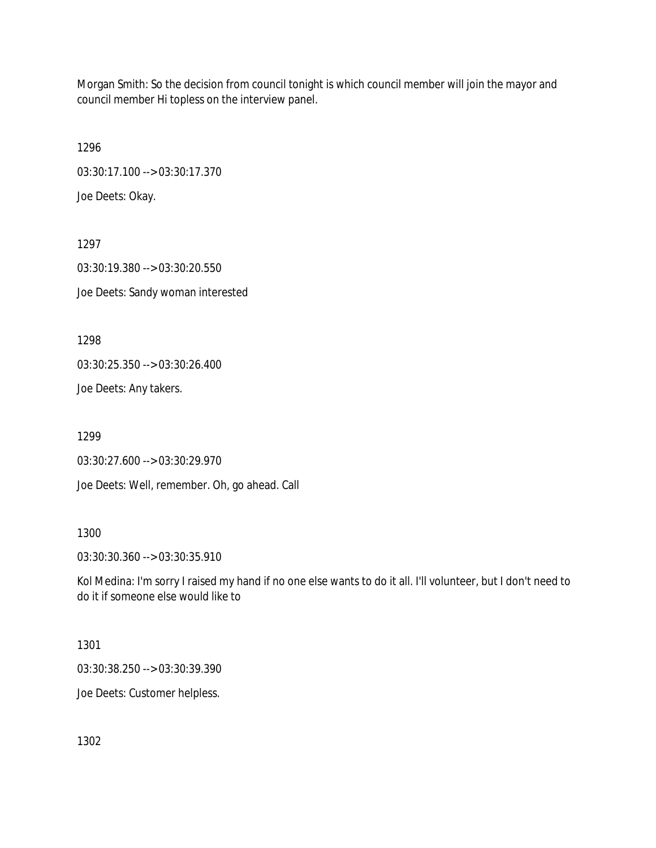Morgan Smith: So the decision from council tonight is which council member will join the mayor and council member Hi topless on the interview panel.

1296 03:30:17.100 --> 03:30:17.370 Joe Deets: Okay.

1297 03:30:19.380 --> 03:30:20.550 Joe Deets: Sandy woman interested

1298

03:30:25.350 --> 03:30:26.400

Joe Deets: Any takers.

1299

03:30:27.600 --> 03:30:29.970

Joe Deets: Well, remember. Oh, go ahead. Call

1300

03:30:30.360 --> 03:30:35.910

Kol Medina: I'm sorry I raised my hand if no one else wants to do it all. I'll volunteer, but I don't need to do it if someone else would like to

1301

03:30:38.250 --> 03:30:39.390

Joe Deets: Customer helpless.

1302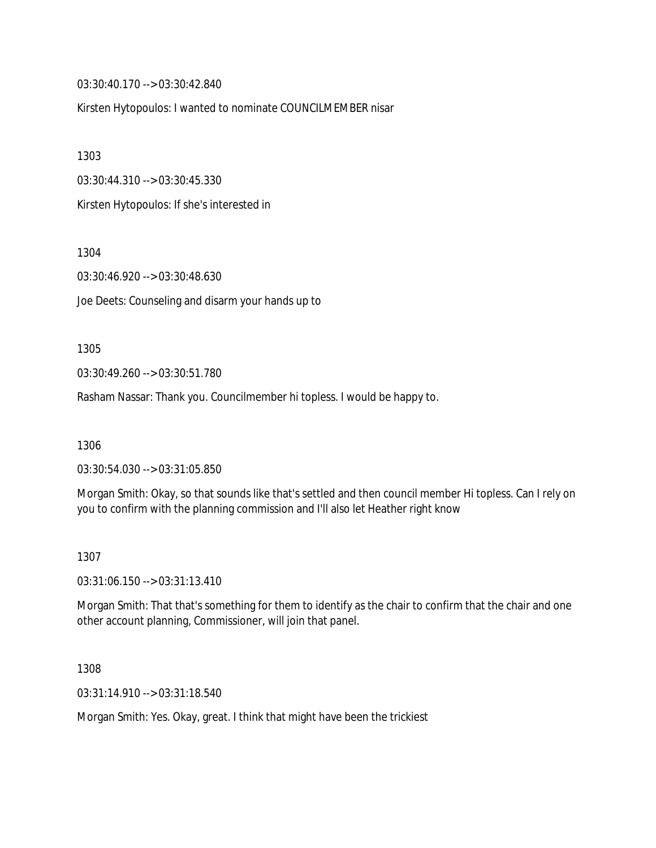03:30:40.170 --> 03:30:42.840

Kirsten Hytopoulos: I wanted to nominate COUNCILMEMBER nisar

1303

03:30:44.310 --> 03:30:45.330

Kirsten Hytopoulos: If she's interested in

1304

03:30:46.920 --> 03:30:48.630

Joe Deets: Counseling and disarm your hands up to

1305

03:30:49.260 --> 03:30:51.780

Rasham Nassar: Thank you. Councilmember hi topless. I would be happy to.

1306

03:30:54.030 --> 03:31:05.850

Morgan Smith: Okay, so that sounds like that's settled and then council member Hi topless. Can I rely on you to confirm with the planning commission and I'll also let Heather right know

1307

03:31:06.150 --> 03:31:13.410

Morgan Smith: That that's something for them to identify as the chair to confirm that the chair and one other account planning, Commissioner, will join that panel.

1308

03:31:14.910 --> 03:31:18.540

Morgan Smith: Yes. Okay, great. I think that might have been the trickiest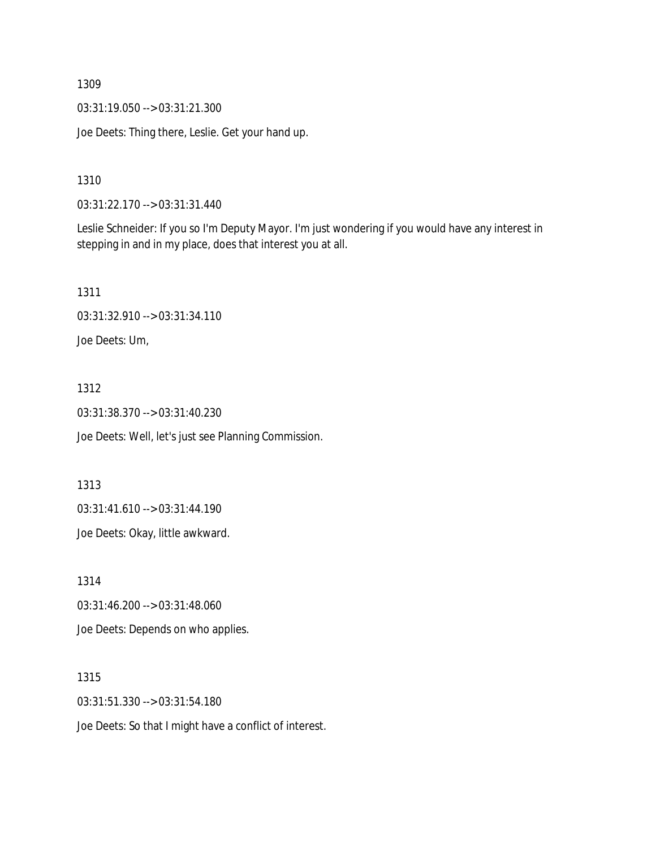03:31:19.050 --> 03:31:21.300

Joe Deets: Thing there, Leslie. Get your hand up.

1310

03:31:22.170 --> 03:31:31.440

Leslie Schneider: If you so I'm Deputy Mayor. I'm just wondering if you would have any interest in stepping in and in my place, does that interest you at all.

1311

03:31:32.910 --> 03:31:34.110

Joe Deets: Um,

#### 1312

03:31:38.370 --> 03:31:40.230

Joe Deets: Well, let's just see Planning Commission.

1313

03:31:41.610 --> 03:31:44.190

Joe Deets: Okay, little awkward.

1314

03:31:46.200 --> 03:31:48.060

Joe Deets: Depends on who applies.

#### 1315

03:31:51.330 --> 03:31:54.180

Joe Deets: So that I might have a conflict of interest.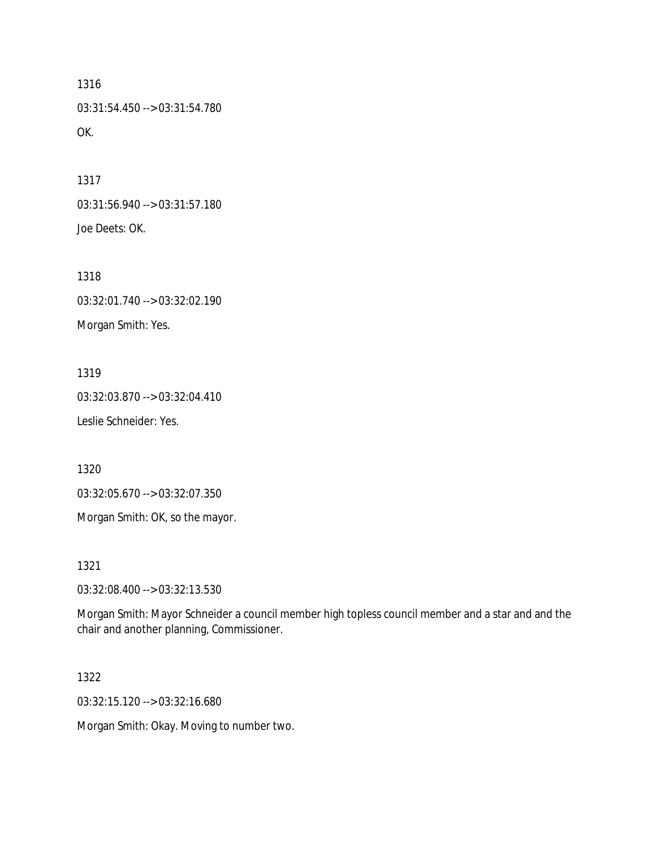1316 03:31:54.450 --> 03:31:54.780 OK.

1317 03:31:56.940 --> 03:31:57.180 Joe Deets: OK.

1318 03:32:01.740 --> 03:32:02.190 Morgan Smith: Yes.

1319 03:32:03.870 --> 03:32:04.410 Leslie Schneider: Yes.

1320

03:32:05.670 --> 03:32:07.350

Morgan Smith: OK, so the mayor.

1321

03:32:08.400 --> 03:32:13.530

Morgan Smith: Mayor Schneider a council member high topless council member and a star and and the chair and another planning, Commissioner.

1322

03:32:15.120 --> 03:32:16.680

Morgan Smith: Okay. Moving to number two.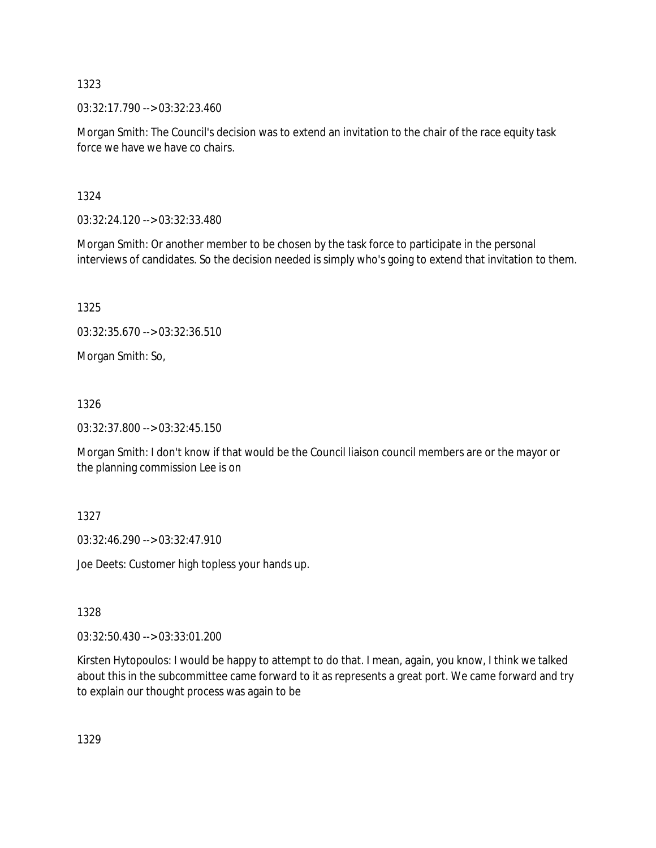03:32:17.790 --> 03:32:23.460

Morgan Smith: The Council's decision was to extend an invitation to the chair of the race equity task force we have we have co chairs.

1324

03:32:24.120 --> 03:32:33.480

Morgan Smith: Or another member to be chosen by the task force to participate in the personal interviews of candidates. So the decision needed is simply who's going to extend that invitation to them.

1325

03:32:35.670 --> 03:32:36.510

Morgan Smith: So,

1326

03:32:37.800 --> 03:32:45.150

Morgan Smith: I don't know if that would be the Council liaison council members are or the mayor or the planning commission Lee is on

1327

03:32:46.290 --> 03:32:47.910

Joe Deets: Customer high topless your hands up.

1328

03:32:50.430 --> 03:33:01.200

Kirsten Hytopoulos: I would be happy to attempt to do that. I mean, again, you know, I think we talked about this in the subcommittee came forward to it as represents a great port. We came forward and try to explain our thought process was again to be

1329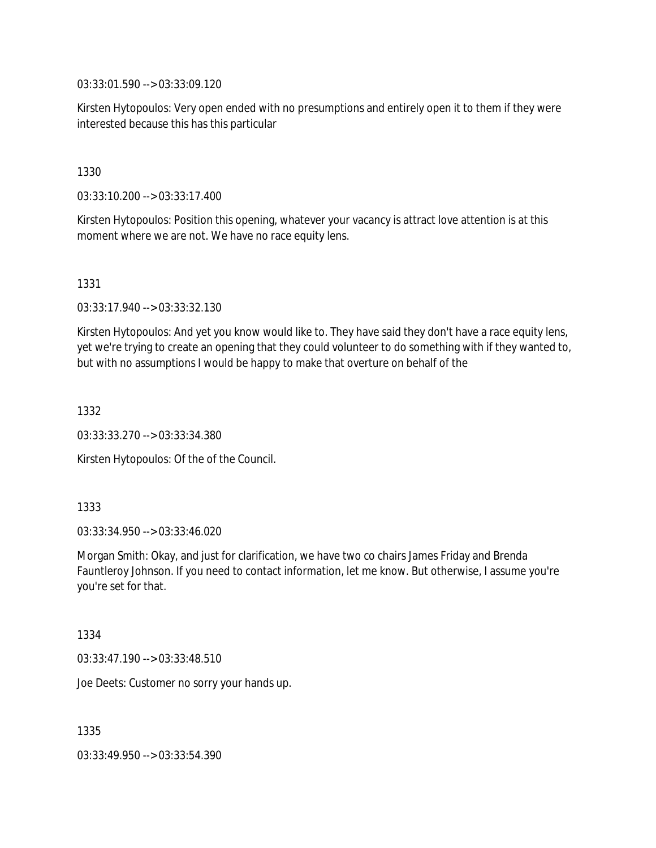03:33:01.590 --> 03:33:09.120

Kirsten Hytopoulos: Very open ended with no presumptions and entirely open it to them if they were interested because this has this particular

1330

03:33:10.200 --> 03:33:17.400

Kirsten Hytopoulos: Position this opening, whatever your vacancy is attract love attention is at this moment where we are not. We have no race equity lens.

1331

03:33:17.940 --> 03:33:32.130

Kirsten Hytopoulos: And yet you know would like to. They have said they don't have a race equity lens, yet we're trying to create an opening that they could volunteer to do something with if they wanted to, but with no assumptions I would be happy to make that overture on behalf of the

1332

03:33:33.270 --> 03:33:34.380

Kirsten Hytopoulos: Of the of the Council.

1333

03:33:34.950 --> 03:33:46.020

Morgan Smith: Okay, and just for clarification, we have two co chairs James Friday and Brenda Fauntleroy Johnson. If you need to contact information, let me know. But otherwise, I assume you're you're set for that.

1334

03:33:47.190 --> 03:33:48.510

Joe Deets: Customer no sorry your hands up.

1335

03:33:49.950 --> 03:33:54.390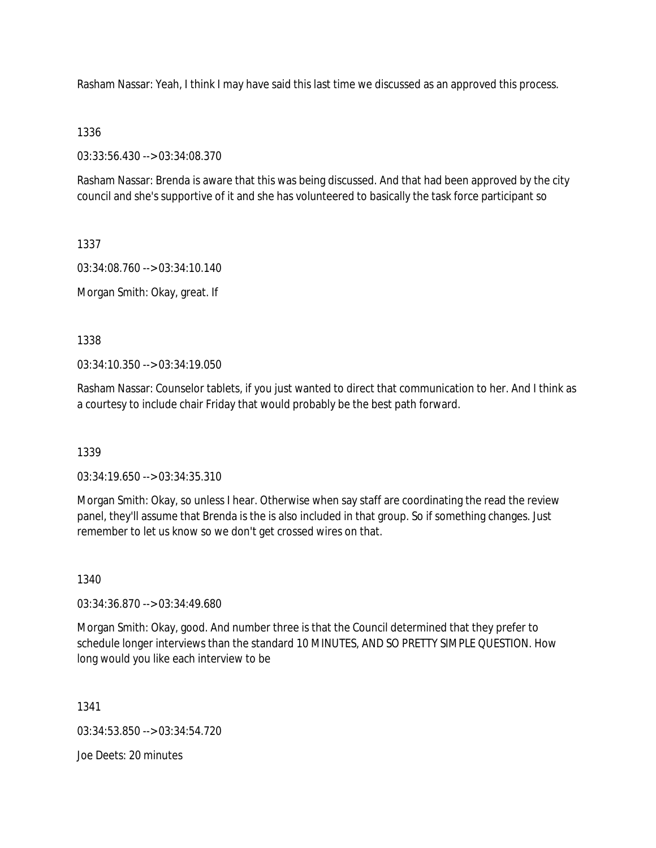Rasham Nassar: Yeah, I think I may have said this last time we discussed as an approved this process.

### 1336

03:33:56.430 --> 03:34:08.370

Rasham Nassar: Brenda is aware that this was being discussed. And that had been approved by the city council and she's supportive of it and she has volunteered to basically the task force participant so

1337

03:34:08.760 --> 03:34:10.140

Morgan Smith: Okay, great. If

1338

03:34:10.350 --> 03:34:19.050

Rasham Nassar: Counselor tablets, if you just wanted to direct that communication to her. And I think as a courtesy to include chair Friday that would probably be the best path forward.

1339

03:34:19.650 --> 03:34:35.310

Morgan Smith: Okay, so unless I hear. Otherwise when say staff are coordinating the read the review panel, they'll assume that Brenda is the is also included in that group. So if something changes. Just remember to let us know so we don't get crossed wires on that.

1340

03:34:36.870 --> 03:34:49.680

Morgan Smith: Okay, good. And number three is that the Council determined that they prefer to schedule longer interviews than the standard 10 MINUTES, AND SO PRETTY SIMPLE QUESTION. How long would you like each interview to be

1341

03:34:53.850 --> 03:34:54.720

Joe Deets: 20 minutes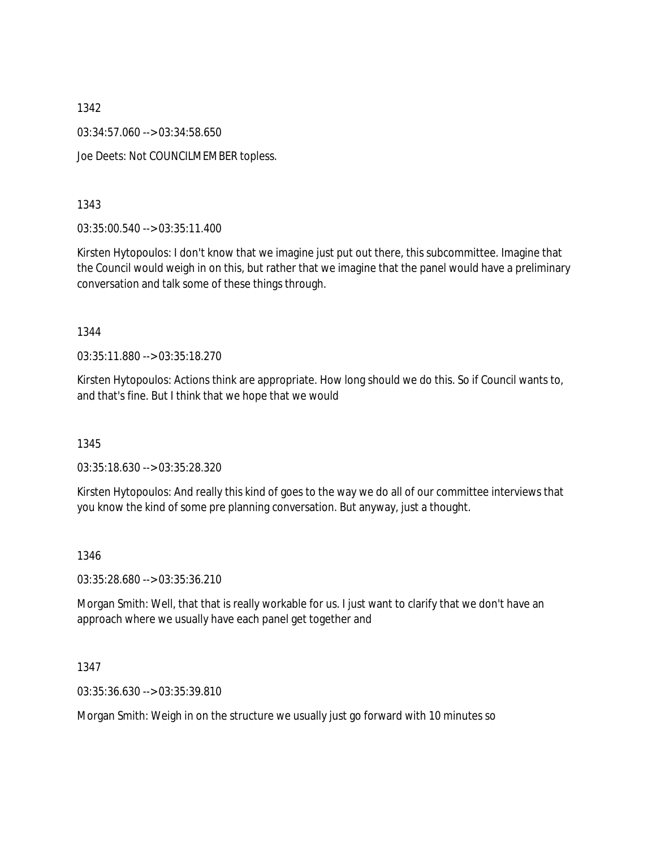03:34:57.060 --> 03:34:58.650

Joe Deets: Not COUNCILMEMBER topless.

1343

03:35:00.540 --> 03:35:11.400

Kirsten Hytopoulos: I don't know that we imagine just put out there, this subcommittee. Imagine that the Council would weigh in on this, but rather that we imagine that the panel would have a preliminary conversation and talk some of these things through.

1344

03:35:11.880 --> 03:35:18.270

Kirsten Hytopoulos: Actions think are appropriate. How long should we do this. So if Council wants to, and that's fine. But I think that we hope that we would

1345

03:35:18.630 --> 03:35:28.320

Kirsten Hytopoulos: And really this kind of goes to the way we do all of our committee interviews that you know the kind of some pre planning conversation. But anyway, just a thought.

1346

03:35:28.680 --> 03:35:36.210

Morgan Smith: Well, that that is really workable for us. I just want to clarify that we don't have an approach where we usually have each panel get together and

1347

03:35:36.630 --> 03:35:39.810

Morgan Smith: Weigh in on the structure we usually just go forward with 10 minutes so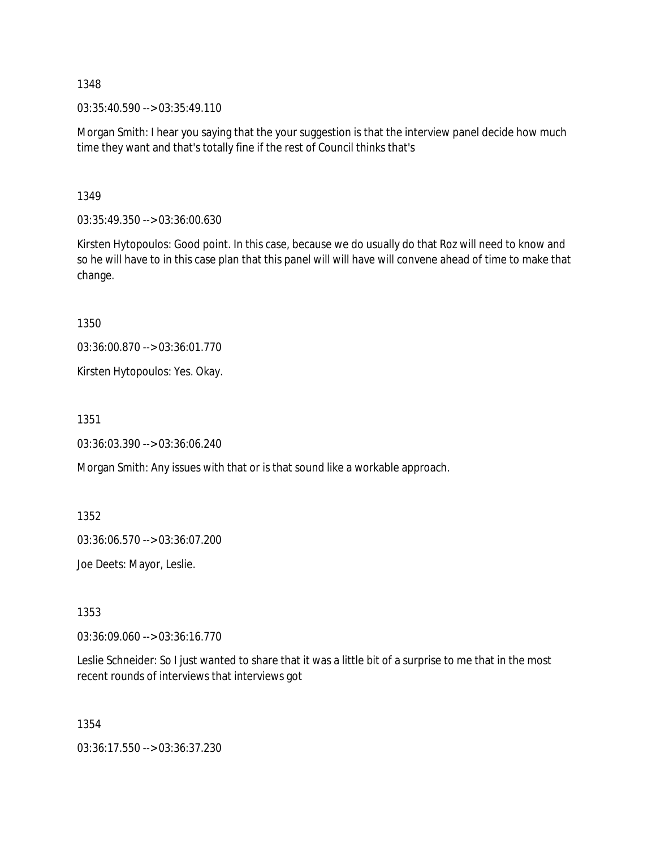$03:35:40.590 \rightarrow 03:35:49.110$ 

Morgan Smith: I hear you saying that the your suggestion is that the interview panel decide how much time they want and that's totally fine if the rest of Council thinks that's

1349

03:35:49.350 --> 03:36:00.630

Kirsten Hytopoulos: Good point. In this case, because we do usually do that Roz will need to know and so he will have to in this case plan that this panel will will have will convene ahead of time to make that change.

1350

03:36:00.870 --> 03:36:01.770

Kirsten Hytopoulos: Yes. Okay.

1351

03:36:03.390 --> 03:36:06.240

Morgan Smith: Any issues with that or is that sound like a workable approach.

1352

03:36:06.570 --> 03:36:07.200

Joe Deets: Mayor, Leslie.

1353

03:36:09.060 --> 03:36:16.770

Leslie Schneider: So I just wanted to share that it was a little bit of a surprise to me that in the most recent rounds of interviews that interviews got

1354

03:36:17.550 --> 03:36:37.230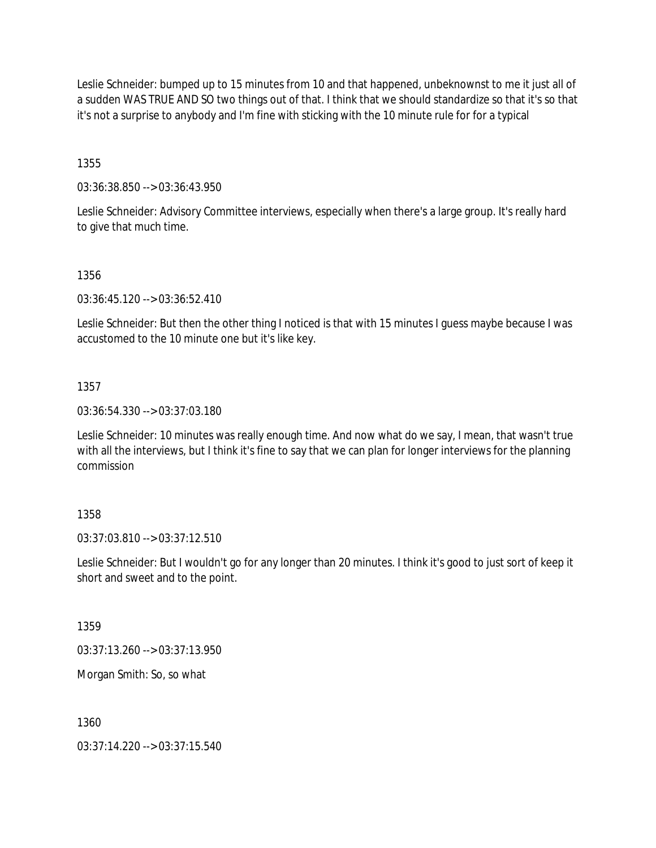Leslie Schneider: bumped up to 15 minutes from 10 and that happened, unbeknownst to me it just all of a sudden WAS TRUE AND SO two things out of that. I think that we should standardize so that it's so that it's not a surprise to anybody and I'm fine with sticking with the 10 minute rule for for a typical

1355

03:36:38.850 --> 03:36:43.950

Leslie Schneider: Advisory Committee interviews, especially when there's a large group. It's really hard to give that much time.

1356

03:36:45.120 --> 03:36:52.410

Leslie Schneider: But then the other thing I noticed is that with 15 minutes I guess maybe because I was accustomed to the 10 minute one but it's like key.

1357

03:36:54.330 --> 03:37:03.180

Leslie Schneider: 10 minutes was really enough time. And now what do we say, I mean, that wasn't true with all the interviews, but I think it's fine to say that we can plan for longer interviews for the planning commission

1358

03:37:03.810 --> 03:37:12.510

Leslie Schneider: But I wouldn't go for any longer than 20 minutes. I think it's good to just sort of keep it short and sweet and to the point.

1359

03:37:13.260 --> 03:37:13.950

Morgan Smith: So, so what

1360

03:37:14.220 --> 03:37:15.540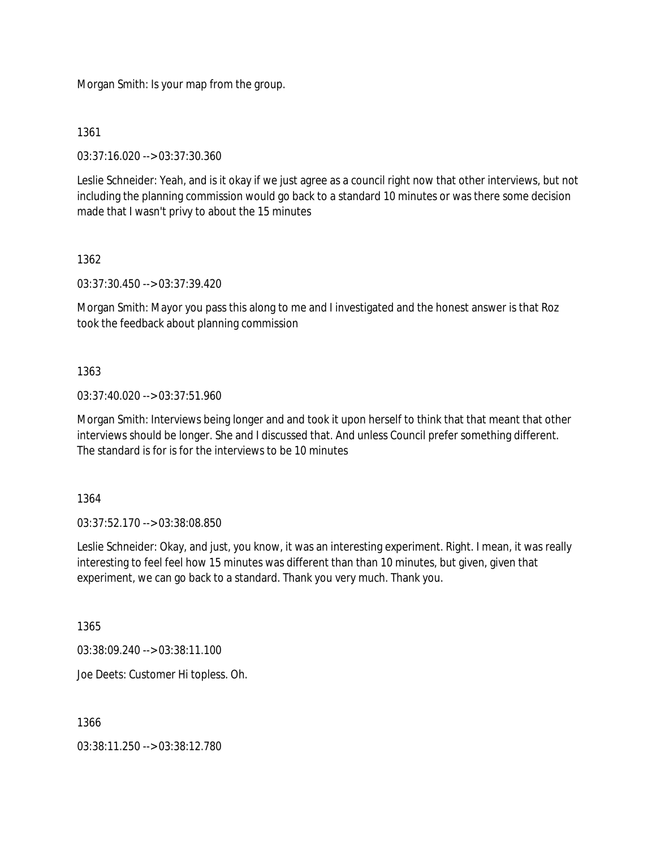Morgan Smith: Is your map from the group.

1361

03:37:16.020 --> 03:37:30.360

Leslie Schneider: Yeah, and is it okay if we just agree as a council right now that other interviews, but not including the planning commission would go back to a standard 10 minutes or was there some decision made that I wasn't privy to about the 15 minutes

1362

03:37:30.450 --> 03:37:39.420

Morgan Smith: Mayor you pass this along to me and I investigated and the honest answer is that Roz took the feedback about planning commission

1363

03:37:40.020 --> 03:37:51.960

Morgan Smith: Interviews being longer and and took it upon herself to think that that meant that other interviews should be longer. She and I discussed that. And unless Council prefer something different. The standard is for is for the interviews to be 10 minutes

1364

03:37:52.170 --> 03:38:08.850

Leslie Schneider: Okay, and just, you know, it was an interesting experiment. Right. I mean, it was really interesting to feel feel how 15 minutes was different than than 10 minutes, but given, given that experiment, we can go back to a standard. Thank you very much. Thank you.

1365

03:38:09.240 --> 03:38:11.100

Joe Deets: Customer Hi topless. Oh.

1366

03:38:11.250 --> 03:38:12.780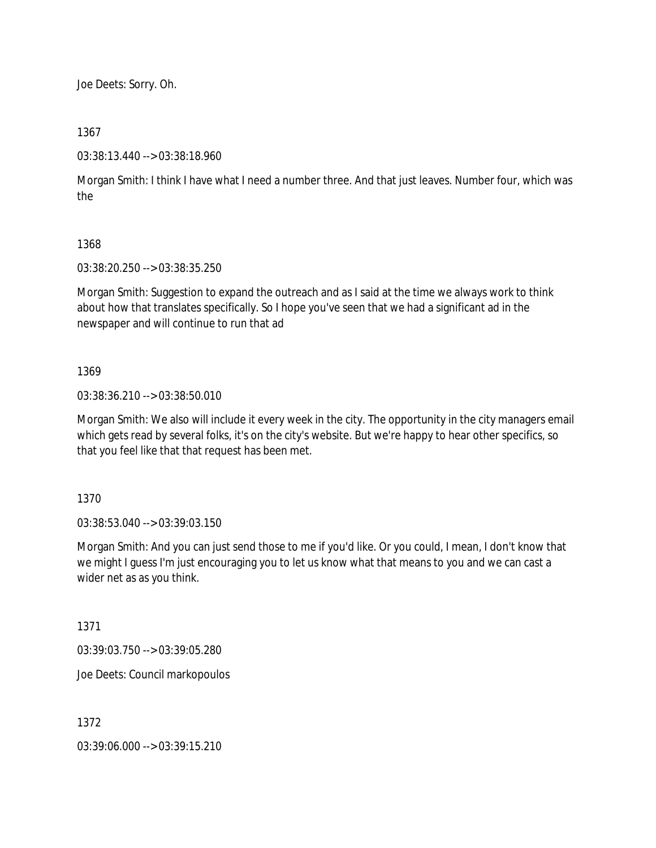Joe Deets: Sorry. Oh.

### 1367

03:38:13.440 --> 03:38:18.960

Morgan Smith: I think I have what I need a number three. And that just leaves. Number four, which was the

### 1368

03:38:20.250 --> 03:38:35.250

Morgan Smith: Suggestion to expand the outreach and as I said at the time we always work to think about how that translates specifically. So I hope you've seen that we had a significant ad in the newspaper and will continue to run that ad

#### 1369

03:38:36.210 --> 03:38:50.010

Morgan Smith: We also will include it every week in the city. The opportunity in the city managers email which gets read by several folks, it's on the city's website. But we're happy to hear other specifics, so that you feel like that that request has been met.

1370

03:38:53.040 --> 03:39:03.150

Morgan Smith: And you can just send those to me if you'd like. Or you could, I mean, I don't know that we might I guess I'm just encouraging you to let us know what that means to you and we can cast a wider net as as you think.

1371

03:39:03.750 --> 03:39:05.280

Joe Deets: Council markopoulos

1372

03:39:06.000 --> 03:39:15.210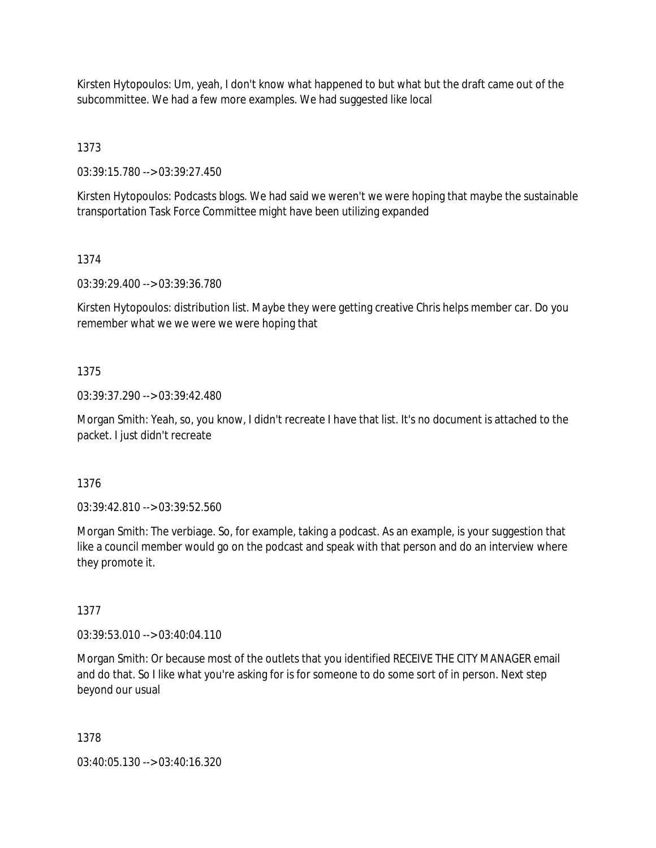Kirsten Hytopoulos: Um, yeah, I don't know what happened to but what but the draft came out of the subcommittee. We had a few more examples. We had suggested like local

1373

03:39:15.780 --> 03:39:27.450

Kirsten Hytopoulos: Podcasts blogs. We had said we weren't we were hoping that maybe the sustainable transportation Task Force Committee might have been utilizing expanded

## 1374

03:39:29.400 --> 03:39:36.780

Kirsten Hytopoulos: distribution list. Maybe they were getting creative Chris helps member car. Do you remember what we we were we were hoping that

## 1375

03:39:37.290 --> 03:39:42.480

Morgan Smith: Yeah, so, you know, I didn't recreate I have that list. It's no document is attached to the packet. I just didn't recreate

## 1376

03:39:42.810 --> 03:39:52.560

Morgan Smith: The verbiage. So, for example, taking a podcast. As an example, is your suggestion that like a council member would go on the podcast and speak with that person and do an interview where they promote it.

# 1377

03:39:53.010 --> 03:40:04.110

Morgan Smith: Or because most of the outlets that you identified RECEIVE THE CITY MANAGER email and do that. So I like what you're asking for is for someone to do some sort of in person. Next step beyond our usual

### 1378

03:40:05.130 --> 03:40:16.320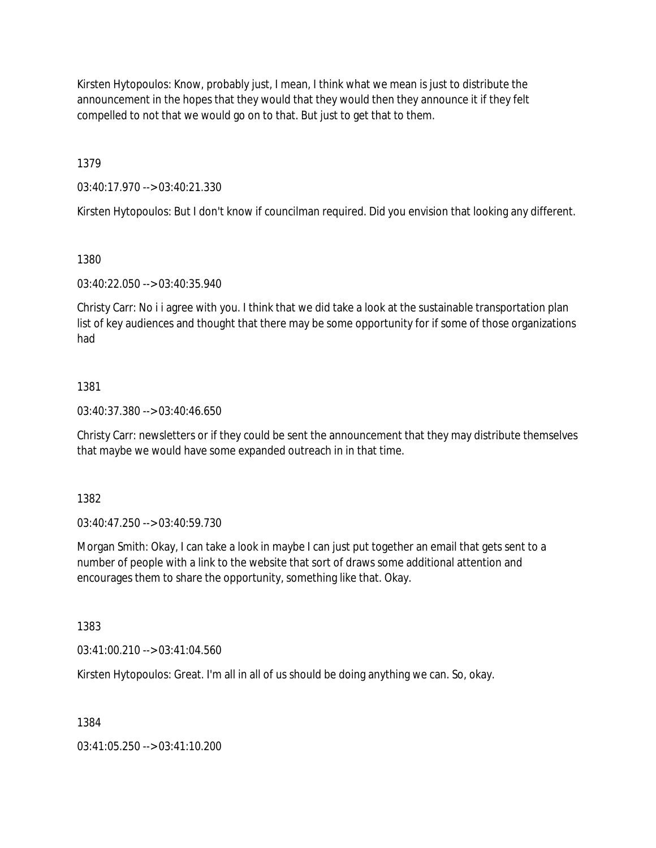Kirsten Hytopoulos: Know, probably just, I mean, I think what we mean is just to distribute the announcement in the hopes that they would that they would then they announce it if they felt compelled to not that we would go on to that. But just to get that to them.

1379

03:40:17.970 --> 03:40:21.330

Kirsten Hytopoulos: But I don't know if councilman required. Did you envision that looking any different.

1380

03:40:22.050 --> 03:40:35.940

Christy Carr: No i i agree with you. I think that we did take a look at the sustainable transportation plan list of key audiences and thought that there may be some opportunity for if some of those organizations had

### 1381

03:40:37.380 --> 03:40:46.650

Christy Carr: newsletters or if they could be sent the announcement that they may distribute themselves that maybe we would have some expanded outreach in in that time.

1382

03:40:47.250 --> 03:40:59.730

Morgan Smith: Okay, I can take a look in maybe I can just put together an email that gets sent to a number of people with a link to the website that sort of draws some additional attention and encourages them to share the opportunity, something like that. Okay.

1383

03:41:00.210 --> 03:41:04.560

Kirsten Hytopoulos: Great. I'm all in all of us should be doing anything we can. So, okay.

1384

03:41:05.250 --> 03:41:10.200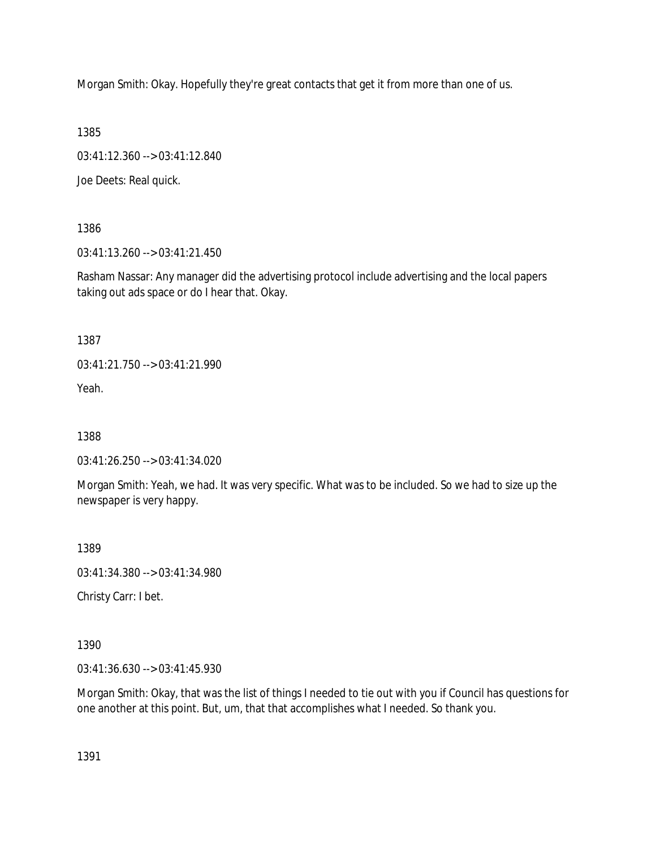Morgan Smith: Okay. Hopefully they're great contacts that get it from more than one of us.

1385

03:41:12.360 --> 03:41:12.840

Joe Deets: Real quick.

1386

03:41:13.260 --> 03:41:21.450

Rasham Nassar: Any manager did the advertising protocol include advertising and the local papers taking out ads space or do I hear that. Okay.

1387

03:41:21.750 --> 03:41:21.990

Yeah.

1388

03:41:26.250 --> 03:41:34.020

Morgan Smith: Yeah, we had. It was very specific. What was to be included. So we had to size up the newspaper is very happy.

1389

03:41:34.380 --> 03:41:34.980

Christy Carr: I bet.

1390

03:41:36.630 --> 03:41:45.930

Morgan Smith: Okay, that was the list of things I needed to tie out with you if Council has questions for one another at this point. But, um, that that accomplishes what I needed. So thank you.

1391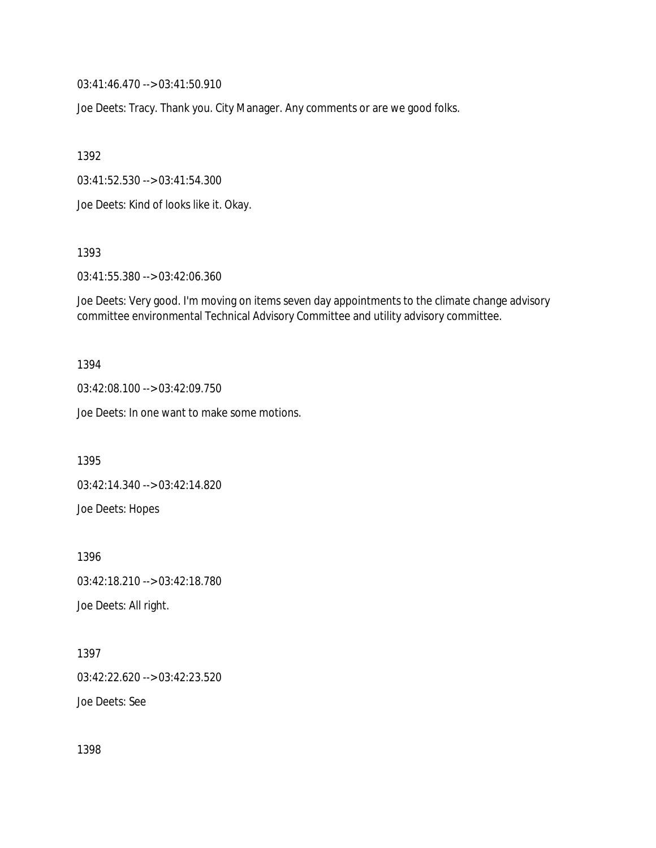03:41:46.470 --> 03:41:50.910

Joe Deets: Tracy. Thank you. City Manager. Any comments or are we good folks.

1392

03:41:52.530 --> 03:41:54.300

Joe Deets: Kind of looks like it. Okay.

1393

03:41:55.380 --> 03:42:06.360

Joe Deets: Very good. I'm moving on items seven day appointments to the climate change advisory committee environmental Technical Advisory Committee and utility advisory committee.

1394

03:42:08.100 --> 03:42:09.750

Joe Deets: In one want to make some motions.

1395

03:42:14.340 --> 03:42:14.820

Joe Deets: Hopes

1396 03:42:18.210 --> 03:42:18.780 Joe Deets: All right.

1397 03:42:22.620 --> 03:42:23.520 Joe Deets: See

1398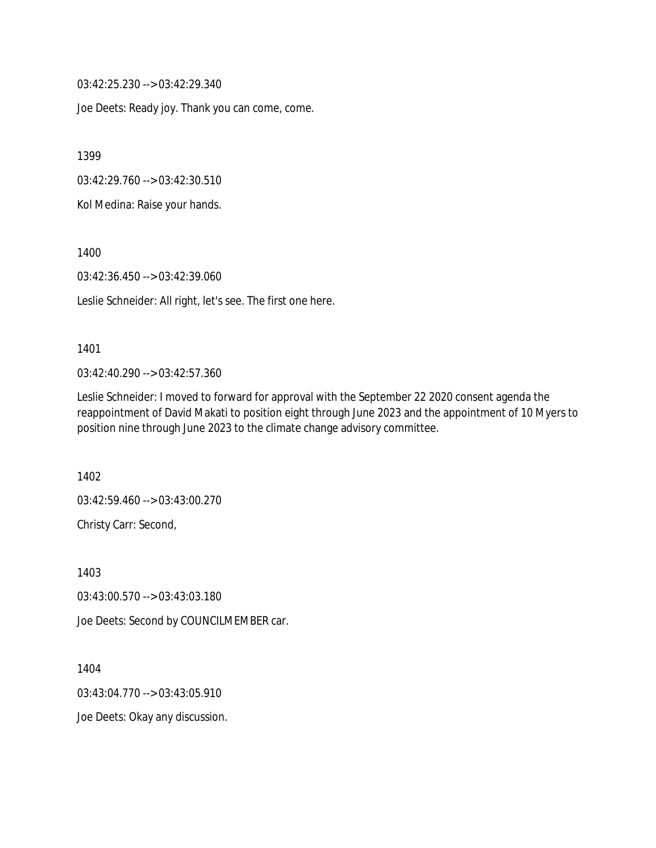03:42:25.230 --> 03:42:29.340

Joe Deets: Ready joy. Thank you can come, come.

1399

03:42:29.760 --> 03:42:30.510

Kol Medina: Raise your hands.

1400

03:42:36.450 --> 03:42:39.060

Leslie Schneider: All right, let's see. The first one here.

#### 1401

03:42:40.290 --> 03:42:57.360

Leslie Schneider: I moved to forward for approval with the September 22 2020 consent agenda the reappointment of David Makati to position eight through June 2023 and the appointment of 10 Myers to position nine through June 2023 to the climate change advisory committee.

1402

03:42:59.460 --> 03:43:00.270

Christy Carr: Second,

1403

03:43:00.570 --> 03:43:03.180

Joe Deets: Second by COUNCILMEMBER car.

1404

03:43:04.770 --> 03:43:05.910

Joe Deets: Okay any discussion.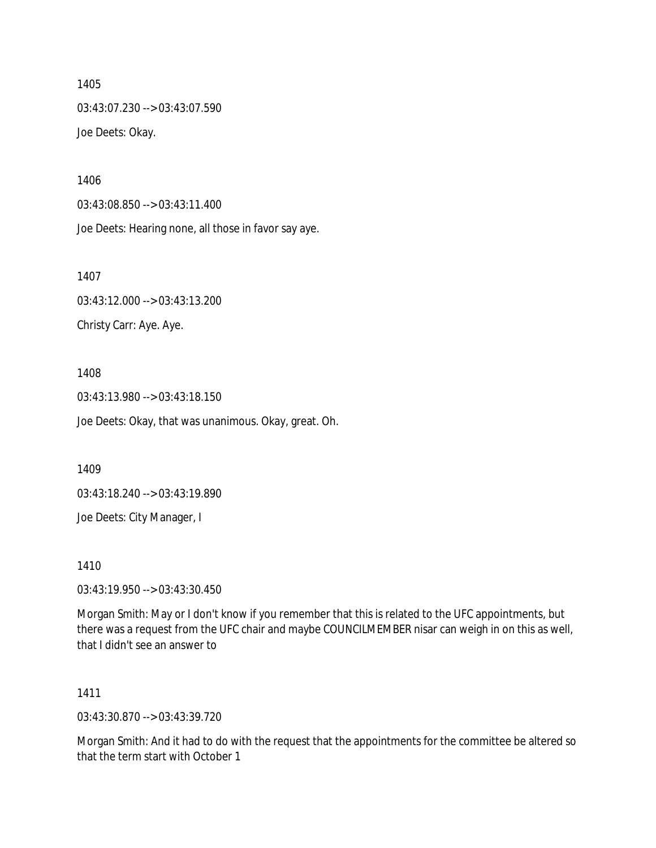1405 03:43:07.230 --> 03:43:07.590 Joe Deets: Okay.

1406

03:43:08.850 --> 03:43:11.400

Joe Deets: Hearing none, all those in favor say aye.

1407 03:43:12.000 --> 03:43:13.200 Christy Carr: Aye. Aye.

1408 03:43:13.980 --> 03:43:18.150 Joe Deets: Okay, that was unanimous. Okay, great. Oh.

1409

03:43:18.240 --> 03:43:19.890

Joe Deets: City Manager, I

1410

03:43:19.950 --> 03:43:30.450

Morgan Smith: May or I don't know if you remember that this is related to the UFC appointments, but there was a request from the UFC chair and maybe COUNCILMEMBER nisar can weigh in on this as well, that I didn't see an answer to

1411

03:43:30.870 --> 03:43:39.720

Morgan Smith: And it had to do with the request that the appointments for the committee be altered so that the term start with October 1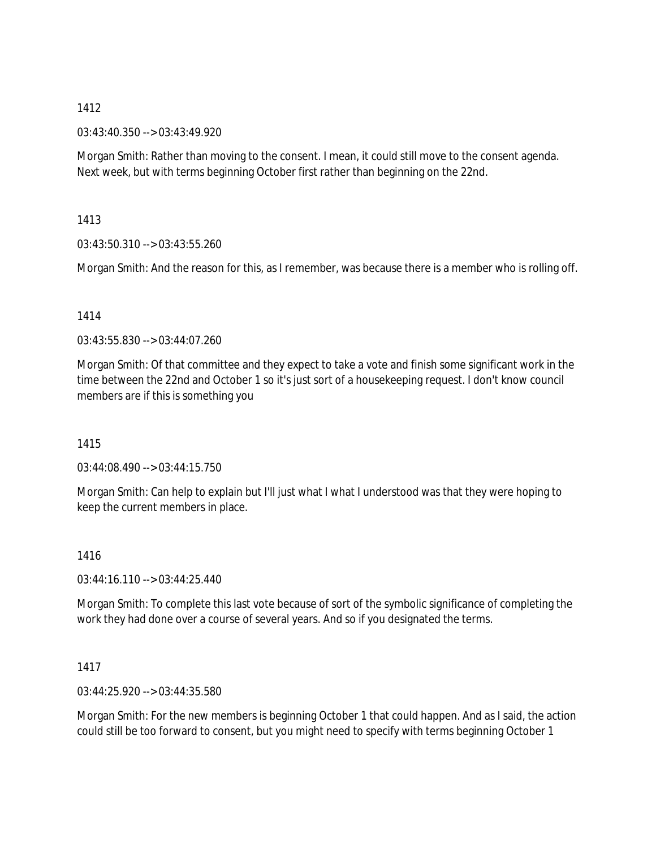03:43:40.350 --> 03:43:49.920

Morgan Smith: Rather than moving to the consent. I mean, it could still move to the consent agenda. Next week, but with terms beginning October first rather than beginning on the 22nd.

1413

03:43:50.310 --> 03:43:55.260

Morgan Smith: And the reason for this, as I remember, was because there is a member who is rolling off.

## 1414

03:43:55.830 --> 03:44:07.260

Morgan Smith: Of that committee and they expect to take a vote and finish some significant work in the time between the 22nd and October 1 so it's just sort of a housekeeping request. I don't know council members are if this is something you

1415

03:44:08.490 --> 03:44:15.750

Morgan Smith: Can help to explain but I'll just what I what I understood was that they were hoping to keep the current members in place.

1416

 $03:44:16.110 \rightarrow 03:44:25.440$ 

Morgan Smith: To complete this last vote because of sort of the symbolic significance of completing the work they had done over a course of several years. And so if you designated the terms.

### 1417

03:44:25.920 --> 03:44:35.580

Morgan Smith: For the new members is beginning October 1 that could happen. And as I said, the action could still be too forward to consent, but you might need to specify with terms beginning October 1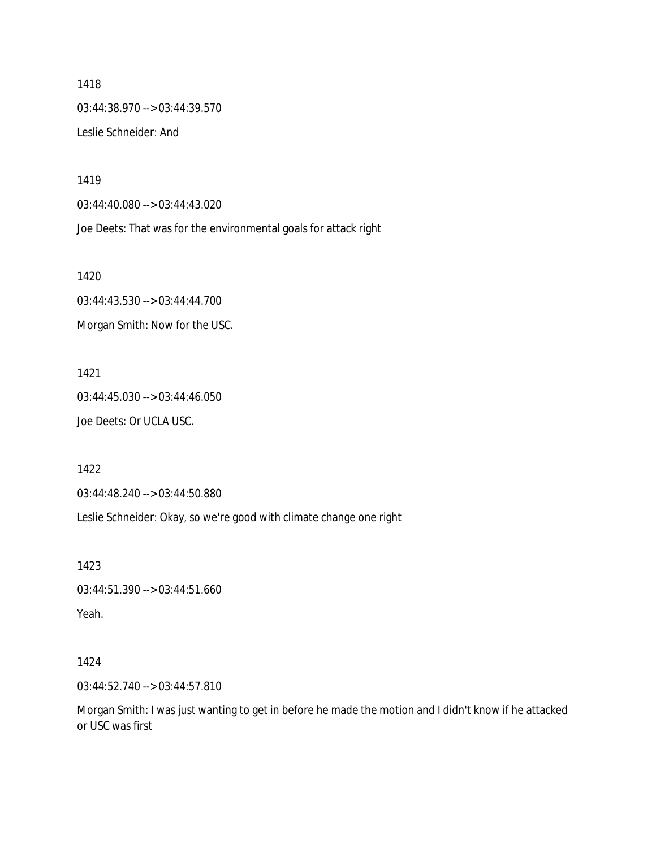1418 03:44:38.970 --> 03:44:39.570 Leslie Schneider: And

1419

03:44:40.080 --> 03:44:43.020

Joe Deets: That was for the environmental goals for attack right

1420

03:44:43.530 --> 03:44:44.700 Morgan Smith: Now for the USC.

1421 03:44:45.030 --> 03:44:46.050 Joe Deets: Or UCLA USC.

1422

03:44:48.240 --> 03:44:50.880

Leslie Schneider: Okay, so we're good with climate change one right

1423

03:44:51.390 --> 03:44:51.660 Yeah.

1424

03:44:52.740 --> 03:44:57.810

Morgan Smith: I was just wanting to get in before he made the motion and I didn't know if he attacked or USC was first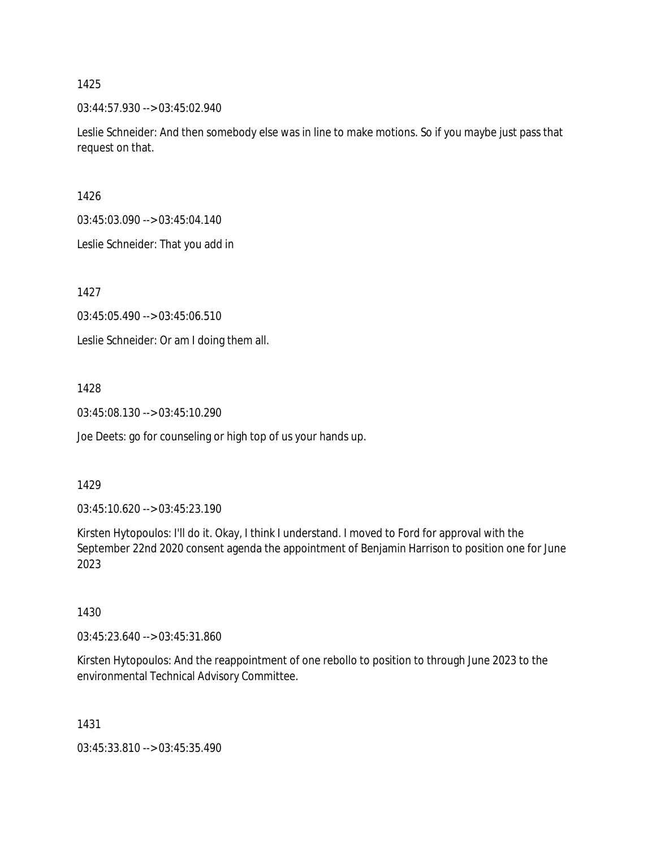03:44:57.930 --> 03:45:02.940

Leslie Schneider: And then somebody else was in line to make motions. So if you maybe just pass that request on that.

1426

03:45:03.090 --> 03:45:04.140

Leslie Schneider: That you add in

1427

03:45:05.490 --> 03:45:06.510

Leslie Schneider: Or am I doing them all.

1428

03:45:08.130 --> 03:45:10.290

Joe Deets: go for counseling or high top of us your hands up.

### 1429

03:45:10.620 --> 03:45:23.190

Kirsten Hytopoulos: I'll do it. Okay, I think I understand. I moved to Ford for approval with the September 22nd 2020 consent agenda the appointment of Benjamin Harrison to position one for June 2023

1430

03:45:23.640 --> 03:45:31.860

Kirsten Hytopoulos: And the reappointment of one rebollo to position to through June 2023 to the environmental Technical Advisory Committee.

1431

03:45:33.810 --> 03:45:35.490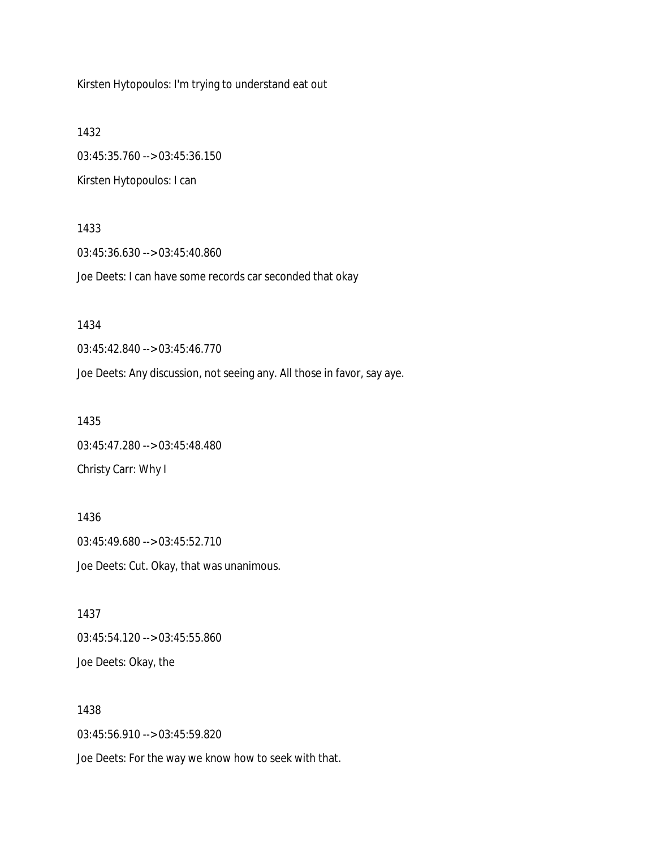Kirsten Hytopoulos: I'm trying to understand eat out

1432 03:45:35.760 --> 03:45:36.150 Kirsten Hytopoulos: I can

1433 03:45:36.630 --> 03:45:40.860 Joe Deets: I can have some records car seconded that okay

Joe Deets: Any discussion, not seeing any. All those in favor, say aye.

1435 03:45:47.280 --> 03:45:48.480 Christy Carr: Why I

03:45:42.840 --> 03:45:46.770

1434

1436 03:45:49.680 --> 03:45:52.710 Joe Deets: Cut. Okay, that was unanimous.

1437 03:45:54.120 --> 03:45:55.860 Joe Deets: Okay, the

1438 03:45:56.910 --> 03:45:59.820 Joe Deets: For the way we know how to seek with that.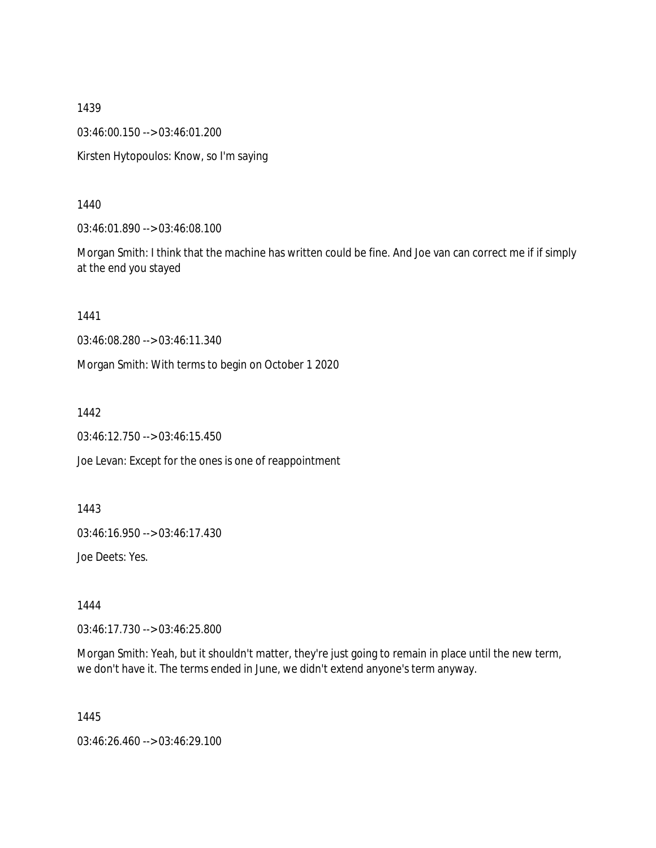1439 03:46:00.150 --> 03:46:01.200 Kirsten Hytopoulos: Know, so I'm saying

1440

03:46:01.890 --> 03:46:08.100

Morgan Smith: I think that the machine has written could be fine. And Joe van can correct me if if simply at the end you stayed

1441

03:46:08.280 --> 03:46:11.340

Morgan Smith: With terms to begin on October 1 2020

1442

03:46:12.750 --> 03:46:15.450

Joe Levan: Except for the ones is one of reappointment

1443

03:46:16.950 --> 03:46:17.430

Joe Deets: Yes.

1444

03:46:17.730 --> 03:46:25.800

Morgan Smith: Yeah, but it shouldn't matter, they're just going to remain in place until the new term, we don't have it. The terms ended in June, we didn't extend anyone's term anyway.

1445

03:46:26.460 --> 03:46:29.100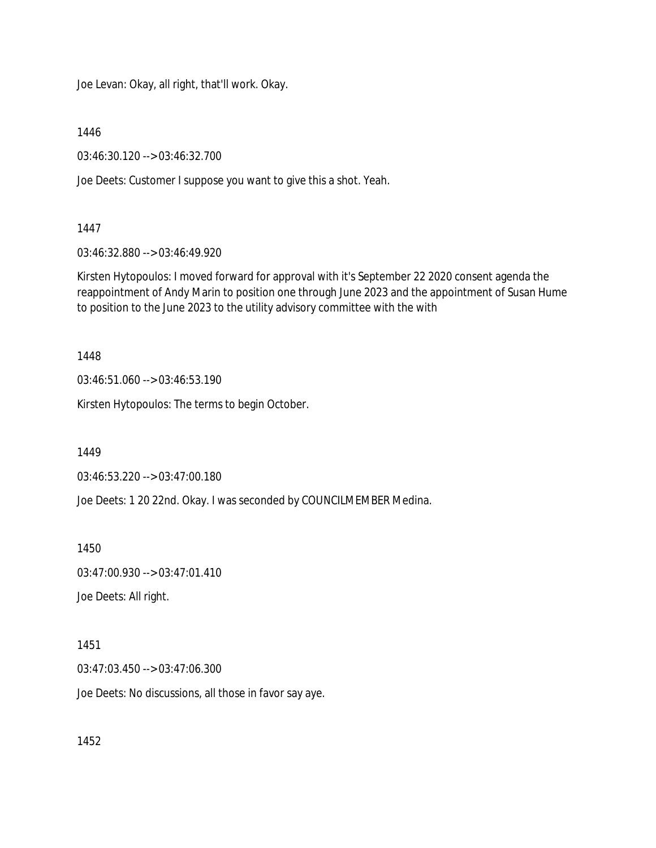Joe Levan: Okay, all right, that'll work. Okay.

1446

03:46:30.120 --> 03:46:32.700

Joe Deets: Customer I suppose you want to give this a shot. Yeah.

1447

03:46:32.880 --> 03:46:49.920

Kirsten Hytopoulos: I moved forward for approval with it's September 22 2020 consent agenda the reappointment of Andy Marin to position one through June 2023 and the appointment of Susan Hume to position to the June 2023 to the utility advisory committee with the with

1448

03:46:51.060 --> 03:46:53.190

Kirsten Hytopoulos: The terms to begin October.

1449

03:46:53.220 --> 03:47:00.180

Joe Deets: 1 20 22nd. Okay. I was seconded by COUNCILMEMBER Medina.

1450

03:47:00.930 --> 03:47:01.410

Joe Deets: All right.

1451

03:47:03.450 --> 03:47:06.300

Joe Deets: No discussions, all those in favor say aye.

1452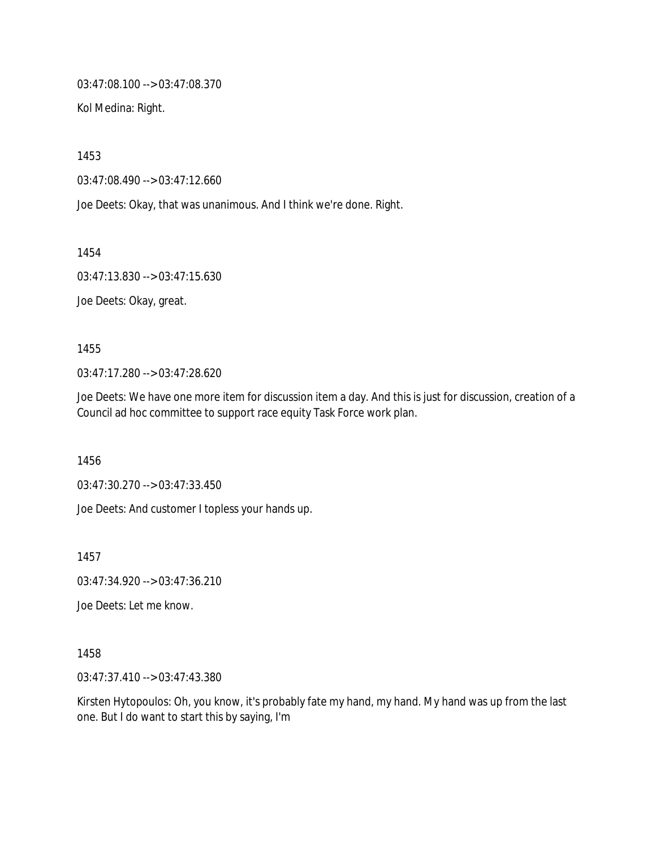03:47:08.100 --> 03:47:08.370

Kol Medina: Right.

1453

03:47:08.490 --> 03:47:12.660

Joe Deets: Okay, that was unanimous. And I think we're done. Right.

1454

03:47:13.830 --> 03:47:15.630

Joe Deets: Okay, great.

1455

03:47:17.280 --> 03:47:28.620

Joe Deets: We have one more item for discussion item a day. And this is just for discussion, creation of a Council ad hoc committee to support race equity Task Force work plan.

1456

03:47:30.270 --> 03:47:33.450

Joe Deets: And customer I topless your hands up.

1457

03:47:34.920 --> 03:47:36.210

Joe Deets: Let me know.

1458

03:47:37.410 --> 03:47:43.380

Kirsten Hytopoulos: Oh, you know, it's probably fate my hand, my hand. My hand was up from the last one. But I do want to start this by saying, I'm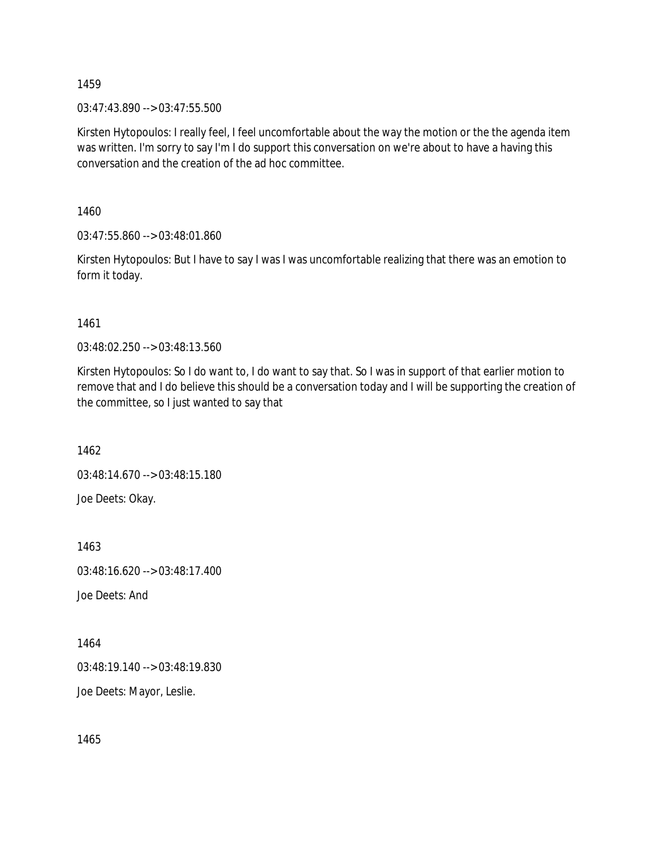03:47:43.890 --> 03:47:55.500

Kirsten Hytopoulos: I really feel, I feel uncomfortable about the way the motion or the the agenda item was written. I'm sorry to say I'm I do support this conversation on we're about to have a having this conversation and the creation of the ad hoc committee.

1460

03:47:55.860 --> 03:48:01.860

Kirsten Hytopoulos: But I have to say I was I was uncomfortable realizing that there was an emotion to form it today.

1461

03:48:02.250 --> 03:48:13.560

Kirsten Hytopoulos: So I do want to, I do want to say that. So I was in support of that earlier motion to remove that and I do believe this should be a conversation today and I will be supporting the creation of the committee, so I just wanted to say that

1462

03:48:14.670 --> 03:48:15.180

Joe Deets: Okay.

1463 03:48:16.620 --> 03:48:17.400 Joe Deets: And

1464

03:48:19.140 --> 03:48:19.830

Joe Deets: Mayor, Leslie.

1465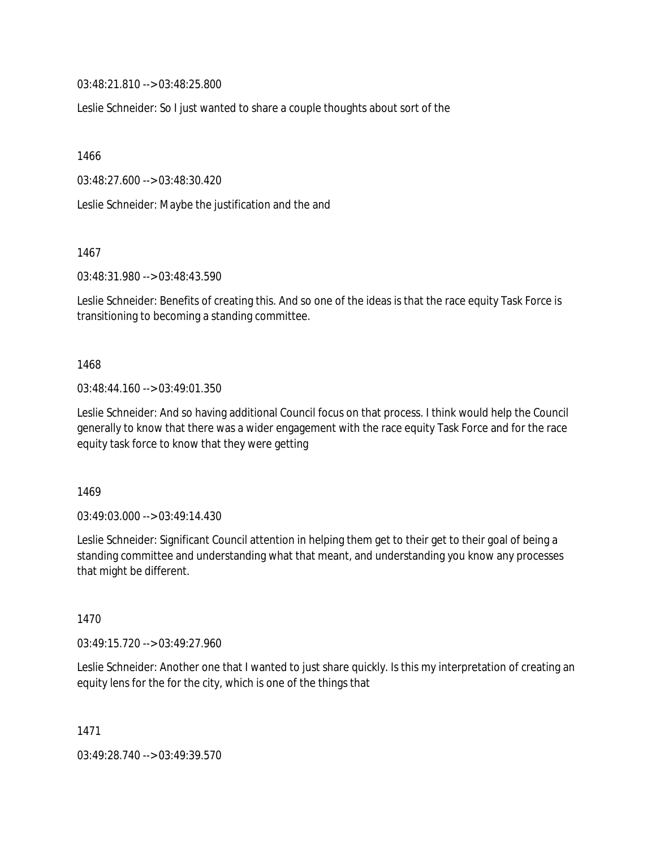03:48:21.810 --> 03:48:25.800

Leslie Schneider: So I just wanted to share a couple thoughts about sort of the

1466

03:48:27.600 --> 03:48:30.420

Leslie Schneider: Maybe the justification and the and

1467

03:48:31.980 --> 03:48:43.590

Leslie Schneider: Benefits of creating this. And so one of the ideas is that the race equity Task Force is transitioning to becoming a standing committee.

1468

03:48:44.160 --> 03:49:01.350

Leslie Schneider: And so having additional Council focus on that process. I think would help the Council generally to know that there was a wider engagement with the race equity Task Force and for the race equity task force to know that they were getting

1469

03:49:03.000 --> 03:49:14.430

Leslie Schneider: Significant Council attention in helping them get to their get to their goal of being a standing committee and understanding what that meant, and understanding you know any processes that might be different.

1470

03:49:15.720 --> 03:49:27.960

Leslie Schneider: Another one that I wanted to just share quickly. Is this my interpretation of creating an equity lens for the for the city, which is one of the things that

1471

03:49:28.740 --> 03:49:39.570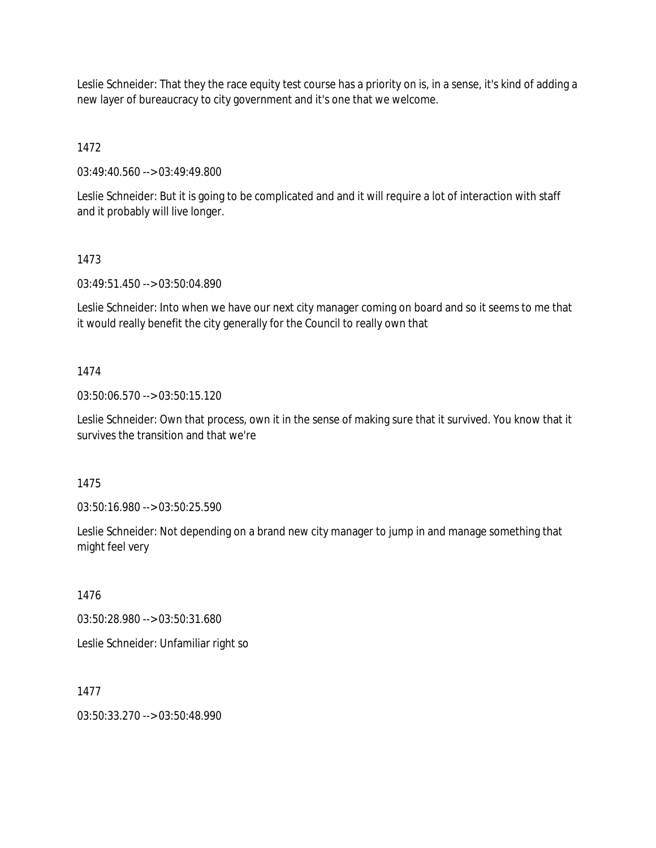Leslie Schneider: That they the race equity test course has a priority on is, in a sense, it's kind of adding a new layer of bureaucracy to city government and it's one that we welcome.

1472

03:49:40.560 --> 03:49:49.800

Leslie Schneider: But it is going to be complicated and and it will require a lot of interaction with staff and it probably will live longer.

## 1473

03:49:51.450 --> 03:50:04.890

Leslie Schneider: Into when we have our next city manager coming on board and so it seems to me that it would really benefit the city generally for the Council to really own that

## 1474

03:50:06.570 --> 03:50:15.120

Leslie Schneider: Own that process, own it in the sense of making sure that it survived. You know that it survives the transition and that we're

# 1475

03:50:16.980 --> 03:50:25.590

Leslie Schneider: Not depending on a brand new city manager to jump in and manage something that might feel very

### 1476

03:50:28.980 --> 03:50:31.680

Leslie Schneider: Unfamiliar right so

### 1477

03:50:33.270 --> 03:50:48.990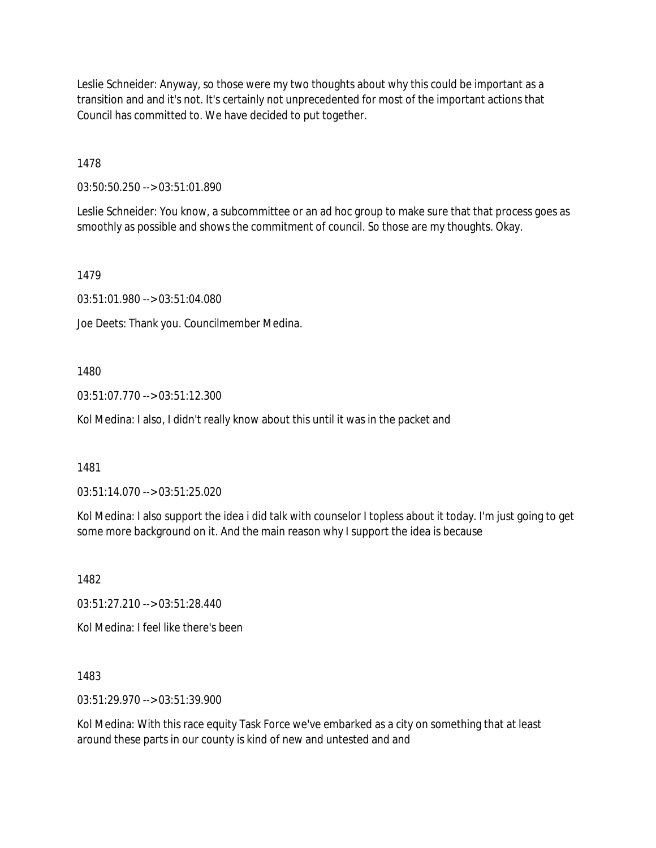Leslie Schneider: Anyway, so those were my two thoughts about why this could be important as a transition and and it's not. It's certainly not unprecedented for most of the important actions that Council has committed to. We have decided to put together.

1478

03:50:50.250 --> 03:51:01.890

Leslie Schneider: You know, a subcommittee or an ad hoc group to make sure that that process goes as smoothly as possible and shows the commitment of council. So those are my thoughts. Okay.

1479

03:51:01.980 --> 03:51:04.080

Joe Deets: Thank you. Councilmember Medina.

1480

03:51:07.770 --> 03:51:12.300

Kol Medina: I also, I didn't really know about this until it was in the packet and

1481

03:51:14.070 --> 03:51:25.020

Kol Medina: I also support the idea i did talk with counselor I topless about it today. I'm just going to get some more background on it. And the main reason why I support the idea is because

1482

03:51:27.210 --> 03:51:28.440

Kol Medina: I feel like there's been

1483

03:51:29.970 --> 03:51:39.900

Kol Medina: With this race equity Task Force we've embarked as a city on something that at least around these parts in our county is kind of new and untested and and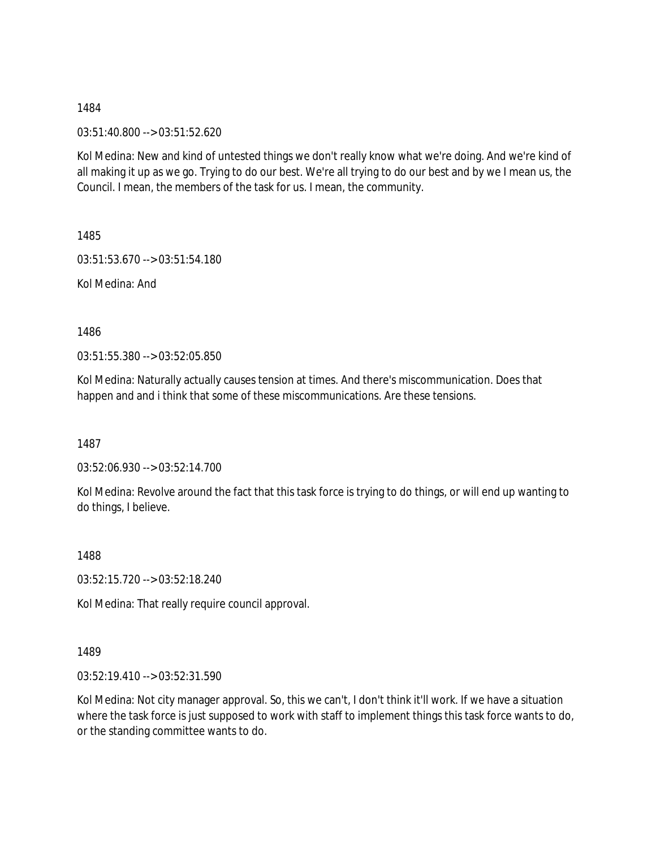03:51:40.800 --> 03:51:52.620

Kol Medina: New and kind of untested things we don't really know what we're doing. And we're kind of all making it up as we go. Trying to do our best. We're all trying to do our best and by we I mean us, the Council. I mean, the members of the task for us. I mean, the community.

1485

03:51:53.670 --> 03:51:54.180

Kol Medina: And

1486

03:51:55.380 --> 03:52:05.850

Kol Medina: Naturally actually causes tension at times. And there's miscommunication. Does that happen and and i think that some of these miscommunications. Are these tensions.

1487

03:52:06.930 --> 03:52:14.700

Kol Medina: Revolve around the fact that this task force is trying to do things, or will end up wanting to do things, I believe.

1488

03:52:15.720 --> 03:52:18.240

Kol Medina: That really require council approval.

1489

03:52:19.410 --> 03:52:31.590

Kol Medina: Not city manager approval. So, this we can't, I don't think it'll work. If we have a situation where the task force is just supposed to work with staff to implement things this task force wants to do, or the standing committee wants to do.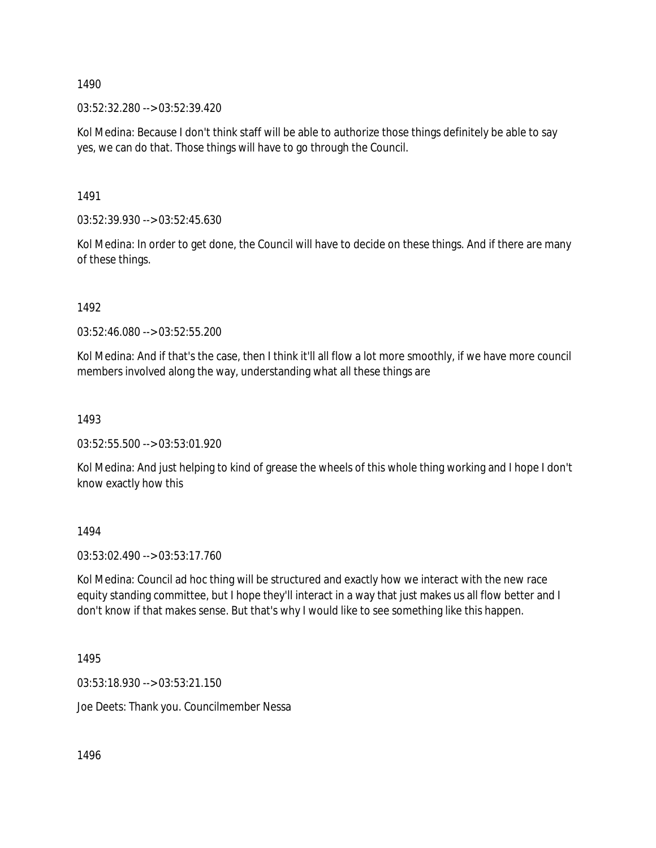03:52:32.280 --> 03:52:39.420

Kol Medina: Because I don't think staff will be able to authorize those things definitely be able to say yes, we can do that. Those things will have to go through the Council.

1491

03:52:39.930 --> 03:52:45.630

Kol Medina: In order to get done, the Council will have to decide on these things. And if there are many of these things.

1492

03:52:46.080 --> 03:52:55.200

Kol Medina: And if that's the case, then I think it'll all flow a lot more smoothly, if we have more council members involved along the way, understanding what all these things are

1493

03:52:55.500 --> 03:53:01.920

Kol Medina: And just helping to kind of grease the wheels of this whole thing working and I hope I don't know exactly how this

1494

03:53:02.490 --> 03:53:17.760

Kol Medina: Council ad hoc thing will be structured and exactly how we interact with the new race equity standing committee, but I hope they'll interact in a way that just makes us all flow better and I don't know if that makes sense. But that's why I would like to see something like this happen.

1495

03:53:18.930 --> 03:53:21.150

Joe Deets: Thank you. Councilmember Nessa

1496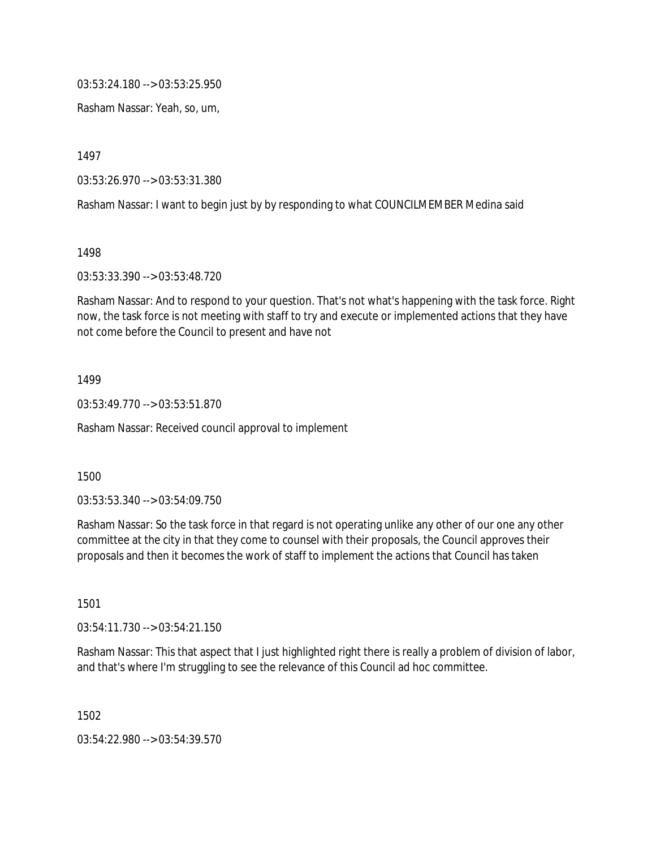03:53:24.180 --> 03:53:25.950

Rasham Nassar: Yeah, so, um,

1497

03:53:26.970 --> 03:53:31.380

Rasham Nassar: I want to begin just by by responding to what COUNCILMEMBER Medina said

1498

03:53:33.390 --> 03:53:48.720

Rasham Nassar: And to respond to your question. That's not what's happening with the task force. Right now, the task force is not meeting with staff to try and execute or implemented actions that they have not come before the Council to present and have not

1499

03:53:49.770 --> 03:53:51.870

Rasham Nassar: Received council approval to implement

1500

03:53:53.340 --> 03:54:09.750

Rasham Nassar: So the task force in that regard is not operating unlike any other of our one any other committee at the city in that they come to counsel with their proposals, the Council approves their proposals and then it becomes the work of staff to implement the actions that Council has taken

1501

03:54:11.730 --> 03:54:21.150

Rasham Nassar: This that aspect that I just highlighted right there is really a problem of division of labor, and that's where I'm struggling to see the relevance of this Council ad hoc committee.

1502

03:54:22.980 --> 03:54:39.570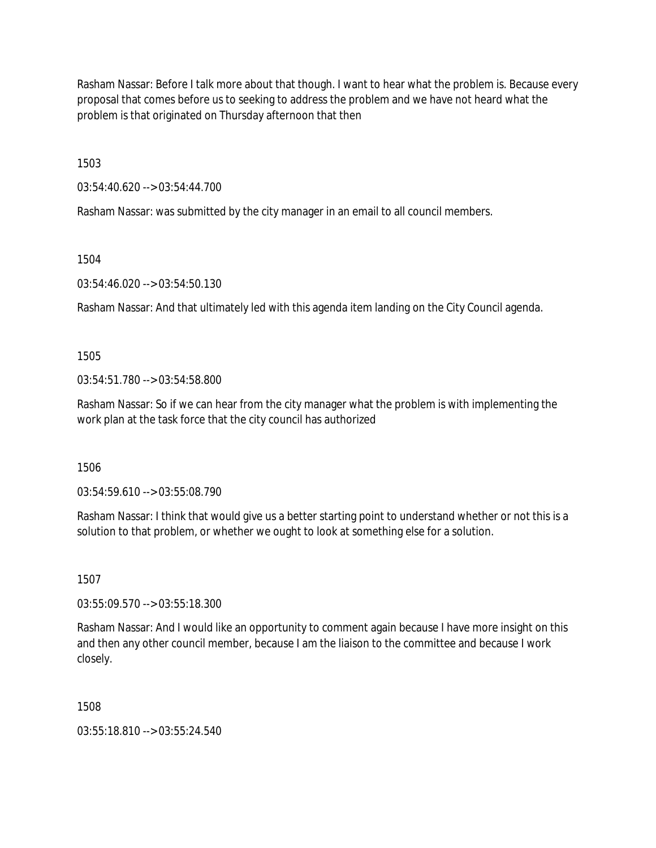Rasham Nassar: Before I talk more about that though. I want to hear what the problem is. Because every proposal that comes before us to seeking to address the problem and we have not heard what the problem is that originated on Thursday afternoon that then

1503

03:54:40.620 --> 03:54:44.700

Rasham Nassar: was submitted by the city manager in an email to all council members.

1504

03:54:46.020 --> 03:54:50.130

Rasham Nassar: And that ultimately led with this agenda item landing on the City Council agenda.

1505

 $03:54:51.780 \rightarrow 03:54:58.800$ 

Rasham Nassar: So if we can hear from the city manager what the problem is with implementing the work plan at the task force that the city council has authorized

1506

03:54:59.610 --> 03:55:08.790

Rasham Nassar: I think that would give us a better starting point to understand whether or not this is a solution to that problem, or whether we ought to look at something else for a solution.

1507

03:55:09.570 --> 03:55:18.300

Rasham Nassar: And I would like an opportunity to comment again because I have more insight on this and then any other council member, because I am the liaison to the committee and because I work closely.

1508

03:55:18.810 --> 03:55:24.540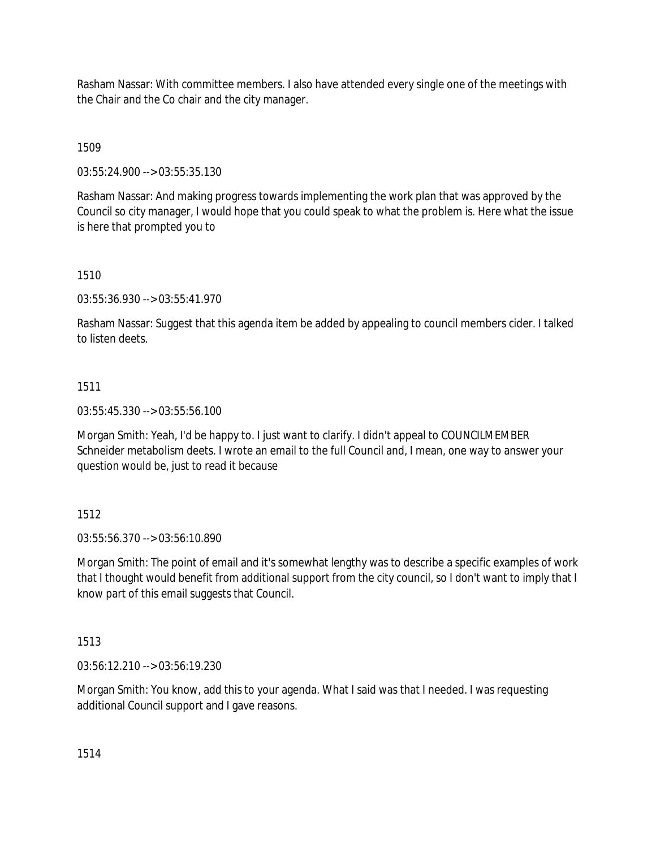Rasham Nassar: With committee members. I also have attended every single one of the meetings with the Chair and the Co chair and the city manager.

1509

03:55:24.900 --> 03:55:35.130

Rasham Nassar: And making progress towards implementing the work plan that was approved by the Council so city manager, I would hope that you could speak to what the problem is. Here what the issue is here that prompted you to

## 1510

03:55:36.930 --> 03:55:41.970

Rasham Nassar: Suggest that this agenda item be added by appealing to council members cider. I talked to listen deets.

## 1511

03:55:45.330 --> 03:55:56.100

Morgan Smith: Yeah, I'd be happy to. I just want to clarify. I didn't appeal to COUNCILMEMBER Schneider metabolism deets. I wrote an email to the full Council and, I mean, one way to answer your question would be, just to read it because

# 1512

03:55:56.370 --> 03:56:10.890

Morgan Smith: The point of email and it's somewhat lengthy was to describe a specific examples of work that I thought would benefit from additional support from the city council, so I don't want to imply that I know part of this email suggests that Council.

1513

03:56:12.210 --> 03:56:19.230

Morgan Smith: You know, add this to your agenda. What I said was that I needed. I was requesting additional Council support and I gave reasons.

1514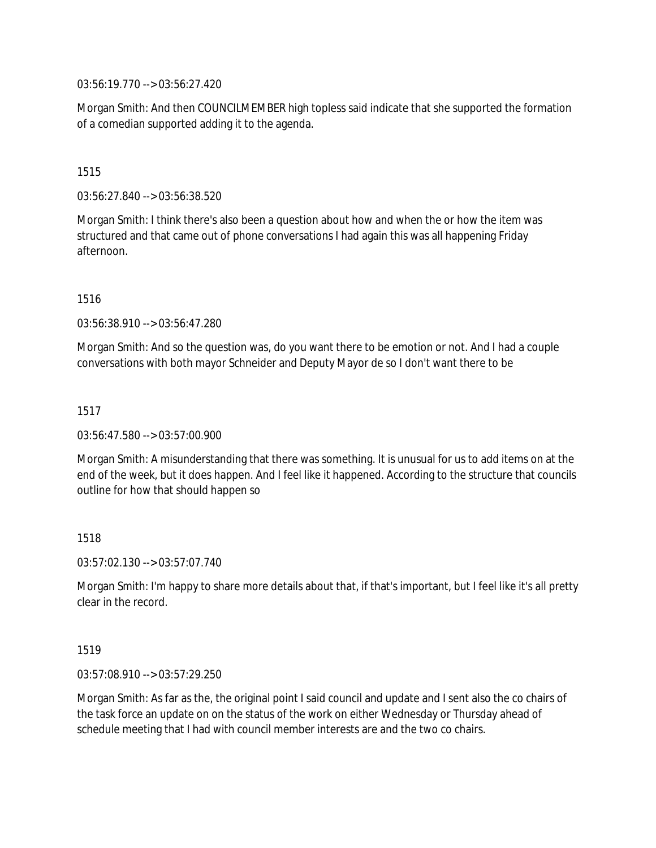03:56:19.770 --> 03:56:27.420

Morgan Smith: And then COUNCILMEMBER high topless said indicate that she supported the formation of a comedian supported adding it to the agenda.

## 1515

03:56:27.840 --> 03:56:38.520

Morgan Smith: I think there's also been a question about how and when the or how the item was structured and that came out of phone conversations I had again this was all happening Friday afternoon.

1516

03:56:38.910 --> 03:56:47.280

Morgan Smith: And so the question was, do you want there to be emotion or not. And I had a couple conversations with both mayor Schneider and Deputy Mayor de so I don't want there to be

1517

03:56:47.580 --> 03:57:00.900

Morgan Smith: A misunderstanding that there was something. It is unusual for us to add items on at the end of the week, but it does happen. And I feel like it happened. According to the structure that councils outline for how that should happen so

# 1518

03:57:02.130 --> 03:57:07.740

Morgan Smith: I'm happy to share more details about that, if that's important, but I feel like it's all pretty clear in the record.

### 1519

03:57:08.910 --> 03:57:29.250

Morgan Smith: As far as the, the original point I said council and update and I sent also the co chairs of the task force an update on on the status of the work on either Wednesday or Thursday ahead of schedule meeting that I had with council member interests are and the two co chairs.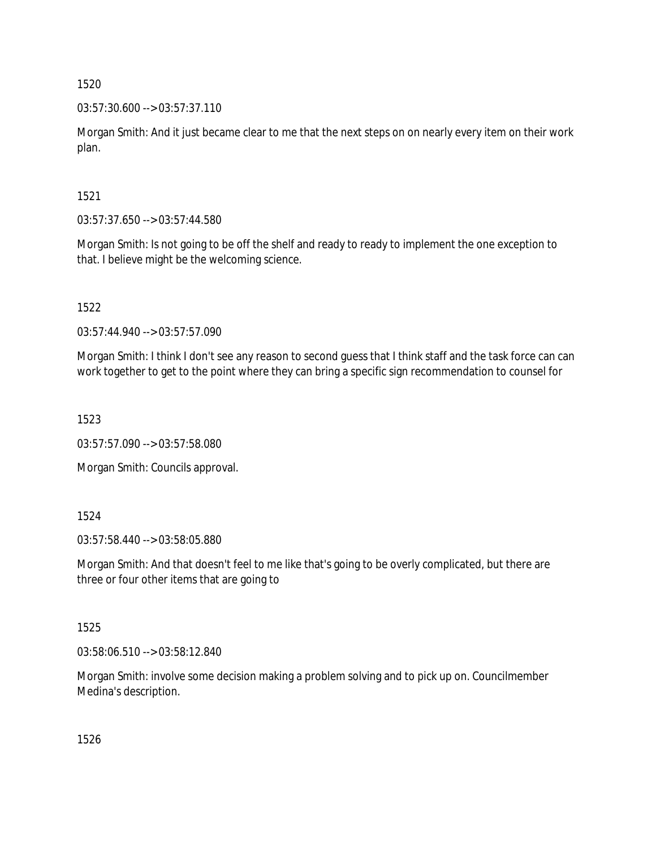03:57:30.600 --> 03:57:37.110

Morgan Smith: And it just became clear to me that the next steps on on nearly every item on their work plan.

1521

03:57:37.650 --> 03:57:44.580

Morgan Smith: Is not going to be off the shelf and ready to ready to implement the one exception to that. I believe might be the welcoming science.

1522

03:57:44.940 --> 03:57:57.090

Morgan Smith: I think I don't see any reason to second guess that I think staff and the task force can can work together to get to the point where they can bring a specific sign recommendation to counsel for

1523

03:57:57.090 --> 03:57:58.080

Morgan Smith: Councils approval.

1524

03:57:58.440 --> 03:58:05.880

Morgan Smith: And that doesn't feel to me like that's going to be overly complicated, but there are three or four other items that are going to

1525

03:58:06.510 --> 03:58:12.840

Morgan Smith: involve some decision making a problem solving and to pick up on. Councilmember Medina's description.

1526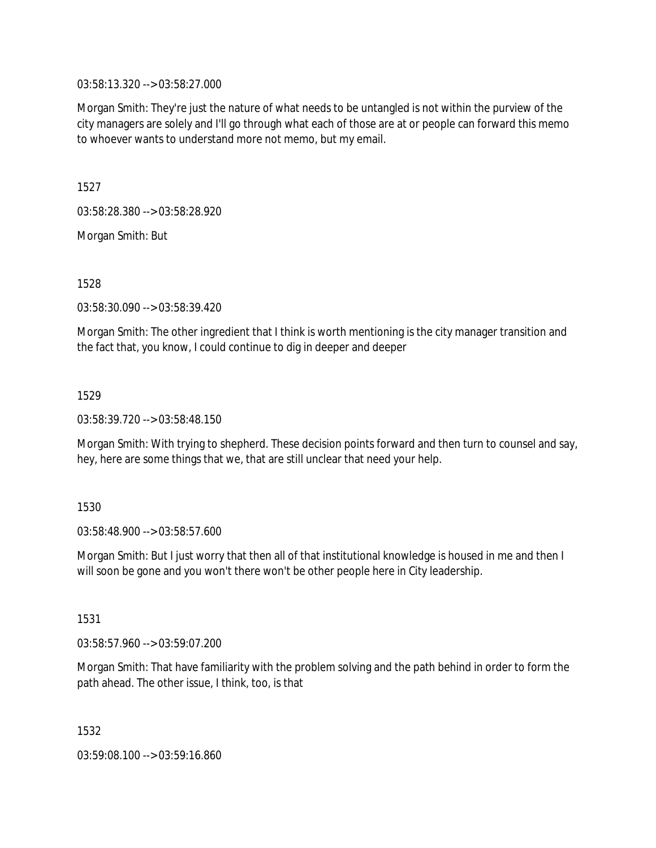03:58:13.320 --> 03:58:27.000

Morgan Smith: They're just the nature of what needs to be untangled is not within the purview of the city managers are solely and I'll go through what each of those are at or people can forward this memo to whoever wants to understand more not memo, but my email.

1527

03:58:28.380 --> 03:58:28.920

Morgan Smith: But

1528

03:58:30.090 --> 03:58:39.420

Morgan Smith: The other ingredient that I think is worth mentioning is the city manager transition and the fact that, you know, I could continue to dig in deeper and deeper

1529

03:58:39.720 --> 03:58:48.150

Morgan Smith: With trying to shepherd. These decision points forward and then turn to counsel and say, hey, here are some things that we, that are still unclear that need your help.

1530

03:58:48.900 --> 03:58:57.600

Morgan Smith: But I just worry that then all of that institutional knowledge is housed in me and then I will soon be gone and you won't there won't be other people here in City leadership.

1531

03:58:57.960 --> 03:59:07.200

Morgan Smith: That have familiarity with the problem solving and the path behind in order to form the path ahead. The other issue, I think, too, is that

1532

03:59:08.100 --> 03:59:16.860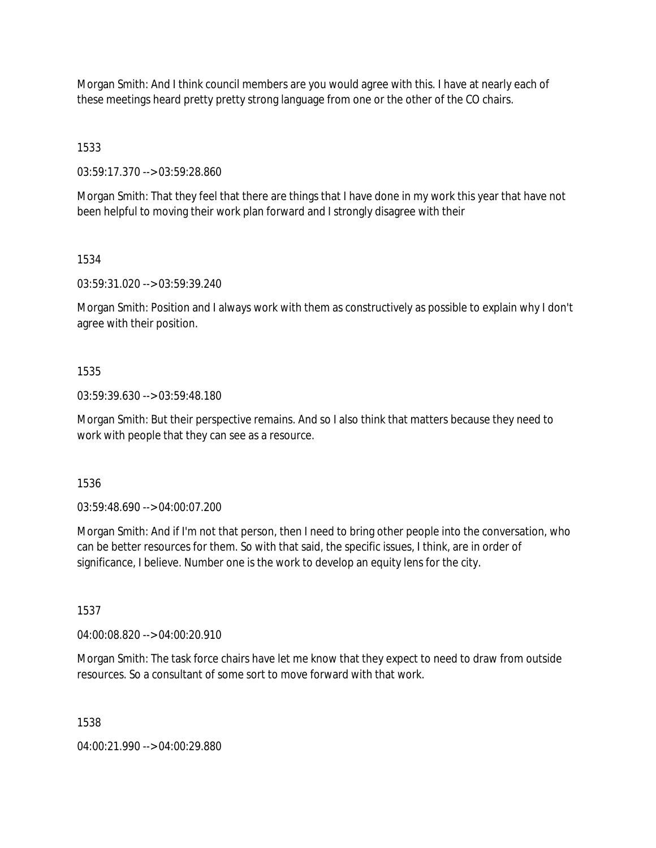Morgan Smith: And I think council members are you would agree with this. I have at nearly each of these meetings heard pretty pretty strong language from one or the other of the CO chairs.

1533

03:59:17.370 --> 03:59:28.860

Morgan Smith: That they feel that there are things that I have done in my work this year that have not been helpful to moving their work plan forward and I strongly disagree with their

1534

03:59:31.020 --> 03:59:39.240

Morgan Smith: Position and I always work with them as constructively as possible to explain why I don't agree with their position.

## 1535

03:59:39.630 --> 03:59:48.180

Morgan Smith: But their perspective remains. And so I also think that matters because they need to work with people that they can see as a resource.

1536

03:59:48.690 --> 04:00:07.200

Morgan Smith: And if I'm not that person, then I need to bring other people into the conversation, who can be better resources for them. So with that said, the specific issues, I think, are in order of significance, I believe. Number one is the work to develop an equity lens for the city.

1537

04:00:08.820 --> 04:00:20.910

Morgan Smith: The task force chairs have let me know that they expect to need to draw from outside resources. So a consultant of some sort to move forward with that work.

1538

04:00:21.990 --> 04:00:29.880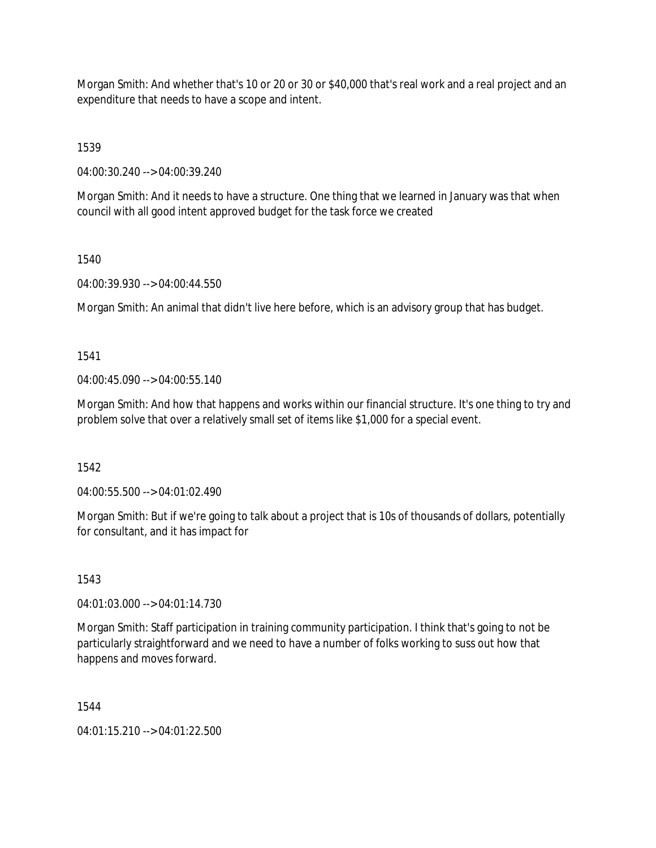Morgan Smith: And whether that's 10 or 20 or 30 or \$40,000 that's real work and a real project and an expenditure that needs to have a scope and intent.

1539

04:00:30.240 --> 04:00:39.240

Morgan Smith: And it needs to have a structure. One thing that we learned in January was that when council with all good intent approved budget for the task force we created

1540

04:00:39.930 --> 04:00:44.550

Morgan Smith: An animal that didn't live here before, which is an advisory group that has budget.

1541

04:00:45.090 --> 04:00:55.140

Morgan Smith: And how that happens and works within our financial structure. It's one thing to try and problem solve that over a relatively small set of items like \$1,000 for a special event.

1542

04:00:55.500 --> 04:01:02.490

Morgan Smith: But if we're going to talk about a project that is 10s of thousands of dollars, potentially for consultant, and it has impact for

1543

04:01:03.000 --> 04:01:14.730

Morgan Smith: Staff participation in training community participation. I think that's going to not be particularly straightforward and we need to have a number of folks working to suss out how that happens and moves forward.

1544

04:01:15.210 --> 04:01:22.500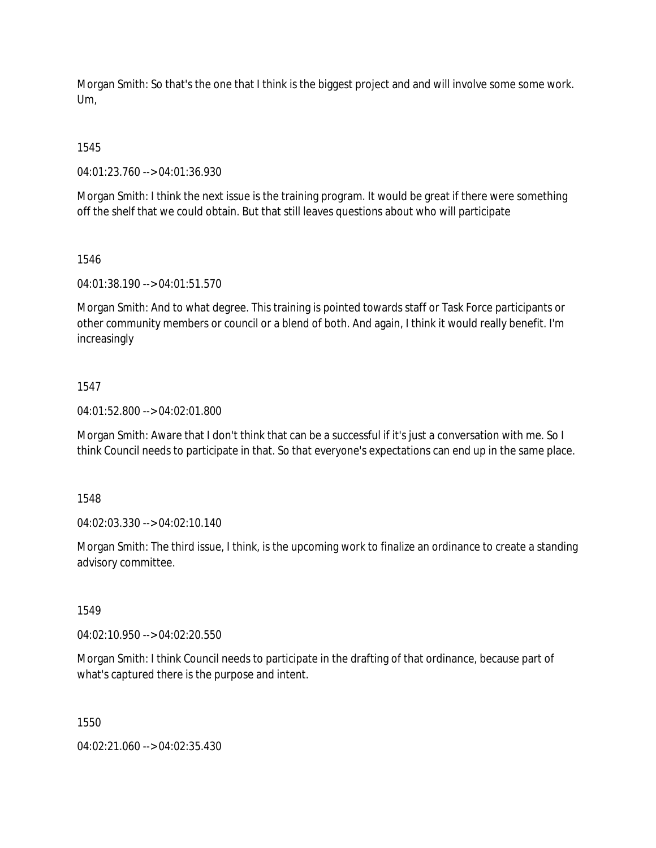Morgan Smith: So that's the one that I think is the biggest project and and will involve some some work. Um,

1545

04:01:23.760 --> 04:01:36.930

Morgan Smith: I think the next issue is the training program. It would be great if there were something off the shelf that we could obtain. But that still leaves questions about who will participate

1546

04:01:38.190 --> 04:01:51.570

Morgan Smith: And to what degree. This training is pointed towards staff or Task Force participants or other community members or council or a blend of both. And again, I think it would really benefit. I'm increasingly

## 1547

04:01:52.800 --> 04:02:01.800

Morgan Smith: Aware that I don't think that can be a successful if it's just a conversation with me. So I think Council needs to participate in that. So that everyone's expectations can end up in the same place.

1548

04:02:03.330 --> 04:02:10.140

Morgan Smith: The third issue, I think, is the upcoming work to finalize an ordinance to create a standing advisory committee.

1549

04:02:10.950 --> 04:02:20.550

Morgan Smith: I think Council needs to participate in the drafting of that ordinance, because part of what's captured there is the purpose and intent.

1550

04:02:21.060 --> 04:02:35.430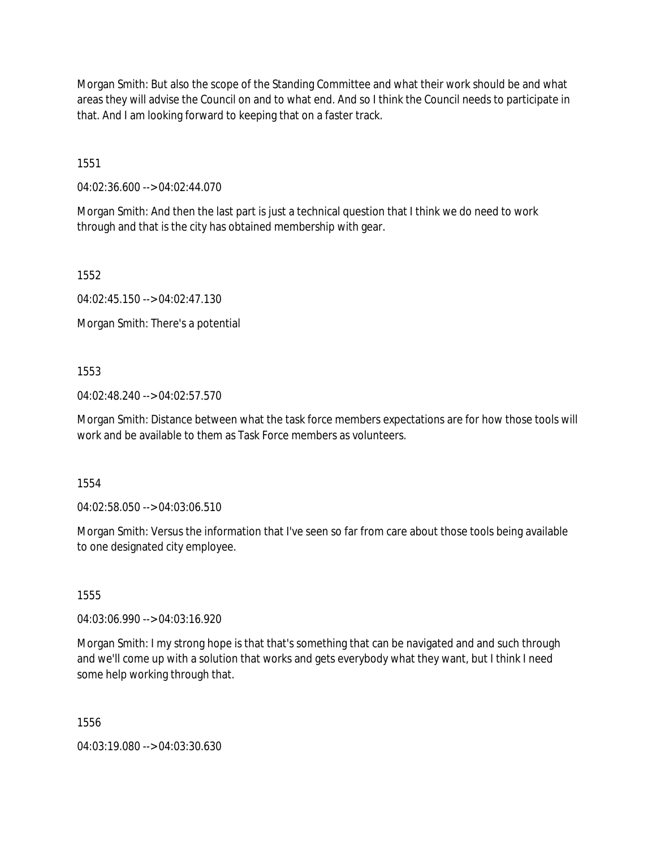Morgan Smith: But also the scope of the Standing Committee and what their work should be and what areas they will advise the Council on and to what end. And so I think the Council needs to participate in that. And I am looking forward to keeping that on a faster track.

1551

04:02:36.600 --> 04:02:44.070

Morgan Smith: And then the last part is just a technical question that I think we do need to work through and that is the city has obtained membership with gear.

1552

04:02:45.150 --> 04:02:47.130

Morgan Smith: There's a potential

1553

04:02:48.240 --> 04:02:57.570

Morgan Smith: Distance between what the task force members expectations are for how those tools will work and be available to them as Task Force members as volunteers.

1554

04:02:58.050 --> 04:03:06.510

Morgan Smith: Versus the information that I've seen so far from care about those tools being available to one designated city employee.

1555

04:03:06.990 --> 04:03:16.920

Morgan Smith: I my strong hope is that that's something that can be navigated and and such through and we'll come up with a solution that works and gets everybody what they want, but I think I need some help working through that.

1556

04:03:19.080 --> 04:03:30.630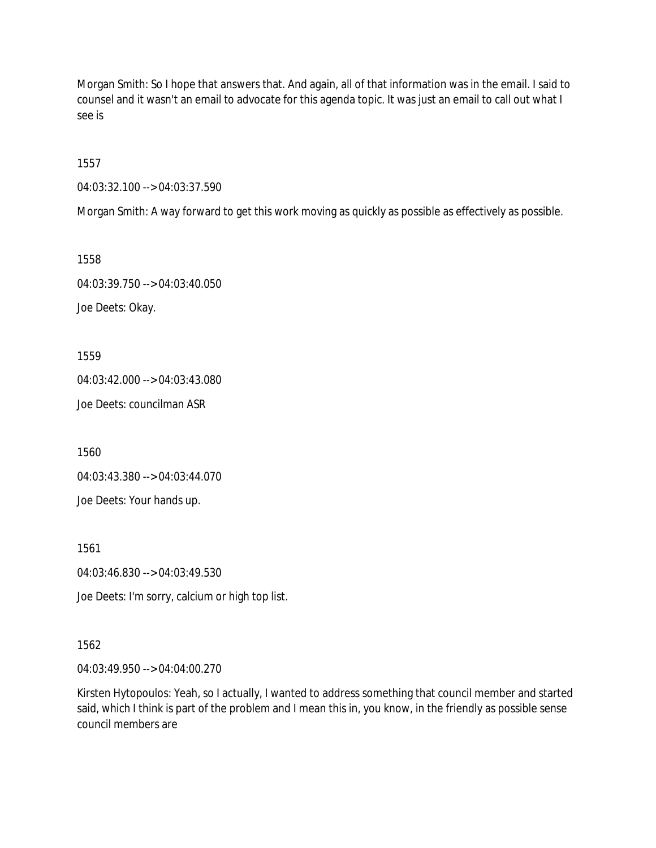Morgan Smith: So I hope that answers that. And again, all of that information was in the email. I said to counsel and it wasn't an email to advocate for this agenda topic. It was just an email to call out what I see is

1557

04:03:32.100 --> 04:03:37.590

Morgan Smith: A way forward to get this work moving as quickly as possible as effectively as possible.

1558 04:03:39.750 --> 04:03:40.050 Joe Deets: Okay.

1559

04:03:42.000 --> 04:03:43.080

Joe Deets: councilman ASR

1560

04:03:43.380 --> 04:03:44.070

Joe Deets: Your hands up.

1561

04:03:46.830 --> 04:03:49.530

Joe Deets: I'm sorry, calcium or high top list.

1562

04:03:49.950 --> 04:04:00.270

Kirsten Hytopoulos: Yeah, so I actually, I wanted to address something that council member and started said, which I think is part of the problem and I mean this in, you know, in the friendly as possible sense council members are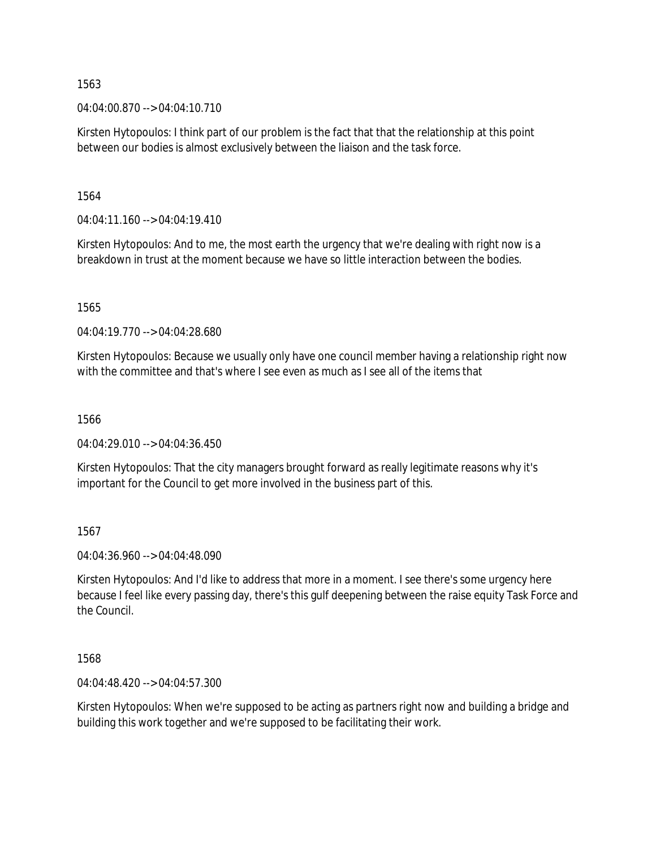04:04:00.870 --> 04:04:10.710

Kirsten Hytopoulos: I think part of our problem is the fact that that the relationship at this point between our bodies is almost exclusively between the liaison and the task force.

1564

 $04:04:11.160 \rightarrow 04:04:19.410$ 

Kirsten Hytopoulos: And to me, the most earth the urgency that we're dealing with right now is a breakdown in trust at the moment because we have so little interaction between the bodies.

1565

04:04:19.770 --> 04:04:28.680

Kirsten Hytopoulos: Because we usually only have one council member having a relationship right now with the committee and that's where I see even as much as I see all of the items that

1566

04:04:29.010 --> 04:04:36.450

Kirsten Hytopoulos: That the city managers brought forward as really legitimate reasons why it's important for the Council to get more involved in the business part of this.

1567

04:04:36.960 --> 04:04:48.090

Kirsten Hytopoulos: And I'd like to address that more in a moment. I see there's some urgency here because I feel like every passing day, there's this gulf deepening between the raise equity Task Force and the Council.

1568

04:04:48.420 --> 04:04:57.300

Kirsten Hytopoulos: When we're supposed to be acting as partners right now and building a bridge and building this work together and we're supposed to be facilitating their work.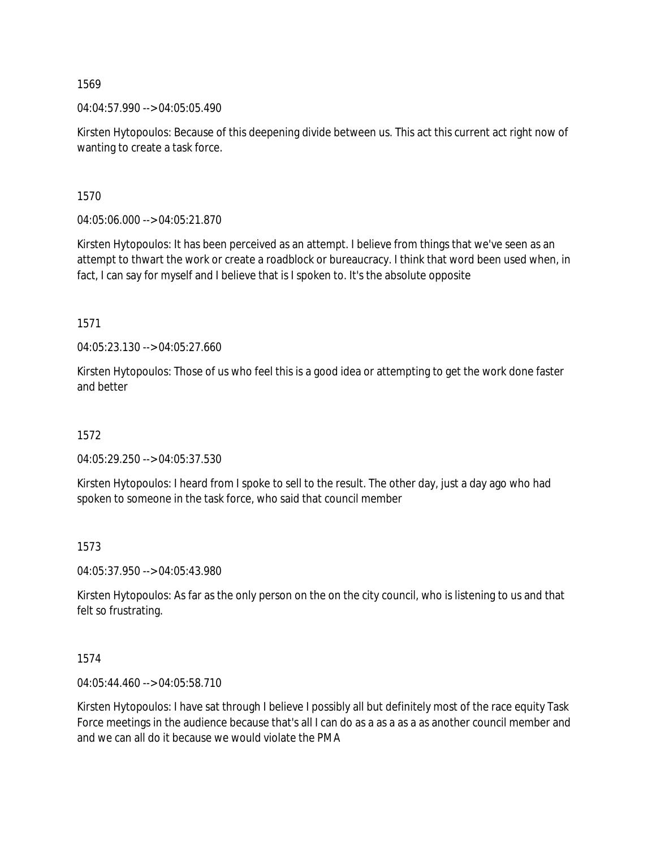04:04:57.990 --> 04:05:05.490

Kirsten Hytopoulos: Because of this deepening divide between us. This act this current act right now of wanting to create a task force.

1570

04:05:06.000 --> 04:05:21.870

Kirsten Hytopoulos: It has been perceived as an attempt. I believe from things that we've seen as an attempt to thwart the work or create a roadblock or bureaucracy. I think that word been used when, in fact, I can say for myself and I believe that is I spoken to. It's the absolute opposite

1571

04:05:23.130 --> 04:05:27.660

Kirsten Hytopoulos: Those of us who feel this is a good idea or attempting to get the work done faster and better

1572

04:05:29.250 --> 04:05:37.530

Kirsten Hytopoulos: I heard from I spoke to sell to the result. The other day, just a day ago who had spoken to someone in the task force, who said that council member

### 1573

04:05:37.950 --> 04:05:43.980

Kirsten Hytopoulos: As far as the only person on the on the city council, who is listening to us and that felt so frustrating.

### 1574

04:05:44.460 --> 04:05:58.710

Kirsten Hytopoulos: I have sat through I believe I possibly all but definitely most of the race equity Task Force meetings in the audience because that's all I can do as a as a as a as another council member and and we can all do it because we would violate the PMA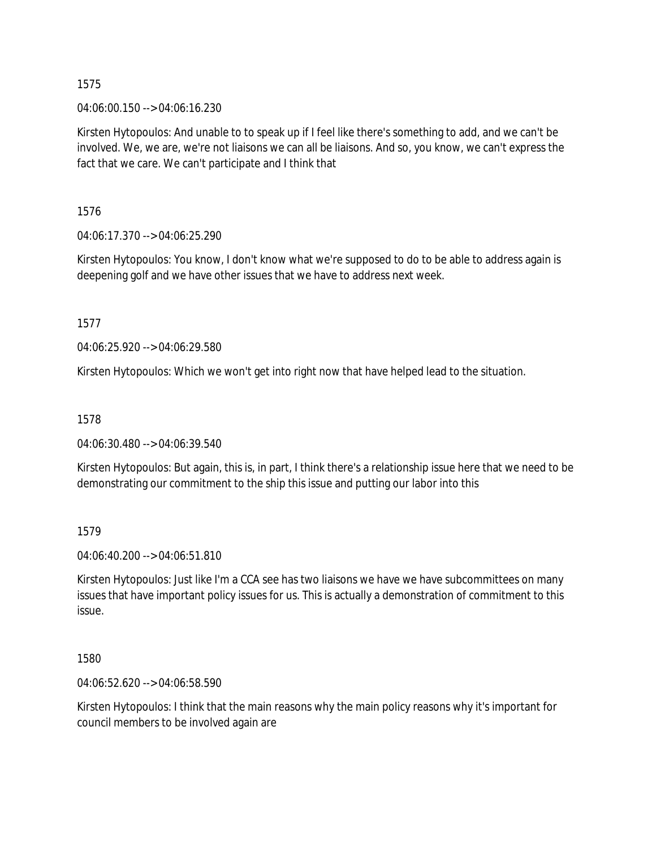04:06:00.150 --> 04:06:16.230

Kirsten Hytopoulos: And unable to to speak up if I feel like there's something to add, and we can't be involved. We, we are, we're not liaisons we can all be liaisons. And so, you know, we can't express the fact that we care. We can't participate and I think that

1576

04:06:17.370 --> 04:06:25.290

Kirsten Hytopoulos: You know, I don't know what we're supposed to do to be able to address again is deepening golf and we have other issues that we have to address next week.

1577

04:06:25.920 --> 04:06:29.580

Kirsten Hytopoulos: Which we won't get into right now that have helped lead to the situation.

1578

04:06:30.480 --> 04:06:39.540

Kirsten Hytopoulos: But again, this is, in part, I think there's a relationship issue here that we need to be demonstrating our commitment to the ship this issue and putting our labor into this

1579

04:06:40.200 --> 04:06:51.810

Kirsten Hytopoulos: Just like I'm a CCA see has two liaisons we have we have subcommittees on many issues that have important policy issues for us. This is actually a demonstration of commitment to this issue.

1580

04:06:52.620 --> 04:06:58.590

Kirsten Hytopoulos: I think that the main reasons why the main policy reasons why it's important for council members to be involved again are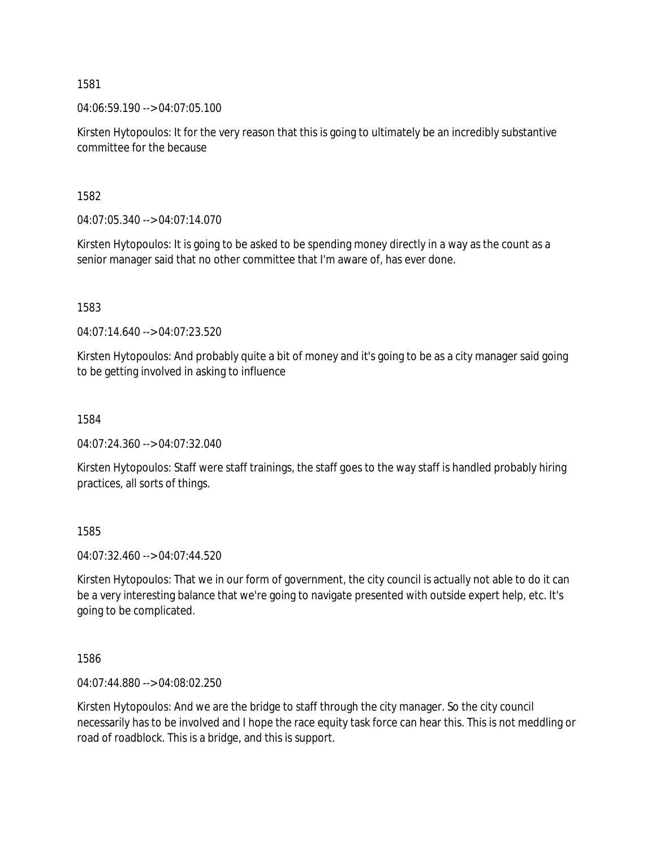04:06:59.190 --> 04:07:05.100

Kirsten Hytopoulos: It for the very reason that this is going to ultimately be an incredibly substantive committee for the because

1582

04:07:05.340 --> 04:07:14.070

Kirsten Hytopoulos: It is going to be asked to be spending money directly in a way as the count as a senior manager said that no other committee that I'm aware of, has ever done.

1583

04:07:14.640 --> 04:07:23.520

Kirsten Hytopoulos: And probably quite a bit of money and it's going to be as a city manager said going to be getting involved in asking to influence

1584

04:07:24.360 --> 04:07:32.040

Kirsten Hytopoulos: Staff were staff trainings, the staff goes to the way staff is handled probably hiring practices, all sorts of things.

1585

04:07:32.460 --> 04:07:44.520

Kirsten Hytopoulos: That we in our form of government, the city council is actually not able to do it can be a very interesting balance that we're going to navigate presented with outside expert help, etc. It's going to be complicated.

1586

04:07:44.880 --> 04:08:02.250

Kirsten Hytopoulos: And we are the bridge to staff through the city manager. So the city council necessarily has to be involved and I hope the race equity task force can hear this. This is not meddling or road of roadblock. This is a bridge, and this is support.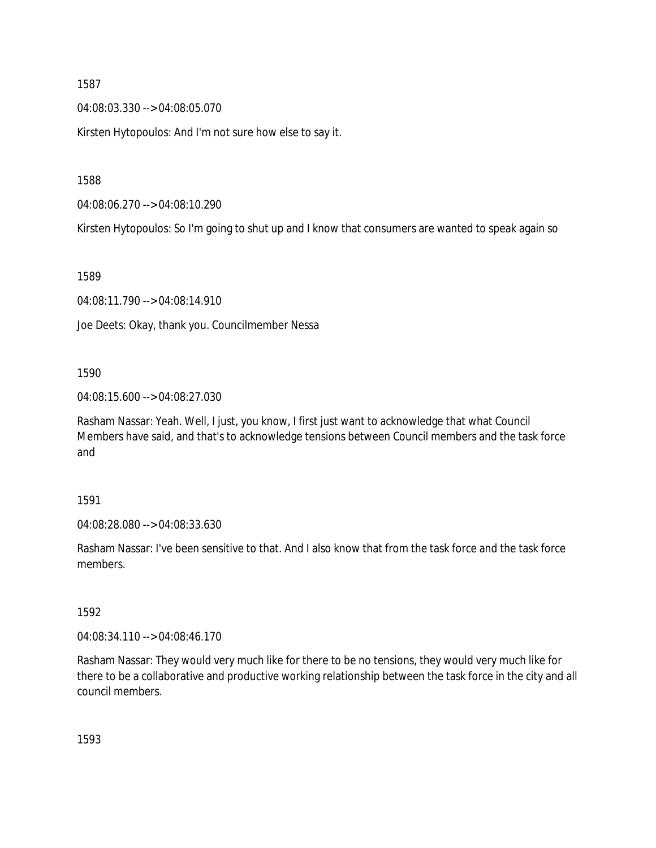04:08:03.330 --> 04:08:05.070

Kirsten Hytopoulos: And I'm not sure how else to say it.

1588

04:08:06.270 --> 04:08:10.290

Kirsten Hytopoulos: So I'm going to shut up and I know that consumers are wanted to speak again so

1589

04:08:11.790 --> 04:08:14.910

Joe Deets: Okay, thank you. Councilmember Nessa

1590

04:08:15.600 --> 04:08:27.030

Rasham Nassar: Yeah. Well, I just, you know, I first just want to acknowledge that what Council Members have said, and that's to acknowledge tensions between Council members and the task force and

1591

04:08:28.080 --> 04:08:33.630

Rasham Nassar: I've been sensitive to that. And I also know that from the task force and the task force members.

1592

04:08:34.110 --> 04:08:46.170

Rasham Nassar: They would very much like for there to be no tensions, they would very much like for there to be a collaborative and productive working relationship between the task force in the city and all council members.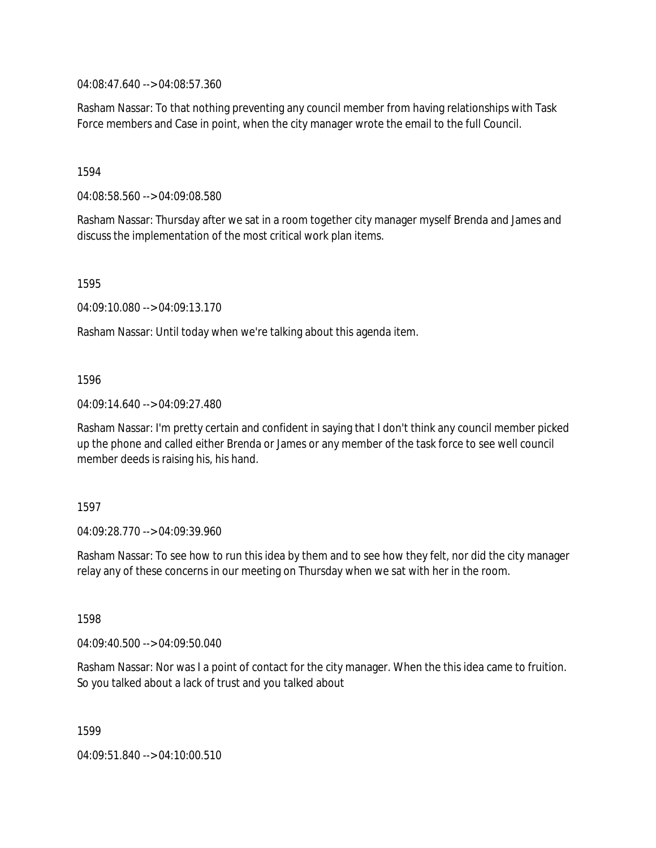04:08:47.640 --> 04:08:57.360

Rasham Nassar: To that nothing preventing any council member from having relationships with Task Force members and Case in point, when the city manager wrote the email to the full Council.

1594

04:08:58.560 --> 04:09:08.580

Rasham Nassar: Thursday after we sat in a room together city manager myself Brenda and James and discuss the implementation of the most critical work plan items.

1595

04:09:10.080 --> 04:09:13.170

Rasham Nassar: Until today when we're talking about this agenda item.

1596

04:09:14.640 --> 04:09:27.480

Rasham Nassar: I'm pretty certain and confident in saying that I don't think any council member picked up the phone and called either Brenda or James or any member of the task force to see well council member deeds is raising his, his hand.

1597

04:09:28.770 --> 04:09:39.960

Rasham Nassar: To see how to run this idea by them and to see how they felt, nor did the city manager relay any of these concerns in our meeting on Thursday when we sat with her in the room.

1598

04:09:40.500 --> 04:09:50.040

Rasham Nassar: Nor was I a point of contact for the city manager. When the this idea came to fruition. So you talked about a lack of trust and you talked about

1599

04:09:51.840 --> 04:10:00.510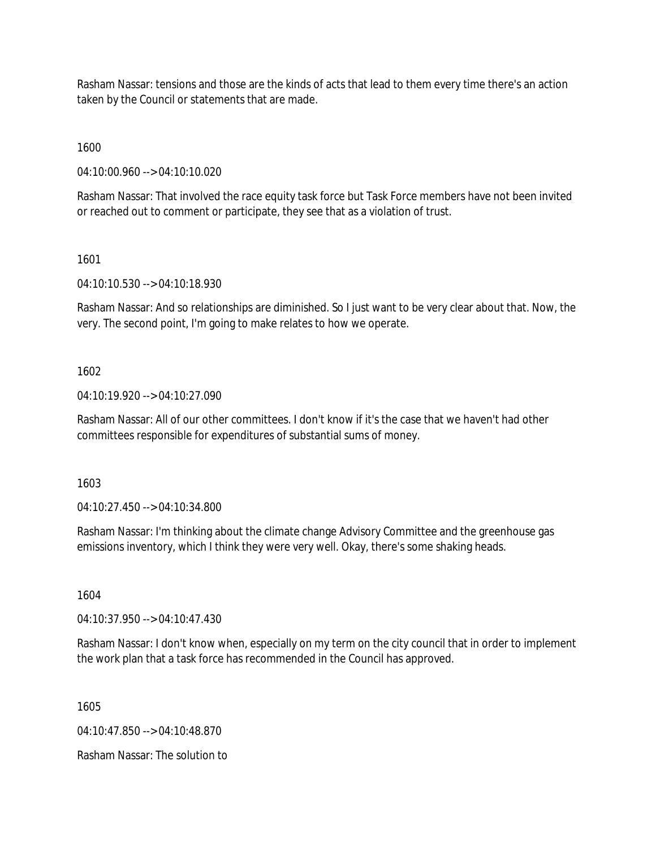Rasham Nassar: tensions and those are the kinds of acts that lead to them every time there's an action taken by the Council or statements that are made.

1600

04:10:00.960 --> 04:10:10.020

Rasham Nassar: That involved the race equity task force but Task Force members have not been invited or reached out to comment or participate, they see that as a violation of trust.

1601

04:10:10.530 --> 04:10:18.930

Rasham Nassar: And so relationships are diminished. So I just want to be very clear about that. Now, the very. The second point, I'm going to make relates to how we operate.

1602

04:10:19.920 --> 04:10:27.090

Rasham Nassar: All of our other committees. I don't know if it's the case that we haven't had other committees responsible for expenditures of substantial sums of money.

1603

04:10:27.450 --> 04:10:34.800

Rasham Nassar: I'm thinking about the climate change Advisory Committee and the greenhouse gas emissions inventory, which I think they were very well. Okay, there's some shaking heads.

1604

04:10:37.950 --> 04:10:47.430

Rasham Nassar: I don't know when, especially on my term on the city council that in order to implement the work plan that a task force has recommended in the Council has approved.

1605

04:10:47.850 --> 04:10:48.870

Rasham Nassar: The solution to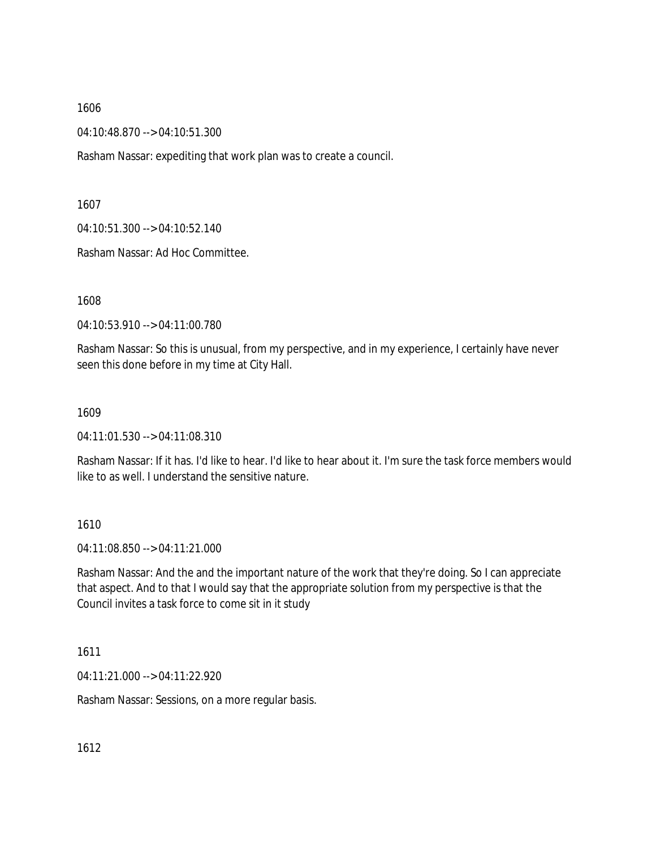04:10:48.870 --> 04:10:51.300

Rasham Nassar: expediting that work plan was to create a council.

1607

04:10:51.300 --> 04:10:52.140

Rasham Nassar: Ad Hoc Committee.

1608

04:10:53.910 --> 04:11:00.780

Rasham Nassar: So this is unusual, from my perspective, and in my experience, I certainly have never seen this done before in my time at City Hall.

### 1609

04:11:01.530 --> 04:11:08.310

Rasham Nassar: If it has. I'd like to hear. I'd like to hear about it. I'm sure the task force members would like to as well. I understand the sensitive nature.

## 1610

04:11:08.850 --> 04:11:21.000

Rasham Nassar: And the and the important nature of the work that they're doing. So I can appreciate that aspect. And to that I would say that the appropriate solution from my perspective is that the Council invites a task force to come sit in it study

## 1611

04:11:21.000 --> 04:11:22.920

Rasham Nassar: Sessions, on a more regular basis.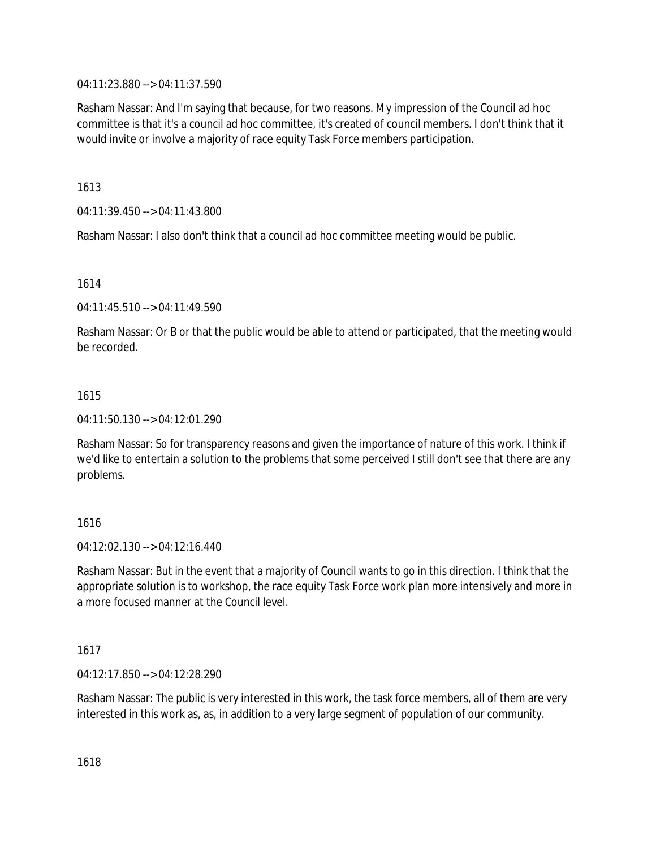04:11:23.880 --> 04:11:37.590

Rasham Nassar: And I'm saying that because, for two reasons. My impression of the Council ad hoc committee is that it's a council ad hoc committee, it's created of council members. I don't think that it would invite or involve a majority of race equity Task Force members participation.

1613

04:11:39.450 --> 04:11:43.800

Rasham Nassar: I also don't think that a council ad hoc committee meeting would be public.

1614

04:11:45.510 --> 04:11:49.590

Rasham Nassar: Or B or that the public would be able to attend or participated, that the meeting would be recorded.

## 1615

04:11:50.130 --> 04:12:01.290

Rasham Nassar: So for transparency reasons and given the importance of nature of this work. I think if we'd like to entertain a solution to the problems that some perceived I still don't see that there are any problems.

## 1616

 $04.12.02130 - 04.12.16440$ 

Rasham Nassar: But in the event that a majority of Council wants to go in this direction. I think that the appropriate solution is to workshop, the race equity Task Force work plan more intensively and more in a more focused manner at the Council level.

## 1617

04:12:17.850 --> 04:12:28.290

Rasham Nassar: The public is very interested in this work, the task force members, all of them are very interested in this work as, as, in addition to a very large segment of population of our community.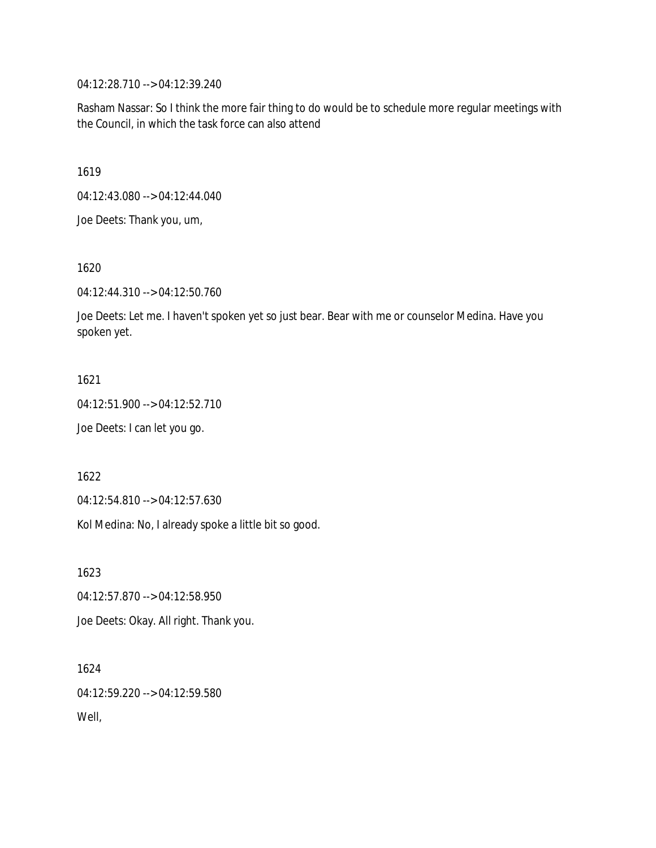04:12:28.710 --> 04:12:39.240

Rasham Nassar: So I think the more fair thing to do would be to schedule more regular meetings with the Council, in which the task force can also attend

1619

04:12:43.080 --> 04:12:44.040

Joe Deets: Thank you, um,

1620

04:12:44.310 --> 04:12:50.760

Joe Deets: Let me. I haven't spoken yet so just bear. Bear with me or counselor Medina. Have you spoken yet.

1621

04:12:51.900 --> 04:12:52.710

Joe Deets: I can let you go.

1622

04:12:54.810 --> 04:12:57.630

Kol Medina: No, I already spoke a little bit so good.

1623

04:12:57.870 --> 04:12:58.950

Joe Deets: Okay. All right. Thank you.

1624 04:12:59.220 --> 04:12:59.580 Well,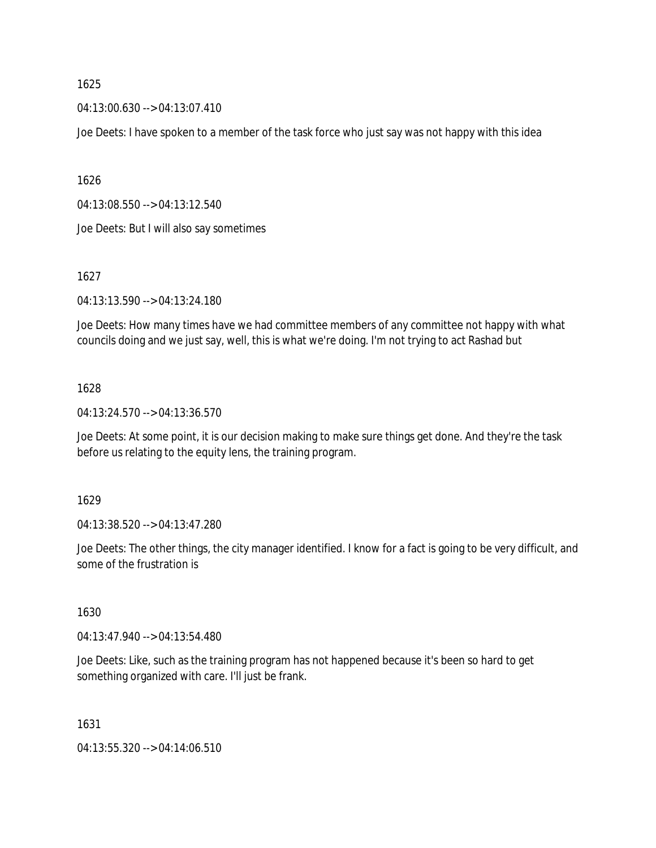04:13:00.630 --> 04:13:07.410

Joe Deets: I have spoken to a member of the task force who just say was not happy with this idea

1626

04:13:08.550 --> 04:13:12.540

Joe Deets: But I will also say sometimes

1627

04:13:13.590 --> 04:13:24.180

Joe Deets: How many times have we had committee members of any committee not happy with what councils doing and we just say, well, this is what we're doing. I'm not trying to act Rashad but

## 1628

04:13:24.570 --> 04:13:36.570

Joe Deets: At some point, it is our decision making to make sure things get done. And they're the task before us relating to the equity lens, the training program.

1629

04:13:38.520 --> 04:13:47.280

Joe Deets: The other things, the city manager identified. I know for a fact is going to be very difficult, and some of the frustration is

1630

04:13:47.940 --> 04:13:54.480

Joe Deets: Like, such as the training program has not happened because it's been so hard to get something organized with care. I'll just be frank.

1631

04:13:55.320 --> 04:14:06.510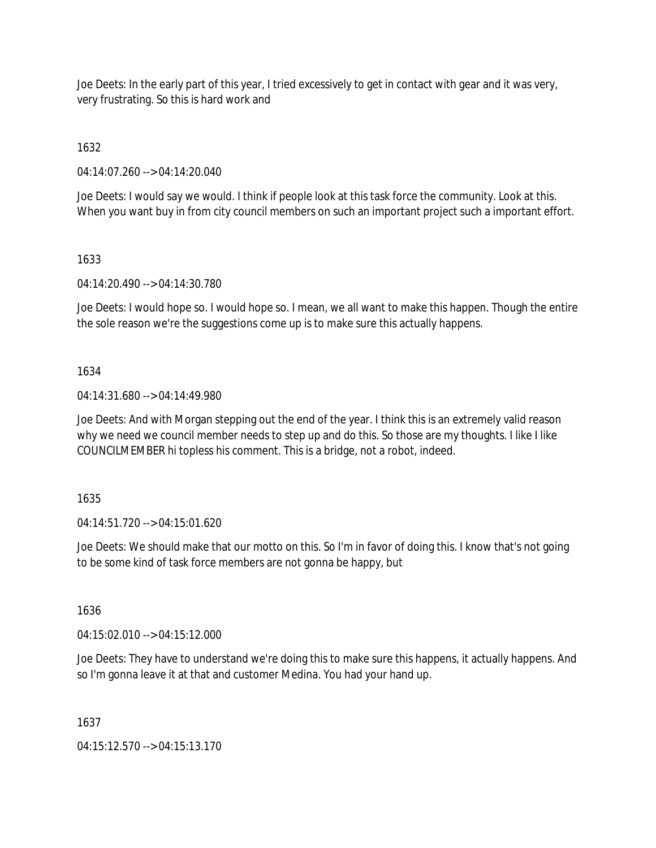Joe Deets: In the early part of this year, I tried excessively to get in contact with gear and it was very, very frustrating. So this is hard work and

1632

04:14:07.260 --> 04:14:20.040

Joe Deets: I would say we would. I think if people look at this task force the community. Look at this. When you want buy in from city council members on such an important project such a important effort.

# 1633

04:14:20.490 --> 04:14:30.780

Joe Deets: I would hope so. I would hope so. I mean, we all want to make this happen. Though the entire the sole reason we're the suggestions come up is to make sure this actually happens.

## 1634

04:14:31.680 --> 04:14:49.980

Joe Deets: And with Morgan stepping out the end of the year. I think this is an extremely valid reason why we need we council member needs to step up and do this. So those are my thoughts. I like I like COUNCILMEMBER hi topless his comment. This is a bridge, not a robot, indeed.

1635

04:14:51.720 --> 04:15:01.620

Joe Deets: We should make that our motto on this. So I'm in favor of doing this. I know that's not going to be some kind of task force members are not gonna be happy, but

1636

04:15:02.010 --> 04:15:12.000

Joe Deets: They have to understand we're doing this to make sure this happens, it actually happens. And so I'm gonna leave it at that and customer Medina. You had your hand up.

1637

04:15:12.570 --> 04:15:13.170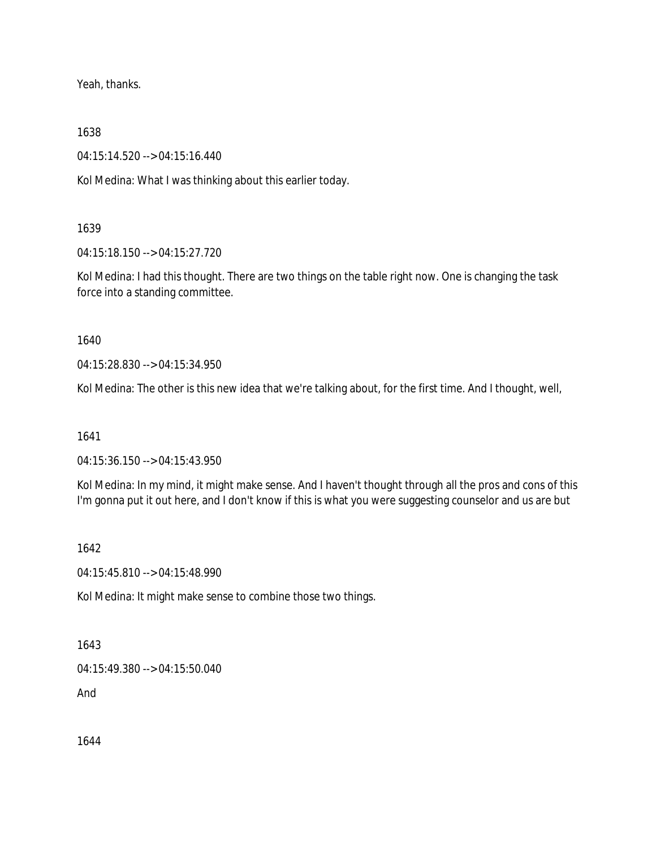Yeah, thanks.

1638

04:15:14.520 --> 04:15:16.440

Kol Medina: What I was thinking about this earlier today.

## 1639

04:15:18.150 --> 04:15:27.720

Kol Medina: I had this thought. There are two things on the table right now. One is changing the task force into a standing committee.

1640

04:15:28.830 --> 04:15:34.950

Kol Medina: The other is this new idea that we're talking about, for the first time. And I thought, well,

1641

04:15:36.150 --> 04:15:43.950

Kol Medina: In my mind, it might make sense. And I haven't thought through all the pros and cons of this I'm gonna put it out here, and I don't know if this is what you were suggesting counselor and us are but

1642

04:15:45.810 --> 04:15:48.990

Kol Medina: It might make sense to combine those two things.

1643

04:15:49.380 --> 04:15:50.040

And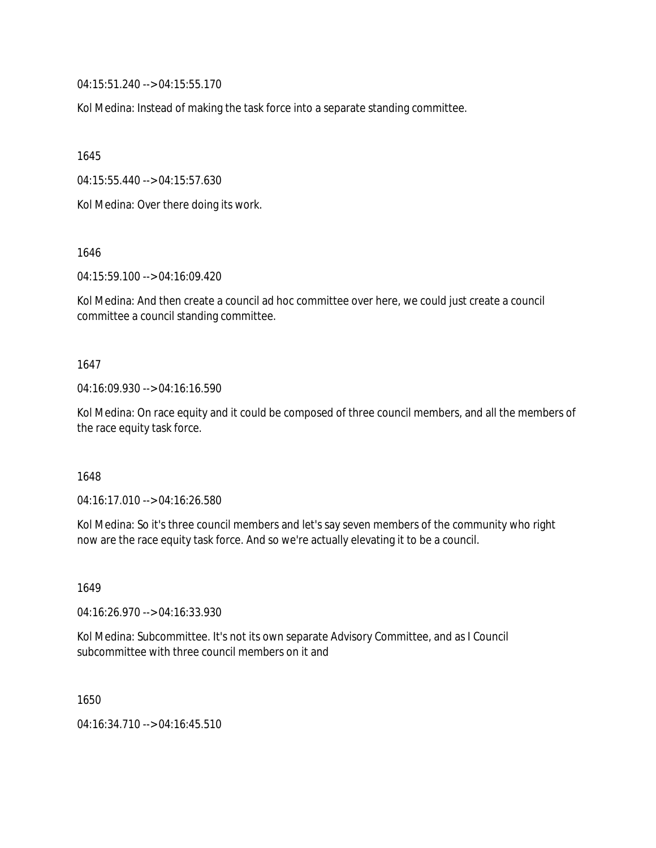04:15:51.240 --> 04:15:55.170

Kol Medina: Instead of making the task force into a separate standing committee.

1645

04:15:55.440 --> 04:15:57.630

Kol Medina: Over there doing its work.

1646

04:15:59.100 --> 04:16:09.420

Kol Medina: And then create a council ad hoc committee over here, we could just create a council committee a council standing committee.

### 1647

04:16:09.930 --> 04:16:16.590

Kol Medina: On race equity and it could be composed of three council members, and all the members of the race equity task force.

## 1648

04:16:17.010 --> 04:16:26.580

Kol Medina: So it's three council members and let's say seven members of the community who right now are the race equity task force. And so we're actually elevating it to be a council.

1649

04:16:26.970 --> 04:16:33.930

Kol Medina: Subcommittee. It's not its own separate Advisory Committee, and as I Council subcommittee with three council members on it and

1650

04:16:34.710 --> 04:16:45.510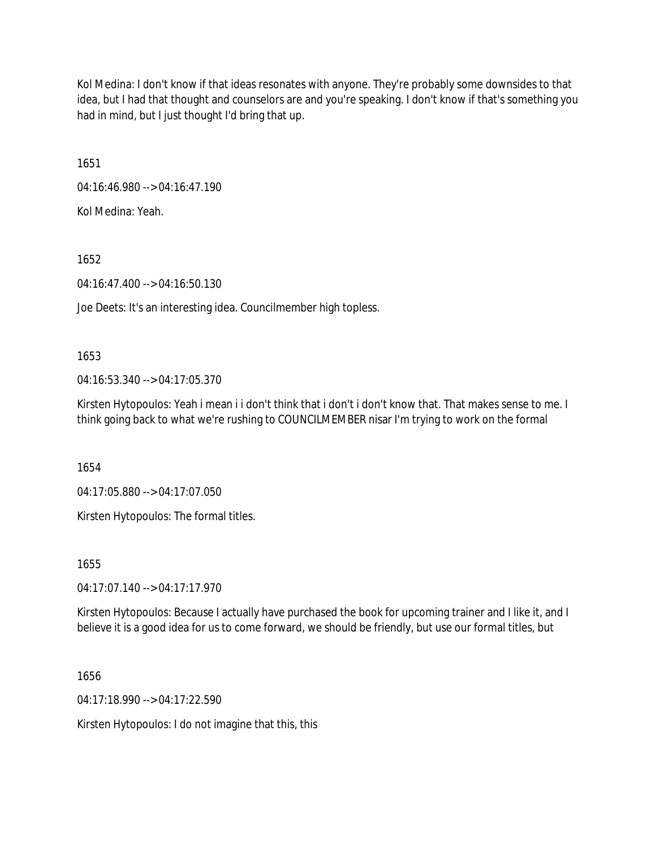Kol Medina: I don't know if that ideas resonates with anyone. They're probably some downsides to that idea, but I had that thought and counselors are and you're speaking. I don't know if that's something you had in mind, but I just thought I'd bring that up.

1651

04:16:46.980 --> 04:16:47.190

Kol Medina: Yeah.

1652

04:16:47.400 --> 04:16:50.130

Joe Deets: It's an interesting idea. Councilmember high topless.

1653

04:16:53.340 --> 04:17:05.370

Kirsten Hytopoulos: Yeah i mean i i don't think that i don't i don't know that. That makes sense to me. I think going back to what we're rushing to COUNCILMEMBER nisar I'm trying to work on the formal

1654

04:17:05.880 --> 04:17:07.050

Kirsten Hytopoulos: The formal titles.

1655

04:17:07.140 --> 04:17:17.970

Kirsten Hytopoulos: Because I actually have purchased the book for upcoming trainer and I like it, and I believe it is a good idea for us to come forward, we should be friendly, but use our formal titles, but

1656

04:17:18.990 --> 04:17:22.590

Kirsten Hytopoulos: I do not imagine that this, this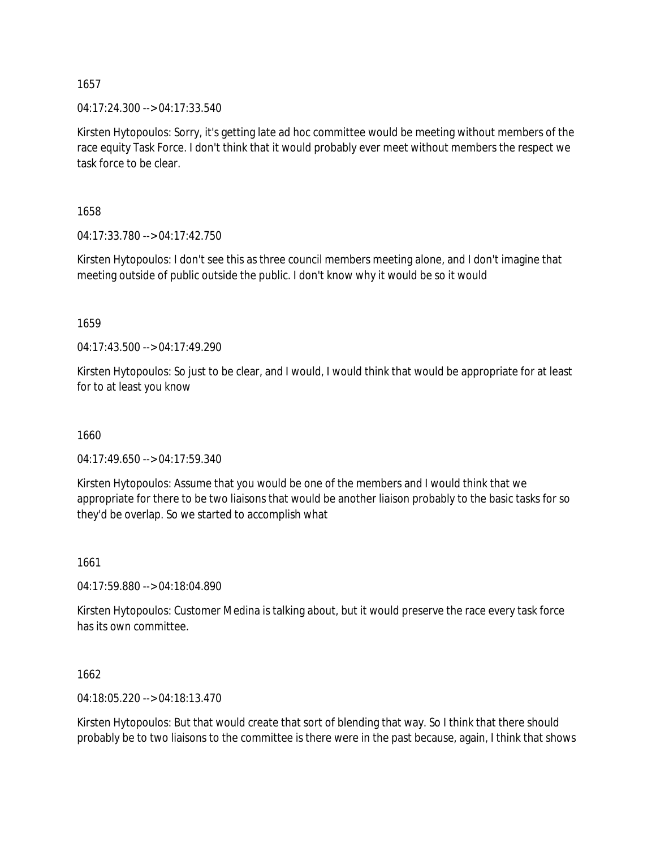04:17:24.300 --> 04:17:33.540

Kirsten Hytopoulos: Sorry, it's getting late ad hoc committee would be meeting without members of the race equity Task Force. I don't think that it would probably ever meet without members the respect we task force to be clear.

1658

04:17:33.780 --> 04:17:42.750

Kirsten Hytopoulos: I don't see this as three council members meeting alone, and I don't imagine that meeting outside of public outside the public. I don't know why it would be so it would

1659

04:17:43.500 --> 04:17:49.290

Kirsten Hytopoulos: So just to be clear, and I would, I would think that would be appropriate for at least for to at least you know

1660

04:17:49.650 --> 04:17:59.340

Kirsten Hytopoulos: Assume that you would be one of the members and I would think that we appropriate for there to be two liaisons that would be another liaison probably to the basic tasks for so they'd be overlap. So we started to accomplish what

1661

04:17:59.880 --> 04:18:04.890

Kirsten Hytopoulos: Customer Medina is talking about, but it would preserve the race every task force has its own committee.

1662

04:18:05.220 --> 04:18:13.470

Kirsten Hytopoulos: But that would create that sort of blending that way. So I think that there should probably be to two liaisons to the committee is there were in the past because, again, I think that shows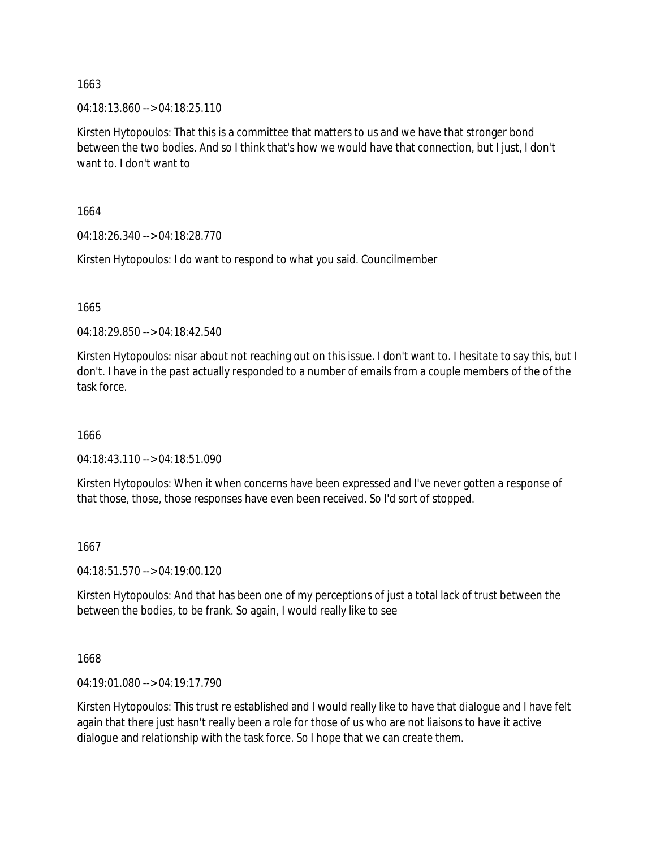04:18:13.860 --> 04:18:25.110

Kirsten Hytopoulos: That this is a committee that matters to us and we have that stronger bond between the two bodies. And so I think that's how we would have that connection, but I just, I don't want to. I don't want to

1664

04:18:26.340 --> 04:18:28.770

Kirsten Hytopoulos: I do want to respond to what you said. Councilmember

1665

04:18:29.850 --> 04:18:42.540

Kirsten Hytopoulos: nisar about not reaching out on this issue. I don't want to. I hesitate to say this, but I don't. I have in the past actually responded to a number of emails from a couple members of the of the task force.

1666

04:18:43.110 --> 04:18:51.090

Kirsten Hytopoulos: When it when concerns have been expressed and I've never gotten a response of that those, those, those responses have even been received. So I'd sort of stopped.

## 1667

04:18:51.570 --> 04:19:00.120

Kirsten Hytopoulos: And that has been one of my perceptions of just a total lack of trust between the between the bodies, to be frank. So again, I would really like to see

1668

04:19:01.080 --> 04:19:17.790

Kirsten Hytopoulos: This trust re established and I would really like to have that dialogue and I have felt again that there just hasn't really been a role for those of us who are not liaisons to have it active dialogue and relationship with the task force. So I hope that we can create them.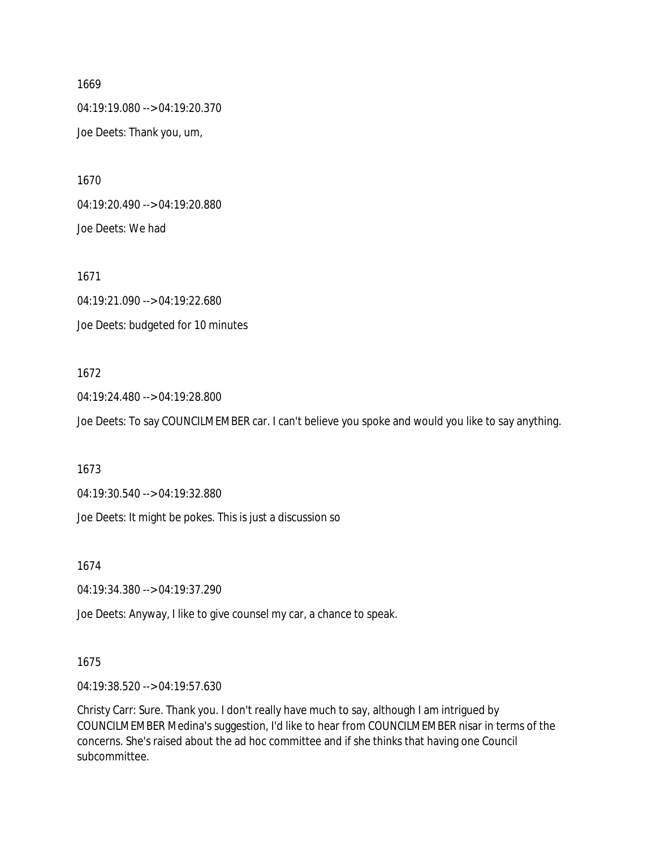04:19:19.080 --> 04:19:20.370 Joe Deets: Thank you, um,

1670 04:19:20.490 --> 04:19:20.880 Joe Deets: We had

1671 04:19:21.090 --> 04:19:22.680 Joe Deets: budgeted for 10 minutes

## 1672

04:19:24.480 --> 04:19:28.800 Joe Deets: To say COUNCILMEMBER car. I can't believe you spoke and would you like to say anything.

1673

04:19:30.540 --> 04:19:32.880

Joe Deets: It might be pokes. This is just a discussion so

1674

04:19:34.380 --> 04:19:37.290

Joe Deets: Anyway, I like to give counsel my car, a chance to speak.

#### 1675

04:19:38.520 --> 04:19:57.630

Christy Carr: Sure. Thank you. I don't really have much to say, although I am intrigued by COUNCILMEMBER Medina's suggestion, I'd like to hear from COUNCILMEMBER nisar in terms of the concerns. She's raised about the ad hoc committee and if she thinks that having one Council subcommittee.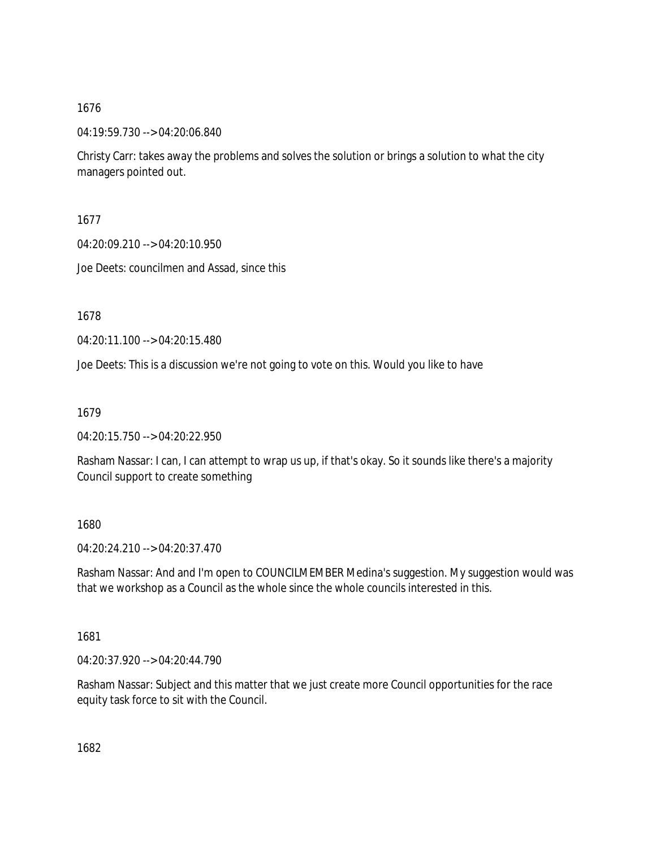04:19:59.730 --> 04:20:06.840

Christy Carr: takes away the problems and solves the solution or brings a solution to what the city managers pointed out.

1677

04:20:09.210 --> 04:20:10.950

Joe Deets: councilmen and Assad, since this

1678

04:20:11.100 --> 04:20:15.480

Joe Deets: This is a discussion we're not going to vote on this. Would you like to have

1679

04:20:15.750 --> 04:20:22.950

Rasham Nassar: I can, I can attempt to wrap us up, if that's okay. So it sounds like there's a majority Council support to create something

1680

04:20:24.210 --> 04:20:37.470

Rasham Nassar: And and I'm open to COUNCILMEMBER Medina's suggestion. My suggestion would was that we workshop as a Council as the whole since the whole councils interested in this.

1681

04:20:37.920 --> 04:20:44.790

Rasham Nassar: Subject and this matter that we just create more Council opportunities for the race equity task force to sit with the Council.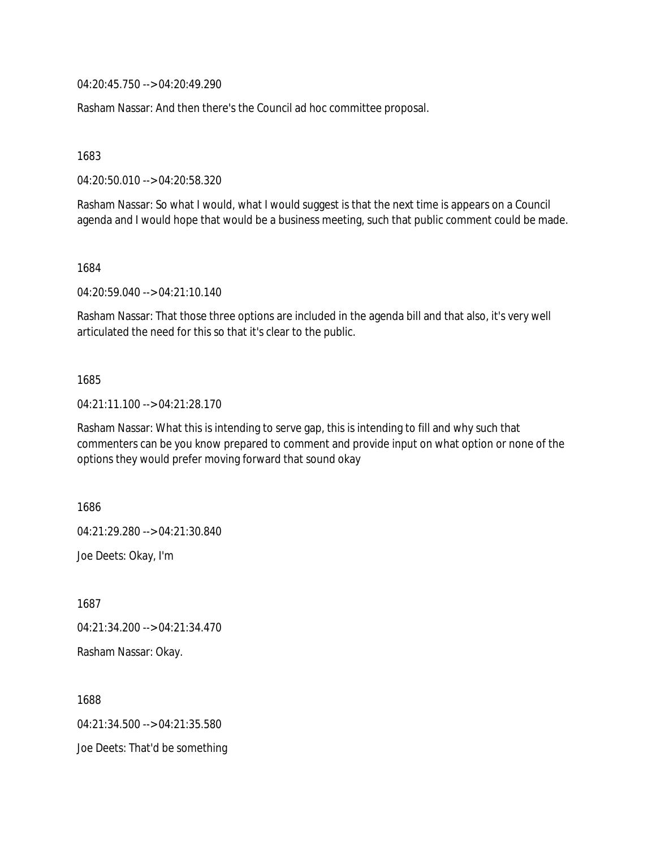04:20:45.750 --> 04:20:49.290

Rasham Nassar: And then there's the Council ad hoc committee proposal.

1683

04:20:50.010 --> 04:20:58.320

Rasham Nassar: So what I would, what I would suggest is that the next time is appears on a Council agenda and I would hope that would be a business meeting, such that public comment could be made.

1684

04:20:59.040 --> 04:21:10.140

Rasham Nassar: That those three options are included in the agenda bill and that also, it's very well articulated the need for this so that it's clear to the public.

#### 1685

04:21:11.100 --> 04:21:28.170

Rasham Nassar: What this is intending to serve gap, this is intending to fill and why such that commenters can be you know prepared to comment and provide input on what option or none of the options they would prefer moving forward that sound okay

1686 04:21:29.280 --> 04:21:30.840 Joe Deets: Okay, I'm

1687

04:21:34.200 --> 04:21:34.470

Rasham Nassar: Okay.

1688 04:21:34.500 --> 04:21:35.580 Joe Deets: That'd be something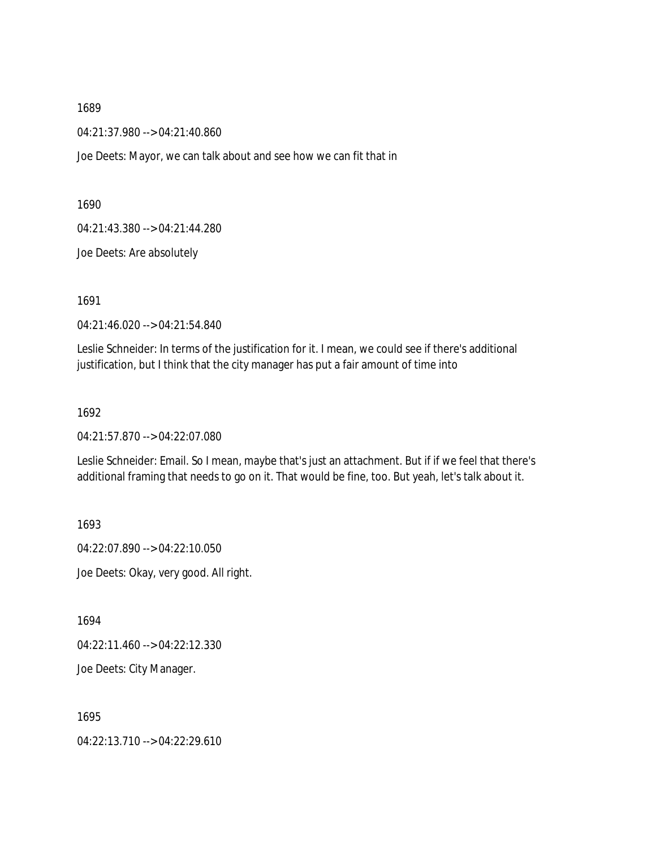04:21:37.980 --> 04:21:40.860

Joe Deets: Mayor, we can talk about and see how we can fit that in

1690

04:21:43.380 --> 04:21:44.280

Joe Deets: Are absolutely

1691

04:21:46.020 --> 04:21:54.840

Leslie Schneider: In terms of the justification for it. I mean, we could see if there's additional justification, but I think that the city manager has put a fair amount of time into

1692

04:21:57.870 --> 04:22:07.080

Leslie Schneider: Email. So I mean, maybe that's just an attachment. But if if we feel that there's additional framing that needs to go on it. That would be fine, too. But yeah, let's talk about it.

1693

04:22:07.890 --> 04:22:10.050 Joe Deets: Okay, very good. All right.

1694

04:22:11.460 --> 04:22:12.330

Joe Deets: City Manager.

1695

04:22:13.710 --> 04:22:29.610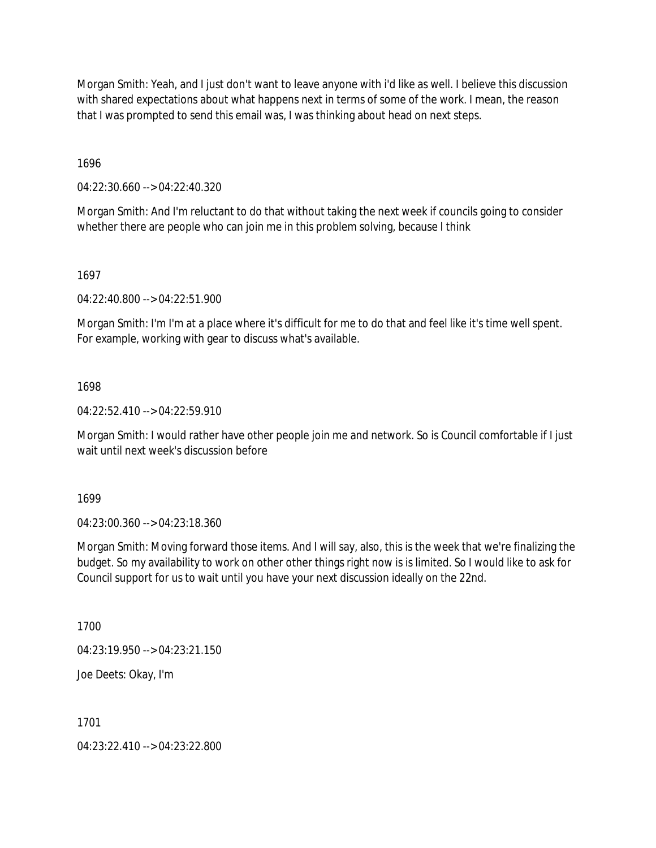Morgan Smith: Yeah, and I just don't want to leave anyone with i'd like as well. I believe this discussion with shared expectations about what happens next in terms of some of the work. I mean, the reason that I was prompted to send this email was, I was thinking about head on next steps.

1696

04:22:30.660 --> 04:22:40.320

Morgan Smith: And I'm reluctant to do that without taking the next week if councils going to consider whether there are people who can join me in this problem solving, because I think

1697

04:22:40.800 --> 04:22:51.900

Morgan Smith: I'm I'm at a place where it's difficult for me to do that and feel like it's time well spent. For example, working with gear to discuss what's available.

1698

04:22:52.410 --> 04:22:59.910

Morgan Smith: I would rather have other people join me and network. So is Council comfortable if I just wait until next week's discussion before

1699

04:23:00.360 --> 04:23:18.360

Morgan Smith: Moving forward those items. And I will say, also, this is the week that we're finalizing the budget. So my availability to work on other other things right now is is limited. So I would like to ask for Council support for us to wait until you have your next discussion ideally on the 22nd.

1700

04:23:19.950 --> 04:23:21.150

Joe Deets: Okay, I'm

1701

04:23:22.410 --> 04:23:22.800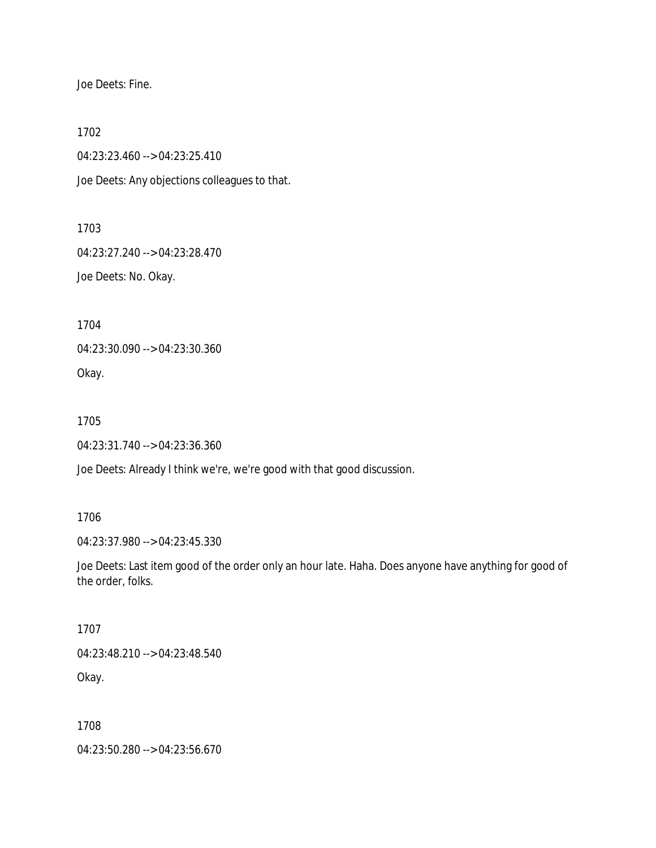Joe Deets: Fine.

1702

04:23:23.460 --> 04:23:25.410

Joe Deets: Any objections colleagues to that.

1703

04:23:27.240 --> 04:23:28.470

Joe Deets: No. Okay.

1704

04:23:30.090 --> 04:23:30.360

Okay.

1705

04:23:31.740 --> 04:23:36.360

Joe Deets: Already I think we're, we're good with that good discussion.

1706

04:23:37.980 --> 04:23:45.330

Joe Deets: Last item good of the order only an hour late. Haha. Does anyone have anything for good of the order, folks.

1707

04:23:48.210 --> 04:23:48.540

Okay.

1708

04:23:50.280 --> 04:23:56.670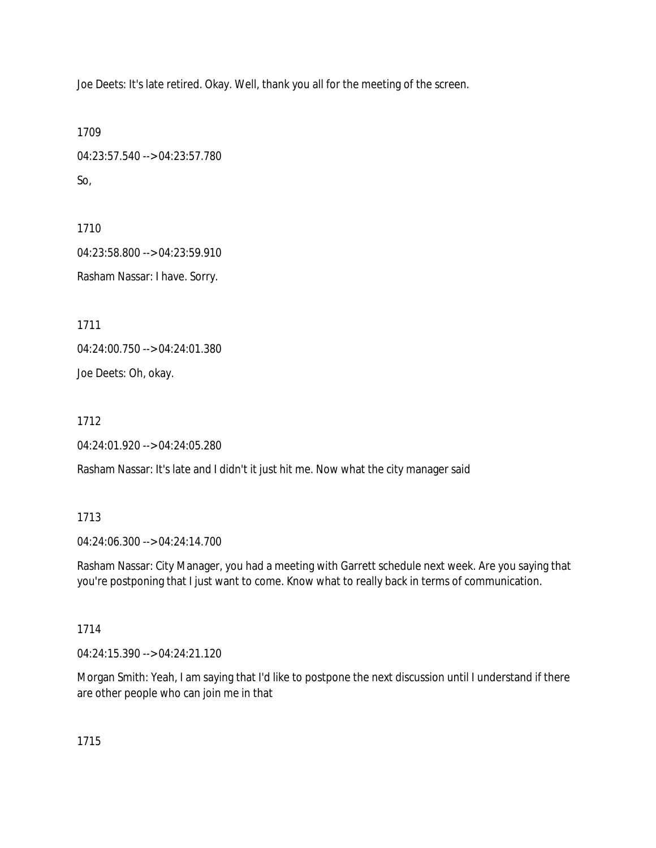Joe Deets: It's late retired. Okay. Well, thank you all for the meeting of the screen.

```
1709
04:23:57.540 --> 04:23:57.780
So,
```
1710 04:23:58.800 --> 04:23:59.910 Rasham Nassar: I have. Sorry.

1711

04:24:00.750 --> 04:24:01.380

Joe Deets: Oh, okay.

1712

04:24:01.920 --> 04:24:05.280

Rasham Nassar: It's late and I didn't it just hit me. Now what the city manager said

## 1713

04:24:06.300 --> 04:24:14.700

Rasham Nassar: City Manager, you had a meeting with Garrett schedule next week. Are you saying that you're postponing that I just want to come. Know what to really back in terms of communication.

## 1714

04:24:15.390 --> 04:24:21.120

Morgan Smith: Yeah, I am saying that I'd like to postpone the next discussion until I understand if there are other people who can join me in that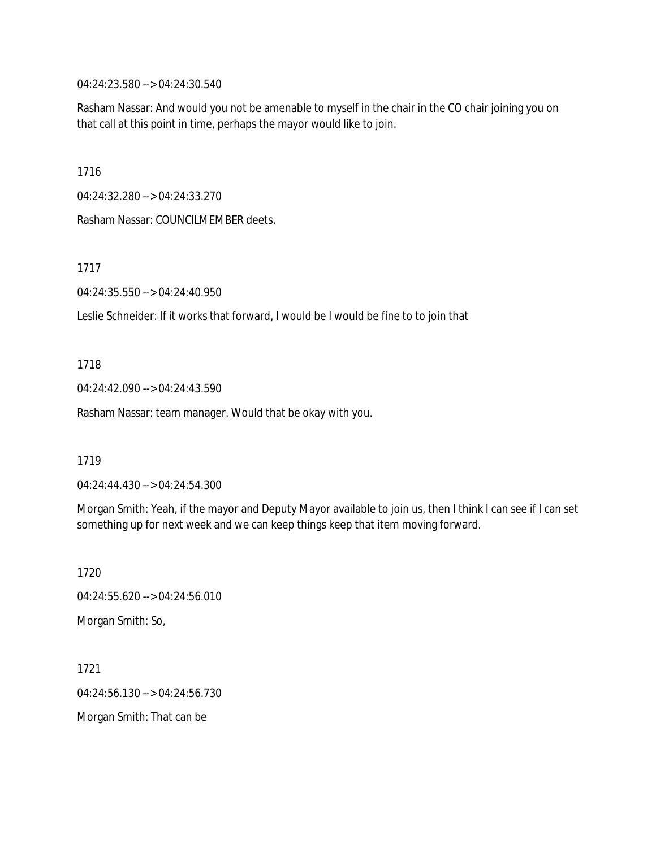04:24:23.580 --> 04:24:30.540

Rasham Nassar: And would you not be amenable to myself in the chair in the CO chair joining you on that call at this point in time, perhaps the mayor would like to join.

1716

04:24:32.280 --> 04:24:33.270

Rasham Nassar: COUNCILMEMBER deets.

1717

04:24:35.550 --> 04:24:40.950

Leslie Schneider: If it works that forward, I would be I would be fine to to join that

1718

04:24:42.090 --> 04:24:43.590

Rasham Nassar: team manager. Would that be okay with you.

1719

04:24:44.430 --> 04:24:54.300

Morgan Smith: Yeah, if the mayor and Deputy Mayor available to join us, then I think I can see if I can set something up for next week and we can keep things keep that item moving forward.

1720 04:24:55.620 --> 04:24:56.010 Morgan Smith: So,

1721 04:24:56.130 --> 04:24:56.730 Morgan Smith: That can be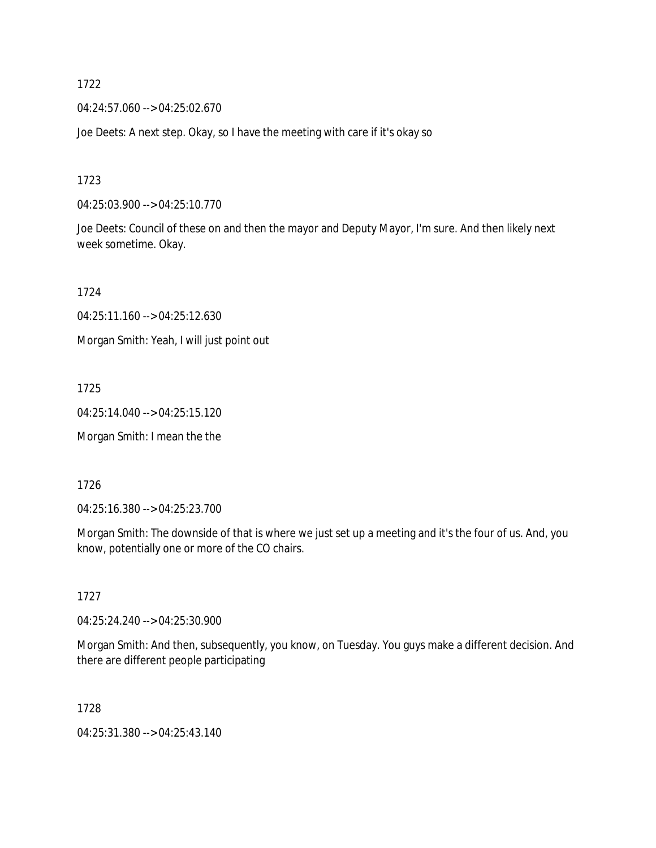04:24:57.060 --> 04:25:02.670

Joe Deets: A next step. Okay, so I have the meeting with care if it's okay so

1723

04:25:03.900 --> 04:25:10.770

Joe Deets: Council of these on and then the mayor and Deputy Mayor, I'm sure. And then likely next week sometime. Okay.

1724

04:25:11.160 --> 04:25:12.630

Morgan Smith: Yeah, I will just point out

1725

04:25:14.040 --> 04:25:15.120

Morgan Smith: I mean the the

1726

04:25:16.380 --> 04:25:23.700

Morgan Smith: The downside of that is where we just set up a meeting and it's the four of us. And, you know, potentially one or more of the CO chairs.

1727

04:25:24.240 --> 04:25:30.900

Morgan Smith: And then, subsequently, you know, on Tuesday. You guys make a different decision. And there are different people participating

1728

04:25:31.380 --> 04:25:43.140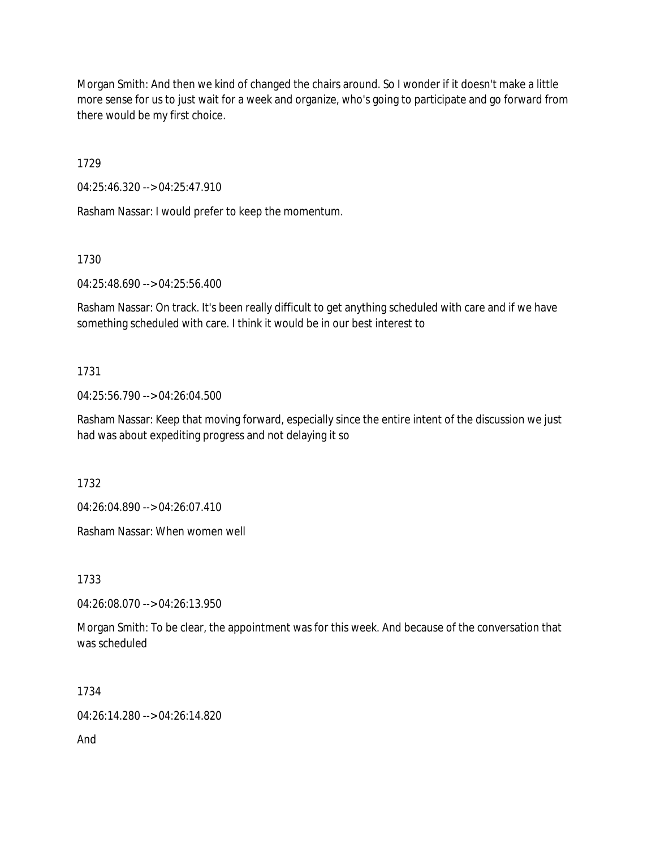Morgan Smith: And then we kind of changed the chairs around. So I wonder if it doesn't make a little more sense for us to just wait for a week and organize, who's going to participate and go forward from there would be my first choice.

1729

04:25:46.320 --> 04:25:47.910

Rasham Nassar: I would prefer to keep the momentum.

1730

04:25:48.690 --> 04:25:56.400

Rasham Nassar: On track. It's been really difficult to get anything scheduled with care and if we have something scheduled with care. I think it would be in our best interest to

## 1731

04:25:56.790 --> 04:26:04.500

Rasham Nassar: Keep that moving forward, especially since the entire intent of the discussion we just had was about expediting progress and not delaying it so

1732

04:26:04.890 --> 04:26:07.410

Rasham Nassar: When women well

1733

04:26:08.070 --> 04:26:13.950

Morgan Smith: To be clear, the appointment was for this week. And because of the conversation that was scheduled

1734

04:26:14.280 --> 04:26:14.820

And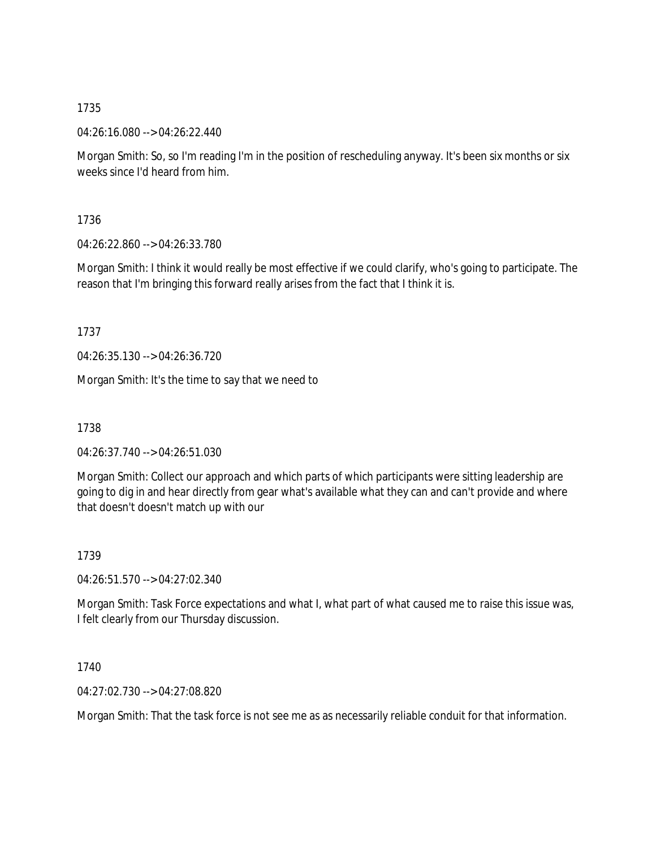04:26:16.080 --> 04:26:22.440

Morgan Smith: So, so I'm reading I'm in the position of rescheduling anyway. It's been six months or six weeks since I'd heard from him.

1736

04:26:22.860 --> 04:26:33.780

Morgan Smith: I think it would really be most effective if we could clarify, who's going to participate. The reason that I'm bringing this forward really arises from the fact that I think it is.

1737

04:26:35.130 --> 04:26:36.720

Morgan Smith: It's the time to say that we need to

1738

04:26:37.740 --> 04:26:51.030

Morgan Smith: Collect our approach and which parts of which participants were sitting leadership are going to dig in and hear directly from gear what's available what they can and can't provide and where that doesn't doesn't match up with our

1739

04:26:51.570 --> 04:27:02.340

Morgan Smith: Task Force expectations and what I, what part of what caused me to raise this issue was, I felt clearly from our Thursday discussion.

1740

04:27:02.730 --> 04:27:08.820

Morgan Smith: That the task force is not see me as as necessarily reliable conduit for that information.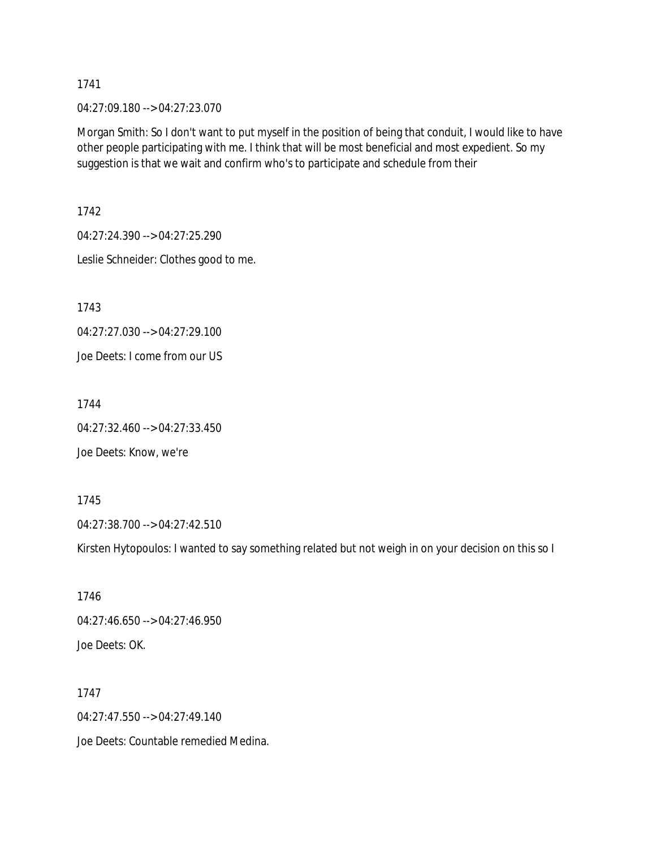04:27:09.180 --> 04:27:23.070

Morgan Smith: So I don't want to put myself in the position of being that conduit, I would like to have other people participating with me. I think that will be most beneficial and most expedient. So my suggestion is that we wait and confirm who's to participate and schedule from their

1742

04:27:24.390 --> 04:27:25.290

Leslie Schneider: Clothes good to me.

1743

04:27:27.030 --> 04:27:29.100

Joe Deets: I come from our US

1744

04:27:32.460 --> 04:27:33.450

Joe Deets: Know, we're

1745

04:27:38.700 --> 04:27:42.510

Kirsten Hytopoulos: I wanted to say something related but not weigh in on your decision on this so I

1746 04:27:46.650 --> 04:27:46.950 Joe Deets: OK.

1747 04:27:47.550 --> 04:27:49.140 Joe Deets: Countable remedied Medina.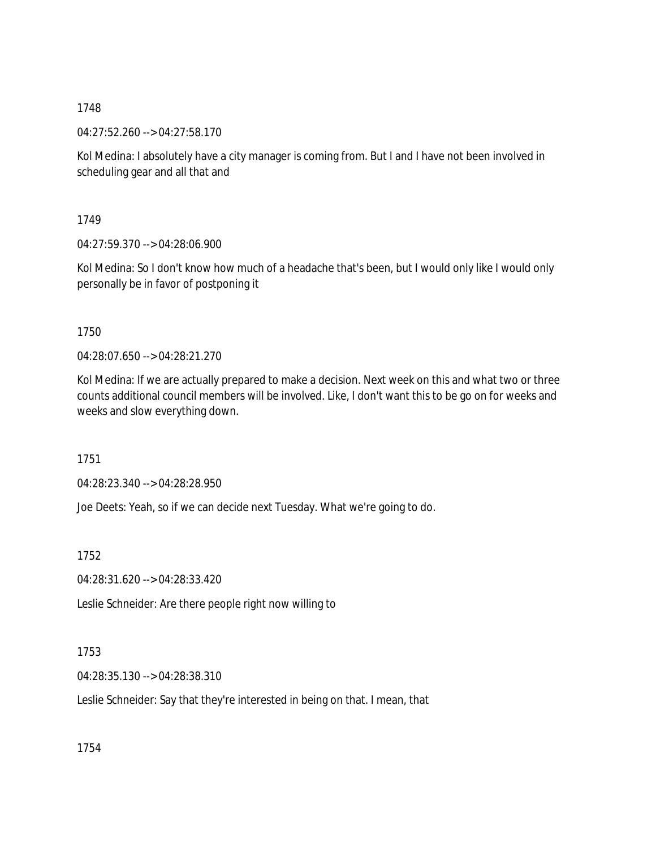04:27:52.260 --> 04:27:58.170

Kol Medina: I absolutely have a city manager is coming from. But I and I have not been involved in scheduling gear and all that and

1749

04:27:59.370 --> 04:28:06.900

Kol Medina: So I don't know how much of a headache that's been, but I would only like I would only personally be in favor of postponing it

1750

04:28:07.650 --> 04:28:21.270

Kol Medina: If we are actually prepared to make a decision. Next week on this and what two or three counts additional council members will be involved. Like, I don't want this to be go on for weeks and weeks and slow everything down.

1751

04:28:23.340 --> 04:28:28.950

Joe Deets: Yeah, so if we can decide next Tuesday. What we're going to do.

1752

04:28:31.620 --> 04:28:33.420

Leslie Schneider: Are there people right now willing to

1753

04:28:35.130 --> 04:28:38.310

Leslie Schneider: Say that they're interested in being on that. I mean, that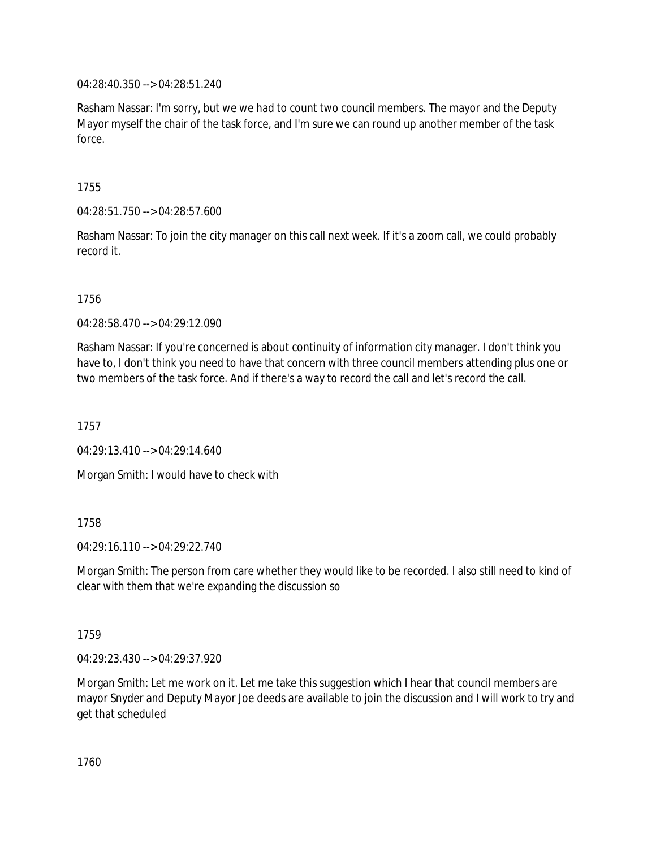04:28:40.350 --> 04:28:51.240

Rasham Nassar: I'm sorry, but we we had to count two council members. The mayor and the Deputy Mayor myself the chair of the task force, and I'm sure we can round up another member of the task force.

1755

04:28:51.750 --> 04:28:57.600

Rasham Nassar: To join the city manager on this call next week. If it's a zoom call, we could probably record it.

1756

04:28:58.470 --> 04:29:12.090

Rasham Nassar: If you're concerned is about continuity of information city manager. I don't think you have to, I don't think you need to have that concern with three council members attending plus one or two members of the task force. And if there's a way to record the call and let's record the call.

1757

04:29:13.410 --> 04:29:14.640

Morgan Smith: I would have to check with

1758

 $04.29.16.110 -> 04.29.22.740$ 

Morgan Smith: The person from care whether they would like to be recorded. I also still need to kind of clear with them that we're expanding the discussion so

1759

04:29:23.430 --> 04:29:37.920

Morgan Smith: Let me work on it. Let me take this suggestion which I hear that council members are mayor Snyder and Deputy Mayor Joe deeds are available to join the discussion and I will work to try and get that scheduled